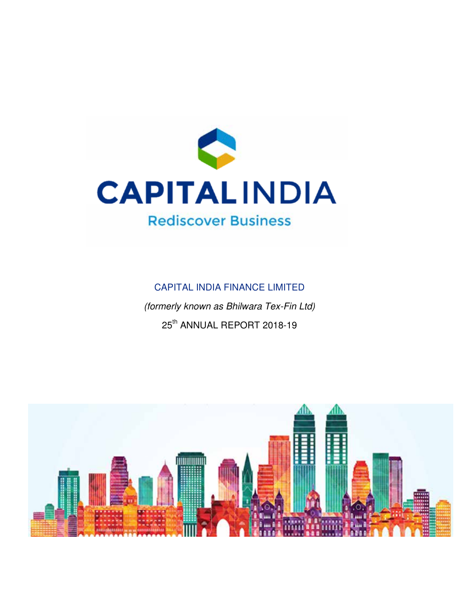

# CAPITAL INDIA FINANCE LIMITED (formerly known as Bhilwara Tex-Fin Ltd) 25<sup>th</sup> ANNUAL REPORT 2018-19

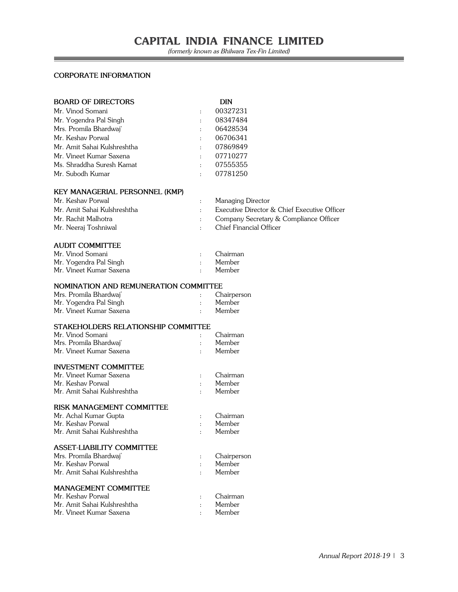#### **CORPORATE INFORMATION**

| <b>BOARD OF DIRECTORS</b>   |           | DIN      |
|-----------------------------|-----------|----------|
|                             |           |          |
| Mr. Vinod Somani            | $\bullet$ | 00327231 |
| Mr. Yogendra Pal Singh      | $\cdot$   | 08347484 |
| Mrs. Promila Bhardwaj*      | $\cdot$   | 06428534 |
| Mr. Keshav Porwal           | $\cdot$   | 06706341 |
| Mr. Amit Sahai Kulshreshtha |           | 07869849 |
| Mr. Vineet Kumar Saxena     | $\cdot$   | 07710277 |
| Ms. Shraddha Suresh Kamat   | $\cdot$   | 07555355 |
| Mr. Subodh Kumar            |           | 07781250 |
|                             |           |          |

#### **KEY MANAGERIAL PERSONNEL (KMP)**

| Mr. Keshav Porwal           | Managing Director                            |
|-----------------------------|----------------------------------------------|
| Mr. Amit Sahai Kulshreshtha | Executive Director & Chief Executive Officer |
| Mr. Rachit Malhotra         | Company Secretary & Compliance Officer       |
| Mr. Neeraj Toshniwal        | Chief Financial Officer                      |

#### **AUDIT COMMITTEE**

| Mr. Vinod Somani        | Chairman |
|-------------------------|----------|
| Mr. Yogendra Pal Singh  | Member   |
| Mr. Vineet Kumar Saxena | Member   |

#### **NOMINATION AND REMUNERATION COMMITTEE**

| Mrs. Promila Bhardwaj <sup>*</sup> | Chairperson |
|------------------------------------|-------------|
| Mr. Yogendra Pal Singh             | Member      |
| Mr. Vineet Kumar Saxena            | Member      |

#### **STAKEHOLDERS RELATIONSHIP COMMITTEE**

| Mr. Vinod Somani                   | Chairman |
|------------------------------------|----------|
| Mrs. Promila Bhardwaj <sup>*</sup> | Member   |
| Mr. Vineet Kumar Saxena            | Member   |

#### **INVESTMENT COMMITTEE**

| Mr. Vineet Kumar Saxena     | Chairman |
|-----------------------------|----------|
| Mr. Keshav Porwal           | Member   |
| Mr. Amit Sahai Kulshreshtha | Member   |

#### **RISK MANAGEMENT COMMITTEE**

| Mr. Achal Kumar Gupta              |                | Chairman    |
|------------------------------------|----------------|-------------|
| Mr. Keshav Porwal                  |                | Member      |
| Mr. Amit Sahai Kulshreshtha        | $\ddot{\cdot}$ | Member      |
| <b>ASSET-LIABILITY COMMITTEE</b>   |                |             |
| Mrs. Promila Bhardwai <sup>*</sup> |                | Chairperson |
| Mr. Keshav Porwal                  | $\bullet$      | Member      |
| Mr. Amit Sahai Kulshreshtha        |                | Member      |
| <b>MANAGEMENT COMMITTEE</b>        |                |             |
| Mr. Keshav Porwal                  |                | Chairman    |
| Mr. Amit Sahai Kulshreshtha        |                | Member      |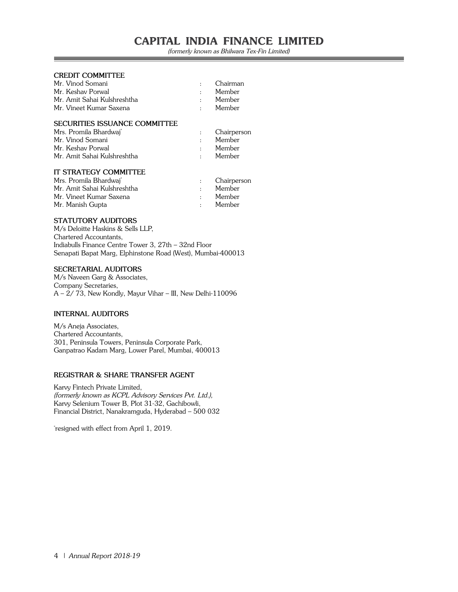(formerly known as Bhilwara Tex-Fin Limited)

#### **CREDIT COMMITTEE**

| Mr. Vinod Somani            | $\sim 100$  | Chairman |
|-----------------------------|-------------|----------|
| Mr. Keshav Porwal           | $\bullet$ . | Member   |
| Mr. Amit Sahai Kulshreshtha | $\bullet$ . | Member   |
| Mr. Vineet Kumar Saxena     | $\sim 100$  | Member   |
|                             |             |          |

#### **SECURITIES ISSUANCE COMMITTEE**

| Mrs. Promila Bhardwaj <sup>*</sup> |             | Chairperson |
|------------------------------------|-------------|-------------|
| Mr. Vinod Somani                   |             | Member      |
| Mr. Keshav Porwal                  |             | Member      |
| Mr. Amit Sahai Kulshreshtha        | $\bullet$ . | Member      |
|                                    |             |             |

#### **IT STRATEGY COMMITTEE**

| Mrs. Promila Bhardwai <sup>®</sup> | Chairperson |
|------------------------------------|-------------|
| Mr. Amit Sahai Kulshreshtha        | Member      |
| Mr. Vineet Kumar Saxena            | Member      |
| Mr. Manish Gupta                   | Member      |

#### **STATUTORY AUDITORS**

M/s Deloitte Haskins & Sells LLP, Chartered Accountants, Indiabulls Finance Centre Tower 3, 27th – 32nd Floor Senapati Bapat Marg, Elphinstone Road (West), Mumbai-400013

#### **SECRETARIAL AUDITORS**

M/s Naveen Garg & Associates, Company Secretaries, A – 2/ 73, New Kondly, Mayur Vihar – III, New Delhi-110096

#### **INTERNAL AUDITORS**

M/s Aneja Associates, Chartered Accountants, 301, Peninsula Towers, Peninsula Corporate Park, Ganpatrao Kadam Marg, Lower Parel, Mumbai, 400013

#### **REGISTRAR & SHARE TRANSFER AGENT**

Karvy Fintech Private Limited, (formerly known as KCPL Advisory Services Pvt. Ltd.), Karvy Selenium Tower B, Plot 31-32, Gachibowli, Financial District, Nanakramguda, Hyderabad – 500 032

\* resigned with effect from April 1, 2019.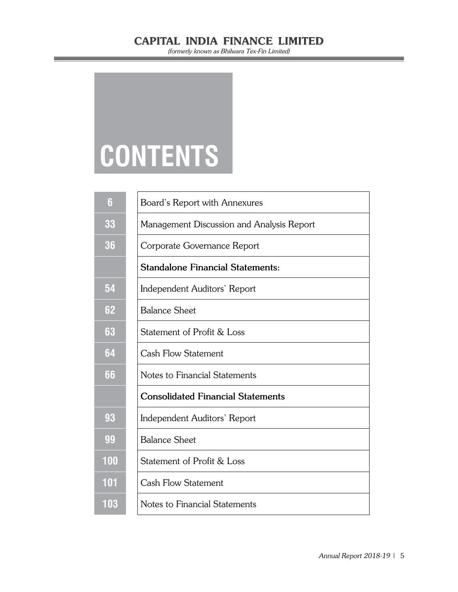(formerly known as Bhilwara Tex-Fin Limited)

# **CONTENTS**

| 6   | Board's Report with Annexures             |
|-----|-------------------------------------------|
| 33  | Management Discussion and Analysis Report |
| 36  | Corporate Governance Report               |
|     | <b>Standalone Financial Statements:</b>   |
| 54  | Independent Auditors' Report              |
| 62  | <b>Balance Sheet</b>                      |
| 63  | Statement of Profit & Loss                |
| 64  | Cash Flow Statement                       |
| 66  | Notes to Financial Statements             |
|     | <b>Consolidated Financial Statements</b>  |
| 93  | Independent Auditors' Report              |
| 99  | <b>Balance Sheet</b>                      |
| 100 | Statement of Profit & Loss                |
| 101 | Cash Flow Statement                       |
| 103 | Notes to Financial Statements             |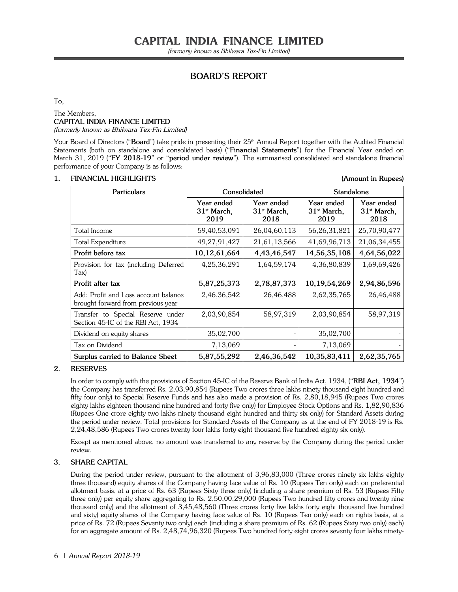## **BOARD'S REPORT**

#### To,

#### The Members, **CAPITAL INDIA FINANCE LIMITED** (formerly known as Bhilwara Tex-Fin Limited)

Your Board of Directors ("Board") take pride in presenting their 25<sup>th</sup> Annual Report together with the Audited Financial Statements (both on standalone and consolidated basis) ("**Financial Statements**") for the Financial Year ended on March 31, 2019 ("**FY 2018-19**" or "**period under review**"). The summarised consolidated and standalone financial performance of your Company is as follows:

#### **1. FINANCIAL HIGHLIGHTS (Amount in Rupees)**

| <b>Particulars</b>                                                         | Consolidated                        |                                     | <b>Standalone</b>                   |                                     |
|----------------------------------------------------------------------------|-------------------------------------|-------------------------------------|-------------------------------------|-------------------------------------|
|                                                                            | Year ended<br>$31st$ March,<br>2019 | Year ended<br>$31st$ March,<br>2018 | Year ended<br>$31st$ March,<br>2019 | Year ended<br>$31st$ March,<br>2018 |
| Total Income                                                               | 59,40,53,091                        | 26,04,60,113                        | 56,26,31,821                        | 25,70,90,477                        |
| Total Expenditure                                                          | 49,27,91,427                        | 21,61,13,566                        | 41,69,96,713                        | 21,06,34,455                        |
| Profit before tax                                                          | 10,12,61,664                        | 4,43,46,547                         | 14,56,35,108                        | 4,64,56,022                         |
| Provision for tax (including Deferred<br>Tax)                              | 4, 25, 36, 291                      | 1,64,59,174                         | 4,36,80,839                         | 1,69,69,426                         |
| Profit after tax                                                           | 5,87,25,373                         | 2,78,87,373                         | 10,19,54,269                        | 2,94,86,596                         |
| Add: Profit and Loss account balance<br>brought forward from previous year | 2,46,36,542                         | 26,46,488                           | 2,62,35,765                         | 26,46,488                           |
| Transfer to Special Reserve under<br>Section 45-IC of the RBI Act, 1934    | 2,03,90,854                         | 58,97,319                           | 2,03,90,854                         | 58,97,319                           |
| Dividend on equity shares                                                  | 35,02,700                           |                                     | 35,02,700                           |                                     |
| Tax on Dividend                                                            | 7,13,069                            |                                     | 7,13,069                            |                                     |
| Surplus carried to Balance Sheet                                           | 5,87,55,292                         | 2,46,36,542                         | 10,35,83,411                        | 2,62,35,765                         |

#### **2. RESERVES**

In order to comply with the provisions of Section 45-IC of the Reserve Bank of India Act, 1934, ("**RBI Act, 1934**") the Company has transferred Rs. 2,03,90,854 (Rupees Two crores three lakhs ninety thousand eight hundred and fifty four only) to Special Reserve Funds and has also made a provision of Rs. 2,80,18,945 (Rupees Two crores eighty lakhs eighteen thousand nine hundred and forty five only) for Employee Stock Options and Rs. 1,82,90,836 (Rupees One crore eighty two lakhs ninety thousand eight hundred and thirty six only) for Standard Assets during the period under review. Total provisions for Standard Assets of the Company as at the end of FY 2018-19 is Rs. 2,24,48,586 (Rupees Two crores twenty four lakhs forty eight thousand five hundred eighty six only).

Except as mentioned above, no amount was transferred to any reserve by the Company during the period under review.

#### **3. SHARE CAPITAL**

During the period under review, pursuant to the allotment of 3,96,83,000 (Three crores ninety six lakhs eighty three thousand) equity shares of the Company having face value of Rs. 10 (Rupees Ten only) each on preferential allotment basis, at a price of Rs. 63 (Rupees Sixty three only) (including a share premium of Rs. 53 (Rupees Fifty three only) per equity share aggregating to Rs. 2,50,00,29,000 (Rupees Two hundred fifty crores and twenty nine thousand only) and the allotment of 3,45,48,560 (Three crores forty five lakhs forty eight thousand five hundred and sixty) equity shares of the Company having face value of Rs. 10 (Rupees Ten only) each on rights basis, at a price of Rs. 72 (Rupees Seventy two only) each (including a share premium of Rs. 62 (Rupees Sixty two only) each) for an aggregate amount of Rs. 2,48,74,96,320 (Rupees Two hundred forty eight crores seventy four lakhs ninety-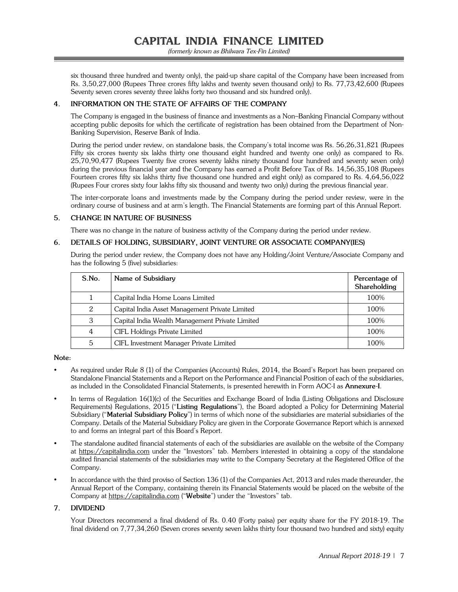(formerly known as Bhilwara Tex-Fin Limited)

six thousand three hundred and twenty only), the paid-up share capital of the Company have been increased from Rs. 3,50,27,000 (Rupees Three crores fifty lakhs and twenty seven thousand only) to Rs. 77,73,42,600 (Rupees Seventy seven crores seventy three lakhs forty two thousand and six hundred only).

#### **4. INFORMATION ON THE STATE OF AFFAIRS OF THE COMPANY**

The Company is engaged in the business of finance and investments as a Non–Banking Financial Company without accepting public deposits for which the certificate of registration has been obtained from the Department of Non-Banking Supervision, Reserve Bank of India.

During the period under review, on standalone basis, the Company's total income was Rs. 56,26,31,821 (Rupees Fifty six crores twenty six lakhs thirty one thousand eight hundred and twenty one only) as compared to Rs. 25,70,90,477 (Rupees Twenty five crores seventy lakhs ninety thousand four hundred and seventy seven only) during the previous financial year and the Company has earned a Profit Before Tax of Rs. 14,56,35,108 (Rupees Fourteen crores fifty six lakhs thirty five thousand one hundred and eight only) as compared to Rs. 4,64,56,022 (Rupees Four crores sixty four lakhs fifty six thousand and twenty two only) during the previous financial year.

The inter-corporate loans and investments made by the Company during the period under review, were in the ordinary course of business and at arm's length. The Financial Statements are forming part of this Annual Report.

#### **5. CHANGE IN NATURE OF BUSINESS**

There was no change in the nature of business activity of the Company during the period under review.

#### **6. DETAILS OF HOLDING, SUBSIDIARY, JOINT VENTURE OR ASSOCIATE COMPANY(IES)**

During the period under review, the Company does not have any Holding/Joint Venture/Associate Company and has the following 5 (five) subsidiaries:

| S.No. | Name of Subsidiary                              | Percentage of<br>Shareholding |
|-------|-------------------------------------------------|-------------------------------|
|       | Capital India Home Loans Limited                | 100%                          |
| 2     | Capital India Asset Management Private Limited  | 100%                          |
| 3     | Capital India Wealth Management Private Limited | 100%                          |
| 4     | CIFL Holdings Private Limited                   | 100%                          |
| 5     | CIFL Investment Manager Private Limited         | 100%                          |

**Note:**

- As required under Rule 8 (1) of the Companies (Accounts) Rules, 2014, the Board's Report has been prepared on Standalone Financial Statements and a Report on the Performance and Financial Position of each of the subsidiaries, as included in the Consolidated Financial Statements, is presented herewith in Form AOC-I as **Annexure-I**.
- In terms of Regulation 16(1)(c) of the Securities and Exchange Board of India (Listing Obligations and Disclosure Requirements) Regulations, 2015 ("**Listing Regulations**"), the Board adopted a Policy for Determining Material Subsidiary ("**Material Subsidiary Policy**") in terms of which none of the subsidiaries are material subsidiaries of the Company. Details of the Material Subsidiary Policy are given in the Corporate Governance Report which is annexed to and forms an integral part of this Board's Report.
- The standalone audited financial statements of each of the subsidiaries are available on the website of the Company at https://capitalindia.com under the "Investors" tab. Members interested in obtaining a copy of the standalone audited financial statements of the subsidiaries may write to the Company Secretary at the Registered Office of the Company.
- In accordance with the third proviso of Section 136 (1) of the Companies Act, 2013 and rules made thereunder, the Annual Report of the Company, containing therein its Financial Statements would be placed on the website of the Company at https://capitalindia.com ("**Website**") under the "Investors" tab.

#### **7. DIVIDEND**

Your Directors recommend a final dividend of Rs. 0.40 (Forty paisa) per equity share for the FY 2018-19. The final dividend on 7,77,34,260 (Seven crores seventy seven lakhs thirty four thousand two hundred and sixty) equity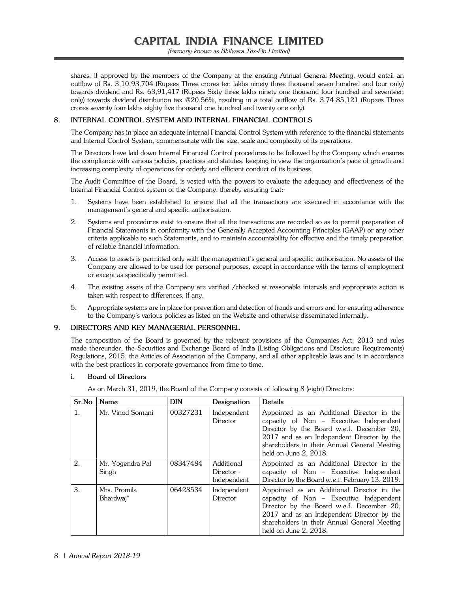(formerly known as Bhilwara Tex-Fin Limited)

shares, if approved by the members of the Company at the ensuing Annual General Meeting, would entail an outflow of Rs. 3,10,93,704 (Rupees Three crores ten lakhs ninety three thousand seven hundred and four only) towards dividend and Rs. 63,91,417 (Rupees Sixty three lakhs ninety one thousand four hundred and seventeen only) towards dividend distribution tax @20.56%, resulting in a total outflow of Rs. 3,74,85,121 (Rupees Three crores seventy four lakhs eighty five thousand one hundred and twenty one only).

#### **8. INTERNAL CONTROL SYSTEM AND INTERNAL FINANCIAL CONTROLS**

The Company has in place an adequate Internal Financial Control System with reference to the financial statements and Internal Control System, commensurate with the size, scale and complexity of its operations.

The Directors have laid down Internal Financial Control procedures to be followed by the Company which ensures the compliance with various policies, practices and statutes, keeping in view the organization's pace of growth and increasing complexity of operations for orderly and efficient conduct of its business.

The Audit Committee of the Board, is vested with the powers to evaluate the adequacy and effectiveness of the Internal Financial Control system of the Company, thereby ensuring that:-

- 1. Systems have been established to ensure that all the transactions are executed in accordance with the management's general and specific authorisation.
- 2. Systems and procedures exist to ensure that all the transactions are recorded so as to permit preparation of Financial Statements in conformity with the Generally Accepted Accounting Principles (GAAP) or any other criteria applicable to such Statements, and to maintain accountability for effective and the timely preparation of reliable financial information.
- 3. Access to assets is permitted only with the management's general and specific authorisation. No assets of the Company are allowed to be used for personal purposes, except in accordance with the terms of employment or except as specifically permitted.
- 4. The existing assets of the Company are verified /checked at reasonable intervals and appropriate action is taken with respect to differences, if any.
- 5. Appropriate systems are in place for prevention and detection of frauds and errors and for ensuring adherence to the Company's various policies as listed on the Website and otherwise disseminated internally.

#### **9. DIRECTORS AND KEY MANAGERIAL PERSONNEL**

The composition of the Board is governed by the relevant provisions of the Companies Act, 2013 and rules made thereunder, the Securities and Exchange Board of India (Listing Obligations and Disclosure Requirements) Regulations, 2015, the Articles of Association of the Company, and all other applicable laws and is in accordance with the best practices in corporate governance from time to time.

#### **i. Board of Directors**

| Sr.No          | <b>Name</b>               | <b>DIN</b> | Designation                             | <b>Details</b>                                                                                                                                                                                                                                            |
|----------------|---------------------------|------------|-----------------------------------------|-----------------------------------------------------------------------------------------------------------------------------------------------------------------------------------------------------------------------------------------------------------|
| $\mathbf{1}$ . | Mr. Vinod Somani          | 00327231   | Independent<br>Director                 | Appointed as an Additional Director in the<br>capacity of Non – Executive Independent<br>Director by the Board w.e.f. December 20,<br>2017 and as an Independent Director by the<br>shareholders in their Annual General Meeting<br>held on June 2, 2018. |
| 2.             | Mr. Yogendra Pal<br>Singh | 08347484   | Additional<br>Director -<br>Independent | Appointed as an Additional Director in the<br>capacity of $Non$ – Executive Independent<br>Director by the Board w.e.f. February 13, 2019.                                                                                                                |
| 3.             | Mrs. Promila<br>Bhardwai* | 06428534   | Independent<br>Director                 | Appointed as an Additional Director in the<br>capacity of Non – Executive Independent<br>Director by the Board w.e.f. December 20,<br>2017 and as an Independent Director by the<br>shareholders in their Annual General Meeting<br>held on June 2, 2018. |

As on March 31, 2019, the Board of the Company consists of following 8 (eight) Directors: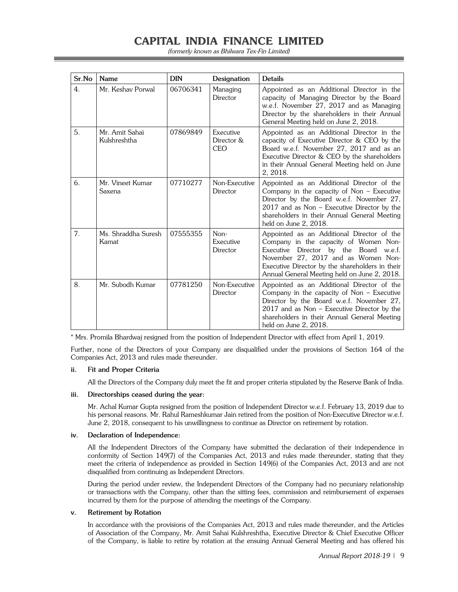(formerly known as Bhilwara Tex-Fin Limited)

| Sr.No            | <b>Name</b>                    | <b>DIN</b> | Designation                           | <b>Details</b>                                                                                                                                                                                                                                                          |
|------------------|--------------------------------|------------|---------------------------------------|-------------------------------------------------------------------------------------------------------------------------------------------------------------------------------------------------------------------------------------------------------------------------|
| $\overline{4}$ . | Mr. Keshav Porwal              | 06706341   | Managing<br>Director                  | Appointed as an Additional Director in the<br>capacity of Managing Director by the Board<br>w.e.f. November 27, 2017 and as Managing<br>Director by the shareholders in their Annual<br>General Meeting held on June 2, 2018.                                           |
| 5.               | Mr. Amit Sahai<br>Kulshreshtha | 07869849   | Executive<br>Director &<br><b>CEO</b> | Appointed as an Additional Director in the<br>capacity of Executive Director $&$ CEO by the<br>Board w.e.f. November 27, 2017 and as an<br>Executive Director & CEO by the shareholders<br>in their Annual General Meeting held on June<br>2, 2018.                     |
| 6.               | Mr. Vineet Kumar<br>Saxena     | 07710277   | Non-Executive<br>Director             | Appointed as an Additional Director of the<br>Company in the capacity of $Non$ – Executive<br>Director by the Board w.e.f. November 27,<br>$2017$ and as Non – Executive Director by the<br>shareholders in their Annual General Meeting<br>held on June 2, 2018.       |
| 7.               | Ms. Shraddha Suresh<br>Kamat   | 07555355   | $Non-$<br>Executive<br>Director       | Appointed as an Additional Director of the<br>Company in the capacity of Women Non-<br>Executive Director by the Board w.e.f.<br>November 27, 2017 and as Women Non-<br>Executive Director by the shareholders in their<br>Annual General Meeting held on June 2, 2018. |
| 8.               | Mr. Subodh Kumar               | 07781250   | Non-Executive<br>Director             | Appointed as an Additional Director of the<br>Company in the capacity of Non $-$ Executive<br>Director by the Board w.e.f. November 27,<br>$2017$ and as Non - Executive Director by the<br>shareholders in their Annual General Meeting<br>held on June 2, 2018.       |

\* Mrs. Promila Bhardwaj resigned from the position of Independent Director with effect from April 1, 2019.

Further, none of the Directors of your Company are disqualified under the provisions of Section 164 of the Companies Act, 2013 and rules made thereunder.

#### **ii. Fit and Proper Criteria**

All the Directors of the Company duly meet the fit and proper criteria stipulated by the Reserve Bank of India.

#### **iii. Directorships ceased during the year:**

 Mr. Achal Kumar Gupta resigned from the position of Independent Director w.e.f. February 13, 2019 due to his personal reasons. Mr. Rahul Rameshkumar Jain retired from the position of Non-Executive Director w.e.f. June 2, 2018, consequent to his unwillingness to continue as Director on retirement by rotation.

#### **iv. Declaration of Independence:**

 All the Independent Directors of the Company have submitted the declaration of their independence in conformity of Section 149(7) of the Companies Act, 2013 and rules made thereunder, stating that they meet the criteria of independence as provided in Section 149(6) of the Companies Act, 2013 and are not disqualified from continuing as Independent Directors.

 During the period under review, the Independent Directors of the Company had no pecuniary relationship or transactions with the Company, other than the sitting fees, commission and reimbursement of expenses incurred by them for the purpose of attending the meetings of the Company.

#### **v. Retirement by Rotation**

 In accordance with the provisions of the Companies Act, 2013 and rules made thereunder, and the Articles of Association of the Company, Mr. Amit Sahai Kulshreshtha, Executive Director & Chief Executive Officer of the Company, is liable to retire by rotation at the ensuing Annual General Meeting and has offered his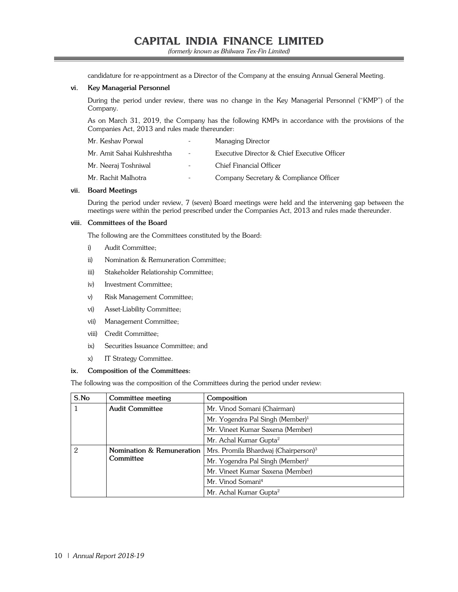(formerly known as Bhilwara Tex-Fin Limited)

candidature for re-appointment as a Director of the Company at the ensuing Annual General Meeting.

#### **vi. Key Managerial Personnel**

 During the period under review, there was no change in the Key Managerial Personnel ("KMP") of the Company.

 As on March 31, 2019, the Company has the following KMPs in accordance with the provisions of the Companies Act, 2013 and rules made thereunder:

| Mr. Keshav Porwal           | $\equiv$                 | Managing Director                            |
|-----------------------------|--------------------------|----------------------------------------------|
| Mr. Amit Sahai Kulshreshtha | $\sim$                   | Executive Director & Chief Executive Officer |
| Mr. Neeraj Toshniwal        | $\overline{\phantom{a}}$ | Chief Financial Officer                      |
| Mr. Rachit Malhotra         | $\overline{\phantom{a}}$ | Company Secretary & Compliance Officer       |

#### **vii. Board Meetings**

 During the period under review, 7 (seven) Board meetings were held and the intervening gap between the meetings were within the period prescribed under the Companies Act, 2013 and rules made thereunder.

#### **viii. Committees of the Board**

The following are the Committees constituted by the Board:

- i) Audit Committee;
- ii) Nomination & Remuneration Committee;
- iii) Stakeholder Relationship Committee;
- iv) Investment Committee;
- v) Risk Management Committee;
- vi) Asset-Liability Committee;
- vii) Management Committee;
- viii) Credit Committee;
- ix) Securities Issuance Committee; and
- x) IT Strategy Committee.

#### **ix. Composition of the Committees:**

The following was the composition of the Committees during the period under review:

| S.No                                        | Committee meeting                                | Composition                                  |
|---------------------------------------------|--------------------------------------------------|----------------------------------------------|
|                                             | <b>Audit Committee</b>                           | Mr. Vinod Somani (Chairman)                  |
|                                             |                                                  | Mr. Yogendra Pal Singh (Member) <sup>1</sup> |
|                                             |                                                  | Mr. Vineet Kumar Saxena (Member)             |
|                                             |                                                  | Mr. Achal Kumar Gupta <sup>2</sup>           |
| Nomination & Remuneration<br>2<br>Committee | Mrs. Promila Bhardwaj (Chairperson) <sup>3</sup> |                                              |
|                                             | Mr. Yogendra Pal Singh (Member) <sup>1</sup>     |                                              |
|                                             | Mr. Vineet Kumar Saxena (Member)                 |                                              |
|                                             | Mr. Vinod Somani <sup>4</sup>                    |                                              |
|                                             |                                                  | Mr. Achal Kumar Gupta <sup>2</sup>           |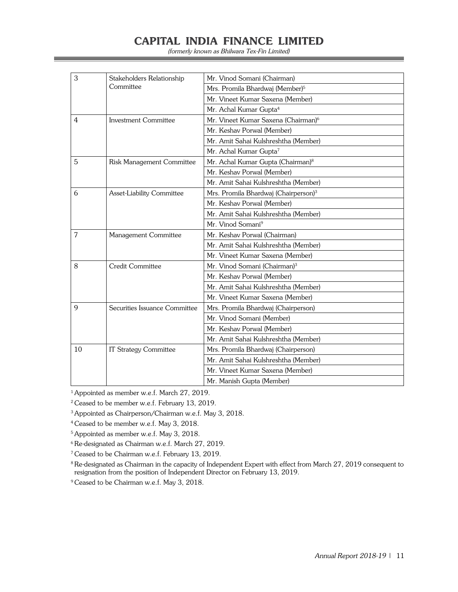(formerly known as Bhilwara Tex-Fin Limited)

| 3              | Stakeholders Relationship     | Mr. Vinod Somani (Chairman)                      |
|----------------|-------------------------------|--------------------------------------------------|
|                | Committee                     | Mrs. Promila Bhardwaj (Member) <sup>5</sup>      |
|                |                               | Mr. Vineet Kumar Saxena (Member)                 |
|                |                               | Mr. Achal Kumar Gupta <sup>4</sup>               |
| $\overline{4}$ | <b>Investment Committee</b>   | Mr. Vineet Kumar Saxena (Chairman) <sup>6</sup>  |
|                |                               | Mr. Keshav Porwal (Member)                       |
|                |                               | Mr. Amit Sahai Kulshreshtha (Member)             |
|                |                               | Mr. Achal Kumar Gupta <sup>7</sup>               |
| 5              | Risk Management Committee     | Mr. Achal Kumar Gupta (Chairman) <sup>8</sup>    |
|                |                               | Mr. Keshav Porwal (Member)                       |
|                |                               | Mr. Amit Sahai Kulshreshtha (Member)             |
| 6              | Asset-Liability Committee     | Mrs. Promila Bhardwaj (Chairperson) <sup>3</sup> |
|                |                               | Mr. Keshav Porwal (Member)                       |
|                |                               | Mr. Amit Sahai Kulshreshtha (Member)             |
|                |                               | Mr. Vinod Somani <sup>9</sup>                    |
| 7              | Management Committee          | Mr. Keshav Porwal (Chairman)                     |
|                |                               | Mr. Amit Sahai Kulshreshtha (Member)             |
|                |                               | Mr. Vineet Kumar Saxena (Member)                 |
| 8              | Credit Committee              | Mr. Vinod Somani (Chairman) <sup>3</sup>         |
|                |                               | Mr. Keshav Porwal (Member)                       |
|                |                               | Mr. Amit Sahai Kulshreshtha (Member)             |
|                |                               | Mr. Vineet Kumar Saxena (Member)                 |
| 9              | Securities Issuance Committee | Mrs. Promila Bhardwaj (Chairperson)              |
|                |                               | Mr. Vinod Somani (Member)                        |
|                |                               | Mr. Keshav Porwal (Member)                       |
|                |                               | Mr. Amit Sahai Kulshreshtha (Member)             |
| 10             | <b>IT Strategy Committee</b>  | Mrs. Promila Bhardwaj (Chairperson)              |
|                |                               | Mr. Amit Sahai Kulshreshtha (Member)             |
|                |                               | Mr. Vineet Kumar Saxena (Member)                 |
|                |                               | Mr. Manish Gupta (Member)                        |

<sup>1</sup> Appointed as member w.e.f. March 27, 2019.

2 Ceased to be member w.e.f. February 13, 2019.

3 Appointed as Chairperson/Chairman w.e.f. May 3, 2018.

4 Ceased to be member w.e.f. May 3, 2018.

5 Appointed as member w.e.f. May 3, 2018.

6 Re-designated as Chairman w.e.f. March 27, 2019.

7 Ceased to be Chairman w.e.f. February 13, 2019.

<sup>8</sup> Re-designated as Chairman in the capacity of Independent Expert with effect from March 27, 2019 consequent to resignation from the position of Independent Director on February 13, 2019.

<sup>9</sup> Ceased to be Chairman w.e.f. May 3, 2018.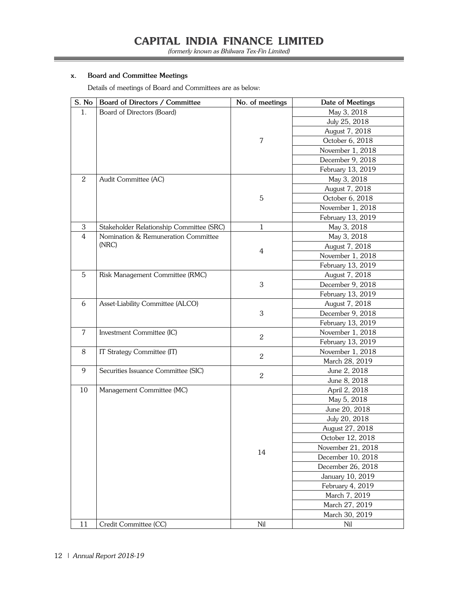(formerly known as Bhilwara Tex-Fin Limited)

#### **x. Board and Committee Meetings**

Details of meetings of Board and Committees are as below:

| S. No          | Board of Directors / Committee           | No. of meetings | Date of Meetings  |
|----------------|------------------------------------------|-----------------|-------------------|
| 1 <sub>1</sub> | Board of Directors (Board)               |                 | May 3, 2018       |
|                |                                          |                 | July 25, 2018     |
|                |                                          |                 | August 7, 2018    |
|                |                                          | 7               | October 6, 2018   |
|                |                                          |                 | November 1, 2018  |
|                |                                          |                 | December 9, 2018  |
|                |                                          |                 | February 13, 2019 |
| 2              | Audit Committee (AC)                     |                 | May 3, 2018       |
|                |                                          |                 | August 7, 2018    |
|                |                                          | 5               | October 6, 2018   |
|                |                                          |                 | November 1, 2018  |
|                |                                          |                 | February 13, 2019 |
| $\mathbf{3}$   | Stakeholder Relationship Committee (SRC) | $\mathbf{1}$    | May 3, 2018       |
| 4              | Nomination & Remuneration Committee      |                 | May 3, 2018       |
|                | (NRC)                                    |                 | August 7, 2018    |
|                |                                          | 4               | November 1, 2018  |
|                |                                          |                 | February 13, 2019 |
| 5              | Risk Management Committee (RMC)          |                 | August 7, 2018    |
|                |                                          | 3               | December 9, 2018  |
|                |                                          |                 | February 13, 2019 |
| 6              | Asset-Liability Committee (ALCO)         |                 | August 7, 2018    |
|                |                                          | 3               | December 9, 2018  |
|                |                                          |                 | February 13, 2019 |
| 7              | Investment Committee (IC)                |                 | November 1, 2018  |
|                |                                          | $\overline{2}$  | February 13, 2019 |
| 8              | IT Strategy Committee (IT)               |                 | November 1, 2018  |
|                |                                          | $\overline{2}$  | March 28, 2019    |
| 9              | Securities Issuance Committee (SIC)      |                 | June 2, 2018      |
|                |                                          | $\overline{2}$  | June 8, 2018      |
| 10             | Management Committee (MC)                |                 | April 2, 2018     |
|                |                                          |                 | May 5, 2018       |
|                |                                          |                 | June 20, 2018     |
|                |                                          |                 | July 20, 2018     |
|                |                                          |                 | August 27, 2018   |
|                |                                          |                 | October 12, 2018  |
|                |                                          |                 | November 21, 2018 |
|                |                                          | 14              | December 10, 2018 |
|                |                                          |                 | December 26, 2018 |
|                |                                          |                 | January 10, 2019  |
|                |                                          |                 | February 4, 2019  |
|                |                                          |                 | March 7, 2019     |
|                |                                          |                 | March 27, 2019    |
|                |                                          |                 | March 30, 2019    |
| 11             | Credit Committee (CC)                    | Nil             | Nil               |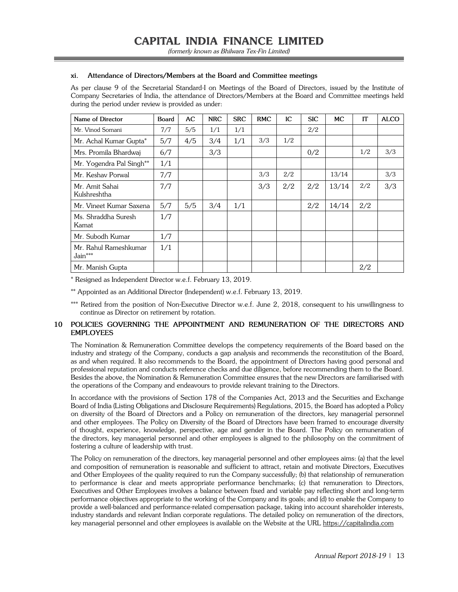#### **xi. Attendance of Directors/Members at the Board and Committee meetings**

As per clause 9 of the Secretarial Standard-I on Meetings of the Board of Directors, issued by the Institute of Company Secretaries of India, the attendance of Directors/Members at the Board and Committee meetings held during the period under review is provided as under:

| Name of Director                   | <b>Board</b> | AC  | <b>NRC</b> | <b>SRC</b> | <b>RMC</b> | IC  | <b>SIC</b> | <b>MC</b> | IT  | <b>ALCO</b> |
|------------------------------------|--------------|-----|------------|------------|------------|-----|------------|-----------|-----|-------------|
| Mr. Vinod Somani                   | 7/7          | 5/5 | 1/1        | 1/1        |            |     | 2/2        |           |     |             |
| Mr. Achal Kumar Gupta*             | 5/7          | 4/5 | 3/4        | 1/1        | 3/3        | 1/2 |            |           |     |             |
| Mrs. Promila Bhardwaj              | 6/7          |     | 3/3        |            |            |     | 0/2        |           | 1/2 | 3/3         |
| Mr. Yogendra Pal Singh**           | 1/1          |     |            |            |            |     |            |           |     |             |
| Mr. Keshav Porwal                  | 7/7          |     |            |            | 3/3        | 2/2 |            | 13/14     |     | 3/3         |
| Mr. Amit Sahai<br>Kulshreshtha     | 7/7          |     |            |            | 3/3        | 2/2 | 2/2        | 13/14     | 2/2 | 3/3         |
| Mr. Vineet Kumar Saxena            | 5/7          | 5/5 | 3/4        | 1/1        |            |     | 2/2        | 14/14     | 2/2 |             |
| Ms. Shraddha Suresh<br>Kamat       | 1/7          |     |            |            |            |     |            |           |     |             |
| Mr. Subodh Kumar                   | 1/7          |     |            |            |            |     |            |           |     |             |
| Mr. Rahul Rameshkumar<br>$Jain***$ | 1/1          |     |            |            |            |     |            |           |     |             |
| Mr. Manish Gupta                   |              |     |            |            |            |     |            |           | 2/2 |             |

\* Resigned as Independent Director w.e.f. February 13, 2019.

\*\* Appointed as an Additional Director (Independent) w.e.f. February 13, 2019.

\*\*\* Retired from the position of Non-Executive Director w.e.f. June 2, 2018, consequent to his unwillingness to continue as Director on retirement by rotation.

#### **10 POLICIES GOVERNING THE APPOINTMENT AND REMUNERATION OF THE DIRECTORS AND EMPLOYEES**

The Nomination & Remuneration Committee develops the competency requirements of the Board based on the industry and strategy of the Company, conducts a gap analysis and recommends the reconstitution of the Board, as and when required. It also recommends to the Board, the appointment of Directors having good personal and professional reputation and conducts reference checks and due diligence, before recommending them to the Board. Besides the above, the Nomination & Remuneration Committee ensures that the new Directors are familiarised with the operations of the Company and endeavours to provide relevant training to the Directors.

In accordance with the provisions of Section 178 of the Companies Act, 2013 and the Securities and Exchange Board of India (Listing Obligations and Disclosure Requirements) Regulations, 2015, the Board has adopted a Policy on diversity of the Board of Directors and a Policy on remuneration of the directors, key managerial personnel and other employees. The Policy on Diversity of the Board of Directors have been framed to encourage diversity of thought, experience, knowledge, perspective, age and gender in the Board. The Policy on remuneration of the directors, key managerial personnel and other employees is aligned to the philosophy on the commitment of fostering a culture of leadership with trust.

The Policy on remuneration of the directors, key managerial personnel and other employees aims: (a) that the level and composition of remuneration is reasonable and sufficient to attract, retain and motivate Directors, Executives and Other Employees of the quality required to run the Company successfully; (b) that relationship of remuneration to performance is clear and meets appropriate performance benchmarks; (c) that remuneration to Directors, Executives and Other Employees involves a balance between fixed and variable pay reflecting short and long-term performance objectives appropriate to the working of the Company and its goals; and (d) to enable the Company to provide a well-balanced and performance-related compensation package, taking into account shareholder interests, industry standards and relevant Indian corporate regulations. The detailed policy on remuneration of the directors, key managerial personnel and other employees is available on the Website at the URL https://capitalindia.com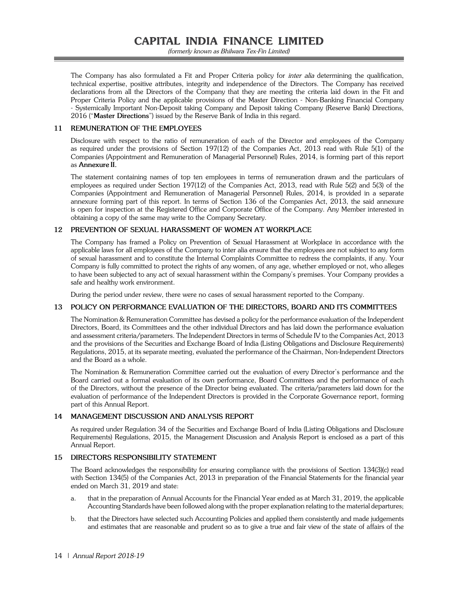(formerly known as Bhilwara Tex-Fin Limited)

The Company has also formulated a Fit and Proper Criteria policy for *inter alia* determining the qualification, technical expertise, positive attributes, integrity and independence of the Directors. The Company has received declarations from all the Directors of the Company that they are meeting the criteria laid down in the Fit and Proper Criteria Policy and the applicable provisions of the Master Direction - Non-Banking Financial Company - Systemically Important Non-Deposit taking Company and Deposit taking Company (Reserve Bank) Directions, 2016 ("**Master Directions**") issued by the Reserve Bank of India in this regard.

#### **11 REMUNERATION OF THE EMPLOYEES**

Disclosure with respect to the ratio of remuneration of each of the Director and employees of the Company as required under the provisions of Section 197(12) of the Companies Act, 2013 read with Rule 5(1) of the Companies (Appointment and Remuneration of Managerial Personnel) Rules, 2014, is forming part of this report as **Annexure II.**

The statement containing names of top ten employees in terms of remuneration drawn and the particulars of employees as required under Section 197(12) of the Companies Act, 2013, read with Rule 5(2) and 5(3) of the Companies (Appointment and Remuneration of Managerial Personnel) Rules, 2014, is provided in a separate annexure forming part of this report. In terms of Section 136 of the Companies Act, 2013, the said annexure is open for inspection at the Registered Office and Corporate Office of the Company. Any Member interested in obtaining a copy of the same may write to the Company Secretary.

#### **12 PREVENTION OF SEXUAL HARASSMENT OF WOMEN AT WORKPLACE**

The Company has framed a Policy on Prevention of Sexual Harassment at Workplace in accordance with the applicable laws for all employees of the Company to inter alia ensure that the employees are not subject to any form of sexual harassment and to constitute the Internal Complaints Committee to redress the complaints, if any. Your Company is fully committed to protect the rights of any women, of any age, whether employed or not, who alleges to have been subjected to any act of sexual harassment within the Company's premises. Your Company provides a safe and healthy work environment.

During the period under review, there were no cases of sexual harassment reported to the Company.

#### **13 POLICY ON PERFORMANCE EVALUATION OF THE DIRECTORS, BOARD AND ITS COMMITTEES**

The Nomination & Remuneration Committee has devised a policy for the performance evaluation of the Independent Directors, Board, its Committees and the other individual Directors and has laid down the performance evaluation and assessment criteria/parameters. The Independent Directors in terms of Schedule IV to the Companies Act, 2013 and the provisions of the Securities and Exchange Board of India (Listing Obligations and Disclosure Requirements) Regulations, 2015, at its separate meeting, evaluated the performance of the Chairman, Non-Independent Directors and the Board as a whole.

The Nomination & Remuneration Committee carried out the evaluation of every Director's performance and the Board carried out a formal evaluation of its own performance, Board Committees and the performance of each of the Directors, without the presence of the Director being evaluated. The criteria/parameters laid down for the evaluation of performance of the Independent Directors is provided in the Corporate Governance report, forming part of this Annual Report.

#### **14 MANAGEMENT DISCUSSION AND ANALYSIS REPORT**

As required under Regulation 34 of the Securities and Exchange Board of India (Listing Obligations and Disclosure Requirements) Regulations, 2015, the Management Discussion and Analysis Report is enclosed as a part of this Annual Report.

#### **15 DIRECTORS RESPONSIBILITY STATEMENT**

The Board acknowledges the responsibility for ensuring compliance with the provisions of Section 134(3)(c) read with Section 134(5) of the Companies Act, 2013 in preparation of the Financial Statements for the financial year ended on March 31, 2019 and state:

- a. that in the preparation of Annual Accounts for the Financial Year ended as at March 31, 2019, the applicable Accounting Standards have been followed along with the proper explanation relating to the material departures;
- b. that the Directors have selected such Accounting Policies and applied them consistently and made judgements and estimates that are reasonable and prudent so as to give a true and fair view of the state of affairs of the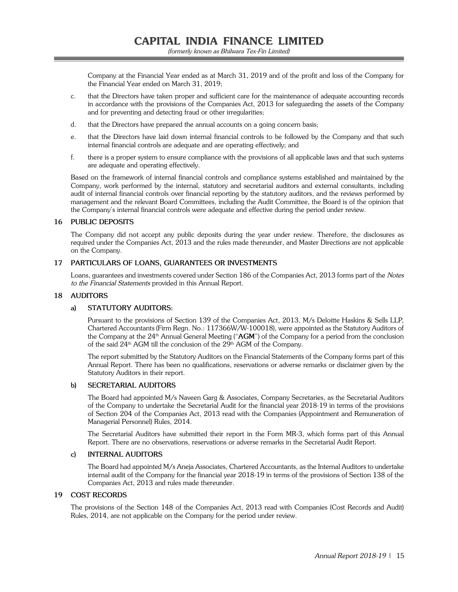Company at the Financial Year ended as at March 31, 2019 and of the profit and loss of the Company for the Financial Year ended on March 31, 2019;

- c. that the Directors have taken proper and sufficient care for the maintenance of adequate accounting records in accordance with the provisions of the Companies Act, 2013 for safeguarding the assets of the Company and for preventing and detecting fraud or other irregularities;
- d. that the Directors have prepared the annual accounts on a going concern basis;
- e. that the Directors have laid down internal financial controls to be followed by the Company and that such internal financial controls are adequate and are operating effectively; and
- f. there is a proper system to ensure compliance with the provisions of all applicable laws and that such systems are adequate and operating effectively.

Based on the framework of internal financial controls and compliance systems established and maintained by the Company, work performed by the internal, statutory and secretarial auditors and external consultants, including audit of internal financial controls over financial reporting by the statutory auditors, and the reviews performed by management and the relevant Board Committees, including the Audit Committee, the Board is of the opinion that the Company's internal financial controls were adequate and effective during the period under review.

#### **16 PUBLIC DEPOSITS**

The Company did not accept any public deposits during the year under review. Therefore, the disclosures as required under the Companies Act, 2013 and the rules made thereunder, and Master Directions are not applicable on the Company.

#### **17 PARTICULARS OF LOANS, GUARANTEES OR INVESTMENTS**

Loans, guarantees and investments covered under Section 186 of the Companies Act, 2013 forms part of the Notes to the Financial Statements provided in this Annual Report.

#### **18 AUDITORS**

#### **a) STATUTORY AUDITORS:**

 Pursuant to the provisions of Section 139 of the Companies Act, 2013, M/s Deloitte Haskins & Sells LLP, Chartered Accountants (Firm Regn. No.: 117366W/W-100018), were appointed as the Statutory Auditors of the Company at the 24<sup>th</sup> Annual General Meeting ("AGM") of the Company for a period from the conclusion of the said  $24<sup>th</sup>$  AGM till the conclusion of the  $29<sup>th</sup>$  AGM of the Company.

 The report submitted by the Statutory Auditors on the Financial Statements of the Company forms part of this Annual Report. There has been no qualifications, reservations or adverse remarks or disclaimer given by the Statutory Auditors in their report.

#### **b) SECRETARIAL AUDITORS**

 The Board had appointed M/s Naveen Garg & Associates, Company Secretaries, as the Secretarial Auditors of the Company to undertake the Secretarial Audit for the financial year 2018-19 in terms of the provisions of Section 204 of the Companies Act, 2013 read with the Companies (Appointment and Remuneration of Managerial Personnel) Rules, 2014.

 The Secretarial Auditors have submitted their report in the Form MR-3, which forms part of this Annual Report. There are no observations, reservations or adverse remarks in the Secretarial Audit Report.

#### **c) INTERNAL AUDITORS**

 The Board had appointed M/s Aneja Associates, Chartered Accountants, as the Internal Auditors to undertake internal audit of the Company for the financial year 2018-19 in terms of the provisions of Section 138 of the Companies Act, 2013 and rules made thereunder.

#### **19 COST RECORDS**

The provisions of the Section 148 of the Companies Act, 2013 read with Companies (Cost Records and Audit) Rules, 2014, are not applicable on the Company for the period under review.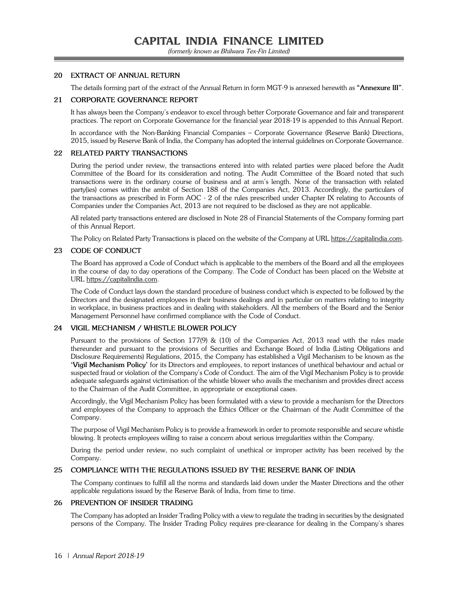#### **20 EXTRACT OF ANNUAL RETURN**

The details forming part of the extract of the Annual Return in form MGT-9 is annexed herewith as **"Annexure III"**.

#### **21 CORPORATE GOVERNANCE REPORT**

It has always been the Company's endeavor to excel through better Corporate Governance and fair and transparent practices. The report on Corporate Governance for the financial year 2018-19 is appended to this Annual Report.

In accordance with the Non-Banking Financial Companies – Corporate Governance (Reserve Bank) Directions, 2015, issued by Reserve Bank of India, the Company has adopted the internal guidelines on Corporate Governance.

#### **22 RELATED PARTY TRANSACTIONS**

During the period under review, the transactions entered into with related parties were placed before the Audit Committee of the Board for its consideration and noting. The Audit Committee of the Board noted that such transactions were in the ordinary course of business and at arm's length. None of the transaction with related party(ies) comes within the ambit of Section 188 of the Companies Act, 2013. Accordingly, the particulars of the transactions as prescribed in Form AOC - 2 of the rules prescribed under Chapter IX relating to Accounts of Companies under the Companies Act, 2013 are not required to be disclosed as they are not applicable.

All related party transactions entered are disclosed in Note 28 of Financial Statements of the Company forming part of this Annual Report.

The Policy on Related Party Transactions is placed on the website of the Company at URL https://capitalindia.com.

#### **23 CODE OF CONDUCT**

The Board has approved a Code of Conduct which is applicable to the members of the Board and all the employees in the course of day to day operations of the Company. The Code of Conduct has been placed on the Website at URL https://capitalindia.com.

The Code of Conduct lays down the standard procedure of business conduct which is expected to be followed by the Directors and the designated employees in their business dealings and in particular on matters relating to integrity in workplace, in business practices and in dealing with stakeholders. All the members of the Board and the Senior Management Personnel have confirmed compliance with the Code of Conduct.

#### **24 VIGIL MECHANISM / WHISTLE BLOWER POLICY**

Pursuant to the provisions of Section 177(9) & (10) of the Companies Act, 2013 read with the rules made thereunder and pursuant to the provisions of Securities and Exchange Board of India (Listing Obligations and Disclosure Requirements) Regulations, 2015, the Company has established a Vigil Mechanism to be known as the **'Vigil Mechanism Policy'** for its Directors and employees, to report instances of unethical behaviour and actual or suspected fraud or violation of the Company's Code of Conduct. The aim of the Vigil Mechanism Policy is to provide adequate safeguards against victimisation of the whistle blower who avails the mechanism and provides direct access to the Chairman of the Audit Committee, in appropriate or exceptional cases.

Accordingly, the Vigil Mechanism Policy has been formulated with a view to provide a mechanism for the Directors and employees of the Company to approach the Ethics Officer or the Chairman of the Audit Committee of the Company.

The purpose of Vigil Mechanism Policy is to provide a framework in order to promote responsible and secure whistle blowing. It protects employees willing to raise a concern about serious irregularities within the Company.

During the period under review, no such complaint of unethical or improper activity has been received by the Company.

#### **25 COMPLIANCE WITH THE REGULATIONS ISSUED BY THE RESERVE BANK OF INDIA**

The Company continues to fulfill all the norms and standards laid down under the Master Directions and the other applicable regulations issued by the Reserve Bank of India, from time to time.

#### **26 PREVENTION OF INSIDER TRADING**

The Company has adopted an Insider Trading Policy with a view to regulate the trading in securities by the designated persons of the Company. The Insider Trading Policy requires pre-clearance for dealing in the Company's shares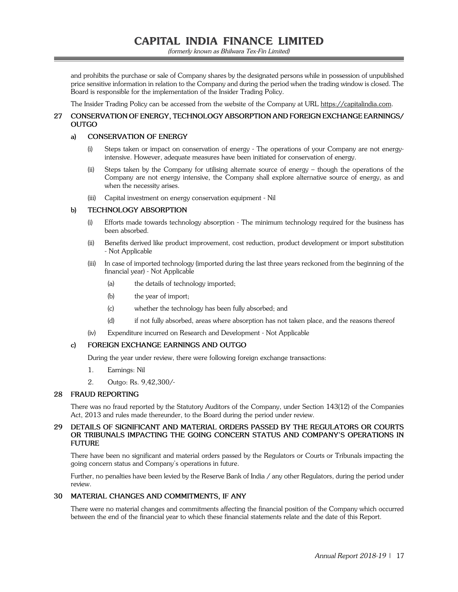(formerly known as Bhilwara Tex-Fin Limited)

and prohibits the purchase or sale of Company shares by the designated persons while in possession of unpublished price sensitive information in relation to the Company and during the period when the trading window is closed. The Board is responsible for the implementation of the Insider Trading Policy.

The Insider Trading Policy can be accessed from the website of the Company at URL https://capitalindia.com.

#### **27 CONSERVATION OF ENERGY, TECHNOLOGY ABSORPTION AND FOREIGN EXCHANGE EARNINGS/ OUTGO**

#### **a) CONSERVATION OF ENERGY**

- (i) Steps taken or impact on conservation of energy The operations of your Company are not energyintensive. However, adequate measures have been initiated for conservation of energy.
- (ii) Steps taken by the Company for utilising alternate source of energy though the operations of the Company are not energy intensive, the Company shall explore alternative source of energy, as and when the necessity arises.
- (iii) Capital investment on energy conservation equipment Nil

#### **b) TECHNOLOGY ABSORPTION**

- (i) Efforts made towards technology absorption The minimum technology required for the business has been absorbed.
- (ii) Benefits derived like product improvement, cost reduction, product development or import substitution - Not Applicable
- (iii) In case of imported technology (imported during the last three years reckoned from the beginning of the financial year) - Not Applicable
	- (a) the details of technology imported;
	- (b) the year of import;
	- (c) whether the technology has been fully absorbed; and
	- (d) if not fully absorbed, areas where absorption has not taken place, and the reasons thereof
- (iv) Expenditure incurred on Research and Development Not Applicable

#### **c) FOREIGN EXCHANGE EARNINGS AND OUTGO**

During the year under review, there were following foreign exchange transactions:

- 1. Earnings: Nil
- 2. Outgo: Rs. 9,42,300/-

#### **28 FRAUD REPORTING**

There was no fraud reported by the Statutory Auditors of the Company, under Section 143(12) of the Companies Act, 2013 and rules made thereunder, to the Board during the period under review.

#### **29 DETAILS OF SIGNIFICANT AND MATERIAL ORDERS PASSED BY THE REGULATORS OR COURTS OR TRIBUNALS IMPACTING THE GOING CONCERN STATUS AND COMPANY'S OPERATIONS IN FUTURE**

There have been no significant and material orders passed by the Regulators or Courts or Tribunals impacting the going concern status and Company's operations in future.

Further, no penalties have been levied by the Reserve Bank of India / any other Regulators, during the period under review.

#### **30 MATERIAL CHANGES AND COMMITMENTS, IF ANY**

There were no material changes and commitments affecting the financial position of the Company which occurred between the end of the financial year to which these financial statements relate and the date of this Report.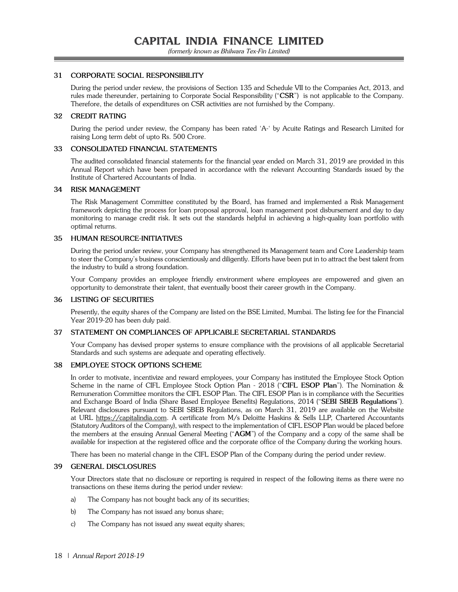#### **31 CORPORATE SOCIAL RESPONSIBILITY**

During the period under review, the provisions of Section 135 and Schedule VII to the Companies Act, 2013, and rules made thereunder, pertaining to Corporate Social Responsibility ("**CSR**") is not applicable to the Company. Therefore, the details of expenditures on CSR activities are not furnished by the Company.

#### **32 CREDIT RATING**

During the period under review, the Company has been rated 'A-' by Acuite Ratings and Research Limited for raising Long term debt of upto Rs. 500 Crore.

#### **33 CONSOLIDATED FINANCIAL STATEMENTS**

The audited consolidated financial statements for the financial year ended on March 31, 2019 are provided in this Annual Report which have been prepared in accordance with the relevant Accounting Standards issued by the Institute of Chartered Accountants of India.

#### **34 RISK MANAGEMENT**

The Risk Management Committee constituted by the Board, has framed and implemented a Risk Management framework depicting the process for loan proposal approval, loan management post disbursement and day to day monitoring to manage credit risk. It sets out the standards helpful in achieving a high-quality loan portfolio with optimal returns.

#### **35 HUMAN RESOURCE-INITIATIVES**

During the period under review, your Company has strengthened its Management team and Core Leadership team to steer the Company's business conscientiously and diligently. Efforts have been put in to attract the best talent from the industry to build a strong foundation.

Your Company provides an employee friendly environment where employees are empowered and given an opportunity to demonstrate their talent, that eventually boost their career growth in the Company.

#### **36 LISTING OF SECURITIES**

Presently, the equity shares of the Company are listed on the BSE Limited, Mumbai. The listing fee for the Financial Year 2019-20 has been duly paid.

#### **37 STATEMENT ON COMPLIANCES OF APPLICABLE SECRETARIAL STANDARDS**

Your Company has devised proper systems to ensure compliance with the provisions of all applicable Secretarial Standards and such systems are adequate and operating effectively.

#### **38 EMPLOYEE STOCK OPTIONS SCHEME**

In order to motivate, incentivize and reward employees, your Company has instituted the Employee Stock Option Scheme in the name of CIFL Employee Stock Option Plan - 2018 ("**CIFL ESOP Plan**"). The Nomination & Remuneration Committee monitors the CIFL ESOP Plan. The CIFL ESOP Plan is in compliance with the Securities and Exchange Board of India (Share Based Employee Benefits) Regulations, 2014 ("**SEBI SBEB Regulations**"). Relevant disclosures pursuant to SEBI SBEB Regulations, as on March 31, 2019 are available on the Website at URL https://capitalindia.com. A certificate from M/s Deloitte Haskins & Sells LLP, Chartered Accountants (Statutory Auditors of the Company), with respect to the implementation of CIFL ESOP Plan would be placed before the members at the ensuing Annual General Meeting ("**AGM**") of the Company and a copy of the same shall be available for inspection at the registered office and the corporate office of the Company during the working hours.

There has been no material change in the CIFL ESOP Plan of the Company during the period under review.

#### **39 GENERAL DISCLOSURES**

Your Directors state that no disclosure or reporting is required in respect of the following items as there were no transactions on these items during the period under review:

- a) The Company has not bought back any of its securities;
- b) The Company has not issued any bonus share;
- c) The Company has not issued any sweat equity shares;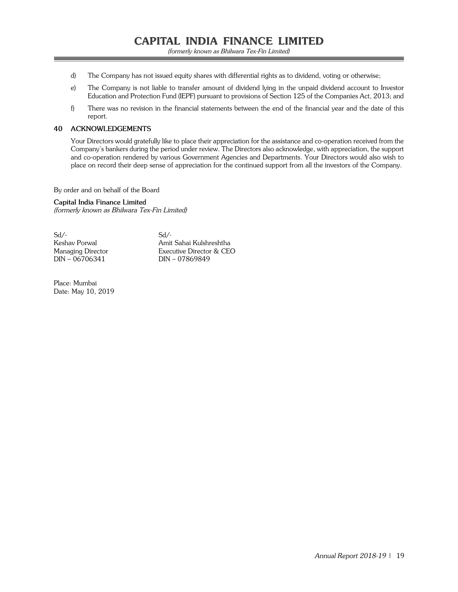- d) The Company has not issued equity shares with differential rights as to dividend, voting or otherwise;
- e) The Company is not liable to transfer amount of dividend lying in the unpaid dividend account to Investor Education and Protection Fund (IEPF) pursuant to provisions of Section 125 of the Companies Act, 2013; and
- f) There was no revision in the financial statements between the end of the financial year and the date of this report.

#### **40 ACKNOWLEDGEMENTS**

Your Directors would gratefully like to place their appreciation for the assistance and co-operation received from the Company's bankers during the period under review. The Directors also acknowledge, with appreciation, the support and co-operation rendered by various Government Agencies and Departments. Your Directors would also wish to place on record their deep sense of appreciation for the continued support from all the investors of the Company.

By order and on behalf of the Board

**Capital India Finance Limited** (formerly known as Bhilwara Tex-Fin Limited)

 $Sd$ - $Sd$ - $DIN - 06706341$ 

Keshav Porwal Amit Sahai Kulshreshtha Managing Director Executive Director & CEO<br>DIN – 06706341 DIN – 07869849

Place: Mumbai Date: May 10, 2019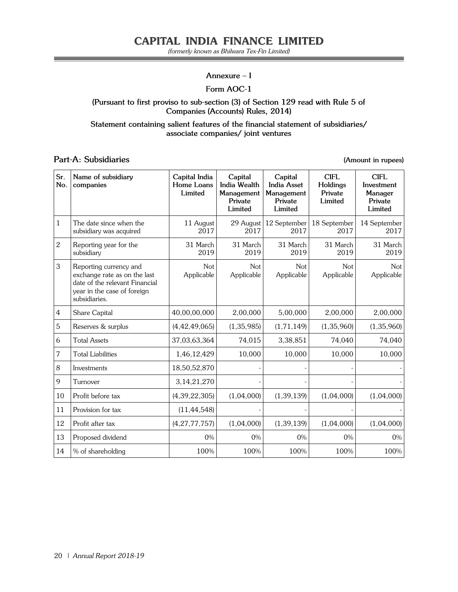#### **Annexure – I**

#### **Form AOC-1**

#### **(Pursuant to first proviso to sub-section (3) of Section 129 read with Rule 5 of Companies (Accounts) Rules, 2014)**

**Statement containing salient features of the financial statement of subsidiaries/ associate companies/ joint ventures**

#### **Part-A: Subsidiaries (Amount in rupees)**

| Sr.<br>No.   | Name of subsidiary<br>companies                                                                                                          | Capital India<br>Home Loans<br>Limited | Capital<br><b>India Wealth</b><br>Management<br>Private<br>Limited | Capital<br><b>India Asset</b><br>Management<br>Private<br>Limited | <b>CIFL</b><br>Holdings<br>Private<br>Limited | <b>CIFL</b><br>Investment<br>Manager<br>Private<br>Limited |
|--------------|------------------------------------------------------------------------------------------------------------------------------------------|----------------------------------------|--------------------------------------------------------------------|-------------------------------------------------------------------|-----------------------------------------------|------------------------------------------------------------|
| $\mathbf{1}$ | The date since when the<br>subsidiary was acquired                                                                                       | 11 August<br>2017                      | 29 August<br>2017                                                  | 12 September<br>2017                                              | 18 September<br>2017                          | 14 September<br>2017                                       |
| $\sqrt{2}$   | Reporting year for the<br>subsidiary                                                                                                     | 31 March<br>2019                       | 31 March<br>2019                                                   | 31 March<br>2019                                                  | 31 March<br>2019                              | 31 March<br>2019                                           |
| 3            | Reporting currency and<br>exchange rate as on the last<br>date of the relevant Financial<br>year in the case of foreign<br>subsidiaries. | Not<br>Applicable                      | <b>Not</b><br>Applicable                                           | Not<br>Applicable                                                 | Not<br>Applicable                             | <b>Not</b><br>Applicable                                   |
| 4            | Share Capital                                                                                                                            | 40,00,00,000                           | 2,00,000                                                           | 5,00,000                                                          | 2,00,000                                      | 2,00,000                                                   |
| 5            | Reserves & surplus                                                                                                                       | (4, 42, 49, 065)                       | (1, 35, 985)                                                       | (1,71,149)                                                        | (1, 35, 960)                                  | (1, 35, 960)                                               |
| 6            | <b>Total Assets</b>                                                                                                                      | 37,03,63,364                           | 74,015                                                             | 3,38,851                                                          | 74,040                                        | 74,040                                                     |
| 7            | <b>Total Liabilities</b>                                                                                                                 | 1,46,12,429                            | 10,000                                                             | 10,000                                                            | 10,000                                        | 10,000                                                     |
| 8            | Investments                                                                                                                              | 18,50,52,870                           |                                                                    |                                                                   |                                               |                                                            |
| 9            | Turnover                                                                                                                                 | 3, 14, 21, 270                         |                                                                    |                                                                   |                                               |                                                            |
| 10           | Profit before tax                                                                                                                        | (4, 39, 22, 305)                       | (1,04,000)                                                         | (1, 39, 139)                                                      | (1,04,000)                                    | (1,04,000)                                                 |
| 11           | Provision for tax                                                                                                                        | (11, 44, 548)                          |                                                                    |                                                                   |                                               |                                                            |
| 12           | Profit after tax                                                                                                                         | (4, 27, 77, 757)                       | (1,04,000)                                                         | (1, 39, 139)                                                      | (1,04,000)                                    | (1,04,000)                                                 |
| 13           | Proposed dividend                                                                                                                        | 0%                                     | 0%                                                                 | 0%                                                                | 0%                                            | 0%                                                         |
| 14           | % of shareholding                                                                                                                        | 100%                                   | 100%                                                               | 100%                                                              | 100%                                          | 100%                                                       |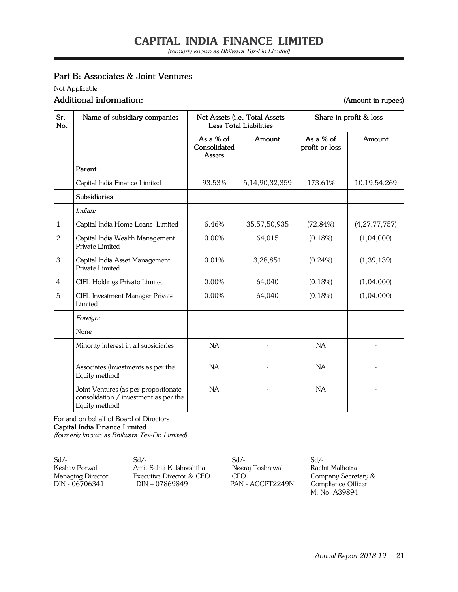### **Part B: Associates & Joint Ventures**

Not Applicable

#### **Additional information: (Amount in rupees)**

| Sr.<br>No.     | Name of subsidiary companies                                                                    |                                              | Net Assets ( <i>i.e.</i> Total Assets<br><b>Less Total Liabilities</b> |                               | Share in profit & loss |
|----------------|-------------------------------------------------------------------------------------------------|----------------------------------------------|------------------------------------------------------------------------|-------------------------------|------------------------|
|                |                                                                                                 | As a $%$ of<br>Consolidated<br><b>Assets</b> | Amount                                                                 | As a $%$ of<br>profit or loss | Amount                 |
|                | Parent                                                                                          |                                              |                                                                        |                               |                        |
|                | Capital India Finance Limited                                                                   | 93.53%                                       | 5,14,90,32,359                                                         | 173.61%                       | 10,19,54,269           |
|                | <b>Subsidiaries</b>                                                                             |                                              |                                                                        |                               |                        |
|                | Indian:                                                                                         |                                              |                                                                        |                               |                        |
| $\mathbf 1$    | Capital India Home Loans Limited                                                                | 6.46%                                        | 35,57,50,935                                                           | (72.84%)                      | (4, 27, 77, 757)       |
| $\mathbf{2}$   | Capital India Wealth Management<br>Private Limited                                              | 0.00%                                        | 64,015                                                                 | $(0.18\%)$                    | (1,04,000)             |
| 3              | Capital India Asset Management<br>Private Limited                                               | 0.01%                                        | 3,28,851                                                               | $(0.24\%)$                    | (1, 39, 139)           |
| $\overline{4}$ | CIFL Holdings Private Limited                                                                   | 0.00%                                        | 64,040                                                                 | $(0.18\%)$                    | (1,04,000)             |
| 5              | CIFL Investment Manager Private<br>Limited                                                      | 0.00%                                        | 64,040                                                                 | $(0.18\%)$                    | (1,04,000)             |
|                | Foreign:                                                                                        |                                              |                                                                        |                               |                        |
|                | None                                                                                            |                                              |                                                                        |                               |                        |
|                | Minority interest in all subsidiaries                                                           | NA                                           |                                                                        | NA                            |                        |
|                | Associates (Investments as per the<br>Equity method)                                            | NA                                           |                                                                        | NA                            |                        |
|                | Joint Ventures (as per proportionate<br>consolidation / investment as per the<br>Equity method) | <b>NA</b>                                    |                                                                        | <b>NA</b>                     |                        |

For and on behalf of Board of Directors **Capital India Finance Limited**  (formerly known as Bhilwara Tex-Fin Limited)

Sd/- Sd/- Sd/- Sd/- Keshav Porwal Amit Sahai Kulshreshtha Neeraj Toshniwal Rachit Malhotra Managing Director **Executive Director & CEO** CFO Company Secretary & DIN - 06706341 DIN – 07869849 PAN - ACCPT2249N Compliance Officer

M. No. A39894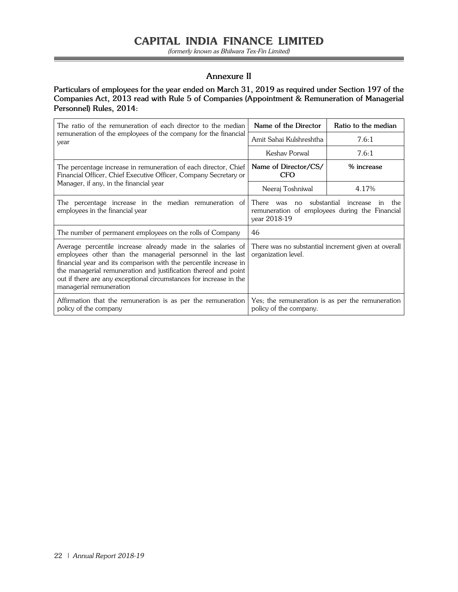(formerly known as Bhilwara Tex-Fin Limited)

Ξ

#### **Annexure II**

**Particulars of employees for the year ended on March 31, 2019 as required under Section 197 of the Companies Act, 2013 read with Rule 5 of Companies (Appointment & Remuneration of Managerial Personnel) Rules, 2014:** 

| The ratio of the remuneration of each director to the median                                                                                                                                                                                                                                                                                                      | Name of the Director                                                                                                         | Ratio to the median |  |
|-------------------------------------------------------------------------------------------------------------------------------------------------------------------------------------------------------------------------------------------------------------------------------------------------------------------------------------------------------------------|------------------------------------------------------------------------------------------------------------------------------|---------------------|--|
| remuneration of the employees of the company for the financial<br>year                                                                                                                                                                                                                                                                                            | Amit Sahai Kulshreshtha                                                                                                      | 7.6:1               |  |
|                                                                                                                                                                                                                                                                                                                                                                   | Keshav Porwal                                                                                                                | 7.6:1               |  |
| The percentage increase in remuneration of each director, Chief<br>Financial Officer, Chief Executive Officer, Company Secretary or                                                                                                                                                                                                                               | Name of Director/CS/<br><b>CFO</b>                                                                                           | % increase          |  |
| Manager, if any, in the financial year                                                                                                                                                                                                                                                                                                                            | Neeraj Toshniwal                                                                                                             | 4.17%               |  |
| The percentage increase in the median remuneration of<br>employees in the financial year                                                                                                                                                                                                                                                                          | substantial<br>There<br>increase<br>the<br>was<br>no<br>in<br>remuneration of employees during the Financial<br>year 2018-19 |                     |  |
| The number of permanent employees on the rolls of Company                                                                                                                                                                                                                                                                                                         | 46                                                                                                                           |                     |  |
| Average percentile increase already made in the salaries of<br>employees other than the managerial personnel in the last<br>financial year and its comparison with the percentile increase in<br>the managerial remuneration and justification thereof and point<br>out if there are any exceptional circumstances for increase in the<br>managerial remuneration | There was no substantial increment given at overall<br>organization level.                                                   |                     |  |
| Affirmation that the remuneration is as per the remuneration<br>policy of the company                                                                                                                                                                                                                                                                             | Yes; the remuneration is as per the remuneration<br>policy of the company.                                                   |                     |  |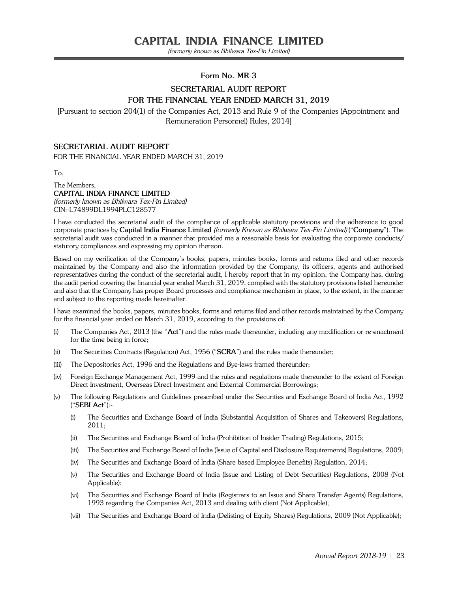(formerly known as Bhilwara Tex-Fin Limited)

#### **Form No. MR-3**

### **SECRETARIAL AUDIT REPORT FOR THE FINANCIAL YEAR ENDED March 31, 2019**

[Pursuant to section 204(1) of the Companies Act, 2013 and Rule 9 of the Companies (Appointment and Remuneration Personnel) Rules, 2014]

#### **SECRETARIAL AUDIT REPORT**

FOR THE FINANCIAL YEAR ENDED MARCH 31, 2019

To,

#### The Members, **CAPITAL INDIA FINANCE LIMITED**

(formerly known as Bhilwara Tex-Fin Limited) CIN:-L74899DL1994PLC128577

I have conducted the secretarial audit of the compliance of applicable statutory provisions and the adherence to good corporate practices by **Capital India Finance Limited** (formerly Known as Bhilwara Tex-Fin Limited) ("**Company**"). The secretarial audit was conducted in a manner that provided me a reasonable basis for evaluating the corporate conducts/ statutory compliances and expressing my opinion thereon.

Based on my verification of the Company's books, papers, minutes books, forms and returns filed and other records maintained by the Company and also the information provided by the Company, its officers, agents and authorised representatives during the conduct of the secretarial audit, I hereby report that in my opinion, the Company has, during the audit period covering the financial year ended March 31, 2019, complied with the statutory provisions listed hereunder and also that the Company has proper Board processes and compliance mechanism in place, to the extent, in the manner and subject to the reporting made hereinafter.

I have examined the books, papers, minutes books, forms and returns filed and other records maintained by the Company for the financial year ended on March 31, 2019, according to the provisions of:

- (i) The Companies Act, 2013 (the "**Act**") and the rules made thereunder, including any modification or re-enactment for the time being in force;
- (ii) The Securities Contracts (Regulation) Act, 1956 ("**SCRA**") and the rules made thereunder;
- (iii) The Depositories Act, 1996 and the Regulations and Bye-laws framed thereunder;
- (iv) Foreign Exchange Management Act, 1999 and the rules and regulations made thereunder to the extent of Foreign Direct Investment, Overseas Direct Investment and External Commercial Borrowings;
- (v) The following Regulations and Guidelines prescribed under the Securities and Exchange Board of India Act, 1992 ("**SEBI Act**"):-
	- (i) The Securities and Exchange Board of India (Substantial Acquisition of Shares and Takeovers) Regulations, 2011;
	- (ii) The Securities and Exchange Board of India (Prohibition of Insider Trading) Regulations, 2015;
	- (iii) The Securities and Exchange Board of India (Issue of Capital and Disclosure Requirements) Regulations, 2009;
	- (iv) The Securities and Exchange Board of India (Share based Employee Benefits) Regulation, 2014;
	- (v) The Securities and Exchange Board of India (Issue and Listing of Debt Securities) Regulations, 2008 (Not Applicable);
	- (vi) The Securities and Exchange Board of India (Registrars to an Issue and Share Transfer Agents) Regulations, 1993 regarding the Companies Act, 2013 and dealing with client (Not Applicable);
	- (vii) The Securities and Exchange Board of India (Delisting of Equity Shares) Regulations, 2009 (Not Applicable);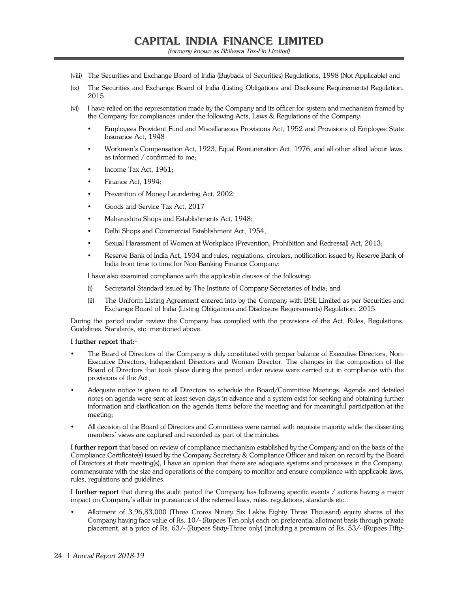- (viii) The Securities and Exchange Board of India (Buyback of Securities) Regulations, 1998 (Not Applicable) and
- (ix) The Securities and Exchange Board of India (Listing Obligations and Disclosure Requirements) Regulation, 2015.
- (vi) I have relied on the representation made by the Company and its officer for system and mechanism framed by the Company for compliances under the following Acts, Laws & Regulations of the Company:
	- Employees Provident Fund and Miscellaneous Provisions Act, 1952 and Provisions of Employee State Insurance Act, 1948
	- Workmen's Compensation Act, 1923, Equal Remuneration Act, 1976, and all other allied labour laws, as informed / confirmed to me;
	- Income Tax Act, 1961;
	- Finance Act, 1994;
	- Prevention of Money Laundering Act, 2002;
	- Goods and Service Tax Act, 2017
	- Maharashtra Shops and Establishments Act, 1948;
	- Delhi Shops and Commercial Establishment Act, 1954;
	- Sexual Harassment of Women at Workplace (Prevention, Prohibition and Redressal) Act, 2013;
	- Reserve Bank of India Act, 1934 and rules, regulations, circulars, notification issued by Reserve Bank of India from time to time for Non-Banking Finance Company;

I have also examined compliance with the applicable clauses of the following:

- (i) Secretarial Standard issued by The Institute of Company Secretaries of India; and
- (ii) The Uniform Listing Agreement entered into by the Company with BSE Limited as per Securities and Exchange Board of India (Listing Obligations and Disclosure Requirements) Regulation, 2015.

During the period under review the Company has complied with the provisions of the Act, Rules, Regulations, Guidelines, Standards, etc. mentioned above.

#### **I further report that:-**

- The Board of Directors of the Company is duly constituted with proper balance of Executive Directors, Non-Executive Directors, Independent Directors and Woman Director. The changes in the composition of the Board of Directors that took place during the period under review were carried out in compliance with the provisions of the Act;
- Adequate notice is given to all Directors to schedule the Board/Committee Meetings, Agenda and detailed notes on agenda were sent at least seven days in advance and a system exist for seeking and obtaining further information and clarification on the agenda items before the meeting and for meaningful participation at the meeting;
- All decision of the Board of Directors and Committees were carried with requisite majority while the dissenting members' views are captured and recorded as part of the minutes.

**I further report** that based on review of compliance mechanism established by the Company and on the basis of the Compliance Certificate(s) issued by the Company Secretary & Compliance Officer and taken on record by the Board of Directors at their meeting(s), I have an opinion that there are adequate systems and processes in the Company, commensurate with the size and operations of the company to monitor and ensure compliance with applicable laws, rules, regulations and guidelines.

**I further report** that during the audit period the Company has following specific events / actions having a major impact on Company's affair in pursuance of the referred laws, rules, regulations, standards etc.:

 Allotment of 3,96,83,000 (Three Crores Ninety Six Lakhs Eighty Three Thousand) equity shares of the Company having face value of Rs. 10/- (Rupees Ten only) each on preferential allotment basis through private placement, at a price of Rs. 63/- (Rupees Sixty-Three only) (including a premium of Rs. 53/- (Rupees Fifty-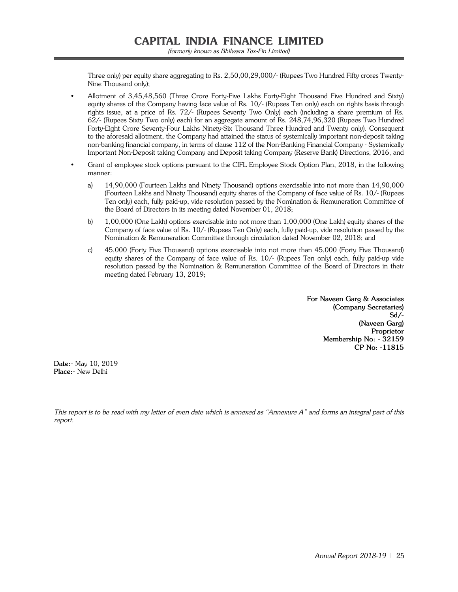Three only) per equity share aggregating to Rs. 2,50,00,29,000/- (Rupees Two Hundred Fifty crores Twenty-Nine Thousand only);

- Allotment of 3,45,48,560 (Three Crore Forty-Five Lakhs Forty-Eight Thousand Five Hundred and Sixty) equity shares of the Company having face value of Rs. 10/- (Rupees Ten only) each on rights basis through rights issue, at a price of Rs. 72/- (Rupees Seventy Two Only) each (including a share premium of Rs. 62/- (Rupees Sixty Two only) each) for an aggregate amount of Rs. 248,74,96,320 (Rupees Two Hundred Forty-Eight Crore Seventy-Four Lakhs Ninety-Six Thousand Three Hundred and Twenty only). Consequent to the aforesaid allotment, the Company had attained the status of systemically important non-deposit taking non-banking financial company, in terms of clause 112 of the Non-Banking Financial Company - Systemically Important Non-Deposit taking Company and Deposit taking Company (Reserve Bank) Directions, 2016, and
- Grant of employee stock options pursuant to the CIFL Employee Stock Option Plan, 2018, in the following manner:
	- a) 14,90,000 (Fourteen Lakhs and Ninety Thousand) options exercisable into not more than 14,90,000 (Fourteen Lakhs and Ninety Thousand) equity shares of the Company of face value of Rs. 10/- (Rupees Ten only) each, fully paid-up, vide resolution passed by the Nomination & Remuneration Committee of the Board of Directors in its meeting dated November 01, 2018;
	- b) 1,00,000 (One Lakh) options exercisable into not more than 1,00,000 (One Lakh) equity shares of the Company of face value of Rs. 10/- (Rupees Ten Only) each, fully paid-up, vide resolution passed by the Nomination & Remuneration Committee through circulation dated November 02, 2018; and
	- c) 45,000 (Forty Five Thousand) options exercisable into not more than 45,000 (Forty Five Thousand) equity shares of the Company of face value of Rs. 10/- (Rupees Ten only) each, fully paid-up vide resolution passed by the Nomination & Remuneration Committee of the Board of Directors in their meeting dated February 13, 2019;

**For Naveen Garg & Associates (Company Secretaries) Sd/- (Naveen Garg) Proprietor Membership No: - 32159 CP No: -11815**

**Date:-** May 10, 2019 **Place:-** New Delhi

This report is to be read with my letter of even date which is annexed as "Annexure A" and forms an integral part of this report.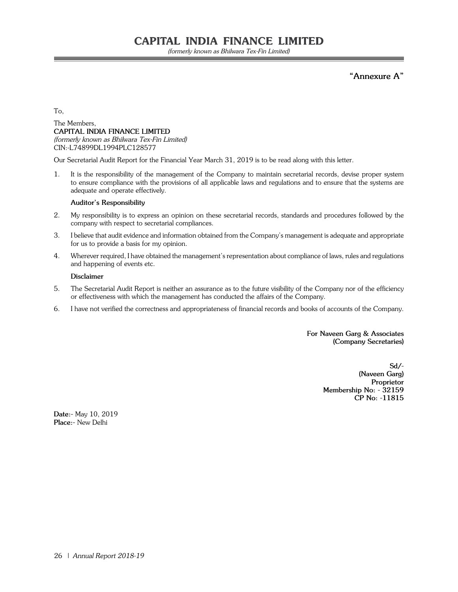(formerly known as Bhilwara Tex-Fin Limited)

**"Annexure A"**

To,

#### The Members, **CAPITAL INDIA FINANCE LIMITED** (formerly known as Bhilwara Tex-Fin Limited) CIN:-L74899DL1994PLC128577

Our Secretarial Audit Report for the Financial Year March 31, 2019 is to be read along with this letter.

1. It is the responsibility of the management of the Company to maintain secretarial records, devise proper system to ensure compliance with the provisions of all applicable laws and regulations and to ensure that the systems are adequate and operate effectively.

#### **Auditor's Responsibility**

- 2. My responsibility is to express an opinion on these secretarial records, standards and procedures followed by the company with respect to secretarial compliances.
- 3. I believe that audit evidence and information obtained from the Company's management is adequate and appropriate for us to provide a basis for my opinion.
- 4. Wherever required, I have obtained the management's representation about compliance of laws, rules and regulations and happening of events etc.

#### **Disclaimer**

- 5. The Secretarial Audit Report is neither an assurance as to the future visibility of the Company nor of the efficiency or effectiveness with which the management has conducted the affairs of the Company.
- 6. I have not verified the correctness and appropriateness of financial records and books of accounts of the Company.

**For Naveen Garg & Associates (Company Secretaries)**

> **Sd/- (Naveen Garg) Proprietor Membership No: - 32159 CP No: -11815**

**Date:-** May 10, 2019 **Place:-** New Delhi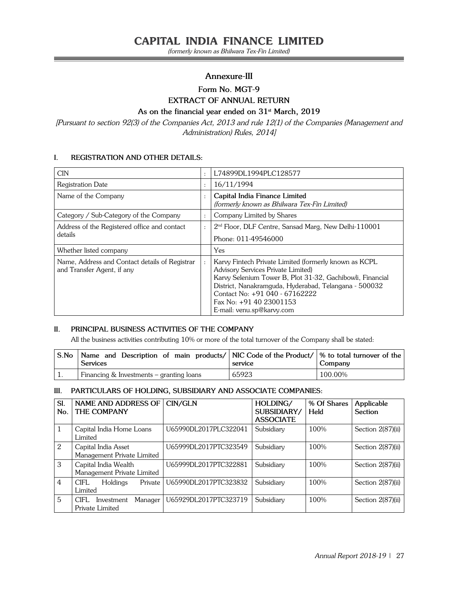(formerly known as Bhilwara Tex-Fin Limited)

#### **Annexure-III**

## **Form No. MGT-9**

## **EXTRACT OF ANNUAL RETURN**

#### **As on the financial year ended on 31st March, 2019**

[Pursuant to section 92(3) of the Companies Act, 2013 and rule 12(1) of the Companies (Management and Administration) Rules, 2014]

#### **I. REGISTRATION AND OTHER DETAILS:**

| <b>CIN</b>                                                                   | $\ddot{\cdot}$ | L74899DL1994PLC128577                                                                                                                                                                                                                                                                                         |
|------------------------------------------------------------------------------|----------------|---------------------------------------------------------------------------------------------------------------------------------------------------------------------------------------------------------------------------------------------------------------------------------------------------------------|
| Registration Date                                                            | $\ddot{\cdot}$ | 16/11/1994                                                                                                                                                                                                                                                                                                    |
| Name of the Company                                                          | $\ddot{\cdot}$ | Capital India Finance Limited<br>(formerly known as Bhilwara Tex-Fin Limited)                                                                                                                                                                                                                                 |
| Category / Sub-Category of the Company                                       | $\ddot{\cdot}$ | Company Limited by Shares                                                                                                                                                                                                                                                                                     |
| Address of the Registered office and contact<br>details                      | $\ddot{\cdot}$ | 2 <sup>nd</sup> Floor, DLF Centre, Sansad Marg, New Delhi-110001<br>Phone: 011-49546000                                                                                                                                                                                                                       |
| Whether listed company                                                       |                | Yes                                                                                                                                                                                                                                                                                                           |
| Name, Address and Contact details of Registrar<br>and Transfer Agent, if any | $\ddot{\cdot}$ | Karvy Fintech Private Limited (formerly known as KCPL<br>Advisory Services Private Limited)<br>Karvy Selenium Tower B, Plot 31-32, Gachibowli, Financial<br>District, Nanakramguda, Hyderabad, Telangana - 500032<br>Contact No: +91 040 - 67162222<br>Fax No: $+91$ 40 23001153<br>E-mail: venu.sp@karvy.com |

#### **II. PRINCIPAL BUSINESS ACTIVITIES OF THE COMPANY**

All the business activities contributing 10% or more of the total turnover of the Company shall be stated:

| S.No | Name and Description of main products/ $\vert$ NIC Code of the Product/ $\vert$ % to total turnover of the<br><b>Services</b> | service | Company |
|------|-------------------------------------------------------------------------------------------------------------------------------|---------|---------|
| 1.   | Financing $&$ Investments – granting loans                                                                                    | 65923   | 100.00% |

#### **III. PARTICULARS OF HOLDING, SUBSIDIARY AND ASSOCIATE COMPANIES:**

| SI.<br>No. | <b>NAME AND ADDRESS OF</b><br>THE COMPANY          | CIN/GLN               | HOLDING/<br>SUBSIDIARY/<br><b>ASSOCIATE</b> | % Of Shares<br>Held | Applicable<br>Section |
|------------|----------------------------------------------------|-----------------------|---------------------------------------------|---------------------|-----------------------|
| 1          | Capital India Home Loans<br>Limited                | U65990DL2017PLC322041 | Subsidiary                                  | 100%                | Section 2(87)(ii)     |
| 2          | Capital India Asset<br>Management Private Limited  | U65999DL2017PTC323549 | Subsidiary                                  | 100%                | Section 2(87)(ii)     |
| 3          | Capital India Wealth<br>Management Private Limited | U65999DL2017PTC322881 | Subsidiary                                  | 100%                | Section 2(87)(ii)     |
| 4          | <b>CIFL</b><br>Holdings<br>Private<br>Limited      | U65990DL2017PTC323832 | Subsidiary                                  | 100%                | Section 2(87)(ii)     |
| 5          | CIFL.<br>Manager<br>Investment<br>Private Limited  | U65929DL2017PTC323719 | Subsidiary                                  | 100%                | Section 2(87)(ii)     |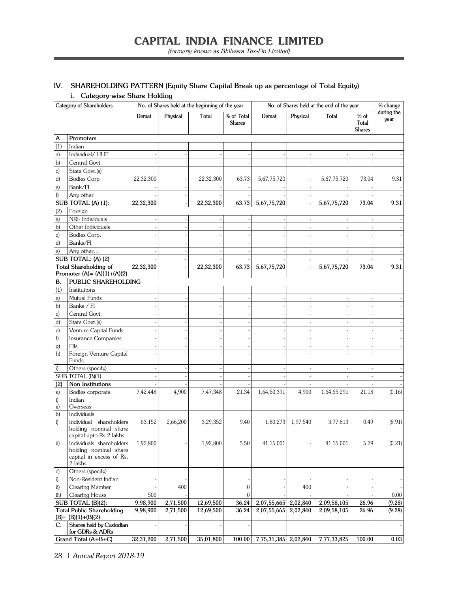۳

## **IV. SHAREHOLDING PATTERN (Equity Share Capital Break up as percentage of Total Equity)**

**i. Category-wise Share Holding**

Ξ

| Category of Shareholders |                                                                | No. of Shares held at the beginning of the year |          |           |                             | No. of Shares held at the end of the year |          |             |                                  | % change           |
|--------------------------|----------------------------------------------------------------|-------------------------------------------------|----------|-----------|-----------------------------|-------------------------------------------|----------|-------------|----------------------------------|--------------------|
|                          |                                                                | Demat                                           | Physical | Total     | % of Total<br><b>Shares</b> | Demat                                     | Physical | Total       | $%$ of<br>Total<br><b>Shares</b> | during the<br>year |
| А.                       | Promoters                                                      |                                                 |          |           |                             |                                           |          |             |                                  |                    |
| (1)                      | Indian                                                         |                                                 |          |           |                             |                                           |          |             |                                  |                    |
| a)                       | Individual/HUF                                                 |                                                 |          |           |                             |                                           |          |             |                                  |                    |
| b)                       | Central Govt.                                                  |                                                 |          |           |                             |                                           |          |             |                                  |                    |
| $\mathbf{c})$            | State Govt.(s)                                                 |                                                 |          |           |                             |                                           |          |             |                                  |                    |
| d)                       | <b>Bodies Corp</b>                                             | 22,32,300                                       |          | 22,32,300 | 63.73                       | 5,67,75,720                               |          | 5,67,75,720 | 73.04                            | 9.31               |
| e)                       | Bank/FI                                                        |                                                 |          |           |                             |                                           |          |             |                                  |                    |
| f                        | Any other                                                      |                                                 |          |           |                             |                                           |          |             |                                  |                    |
|                          | SUB TOTAL (A) (1):                                             | 22,32,300                                       |          | 22,32,300 | 63.73                       | 5,67,75,720                               |          | 5,67,75,720 | 73.04                            | 9.31               |
| (2)                      | Foreign                                                        |                                                 |          |           |                             |                                           |          |             |                                  |                    |
| a)                       | NRI- Individuals                                               |                                                 |          |           |                             |                                           |          |             |                                  |                    |
| b)                       | Other Individuals                                              |                                                 |          |           |                             |                                           |          |             |                                  |                    |
| c)                       | Bodies Corp.                                                   |                                                 |          |           |                             |                                           |          |             |                                  |                    |
| d)                       | Banks/FI                                                       |                                                 |          |           |                             |                                           |          |             |                                  |                    |
| e)                       | Any other                                                      |                                                 |          |           |                             |                                           |          |             |                                  |                    |
|                          | SUB TOTAL: (A) (2)                                             |                                                 |          |           |                             |                                           |          |             |                                  |                    |
|                          | <b>Total Shareholding of</b><br>Promoter $(A) = (A)(1)+(A)(2)$ | $\overline{22}, 32, 300$                        |          | 22,32,300 | 63.73                       | 5,67,75,720                               |          | 5,67,75,720 | 73.04                            | 9.31               |
| В.                       | PUBLIC SHAREHOLDING                                            |                                                 |          |           |                             |                                           |          |             |                                  |                    |
| (1)                      | Institutions                                                   |                                                 |          |           |                             |                                           |          |             |                                  |                    |
| a)                       | Mutual Funds                                                   |                                                 |          |           |                             |                                           |          |             |                                  |                    |
| b)                       | Banks / FI                                                     |                                                 |          |           |                             |                                           |          |             |                                  |                    |
| c)                       | Central Govt.                                                  |                                                 |          |           |                             |                                           |          |             |                                  |                    |
| d)                       | State Govt.(s)                                                 |                                                 |          |           |                             |                                           |          |             |                                  |                    |
| e)                       | Venture Capital Funds                                          |                                                 |          |           |                             |                                           |          |             |                                  |                    |
| f                        | <b>Insurance Companies</b>                                     |                                                 |          |           |                             |                                           |          |             |                                  |                    |
| g)                       | FIIs                                                           |                                                 |          |           |                             |                                           |          |             |                                  |                    |
| h)                       | Foreign Venture Capital<br>Funds                               |                                                 |          |           |                             |                                           |          |             |                                  |                    |
| i)                       | Others (specify)                                               |                                                 |          |           |                             |                                           |          |             |                                  |                    |
|                          | SUB TOTAL (B)(1):                                              |                                                 |          |           |                             |                                           |          |             |                                  |                    |
| (2)                      | Non Institutions                                               |                                                 |          |           |                             |                                           |          |             |                                  |                    |
| a)                       | Bodies corporate                                               | 7,42,448                                        | 4,900    | 7,47,348  | 21.34                       | 1,64,60,391                               | 4,900    | 1,64,65,291 | 21.18                            | (0.16)             |
| i)                       | Indian                                                         |                                                 |          |           |                             |                                           |          |             |                                  |                    |
| ii)                      | Overseas<br>Individuals                                        |                                                 |          |           |                             |                                           |          |             |                                  |                    |
| $\mathbf{b}$             | Individual shareholders                                        | 63,152                                          | 2,66,200 | 3,29,352  | 9.40                        | 1,80,273                                  | 1,97,540 |             | 0.49                             |                    |
| i)                       | holding nominal share                                          |                                                 |          |           |                             |                                           |          | 3,77,813    |                                  | (8.91)             |
|                          | capital upto Rs.2 lakhs                                        |                                                 |          |           |                             |                                           |          |             |                                  |                    |
| ii)                      | Individuals shareholders                                       | 1,92,800                                        |          | 1,92,800  | 5.50                        | 41,15,001                                 |          | 41,15,001   | 5.29                             | (0.21)             |
|                          | holding nominal share                                          |                                                 |          |           |                             |                                           |          |             |                                  |                    |
|                          | capital in excess of Rs.                                       |                                                 |          |           |                             |                                           |          |             |                                  |                    |
|                          | 2 lakhs                                                        |                                                 |          |           |                             |                                           |          |             |                                  |                    |
| c)                       | Others (specify)<br>Non-Resident Indian                        |                                                 |          |           |                             |                                           |          |             |                                  |                    |
| $\mathbf{i}$             | Clearing Member                                                |                                                 | 400      |           |                             |                                           | 400      |             |                                  |                    |
| ii)<br>iii)              | Clearing House                                                 | 500                                             |          |           | 0<br>$\theta$               |                                           |          |             |                                  | 0.00               |
|                          | SUB TOTAL (B)(2):                                              | 9,98,900                                        | 2,71,500 | 12,69,500 | 36.24                       | 2,07,55,665                               | 2,02,840 | 2,09,58,105 | 26.96                            | (9.28)             |
|                          | <b>Total Public Shareholding</b>                               | 9,98,900                                        | 2,71,500 | 12,69,500 | 36.24                       | 2,07,55,665                               | 2,02,840 | 2,09,58,105 | 26.96                            | (9.28)             |
|                          | $(B) = (B)(1)+(B)(2)$                                          |                                                 |          |           |                             |                                           |          |             |                                  |                    |
| C.                       | Shares held by Custodian                                       |                                                 |          |           |                             |                                           |          |             |                                  |                    |
|                          | for GDRs & ADRs                                                |                                                 |          |           |                             |                                           |          |             |                                  |                    |
|                          | Grand Total (A+B+C)                                            | 32,31,200                                       | 2,71,500 | 35,01,800 | 100.00                      | 7,75,31,385                               | 2,02,840 | 7,77,33,825 | 100.00                           | 0.03               |

28 | Annual Report 2018-19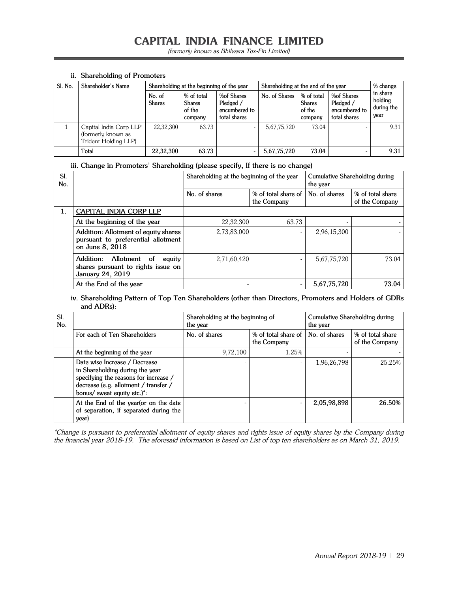(formerly known as Bhilwara Tex-Fin Limited)

| Sl. No. | Shareholder's Name                                                   |                         | Shareholding at the beginning of the year        |                                                          |               | Shareholding at the end of the year              |                                                                 |                                           |  |
|---------|----------------------------------------------------------------------|-------------------------|--------------------------------------------------|----------------------------------------------------------|---------------|--------------------------------------------------|-----------------------------------------------------------------|-------------------------------------------|--|
|         |                                                                      | No. of<br><b>Shares</b> | % of total<br><b>Shares</b><br>of the<br>company | %of Shares<br>Pledged /<br>encumbered to<br>total shares | No. of Shares | % of total<br><b>Shares</b><br>of the<br>company | <b>%of Shares</b><br>Pledged /<br>encumbered to<br>total shares | in share<br>holding<br>during the<br>year |  |
|         | Capital India Corp LLP<br>(formerly known as<br>Trident Holding LLP) | 22,32,300               | 63.73                                            |                                                          | 5,67,75,720   | 73.04                                            |                                                                 | 9.31                                      |  |
|         | Total                                                                | 22,32,300               | 63.73                                            |                                                          | 5,67,75,720   | 73.04                                            |                                                                 | 9.31                                      |  |

#### **ii. Shareholding of Promoters**

#### **iii. Change in Promoters' Shareholding (please specify, If there is no change)**

| SI.<br>No. |                                                                                                      | Shareholding at the beginning of the year |                                    | Cumulative Shareholding during<br>the year |                                    |  |
|------------|------------------------------------------------------------------------------------------------------|-------------------------------------------|------------------------------------|--------------------------------------------|------------------------------------|--|
|            |                                                                                                      | No. of shares                             | % of total share of<br>the Company | No. of shares                              | % of total share<br>of the Company |  |
| 1.         | <b>CAPITAL INDIA CORP LLP</b>                                                                        |                                           |                                    |                                            |                                    |  |
|            | At the beginning of the year                                                                         | 22.32.300                                 | 63.73                              |                                            |                                    |  |
|            | Addition: Allotment of equity shares<br>pursuant to preferential allotment<br>on June 8, 2018        | 2,73,83,000                               |                                    | 2,96,15,300                                |                                    |  |
|            | Allotment of<br>Addition:<br>equity<br>shares pursuant to rights issue on<br><b>January 24, 2019</b> | 2,71,60,420                               |                                    | 5,67,75,720                                | 73.04                              |  |
|            | At the End of the year                                                                               |                                           | $\overline{\phantom{0}}$           | 5,67,75,720                                | 73.04                              |  |

#### **iv. Shareholding Pattern of Top Ten Shareholders (other than Directors, Promoters and Holders of GDRs and ADRs):**

| SI.<br>No. |                                                                                                                                                                                                | Shareholding at the beginning of<br>the year |                                    | Cumulative Shareholding during<br>the year |                                    |  |
|------------|------------------------------------------------------------------------------------------------------------------------------------------------------------------------------------------------|----------------------------------------------|------------------------------------|--------------------------------------------|------------------------------------|--|
|            | For each of Ten Shareholders                                                                                                                                                                   | No. of shares                                | % of total share of<br>the Company | No. of shares                              | % of total share<br>of the Company |  |
|            | At the beginning of the year                                                                                                                                                                   | 9,72,100                                     | 1.25%                              |                                            |                                    |  |
|            | Date wise Increase / Decrease<br>in Shareholding during the year<br>specifying the reasons for increase /<br>decrease (e.g. allotment / transfer /<br>bonus/ sweat equity etc.) <sup>*</sup> : |                                              |                                    | 1,96,26,798                                | 25.25%                             |  |
|            | At the End of the year(or on the date<br>of separation, if separated during the<br>year)                                                                                                       |                                              |                                    | 2,05,98,898                                | 26.50%                             |  |

\*Change is pursuant to preferential allotment of equity shares and rights issue of equity shares by the Company during the financial year 2018-19. The aforesaid information is based on List of top ten shareholders as on March 31, 2019.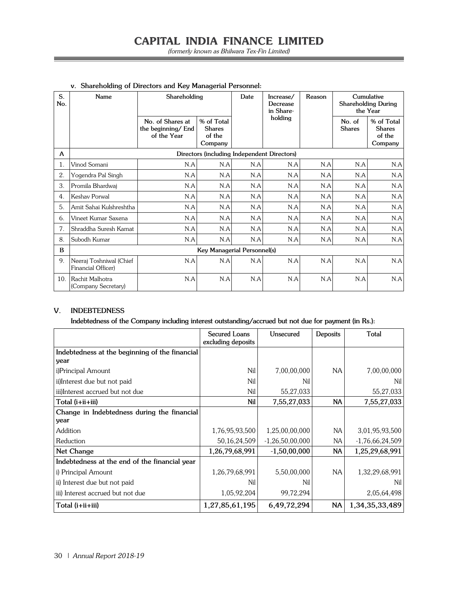| S.<br>No.      | Name                                          |                                                       | Shareholding                                     |     | Increase/<br>Decrease<br>in Share- | Reason |                         | Cumulative<br><b>Shareholding During</b><br>the Year |
|----------------|-----------------------------------------------|-------------------------------------------------------|--------------------------------------------------|-----|------------------------------------|--------|-------------------------|------------------------------------------------------|
|                |                                               | No. of Shares at<br>the beginning/ End<br>of the Year | % of Total<br><b>Shares</b><br>of the<br>Company |     | holding                            |        | No. of<br><b>Shares</b> | % of Total<br><b>Shares</b><br>of the<br>Company     |
| A              |                                               |                                                       | Directors (including Independent Directors)      |     |                                    |        |                         |                                                      |
| 1.             | Vinod Somani                                  | N.A                                                   | N.A                                              | N.A | N.A                                | N.A    | N.A                     | N.A                                                  |
| 2.             | Yogendra Pal Singh                            | N.A                                                   | N.A                                              | N.A | N.A                                | N.A    | N.A                     | N.A                                                  |
| 3.             | Promila Bhardwaj                              | N.A                                                   | N.A                                              | N.A | N.A                                | N.A    | N.A                     | N.A                                                  |
| $\mathbf{4}$ . | Keshav Porwal                                 | N.A                                                   | N.A                                              | N.A | N.A                                | N.A    | N.A                     | N.A                                                  |
| 5.             | Amit Sahai Kulshreshtha                       | N.A                                                   | N.A                                              | N.A | N.A                                | N.A    | N.A                     | N.A                                                  |
| 6.             | Vineet Kumar Saxena                           | N.A                                                   | N.A                                              | N.A | N.A                                | N.A    | N.A                     | N.A                                                  |
| 7.             | Shraddha Suresh Kamat                         | N.A                                                   | N.A                                              | N.A | N.A                                | N.A    | N.A                     | N.A                                                  |
| 8.             | Subodh Kumar                                  | N.A                                                   | N.A                                              | N.A | N.A                                | N.A    | N.A                     | N.A                                                  |
| B              |                                               |                                                       | <b>Key Managerial Personnel(s)</b>               |     |                                    |        |                         |                                                      |
| 9.             | Neeraj Toshniwal (Chief<br>Financial Officer) | N.A                                                   | N.A                                              | N.A | N.A                                | N.A    | N.A                     | N.A                                                  |
| 10.            | Rachit Malhotra<br>(Company Secretary)        | N.A                                                   | N.A                                              | N.A | N.A                                | N.A    | N.A                     | N.A                                                  |

#### **v. Shareholding of Directors and Key Managerial Personnel:**

#### **V. INDEBTEDNESS**

**Indebtedness of the Company including interest outstanding/accrued but not due for payment (in Rs.):**

|                                                | Secured Loans<br>excluding deposits | Unsecured         | Deposits  | Total             |
|------------------------------------------------|-------------------------------------|-------------------|-----------|-------------------|
| Indebtedness at the beginning of the financial |                                     |                   |           |                   |
| year                                           |                                     |                   |           |                   |
| i)Principal Amount                             | Nil                                 | 7,00,00,000       | <b>NA</b> | 7,00,00,000       |
| ii)Interest due but not paid                   | Nil                                 | Nil               |           | Nil               |
| iii)Interest accrued but not due               | Nil                                 | 55,27,033         |           | 55,27,033         |
| $Total (i+ii+iii)$                             | Nil                                 | 7,55,27,033       | <b>NA</b> | 7,55,27,033       |
| Change in Indebtedness during the financial    |                                     |                   |           |                   |
| year                                           |                                     |                   |           |                   |
| Addition                                       | 1,76,95,93,500                      | 1,25,00,00,000    | NA        | 3,01,95,93,500    |
| Reduction                                      | 50,16,24,509                        | $-1,26,50,00,000$ | ΝA        | $-1,76,66,24,509$ |
| Net Change                                     | 1,26,79,68,991                      | $-1,50,00,000$    | <b>NA</b> | 1,25,29,68,991    |
| Indebtedness at the end of the financial year  |                                     |                   |           |                   |
| i) Principal Amount                            | 1,26,79,68,991                      | 5,50,00,000       | <b>NA</b> | 1,32,29,68,991    |
| ii) Interest due but not paid                  | Nil                                 | Nil               |           | Nil               |
| iii) Interest accrued but not due              | 1,05,92,204                         | 99,72,294         |           | 2,05,64,498       |
| Total (i+ii+iii)                               | 1,27,85,61,195                      | 6,49,72,294       | <b>NA</b> | 1,34,35,33,489    |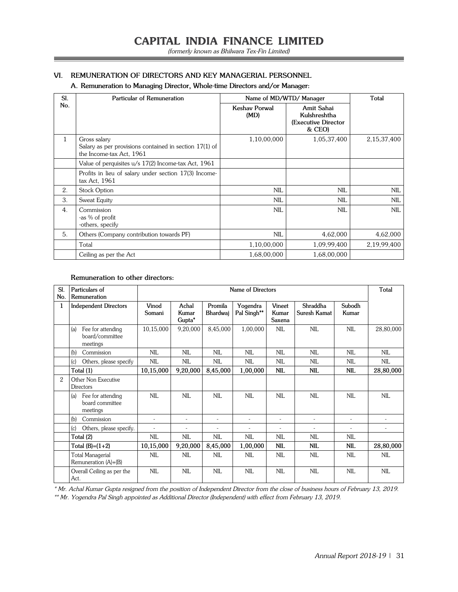#### **VI. REMUNERATION OF DIRECTORS AND KEY MANAGERIAL PERSONNEL**

#### **A. Remuneration to Managing Director, Whole-time Directors and/or Manager:**

| SI.          | Particular of Remuneration                                                                         | Name of MD/WTD/ Manager |                                                             | Total          |
|--------------|----------------------------------------------------------------------------------------------------|-------------------------|-------------------------------------------------------------|----------------|
| No.          |                                                                                                    | Keshav Porwal<br>(MD)   | Amit Sahai<br>Kulshreshtha<br>(Executive Director<br>& CEO) |                |
| $\mathbf{1}$ | Gross salary<br>Salary as per provisions contained in section 17(1) of<br>the Income-tax Act, 1961 | 1,10,00,000             | 1,05,37,400                                                 | 2, 15, 37, 400 |
|              | Value of perquisites u/s 17(2) Income-tax Act, 1961                                                |                         |                                                             |                |
|              | Profits in lieu of salary under section 17(3) Income-<br>tax Act, 1961                             |                         |                                                             |                |
| 2.           | <b>Stock Option</b>                                                                                | <b>NIL</b>              | <b>NIL</b>                                                  | <b>NIL</b>     |
| 3.           | Sweat Equity                                                                                       | NII.                    | NIL.                                                        | <b>NIL</b>     |
| 4.           | Commission<br>-as % of profit<br>-others, specify                                                  | NII.                    | NII.                                                        | <b>NIL</b>     |
| 5.           | Others (Company contribution towards PF)                                                           | <b>NIL</b>              | 4,62,000                                                    | 4,62,000       |
|              | Total                                                                                              | 1,10,00,000             | 1,09,99,400                                                 | 2,19,99,400    |
|              | Ceiling as per the Act                                                                             | 1,68,00,000             | 1,68,00,000                                                 |                |

#### **Remuneration to other directors:**

| SI.<br>No.     | Particulars of<br>Remuneration                          |                 | Name of Directors                    |                     |                          |                           |                          |                 | Total      |
|----------------|---------------------------------------------------------|-----------------|--------------------------------------|---------------------|--------------------------|---------------------------|--------------------------|-----------------|------------|
| 1              | <b>Independent Directors</b>                            | Vinod<br>Somani | Achal<br>Kumar<br>Gupta <sup>*</sup> | Promila<br>Bhardwaj | Yogendra<br>Pal Singh**  | Vineet<br>Kumar<br>Saxena | Shraddha<br>Suresh Kamat | Subodh<br>Kumar |            |
|                | (a)<br>Fee for attending<br>board/committee<br>meetings | 10,15,000       | 9,20,000                             | 8,45,000            | 1,00,000                 | <b>NIL</b>                | <b>NIL</b>               | <b>NIL</b>      | 28,80,000  |
|                | Commission<br>(b)                                       | NIL             | <b>NIL</b>                           | <b>NIL</b>          | <b>NIL</b>               | <b>NIL</b>                | <b>NIL</b>               | <b>NIL</b>      | NII.       |
|                | Others, please specify<br>(c)                           | NIL             | NIL                                  | <b>NIL</b>          | <b>NIL</b>               | <b>NIL</b>                | <b>NIL</b>               | <b>NIL</b>      | NIL        |
|                | Total (1)                                               | 10,15,000       | 9,20,000                             | 8,45,000            | 1,00,000                 | <b>NIL</b>                | <b>NIL</b>               | <b>NIL</b>      | 28,80,000  |
| $\overline{2}$ | Other Non Executive<br>Directors                        |                 |                                      |                     |                          |                           |                          |                 |            |
|                | Fee for attending<br>(a)<br>board committee<br>meetings | NIL             | <b>NIL</b>                           | <b>NIL</b>          | <b>NIL</b>               | <b>NIL</b>                | <b>NIL</b>               | <b>NIL</b>      | <b>NIL</b> |
|                | (b)<br>Commission                                       |                 | $\overline{\phantom{a}}$             | ٠                   |                          | L,                        |                          | ٠               |            |
|                | Others, please specify.<br>(c)                          | ٠               | $\overline{\phantom{a}}$             | ٠                   | $\overline{\phantom{a}}$ | $\overline{a}$            | $\overline{\phantom{a}}$ | ٠               | ٠          |
|                | Total (2)                                               | NIL             | NIL                                  | NIL                 | <b>NIL</b>               | NIL                       | <b>NIL</b>               | <b>NIL</b>      |            |
|                | Total $(B)=(1+2)$                                       | 10,15,000       | 9,20,000                             | 8,45,000            | 1,00,000                 | <b>NIL</b>                | <b>NIL</b>               | <b>NIL</b>      | 28,80,000  |
|                | <b>Total Managerial</b><br>Remuneration (A)+(B)         | NIL             | <b>NIL</b>                           | <b>NIL</b>          | <b>NIL</b>               | <b>NIL</b>                | <b>NIL</b>               | <b>NIL</b>      | <b>NIL</b> |
|                | Overall Ceiling as per the<br>Act.                      | <b>NIL</b>      | NII.                                 | <b>NIL</b>          | <b>NIL</b>               | <b>NIL</b>                | <b>NIL</b>               | <b>NIL</b>      | <b>NIL</b> |

\* Mr. Achal Kumar Gupta resigned from the position of Independent Director from the close of business hours of February 13, 2019. \*\* Mr. Yogendra Pal Singh appointed as Additional Director (Independent) with effect from February 13, 2019.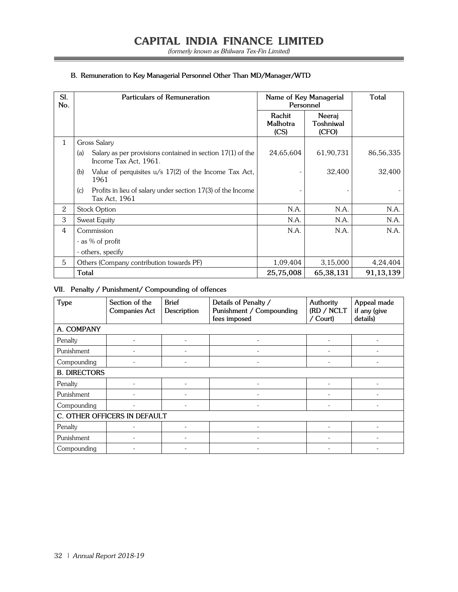(formerly known as Bhilwara Tex-Fin Limited)

Ξ

#### **B. Remuneration to Key Managerial Personnel Other Than MD/Manager/WTD**

| SI.<br>No.  | Particulars of Remuneration                                                                  | Personnel                  | Name of Key Managerial       | Total       |
|-------------|----------------------------------------------------------------------------------------------|----------------------------|------------------------------|-------------|
|             |                                                                                              | Rachit<br>Malhotra<br>(CS) | Neeraj<br>Toshniwal<br>(CFO) |             |
| $\mathbf 1$ | Gross Salary                                                                                 |                            |                              |             |
|             | Salary as per provisions contained in section $17(1)$ of the<br>(a)<br>Income Tax Act, 1961. | 24,65,604                  | 61,90,731                    | 86,56,335   |
|             | Value of perquisites $u/s$ 17(2) of the Income Tax Act,<br>(b)<br>1961                       |                            | 32,400                       | 32,400      |
|             | Profits in lieu of salary under section 17(3) of the Income<br>(c)<br>Tax Act, 1961          |                            |                              |             |
| 2           | <b>Stock Option</b>                                                                          | N.A.                       | N.A.                         | N.A.        |
| 3           | Sweat Equity                                                                                 | N.A.                       | N.A.                         | N.A.        |
| 4           | Commission                                                                                   | N.A.                       | N.A.                         | N.A.        |
|             | - as % of profit                                                                             |                            |                              |             |
|             | - others, specify                                                                            |                            |                              |             |
| 5           | Others (Company contribution towards PF)                                                     | 1,09,404                   | 3,15,000                     | 4,24,404    |
|             | <b>Total</b>                                                                                 | 25,75,008                  | 65,38,131                    | 91, 13, 139 |

#### **VII. Penalty / Punishment/ Compounding of offences**

| Type                | Section of the<br><b>Companies Act</b> | <b>Brief</b><br>Description | Details of Penalty /<br>Punishment / Compounding<br>fees imposed | Authority<br>(RD / NCLT<br>/ Court) | Appeal made<br>if any (give<br>details) |  |  |  |
|---------------------|----------------------------------------|-----------------------------|------------------------------------------------------------------|-------------------------------------|-----------------------------------------|--|--|--|
| A. COMPANY          |                                        |                             |                                                                  |                                     |                                         |  |  |  |
| Penalty             |                                        |                             |                                                                  |                                     |                                         |  |  |  |
| Punishment          |                                        |                             |                                                                  |                                     |                                         |  |  |  |
| Compounding         |                                        |                             |                                                                  |                                     |                                         |  |  |  |
| <b>B. DIRECTORS</b> |                                        |                             |                                                                  |                                     |                                         |  |  |  |
| Penalty             |                                        |                             |                                                                  |                                     |                                         |  |  |  |
| Punishment          |                                        |                             |                                                                  |                                     |                                         |  |  |  |
| Compounding         |                                        |                             |                                                                  |                                     |                                         |  |  |  |
|                     | C. OTHER OFFICERS IN DEFAULT           |                             |                                                                  |                                     |                                         |  |  |  |
| Penalty             |                                        |                             |                                                                  |                                     |                                         |  |  |  |
| Punishment          |                                        |                             |                                                                  |                                     |                                         |  |  |  |
| Compounding         |                                        |                             |                                                                  |                                     |                                         |  |  |  |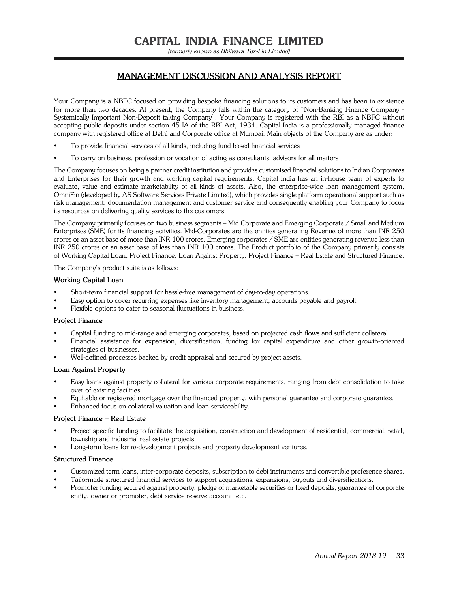(formerly known as Bhilwara Tex-Fin Limited)

#### **MANAGEMENT DISCUSSION AND ANALYSIS REPORT**

Your Company is a NBFC focused on providing bespoke financing solutions to its customers and has been in existence for more than two decades. At present, the Company falls within the category of "Non-Banking Finance Company - Systemically Important Non-Deposit taking Company". Your Company is registered with the RBI as a NBFC without accepting public deposits under section 45 IA of the RBI Act, 1934. Capital India is a professionally managed finance company with registered office at Delhi and Corporate office at Mumbai. Main objects of the Company are as under:

- To provide financial services of all kinds, including fund based financial services
- To carry on business, profession or vocation of acting as consultants, advisors for all matters

The Company focuses on being a partner credit institution and provides customised financial solutions to Indian Corporates and Enterprises for their growth and working capital requirements. Capital India has an in-house team of experts to evaluate, value and estimate marketability of all kinds of assets. Also, the enterprise-wide loan management system, OmniFin (developed by AS Software Services Private Limited), which provides single platform operational support such as risk management, documentation management and customer service and consequently enabling your Company to focus its resources on delivering quality services to the customers.

The Company primarily focuses on two business segments – Mid Corporate and Emerging Corporate / Small and Medium Enterprises (SME) for its financing activities. Mid-Corporates are the entities generating Revenue of more than INR 250 crores or an asset base of more than INR 100 crores. Emerging corporates / SME are entities generating revenue less than INR 250 crores or an asset base of less than INR 100 crores. The Product portfolio of the Company primarily consists of Working Capital Loan, Project Finance, Loan Against Property, Project Finance – Real Estate and Structured Finance.

The Company's product suite is as follows:

#### **Working Capital Loan**

- Short-term financial support for hassle-free management of day-to-day operations.
- Easy option to cover recurring expenses like inventory management, accounts payable and payroll.
- Flexible options to cater to seasonal fluctuations in business.

#### **Project Finance**

- Capital funding to mid-range and emerging corporates, based on projected cash flows and sufficient collateral.
- Financial assistance for expansion, diversification, funding for capital expenditure and other growth-oriented strategies of businesses.
- Well-defined processes backed by credit appraisal and secured by project assets.

#### **Loan Against Property**

- Easy loans against property collateral for various corporate requirements, ranging from debt consolidation to take over of existing facilities.
- Equitable or registered mortgage over the financed property, with personal guarantee and corporate guarantee.
- Enhanced focus on collateral valuation and loan serviceability.

#### **Project Finance – Real Estate**

- Project-specific funding to facilitate the acquisition, construction and development of residential, commercial, retail, township and industrial real estate projects.
- Long-term loans for re-development projects and property development ventures.

#### **Structured Finance**

- Customized term loans, inter-corporate deposits, subscription to debt instruments and convertible preference shares.
- Tailormade structured financial services to support acquisitions, expansions, buyouts and diversifications.
- Promoter funding secured against property, pledge of marketable securities or fixed deposits, guarantee of corporate entity, owner or promoter, debt service reserve account, etc.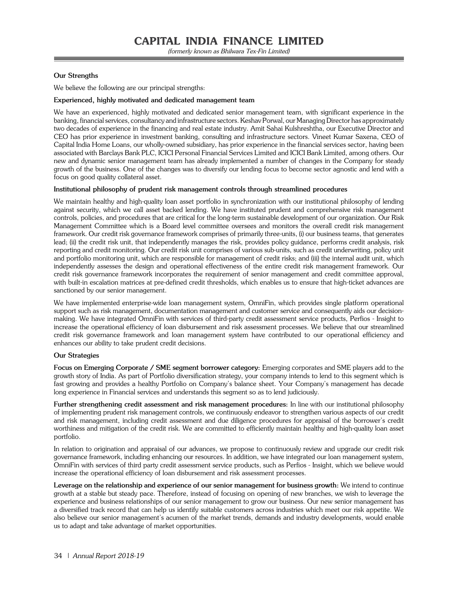#### **Our Strengths**

We believe the following are our principal strengths:

#### **Experienced, highly motivated and dedicated management team**

We have an experienced, highly motivated and dedicated senior management team, with significant experience in the banking, financial services, consultancy and infrastructure sectors. Keshav Porwal, our Managing Director has approximately two decades of experience in the financing and real estate industry. Amit Sahai Kulshreshtha, our Executive Director and CEO has prior experience in investment banking, consulting and infrastructure sectors. Vineet Kumar Saxena, CEO of Capital India Home Loans, our wholly-owned subsidiary, has prior experience in the financial services sector, having been associated with Barclays Bank PLC, ICICI Personal Financial Services Limited and ICICI Bank Limited, among others. Our new and dynamic senior management team has already implemented a number of changes in the Company for steady growth of the business. One of the changes was to diversify our lending focus to become sector agnostic and lend with a focus on good quality collateral asset.

#### **Institutional philosophy of prudent risk management controls through streamlined procedures**

We maintain healthy and high-quality loan asset portfolio in synchronization with our institutional philosophy of lending against security, which we call asset backed lending. We have instituted prudent and comprehensive risk management controls, policies, and procedures that are critical for the long-term sustainable development of our organization. Our Risk Management Committee which is a Board level committee oversees and monitors the overall credit risk management framework. Our credit risk governance framework comprises of primarily three-units, (i) our business teams, that generates lead; (ii) the credit risk unit, that independently manages the risk, provides policy guidance, performs credit analysis, risk reporting and credit monitoring. Our credit risk unit comprises of various sub-units, such as credit underwriting, policy unit and portfolio monitoring unit, which are responsible for management of credit risks; and (iii) the internal audit unit, which independently assesses the design and operational effectiveness of the entire credit risk management framework. Our credit risk governance framework incorporates the requirement of senior management and credit committee approval, with built-in escalation matrices at pre-defined credit thresholds, which enables us to ensure that high-ticket advances are sanctioned by our senior management.

We have implemented enterprise-wide loan management system, OmniFin, which provides single platform operational support such as risk management, documentation management and customer service and consequently aids our decisionmaking. We have integrated OmniFin with services of third-party credit assessment service products, Perfios - Insight to increase the operational efficiency of loan disbursement and risk assessment processes. We believe that our streamlined credit risk governance framework and loan management system have contributed to our operational efficiency and enhances our ability to take prudent credit decisions.

#### **Our Strategies**

**Focus on Emerging Corporate / SME segment borrower category:** Emerging corporates and SME players add to the growth story of India. As part of Portfolio diversification strategy, your company intends to lend to this segment which is fast growing and provides a healthy Portfolio on Company's balance sheet. Your Company's management has decade long experience in Financial services and understands this segment so as to lend judiciously.

**Further strengthening credit assessment and risk management procedures:** In line with our institutional philosophy of implementing prudent risk management controls, we continuously endeavor to strengthen various aspects of our credit and risk management, including credit assessment and due diligence procedures for appraisal of the borrower's credit worthiness and mitigation of the credit risk. We are committed to efficiently maintain healthy and high-quality loan asset portfolio.

In relation to origination and appraisal of our advances, we propose to continuously review and upgrade our credit risk governance framework, including enhancing our resources. In addition, we have integrated our loan management system, OmniFin with services of third party credit assessment service products, such as Perfios - Insight, which we believe would increase the operational efficiency of loan disbursement and risk assessment processes.

**Leverage on the relationship and experience of our senior management for business growth:** We intend to continue growth at a stable but steady pace. Therefore, instead of focusing on opening of new branches, we wish to leverage the experience and business relationships of our senior management to grow our business. Our new senior management has a diversified track record that can help us identify suitable customers across industries which meet our risk appetite. We also believe our senior management's acumen of the market trends, demands and industry developments, would enable us to adapt and take advantage of market opportunities.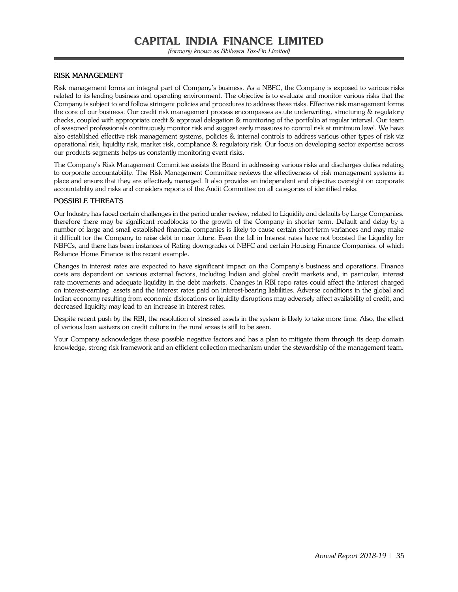(formerly known as Bhilwara Tex-Fin Limited)

#### **RISK MANAGEMENT**

Risk management forms an integral part of Company's business. As a NBFC, the Company is exposed to various risks related to its lending business and operating environment. The objective is to evaluate and monitor various risks that the Company is subject to and follow stringent policies and procedures to address these risks. Effective risk management forms the core of our business. Our credit risk management process encompasses astute underwriting, structuring & regulatory checks, coupled with appropriate credit & approval delegation & monitoring of the portfolio at regular interval. Our team of seasoned professionals continuously monitor risk and suggest early measures to control risk at minimum level. We have also established effective risk management systems, policies & internal controls to address various other types of risk viz operational risk, liquidity risk, market risk, compliance & regulatory risk. Our focus on developing sector expertise across our products segments helps us constantly monitoring event risks.

The Company's Risk Management Committee assists the Board in addressing various risks and discharges duties relating to corporate accountability. The Risk Management Committee reviews the effectiveness of risk management systems in place and ensure that they are effectively managed. It also provides an independent and objective oversight on corporate accountability and risks and considers reports of the Audit Committee on all categories of identified risks.

#### **POSSIBLE THREATS**

Our Industry has faced certain challenges in the period under review, related to Liquidity and defaults by Large Companies, therefore there may be significant roadblocks to the growth of the Company in shorter term. Default and delay by a number of large and small established financial companies is likely to cause certain short-term variances and may make it difficult for the Company to raise debt in near future. Even the fall in Interest rates have not boosted the Liquidity for NBFCs, and there has been instances of Rating downgrades of NBFC and certain Housing Finance Companies, of which Reliance Home Finance is the recent example.

Changes in interest rates are expected to have significant impact on the Company's business and operations. Finance costs are dependent on various external factors, including Indian and global credit markets and, in particular, interest rate movements and adequate liquidity in the debt markets. Changes in RBI repo rates could affect the interest charged on interest-earning assets and the interest rates paid on interest-bearing liabilities. Adverse conditions in the global and Indian economy resulting from economic dislocations or liquidity disruptions may adversely affect availability of credit, and decreased liquidity may lead to an increase in interest rates.

Despite recent push by the RBI, the resolution of stressed assets in the system is likely to take more time. Also, the effect of various loan waivers on credit culture in the rural areas is still to be seen.

Your Company acknowledges these possible negative factors and has a plan to mitigate them through its deep domain knowledge, strong risk framework and an efficient collection mechanism under the stewardship of the management team.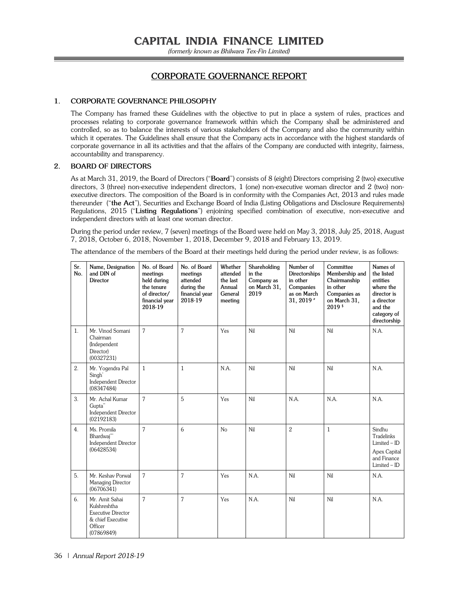(formerly known as Bhilwara Tex-Fin Limited)

## **CORPORATE GOVERNANCE REPORT**

#### **1. CORPORATE GOVERNANCE PHILOSOPHY**

The Company has framed these Guidelines with the objective to put in place a system of rules, practices and processes relating to corporate governance framework within which the Company shall be administered and controlled, so as to balance the interests of various stakeholders of the Company and also the community within which it operates. The Guidelines shall ensure that the Company acts in accordance with the highest standards of corporate governance in all its activities and that the affairs of the Company are conducted with integrity, fairness, accountability and transparency.

#### **2. BOARD OF DIRECTORS**

As at March 31, 2019, the Board of Directors ("**Board**") consists of 8 (eight) Directors comprising 2 (two) executive directors, 3 (three) non-executive independent directors, 1 (one) non-executive woman director and 2 (two) nonexecutive directors. The composition of the Board is in conformity with the Companies Act, 2013 and rules made thereunder ("**the Act**"), Securities and Exchange Board of India (Listing Obligations and Disclosure Requirements) Regulations, 2015 ("**Listing Regulations**") enjoining specified combination of executive, non-executive and independent directors with at least one woman director.

During the period under review, 7 (seven) meetings of the Board were held on May 3, 2018, July 25, 2018, August 7, 2018, October 6, 2018, November 1, 2018, December 9, 2018 and February 13, 2019.

The attendance of the members of the Board at their meetings held during the period under review, is as follows:

| Sr.<br>No. | Name, Designation<br>and DIN of<br>Director                                                        | No. of Board<br>meetings<br>held during<br>the tenure<br>of director/<br>financial year<br>2018-19 | No. of Board<br>meetings<br>attended<br>during the<br>financial year<br>2018-19 | Whether<br>attended<br>the last<br>Annual<br>General<br>meeting | Shareholding<br>in the<br>Company as<br>on March 31,<br>2019 | Number of<br>Directorships<br>in other<br>Companies<br>as on March<br>31, 2019 * | Committee<br>Membership and<br>Chairmanship<br>in other<br>Companies as<br>on March 31,<br>$2019*$ | Names of<br>the listed<br>entities<br>where the<br>director is<br>a director<br>and the<br>category of<br>directorship |
|------------|----------------------------------------------------------------------------------------------------|----------------------------------------------------------------------------------------------------|---------------------------------------------------------------------------------|-----------------------------------------------------------------|--------------------------------------------------------------|----------------------------------------------------------------------------------|----------------------------------------------------------------------------------------------------|------------------------------------------------------------------------------------------------------------------------|
| 1.         | Mr. Vinod Somani<br>Chairman<br>(Independent<br>Director)<br>(00327231)                            | $\overline{7}$                                                                                     | $\overline{7}$                                                                  | Yes                                                             | Nil                                                          | Nil                                                                              | Nil                                                                                                | N.A.                                                                                                                   |
| 2.         | Mr. Yogendra Pal<br>Singh <sup>*</sup><br><b>Independent Director</b><br>(08347484)                | $\mathbf{1}$                                                                                       | $\mathbf{1}$                                                                    | N.A.                                                            | Nil                                                          | Nil                                                                              | Nil                                                                                                | N.A.                                                                                                                   |
| 3.         | Mr. Achal Kumar<br>Gupta"<br><b>Independent Director</b><br>(02192183)                             | $\overline{7}$                                                                                     | 5                                                                               | Yes                                                             | Nil                                                          | N.A.                                                                             | N.A.                                                                                               | N.A.                                                                                                                   |
| 4.         | Ms. Promila<br>Bhardwaj"<br><b>Independent Director</b><br>(06428534)                              | $\overline{7}$                                                                                     | 6                                                                               | N <sub>o</sub>                                                  | Nil                                                          | $\overline{2}$                                                                   | $\mathbf{1}$                                                                                       | Sindhu<br>Tradelinks<br>$Limited - ID$<br>Apex Capital<br>and Finance<br>Limited - ID                                  |
| 5.         | Mr. Keshav Porwal<br>Managing Director<br>(06706341)                                               | $\overline{7}$                                                                                     | $\overline{7}$                                                                  | Yes                                                             | N.A.                                                         | Nil                                                                              | Nil                                                                                                | N.A.                                                                                                                   |
| 6.         | Mr. Amit Sahai<br>Kulshreshtha<br>Executive Director<br>& chief Executive<br>Officer<br>(07869849) | $\overline{7}$                                                                                     | 7                                                                               | Yes                                                             | N.A.                                                         | Nil                                                                              | Nil                                                                                                | N.A.                                                                                                                   |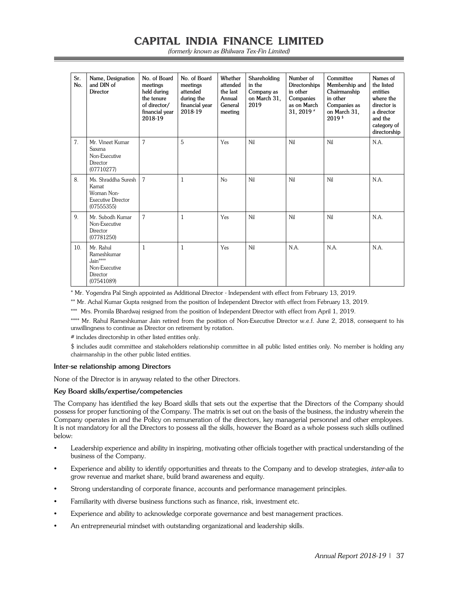| (formerly known as Bhilwara Tex-Fin Limited) |  |
|----------------------------------------------|--|
|----------------------------------------------|--|

| Sr.<br>No. | Name, Designation<br>and DIN of<br>Director                                      | No. of Board<br>meetings<br>held during<br>the tenure<br>of director/<br>financial year<br>2018-19 | No. of Board<br>meetings<br>attended<br>during the<br>financial year<br>2018-19 | Whether<br>attended<br>the last<br>Annual<br>General<br>meeting | Shareholding<br>in the<br>Company as<br>on March 31,<br>2019 | Number of<br>Directorships<br>in other<br>Companies<br>as on March<br>31, 2019 $*$ | Committee<br>Membership and<br>Chairmanship<br>in other<br>Companies as<br>on March 31,<br>$2019*$ | Names of<br>the listed<br>entities<br>where the<br>director is<br>a director<br>and the<br>category of<br>directorship |
|------------|----------------------------------------------------------------------------------|----------------------------------------------------------------------------------------------------|---------------------------------------------------------------------------------|-----------------------------------------------------------------|--------------------------------------------------------------|------------------------------------------------------------------------------------|----------------------------------------------------------------------------------------------------|------------------------------------------------------------------------------------------------------------------------|
| 7.         | Mr. Vineet Kumar<br>Saxena<br>Non-Executive<br>Director<br>(07710277)            | $\overline{7}$                                                                                     | 5                                                                               | Yes                                                             | Nil                                                          | Nil                                                                                | Nil                                                                                                | N.A.                                                                                                                   |
| 8.         | Ms. Shraddha Suresh<br>Kamat<br>Woman Non-<br>Executive Director<br>(07555355)   | 7                                                                                                  | $\mathbf{1}$                                                                    | No                                                              | Nil                                                          | Nil                                                                                | Nil                                                                                                | N.A.                                                                                                                   |
| 9.         | Mr. Subodh Kumar<br>Non-Executive<br>Director<br>(07781250)                      | 7                                                                                                  | $\mathbf{1}$                                                                    | Yes                                                             | Nil                                                          | Nil                                                                                | Nil                                                                                                | N.A.                                                                                                                   |
| 10.        | Mr. Rahul<br>Rameshkumar<br>$Jain***$<br>Non-Executive<br>Director<br>(07541089) | 1                                                                                                  | $\mathbf{1}$                                                                    | Yes                                                             | Nil                                                          | N.A.                                                                               | N.A.                                                                                               | N.A.                                                                                                                   |

\* Mr. Yogendra Pal Singh appointed as Additional Director - Independent with effect from February 13, 2019.

\*\* Mr. Achal Kumar Gupta resigned from the position of Independent Director with effect from February 13, 2019.

\*\*\* Mrs. Promila Bhardwaj resigned from the position of Independent Director with effect from April 1, 2019.

\*\*\*\* Mr. Rahul Rameshkumar Jain retired from the position of Non-Executive Director w.e.f. June 2, 2018, consequent to his unwillingness to continue as Director on retirement by rotation.

# includes directorship in other listed entities only.

\$ includes audit committee and stakeholders relationship committee in all public listed entities only. No member is holding any chairmanship in the other public listed entities.

#### **Inter-se relationship among Directors**

None of the Director is in anyway related to the other Directors.

#### **Key Board skills/expertise/competencies**

The Company has identified the key Board skills that sets out the expertise that the Directors of the Company should possess for proper functioning of the Company. The matrix is set out on the basis of the business, the industry wherein the Company operates in and the Policy on remuneration of the directors, key managerial personnel and other employees. It is not mandatory for all the Directors to possess all the skills, however the Board as a whole possess such skills outlined below:

- Leadership experience and ability in inspiring, motivating other officials together with practical understanding of the business of the Company.
- Experience and ability to identify opportunities and threats to the Company and to develop strategies, inter-alia to grow revenue and market share, build brand awareness and equity.
- Strong understanding of corporate finance, accounts and performance management principles.
- Familiarity with diverse business functions such as finance, risk, investment etc.
- Experience and ability to acknowledge corporate governance and best management practices.
- An entrepreneurial mindset with outstanding organizational and leadership skills.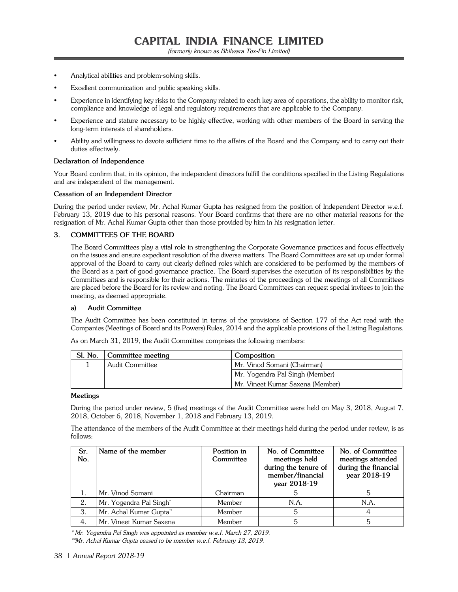- Analytical abilities and problem-solving skills.
- Excellent communication and public speaking skills.
- Experience in identifying key risks to the Company related to each key area of operations, the ability to monitor risk, compliance and knowledge of legal and regulatory requirements that are applicable to the Company.
- Experience and stature necessary to be highly effective, working with other members of the Board in serving the long-term interests of shareholders.
- Ability and willingness to devote sufficient time to the affairs of the Board and the Company and to carry out their duties effectively.

#### **Declaration of Independence**

Your Board confirm that, in its opinion, the independent directors fulfill the conditions specified in the Listing Regulations and are independent of the management.

#### **Cessation of an Independent Director**

During the period under review, Mr. Achal Kumar Gupta has resigned from the position of Independent Director w.e.f. February 13, 2019 due to his personal reasons. Your Board confirms that there are no other material reasons for the resignation of Mr. Achal Kumar Gupta other than those provided by him in his resignation letter.

## **3. COMMITTEES OF THE BOARD**

The Board Committees play a vital role in strengthening the Corporate Governance practices and focus effectively on the issues and ensure expedient resolution of the diverse matters. The Board Committees are set up under formal approval of the Board to carry out clearly defined roles which are considered to be performed by the members of the Board as a part of good governance practice. The Board supervises the execution of its responsibilities by the Committees and is responsible for their actions. The minutes of the proceedings of the meetings of all Committees are placed before the Board for its review and noting. The Board Committees can request special invitees to join the meeting, as deemed appropriate.

#### **a) Audit Committee**

The Audit Committee has been constituted in terms of the provisions of Section 177 of the Act read with the Companies (Meetings of Board and its Powers) Rules, 2014 and the applicable provisions of the Listing Regulations.

| Sl. No.   Committee meeting | Composition                      |
|-----------------------------|----------------------------------|
| Audit Committee             | Mr. Vinod Somani (Chairman)      |
|                             | Mr. Yogendra Pal Singh (Member)  |
|                             | Mr. Vineet Kumar Saxena (Member) |

As on March 31, 2019, the Audit Committee comprises the following members:

#### **Meetings**

During the period under review, 5 (five) meetings of the Audit Committee were held on May 3, 2018, August 7, 2018, October 6, 2018, November 1, 2018 and February 13, 2019.

The attendance of the members of the Audit Committee at their meetings held during the period under review, is as follows:

| Sr.<br>No. | Name of the member                  | Position in<br>Committee | No. of Committee<br>meetings held<br>during the tenure of<br>member/financial<br>year 2018-19 | No. of Committee<br>meetings attended<br>during the financial<br>year 2018-19 |
|------------|-------------------------------------|--------------------------|-----------------------------------------------------------------------------------------------|-------------------------------------------------------------------------------|
|            | Mr. Vinod Somani                    | Chairman                 |                                                                                               |                                                                               |
| 2.         | Mr. Yogendra Pal Singh <sup>*</sup> | Member                   | N.A.                                                                                          | N.A.                                                                          |
| 3.         | Mr. Achal Kumar Gupta**             | Member                   | 5                                                                                             | 4                                                                             |
| 4.         | Mr. Vineet Kumar Saxena             | Member                   |                                                                                               |                                                                               |

\* Mr. Yogendra Pal Singh was appointed as member w.e.f. March 27, 2019.

\*\*Mr. Achal Kumar Gupta ceased to be member w.e.f. February 13, 2019.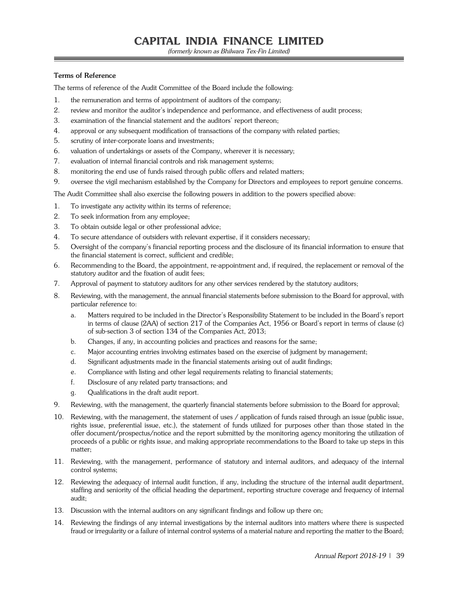(formerly known as Bhilwara Tex-Fin Limited)

## **Terms of Reference**

The terms of reference of the Audit Committee of the Board include the following:

- 1. the remuneration and terms of appointment of auditors of the company;
- 2. review and monitor the auditor's independence and performance, and effectiveness of audit process;
- 3. examination of the financial statement and the auditors' report thereon;
- 4. approval or any subsequent modification of transactions of the company with related parties;
- 5. scrutiny of inter-corporate loans and investments;
- 6. valuation of undertakings or assets of the Company, wherever it is necessary;
- 7. evaluation of internal financial controls and risk management systems;
- 8. monitoring the end use of funds raised through public offers and related matters;
- 9. oversee the vigil mechanism established by the Company for Directors and employees to report genuine concerns.

The Audit Committee shall also exercise the following powers in addition to the powers specified above:

- 1. To investigate any activity within its terms of reference;
- 2. To seek information from any employee;
- 3. To obtain outside legal or other professional advice;
- 4. To secure attendance of outsiders with relevant expertise, if it considers necessary;
- 5. Oversight of the company's financial reporting process and the disclosure of its financial information to ensure that the financial statement is correct, sufficient and credible;
- 6. Recommending to the Board, the appointment, re-appointment and, if required, the replacement or removal of the statutory auditor and the fixation of audit fees;
- 7. Approval of payment to statutory auditors for any other services rendered by the statutory auditors;
- 8. Reviewing, with the management, the annual financial statements before submission to the Board for approval, with particular reference to:
	- a. Matters required to be included in the Director's Responsibility Statement to be included in the Board's report in terms of clause (2AA) of section 217 of the Companies Act, 1956 or Board's report in terms of clause (c) of sub-section 3 of section 134 of the Companies Act, 2013;
	- b. Changes, if any, in accounting policies and practices and reasons for the same;
	- c. Major accounting entries involving estimates based on the exercise of judgment by management;
	- d. Significant adjustments made in the financial statements arising out of audit findings;
	- e. Compliance with listing and other legal requirements relating to financial statements;
	- f. Disclosure of any related party transactions; and
	- g. Qualifications in the draft audit report.
- 9. Reviewing, with the management, the quarterly financial statements before submission to the Board for approval;
- 10. Reviewing, with the management, the statement of uses / application of funds raised through an issue (public issue, rights issue, preferential issue, etc.), the statement of funds utilized for purposes other than those stated in the offer document/prospectus/notice and the report submitted by the monitoring agency monitoring the utilization of proceeds of a public or rights issue, and making appropriate recommendations to the Board to take up steps in this matter;
- 11. Reviewing, with the management, performance of statutory and internal auditors, and adequacy of the internal control systems;
- 12. Reviewing the adequacy of internal audit function, if any, including the structure of the internal audit department, staffing and seniority of the official heading the department, reporting structure coverage and frequency of internal audit;
- 13. Discussion with the internal auditors on any significant findings and follow up there on;
- 14. Reviewing the findings of any internal investigations by the internal auditors into matters where there is suspected fraud or irregularity or a failure of internal control systems of a material nature and reporting the matter to the Board;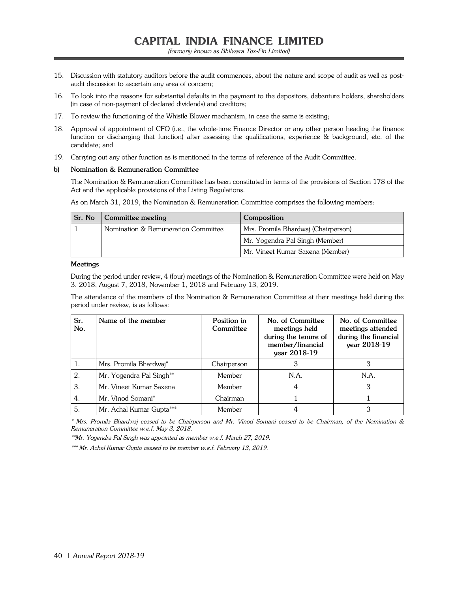- 15. Discussion with statutory auditors before the audit commences, about the nature and scope of audit as well as postaudit discussion to ascertain any area of concern;
- 16. To look into the reasons for substantial defaults in the payment to the depositors, debenture holders, shareholders (in case of non-payment of declared dividends) and creditors;
- 17. To review the functioning of the Whistle Blower mechanism, in case the same is existing;
- 18. Approval of appointment of CFO (i.e., the whole-time Finance Director or any other person heading the finance function or discharging that function) after assessing the qualifications, experience & background, etc. of the candidate; and
- 19. Carrying out any other function as is mentioned in the terms of reference of the Audit Committee.

#### **b) Nomination & Remuneration Committee**

The Nomination & Remuneration Committee has been constituted in terms of the provisions of Section 178 of the Act and the applicable provisions of the Listing Regulations.

As on March 31, 2019, the Nomination & Remuneration Committee comprises the following members:

| Sr. No | Committee meeting                   | Composition                         |
|--------|-------------------------------------|-------------------------------------|
|        | Nomination & Remuneration Committee | Mrs. Promila Bhardwai (Chairperson) |
|        |                                     | Mr. Yogendra Pal Singh (Member)     |
|        |                                     | Mr. Vineet Kumar Saxena (Member)    |

#### **Meetings**

During the period under review, 4 (four) meetings of the Nomination & Remuneration Committee were held on May 3, 2018, August 7, 2018, November 1, 2018 and February 13, 2019.

The attendance of the members of the Nomination & Remuneration Committee at their meetings held during the period under review, is as follows:

| Sr.<br>No. | Name of the member       | Position in<br>Committee | No. of Committee<br>meetings held<br>during the tenure of<br>member/financial<br>year 2018-19 | No. of Committee<br>meetings attended<br>during the financial<br>year 2018-19 |
|------------|--------------------------|--------------------------|-----------------------------------------------------------------------------------------------|-------------------------------------------------------------------------------|
| 1.         | Mrs. Promila Bhardwai*   | Chairperson              | 3                                                                                             | 3                                                                             |
| 2.         | Mr. Yogendra Pal Singh** | Member                   | N.A.                                                                                          | N.A.                                                                          |
| 3.         | Mr. Vineet Kumar Saxena  | Member                   | 4                                                                                             |                                                                               |
| 4.         | Mr. Vinod Somani*        | Chairman                 |                                                                                               |                                                                               |
| 5.         | Mr. Achal Kumar Gupta*** | Member                   |                                                                                               | 3                                                                             |

\* Mrs. Promila Bhardwaj ceased to be Chairperson and Mr. Vinod Somani ceased to be Chairman, of the Nomination & Remuneration Committee w.e.f. May 3, 2018.

\*\*Mr. Yogendra Pal Singh was appointed as member w.e.f. March 27, 2019.

\*\*\* Mr. Achal Kumar Gupta ceased to be member w.e.f. February 13, 2019.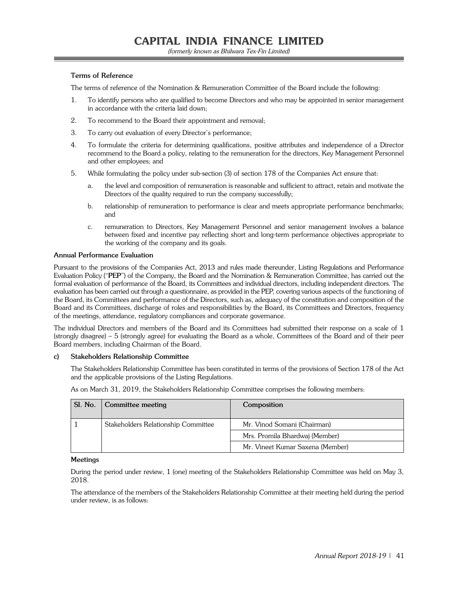#### **Terms of Reference**

The terms of reference of the Nomination & Remuneration Committee of the Board include the following:

- 1. To identify persons who are qualified to become Directors and who may be appointed in senior management in accordance with the criteria laid down;
- 2. To recommend to the Board their appointment and removal;
- 3. To carry out evaluation of every Director's performance;
- 4. To formulate the criteria for determining qualifications, positive attributes and independence of a Director recommend to the Board a policy, relating to the remuneration for the directors, Key Management Personnel and other employees; and
- 5. While formulating the policy under sub-section (3) of section 178 of the Companies Act ensure that:
	- a. the level and composition of remuneration is reasonable and sufficient to attract, retain and motivate the Directors of the quality required to run the company successfully;
	- b. relationship of remuneration to performance is clear and meets appropriate performance benchmarks; and
	- c. remuneration to Directors, Key Management Personnel and senior management involves a balance between fixed and incentive pay reflecting short and long-term performance objectives appropriate to the working of the company and its goals.

#### **Annual Performance Evaluation**

Pursuant to the provisions of the Companies Act, 2013 and rules made thereunder, Listing Regulations and Performance Evaluation Policy ("**PEP**") of the Company, the Board and the Nomination & Remuneration Committee, has carried out the formal evaluation of performance of the Board, its Committees and individual directors, including independent directors. The evaluation has been carried out through a questionnaire, as provided in the PEP, covering various aspects of the functioning of the Board, its Committees and performance of the Directors, such as, adequacy of the constitution and composition of the Board and its Committees, discharge of roles and responsibilities by the Board, its Committees and Directors, frequency of the meetings, attendance, regulatory compliances and corporate governance.

The individual Directors and members of the Board and its Committees had submitted their response on a scale of 1 (strongly disagree) – 5 (strongly agree) for evaluating the Board as a whole, Committees of the Board and of their peer Board members, including Chairman of the Board.

#### **c) Stakeholders Relationship Committee**

The Stakeholders Relationship Committee has been constituted in terms of the provisions of Section 178 of the Act and the applicable provisions of the Listing Regulations.

As on March 31, 2019, the Stakeholders Relationship Committee comprises the following members:

| SI. No. | Committee meeting                   | Composition                      |
|---------|-------------------------------------|----------------------------------|
|         | Stakeholders Relationship Committee | Mr. Vinod Somani (Chairman)      |
|         |                                     | Mrs. Promila Bhardwaj (Member)   |
|         |                                     | Mr. Vineet Kumar Saxena (Member) |

#### **Meetings**

During the period under review, 1 (one) meeting of the Stakeholders Relationship Committee was held on May 3, 2018.

The attendance of the members of the Stakeholders Relationship Committee at their meeting held during the period under review, is as follows: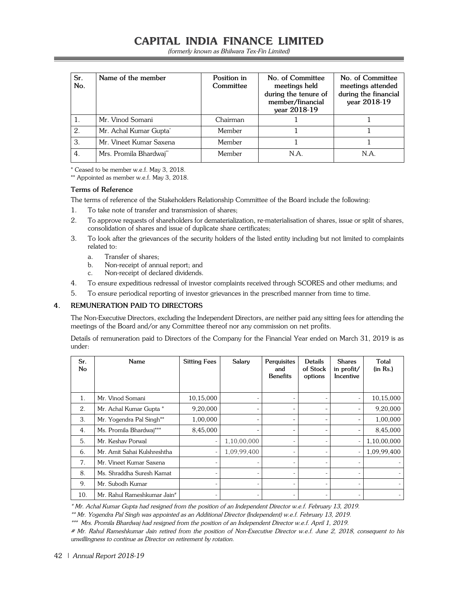(formerly known as Bhilwara Tex-Fin Limited)

| Sr.<br>No. | Name of the member                 | Position in<br>Committee | No. of Committee<br>meetings held<br>during the tenure of<br>member/financial<br>year 2018-19 | No. of Committee<br>meetings attended<br>during the financial<br>year 2018-19 |
|------------|------------------------------------|--------------------------|-----------------------------------------------------------------------------------------------|-------------------------------------------------------------------------------|
|            | Mr. Vinod Somani                   | Chairman                 |                                                                                               |                                                                               |
| 2.         | Mr. Achal Kumar Gupta <sup>*</sup> | Member                   |                                                                                               |                                                                               |
| 3.         | Mr. Vineet Kumar Saxena            | Member                   |                                                                                               |                                                                               |
| 4.         | Mrs. Promila Bhardwai**            | Member                   | N.A.                                                                                          | N.A.                                                                          |

\* Ceased to be member w.e.f. May 3, 2018.

\*\* Appointed as member w.e.f. May 3, 2018.

### **Terms of Reference**

The terms of reference of the Stakeholders Relationship Committee of the Board include the following:

- 1. To take note of transfer and transmission of shares;
- 2. To approve requests of shareholders for dematerialization, re-materialisation of shares, issue or split of shares, consolidation of shares and issue of duplicate share certificates;
- 3. To look after the grievances of the security holders of the listed entity including but not limited to complaints related to:
	- a. Transfer of shares;
	- b. Non-receipt of annual report; and
	- c. Non-receipt of declared dividends.
- 4. To ensure expeditious redressal of investor complaints received through SCORES and other mediums; and
- 5. To ensure periodical reporting of investor grievances in the prescribed manner from time to time.

## **4. REMUNERATION PAID TO DIRECTORS**

The Non-Executive Directors, excluding the Independent Directors, are neither paid any sitting fees for attending the meetings of the Board and/or any Committee thereof nor any commission on net profits.

Details of remuneration paid to Directors of the Company for the Financial Year ended on March 31, 2019 is as under:

| Sr.<br>No      | Name                                    | <b>Sitting Fees</b>      | Salary                   | Perquisites<br>and<br><b>Benefits</b> | Details<br>of Stock<br>options | <b>Shares</b><br>in profit/<br>Incentive | Total<br>(in Rs.) |
|----------------|-----------------------------------------|--------------------------|--------------------------|---------------------------------------|--------------------------------|------------------------------------------|-------------------|
| $\mathbf{1}$ . | Mr. Vinod Somani                        | 10,15,000                |                          |                                       |                                | $\overline{\phantom{0}}$                 | 10,15,000         |
| 2.             | Mr. Achal Kumar Gupta *                 | 9,20,000                 |                          |                                       |                                |                                          | 9,20,000          |
| 3.             | Mr. Yogendra Pal Singh**                | 1,00,000                 | ۰                        |                                       |                                | -                                        | 1,00,000          |
| 4.             | Ms. Promila Bhardwaj***                 | 8,45,000                 |                          |                                       |                                | -                                        | 8,45,000          |
| 5.             | Mr. Keshav Porwal                       | $\qquad \qquad -$        | 1,10,00,000              |                                       |                                | $\overline{\phantom{a}}$                 | 1,10,00,000       |
| 6.             | Mr. Amit Sahai Kulshreshtha             | $\overline{\phantom{0}}$ | 1,09,99,400              | $\overline{\phantom{0}}$              | $\overline{\phantom{0}}$       | $\overline{\phantom{a}}$                 | 1,09,99,400       |
| 7.             | Mr. Vineet Kumar Saxena                 |                          |                          |                                       | $\overline{a}$                 |                                          |                   |
| 8.             | Ms. Shraddha Suresh Kamat               | $\overline{a}$           | $\overline{\phantom{0}}$ | $\overline{\phantom{0}}$              | $\overline{\phantom{a}}$       |                                          |                   |
| 9.             | Mr. Subodh Kumar                        | $\overline{a}$           |                          |                                       |                                | $\overline{\phantom{a}}$                 |                   |
| 10.            | Mr. Rahul Rameshkumar Jain <sup>#</sup> |                          |                          |                                       |                                |                                          |                   |

\* Mr. Achal Kumar Gupta had resigned from the position of an Independent Director w.e.f. February 13, 2019.

\*\* Mr. Yogendra Pal Singh was appointed as an Additional Director (Independent) w.e.f. February 13, 2019.

\*\*\* Mrs. Promila Bhardwaj had resigned from the position of an Independent Director w.e.f. April 1, 2019.

# Mr. Rahul Rameshkumar Jain retired from the position of Non-Executive Director w.e.f. June 2, 2018, consequent to his unwillingness to continue as Director on retirement by rotation.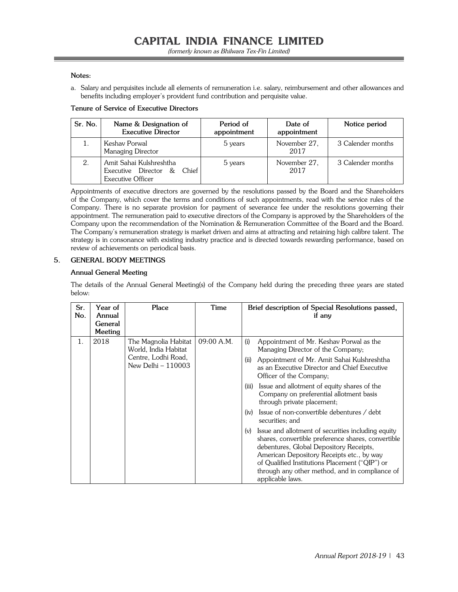#### **Notes:**

a. Salary and perquisites include all elements of remuneration i.e. salary, reimbursement and other allowances and benefits including employer's provident fund contribution and perquisite value.

#### **Tenure of Service of Executive Directors**

| Sr. No. | Name & Designation of<br><b>Executive Director</b>                            | Period of<br>appointment | Date of<br>appointment | Notice period     |
|---------|-------------------------------------------------------------------------------|--------------------------|------------------------|-------------------|
|         | Keshav Porwal<br>Managing Director                                            | 5 years                  | November 27.<br>2017   | 3 Calender months |
|         | Amit Sahai Kulshreshtha<br>Executive Director &<br>Chief<br>Executive Officer | 5 years                  | November 27.<br>2017   | 3 Calender months |

Appointments of executive directors are governed by the resolutions passed by the Board and the Shareholders of the Company, which cover the terms and conditions of such appointments, read with the service rules of the Company. There is no separate provision for payment of severance fee under the resolutions governing their appointment. The remuneration paid to executive directors of the Company is approved by the Shareholders of the Company upon the recommendation of the Nomination & Remuneration Committee of the Board and the Board. The Company's remuneration strategy is market driven and aims at attracting and retaining high calibre talent. The strategy is in consonance with existing industry practice and is directed towards rewarding performance, based on review of achievements on periodical basis.

#### **5. GENERAL BODY MEETINGS**

#### **Annual General Meeting**

The details of the Annual General Meeting(s) of the Company held during the preceding three years are stated below:

| Sr.<br>No. | Year of<br>Annual<br>General<br>Meeting | Place                                                                                     | Time       | Brief description of Special Resolutions passed,<br>if any                                                                                                                                                                                                                                                                                                                                                                                                                                                                                                                                                                                                                                                                                                        |
|------------|-----------------------------------------|-------------------------------------------------------------------------------------------|------------|-------------------------------------------------------------------------------------------------------------------------------------------------------------------------------------------------------------------------------------------------------------------------------------------------------------------------------------------------------------------------------------------------------------------------------------------------------------------------------------------------------------------------------------------------------------------------------------------------------------------------------------------------------------------------------------------------------------------------------------------------------------------|
| 1.         | 2018                                    | The Magnolia Habitat<br>World, India Habitat<br>Centre, Lodhi Road,<br>New Delhi - 110003 | 09:00 A.M. | (i)<br>Appointment of Mr. Keshav Porwal as the<br>Managing Director of the Company;<br>Appointment of Mr. Amit Sahai Kulshreshtha<br>(ii)<br>as an Executive Director and Chief Executive<br>Officer of the Company;<br>Issue and allotment of equity shares of the<br>(iii)<br>Company on preferential allotment basis<br>through private placement;<br>Issue of non-convertible debentures / debt<br>(iv)<br>securities; and<br>Issue and allotment of securities including equity<br>(v)<br>shares, convertible preference shares, convertible<br>debentures, Global Depository Receipts,<br>American Depository Receipts etc., by way<br>of Qualified Institutions Placement ("QIP") or<br>through any other method, and in compliance of<br>applicable laws. |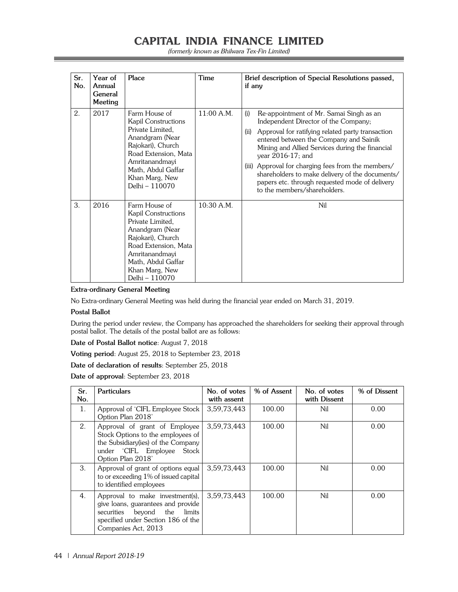(formerly known as Bhilwara Tex-Fin Limited)

| Sr.<br>No. | Year of<br>Annual<br>General<br>Meeting | Place                                                                                                                                                                                                | Time         | Brief description of Special Resolutions passed,<br>if any                                                                                                                                                                                                                                                                                                                                                                                                      |
|------------|-----------------------------------------|------------------------------------------------------------------------------------------------------------------------------------------------------------------------------------------------------|--------------|-----------------------------------------------------------------------------------------------------------------------------------------------------------------------------------------------------------------------------------------------------------------------------------------------------------------------------------------------------------------------------------------------------------------------------------------------------------------|
| 2.         | 2017                                    | Farm House of<br>Kapil Constructions<br>Private Limited,<br>Anandgram (Near<br>Rajokari), Church<br>Road Extension, Mata<br>Amritanandmayi<br>Math, Abdul Gaffar<br>Khan Marg, New<br>Delhi - 110070 | $11:00$ A.M. | Re-appointment of Mr. Samai Singh as an<br>(i)<br>Independent Director of the Company;<br>Approval for ratifying related party transaction<br>(ii)<br>entered between the Company and Sainik<br>Mining and Allied Services during the financial<br>year 2016-17; and<br>(iii) Approval for charging fees from the members/<br>shareholders to make delivery of the documents/<br>papers etc. through requested mode of delivery<br>to the members/shareholders. |
| 3.         | 2016                                    | Farm House of<br>Kapil Constructions<br>Private Limited,<br>Anandgram (Near<br>Rajokari), Church<br>Road Extension, Mata<br>Amritanandmayi<br>Math, Abdul Gaffar<br>Khan Marg, New<br>Delhi – 110070 | $10:30$ A.M. | Nil                                                                                                                                                                                                                                                                                                                                                                                                                                                             |

#### **Extra-ordinary General Meeting**

No Extra-ordinary General Meeting was held during the financial year ended on March 31, 2019.

#### **Postal Ballot**

During the period under review, the Company has approached the shareholders for seeking their approval through postal ballot. The details of the postal ballot are as follows:

**Date of Postal Ballot notice**: August 7, 2018

**Voting period**: August 25, 2018 to September 23, 2018

**Date of declaration of results**: September 25, 2018

**Date of approval**: September 23, 2018

| Sr.<br>No. | <b>Particulars</b>                                                                                                                                                       | No. of votes<br>with assent | % of Assent | No. of votes<br>with Dissent | % of Dissent |
|------------|--------------------------------------------------------------------------------------------------------------------------------------------------------------------------|-----------------------------|-------------|------------------------------|--------------|
| 1.         | Approval of 'CIFL Employee Stock<br>Option Plan 2018'                                                                                                                    | 3,59,73,443                 | 100.00      | Nil                          | 0.00         |
| 2.         | Approval of grant of Employee<br>Stock Options to the employees of<br>the Subsidiary (ies) of the Company<br>under 'CIFL Employee Stock<br>Option Plan 2018'             | 3,59,73,443                 | 100.00      | Nil                          | 0.00         |
| 3.         | Approval of grant of options equal<br>to or exceeding 1% of issued capital<br>to identified employees                                                                    | 3,59,73,443                 | 100.00      | Nil                          | 0.00         |
| 4.         | Approval to make investment(s),<br>give loans, guarantees and provide<br>beyond the<br>limits<br>securities<br>specified under Section 186 of the<br>Companies Act, 2013 | 3.59.73.443                 | 100.00      | Nil                          | 0.00         |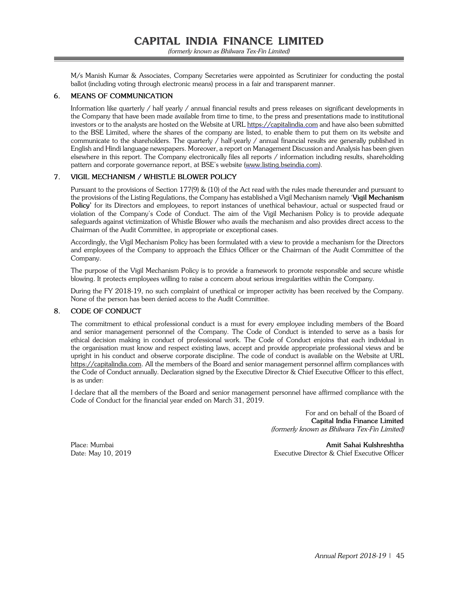M/s Manish Kumar & Associates, Company Secretaries were appointed as Scrutinizer for conducting the postal ballot (including voting through electronic means) process in a fair and transparent manner.

### **6. MEANS OF COMMUNICATION**

Information like quarterly / half yearly / annual financial results and press releases on significant developments in the Company that have been made available from time to time, to the press and presentations made to institutional investors or to the analysts are hosted on the Website at URL https://capitalindia.com and have also been submitted to the BSE Limited, where the shares of the company are listed, to enable them to put them on its website and communicate to the shareholders. The quarterly / half-yearly / annual financial results are generally published in English and Hindi language newspapers. Moreover, a report on Management Discussion and Analysis has been given elsewhere in this report. The Company electronically files all reports / information including results, shareholding pattern and corporate governance report, at BSE's website (www.listing.bseindia.com).

### **7. VIGIL MECHANISM / WHISTLE BLOWER POLICY**

Pursuant to the provisions of Section 177(9) & (10) of the Act read with the rules made thereunder and pursuant to the provisions of the Listing Regulations, the Company has established a Vigil Mechanism namely '**Vigil Mechanism Policy'** for its Directors and employees, to report instances of unethical behaviour, actual or suspected fraud or violation of the Company's Code of Conduct. The aim of the Vigil Mechanism Policy is to provide adequate safeguards against victimization of Whistle Blower who avails the mechanism and also provides direct access to the Chairman of the Audit Committee, in appropriate or exceptional cases.

Accordingly, the Vigil Mechanism Policy has been formulated with a view to provide a mechanism for the Directors and employees of the Company to approach the Ethics Officer or the Chairman of the Audit Committee of the Company.

The purpose of the Vigil Mechanism Policy is to provide a framework to promote responsible and secure whistle blowing. It protects employees willing to raise a concern about serious irregularities within the Company.

During the FY 2018-19, no such complaint of unethical or improper activity has been received by the Company. None of the person has been denied access to the Audit Committee.

#### **8. CODE OF CONDUCT**

The commitment to ethical professional conduct is a must for every employee including members of the Board and senior management personnel of the Company. The Code of Conduct is intended to serve as a basis for ethical decision making in conduct of professional work. The Code of Conduct enjoins that each individual in the organisation must know and respect existing laws, accept and provide appropriate professional views and be upright in his conduct and observe corporate discipline. The code of conduct is available on the Website at URL https://capitalindia.com. All the members of the Board and senior management personnel affirm compliances with the Code of Conduct annually. Declaration signed by the Executive Director & Chief Executive Officer to this effect, is as under:

I declare that all the members of the Board and senior management personnel have affirmed compliance with the Code of Conduct for the financial year ended on March 31, 2019.

> For and on behalf of the Board of **Capital India Finance Limited** (formerly known as Bhilwara Tex-Fin Limited)

Place: Mumbai **Amit Sahai Kulshreshtha** Date: May 10, 2019 Executive Director & Chief Executive Officer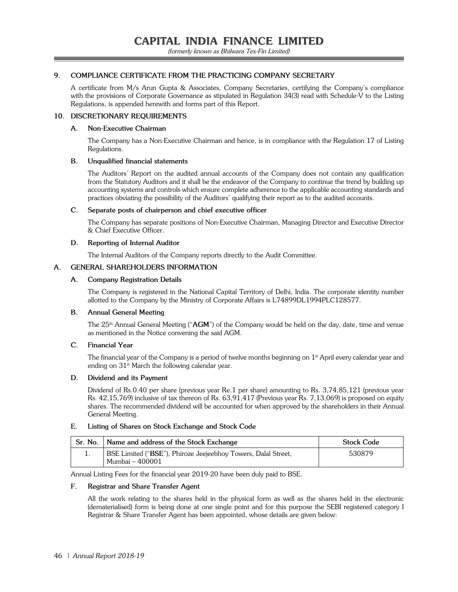### **9. COMPLIANCE CERTIFICATE FROM THE PRACTICING COMPANY SECRETARY**

A certificate from M/s Arun Gupta & Associates, Company Secretaries, certifying the Company's compliance with the provisions of Corporate Governance as stipulated in Regulation 34(3) read with Schedule-V to the Listing Regulations, is appended herewith and forms part of this Report.

#### **10. DISCRETIONARY REQUIREMENTS**

#### **A. Non-Executive Chairman**

 The Company has a Non-Executive Chairman and hence, is in compliance with the Regulation 17 of Listing Regulations.

## **B. Unqualified financial statements**

The Auditors' Report on the audited annual accounts of the Company does not contain any qualification from the Statutory Auditors and it shall be the endeavor of the Company to continue the trend by building up accounting systems and controls which ensure complete adherence to the applicable accounting standards and practices obviating the possibility of the Auditors' qualifying their report as to the audited accounts.

#### **C. Separate posts of chairperson and chief executive officer**

 The Company has separate positions of Non-Executive Chairman, Managing Director and Executive Director & Chief Executive Officer.

### **D. Reporting of Internal Auditor**

The Internal Auditors of the Company reports directly to the Audit Committee.

## **A. GENERAL SHAREHOLDERS INFORMATION**

### **A. Company Registration Details**

The Company is registered in the National Capital Territory of Delhi, India. The corporate identity number allotted to the Company by the Ministry of Corporate Affairs is L74899DL1994PLC128577.

#### **B. Annual General Meeting**

The 25th Annual General Meeting ("**AGM**") of the Company would be held on the day, date, time and venue as mentioned in the Notice convening the said AGM.

#### **C. Financial Year**

The financial year of the Company is a period of twelve months beginning on 1<sup>st</sup> April every calendar year and ending on  $31<sup>st</sup>$  March the following calendar year.

#### **D. Dividend and its Payment**

Dividend of Rs.0.40 per share (previous year Re.1 per share) amounting to Rs. 3,74,85,121 (previous year Rs. 42,15,769) inclusive of tax thereon of Rs. 63,91,417 (Previous year Rs. 7,13,069) is proposed on equity shares. The recommended dividend will be accounted for when approved by the shareholders in their Annual General Meeting.

#### **E. Listing of Shares on Stock Exchange and Stock Code**

| Sr. No.   Name and address of the Stock Exchange                                   | <b>Stock Code</b> |
|------------------------------------------------------------------------------------|-------------------|
| BSE Limited ("BSE"), Phiroze Jeejeebhoy Towers, Dalal Street,<br>  Mumbai – 400001 | 530879            |

Annual Listing Fees for the financial year 2019-20 have been duly paid to BSE.

## **F. Registrar and Share Transfer Agent**

All the work relating to the shares held in the physical form as well as the shares held in the electronic (dematerialised) form is being done at one single point and for this purpose the SEBI registered category I Registrar & Share Transfer Agent has been appointed, whose details are given below: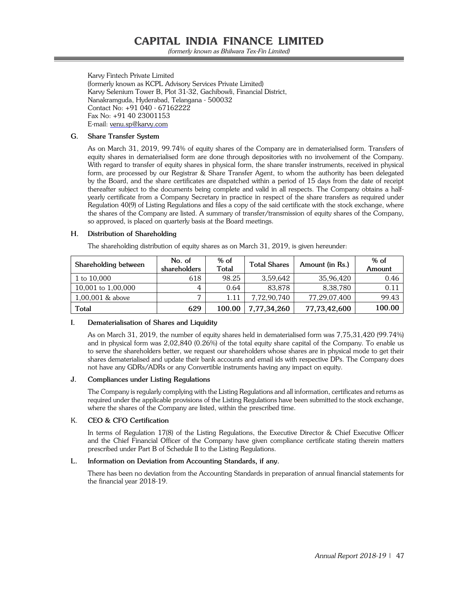(formerly known as Bhilwara Tex-Fin Limited)

 Karvy Fintech Private Limited (formerly known as KCPL Advisory Services Private Limited) Karvy Selenium Tower B, Plot 31-32, Gachibowli, Financial District, Nanakramguda, Hyderabad, Telangana - 500032 Contact No: +91 040 - 67162222 Fax No: +91 40 23001153 E-mail: venu.sp@karvy.com

### **G. Share Transfer System**

As on March 31, 2019, 99.74% of equity shares of the Company are in dematerialised form. Transfers of equity shares in dematerialised form are done through depositories with no involvement of the Company. With regard to transfer of equity shares in physical form, the share transfer instruments, received in physical form, are processed by our Registrar & Share Transfer Agent, to whom the authority has been delegated by the Board, and the share certificates are dispatched within a period of 15 days from the date of receipt thereafter subject to the documents being complete and valid in all respects. The Company obtains a halfyearly certificate from a Company Secretary in practice in respect of the share transfers as required under Regulation 40(9) of Listing Regulations and files a copy of the said certificate with the stock exchange, where the shares of the Company are listed. A summary of transfer/transmission of equity shares of the Company, so approved, is placed on quarterly basis at the Board meetings.

### **H. Distribution of Shareholding**

The shareholding distribution of equity shares as on March 31, 2019, is given hereunder:

| Shareholding between | No. of<br>shareholders | $%$ of<br><b>Total</b> | <b>Total Shares</b> | Amount (in Rs.) | $%$ of<br>Amount |
|----------------------|------------------------|------------------------|---------------------|-----------------|------------------|
| 1 to 10,000          | 618                    | 98.25                  | 3.59.642            | 35.96.420       | 0.46             |
| 10,001 to 1,00,000   | 4                      | 0.64                   | 83.878              | 8.38.780        | 0.11             |
| $1,00,001$ & above   |                        | 1.11                   | 7.72.90.740         | 77.29.07.400    | 99.43            |
| <b>Total</b>         | 629                    | 100.00                 | 7,77,34,260         | 77,73,42,600    | 100.00           |

#### **I. Dematerialisation of Shares and Liquidity**

As on March 31, 2019, the number of equity shares held in dematerialised form was 7,75,31,420 (99.74%) and in physical form was 2,02,840 (0.26%) of the total equity share capital of the Company. To enable us to serve the shareholders better, we request our shareholders whose shares are in physical mode to get their shares dematerialised and update their bank accounts and email ids with respective DPs. The Company does not have any GDRs/ADRs or any Convertible instruments having any impact on equity.

#### **J. Compliances under Listing Regulations**

The Company is regularly complying with the Listing Regulations and all information, certificates and returns as required under the applicable provisions of the Listing Regulations have been submitted to the stock exchange, where the shares of the Company are listed, within the prescribed time.

#### K. **CEO & CFO Certification**

In terms of Regulation 17(8) of the Listing Regulations, the Executive Director & Chief Executive Officer and the Chief Financial Officer of the Company have given compliance certificate stating therein matters prescribed under Part B of Schedule II to the Listing Regulations.

#### **L. Information on Deviation from Accounting Standards, if any.**

There has been no deviation from the Accounting Standards in preparation of annual financial statements for the financial year 2018-19.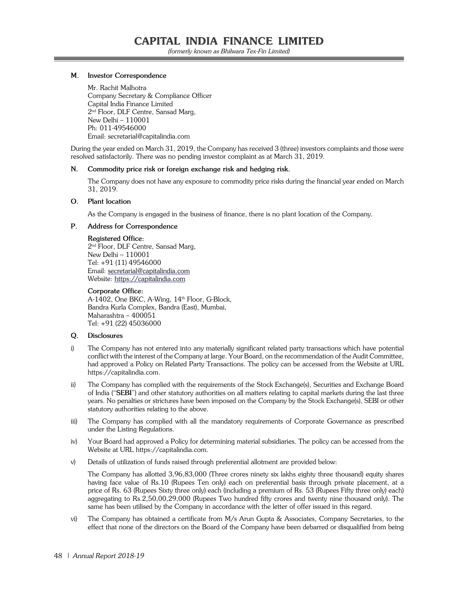(formerly known as Bhilwara Tex-Fin Limited)

#### **M. Investor Correspondence**

Mr. Rachit Malhotra Company Secretary & Compliance Officer Capital India Finance Limited 2nd Floor, DLF Centre, Sansad Marg, New Delhi – 110001 Ph: 011-49546000 Email: secretarial@capitalindia.com

During the year ended on March 31, 2019, the Company has received 3 (three) investors complaints and those were resolved satisfactorily. There was no pending investor complaint as at March 31, 2019.

#### **N. Commodity price risk or foreign exchange risk and hedging risk.**

The Company does not have any exposure to commodity price risks during the financial year ended on March 31, 2019.

#### **O. Plant location**

As the Company is engaged in the business of finance, there is no plant location of the Company.

#### **P. Address for Correspondence**

#### **Registered Office:**

 2nd Floor, DLF Centre, Sansad Marg, New Delhi – 110001 Tel: +91 (11) 49546000 Email: secretarial@capitalindia.com Website: https://capitalindia.com

#### **Corporate Office:**

A-1402, One BKC, A-Wing, 14<sup>th</sup> Floor, G-Block, Bandra Kurla Complex, Bandra (East), Mumbai, Maharashtra – 400051 Tel: +91 (22) 45036000

## **Q. Disclosures**

- i) The Company has not entered into any materially significant related party transactions which have potential conflict with the interest of the Company at large. Your Board, on the recommendation of the Audit Committee, had approved a Policy on Related Party Transactions. The policy can be accessed from the Website at URL https://capitalindia.com.
- ii) The Company has complied with the requirements of the Stock Exchange(s), Securities and Exchange Board of India ("**SEBI**") and other statutory authorities on all matters relating to capital markets during the last three years. No penalties or strictures have been imposed on the Company by the Stock Exchange(s), SEBI or other statutory authorities relating to the above.
- iii) The Company has complied with all the mandatory requirements of Corporate Governance as prescribed under the Listing Regulations.
- iv) Your Board had approved a Policy for determining material subsidiaries. The policy can be accessed from the Website at URL https://capitalindia.com.
- v) Details of utilization of funds raised through preferential allotment are provided below:

 The Company has allotted 3,96,83,000 (Three crores ninety six lakhs eighty three thousand) equity shares having face value of Rs.10 (Rupees Ten only) each on preferential basis through private placement, at a price of Rs. 63 (Rupees Sixty three only) each (including a premium of Rs. 53 (Rupees Fifty three only) each) aggregating to Rs.2,50,00,29,000 (Rupees Two hundred fifty crores and twenty nine thousand only). The same has been utilised by the Company in accordance with the letter of offer issued in this regard.

vi) The Company has obtained a certificate from M/s Arun Gupta & Associates, Company Secretaries, to the effect that none of the directors on the Board of the Company have been debarred or disqualified from being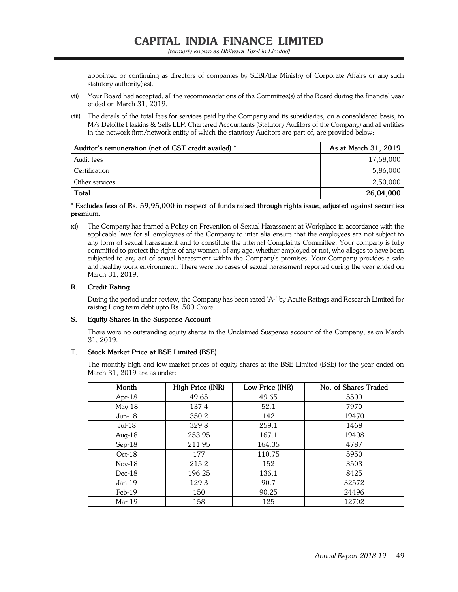appointed or continuing as directors of companies by SEBI/the Ministry of Corporate Affairs or any such statutory authority(ies).

- vii) Your Board had accepted, all the recommendations of the Committee(s) of the Board during the financial year ended on March 31, 2019.
- viii) The details of the total fees for services paid by the Company and its subsidiaries, on a consolidated basis, to M/s Deloitte Haskins & Sells LLP, Chartered Accountants (Statutory Auditors of the Company) and all entities in the network firm/network entity of which the statutory Auditors are part of, are provided below:

| Auditor's remuneration (net of GST credit availed) * | As at March 31, 2019 |
|------------------------------------------------------|----------------------|
| Audit fees                                           | 17,68,000            |
| Certification                                        | 5,86,000             |
| Other services                                       | 2,50,000             |
| <b>Total</b>                                         | 26,04,000            |

## **\* Excludes fees of Rs. 59,95,000 in respect of funds raised through rights issue, adjusted against securities premium.**

**xi)** The Company has framed a Policy on Prevention of Sexual Harassment at Workplace in accordance with the applicable laws for all employees of the Company to inter alia ensure that the employees are not subject to any form of sexual harassment and to constitute the Internal Complaints Committee. Your company is fully committed to protect the rights of any women, of any age, whether employed or not, who alleges to have been subjected to any act of sexual harassment within the Company's premises. Your Company provides a safe and healthy work environment. There were no cases of sexual harassment reported during the year ended on March 31, 2019.

## **R. Credit Rating**

 During the period under review, the Company has been rated 'A-' by Acuite Ratings and Research Limited for raising Long term debt upto Rs. 500 Crore.

## **S. Equity Shares in the Suspense Account**

There were no outstanding equity shares in the Unclaimed Suspense account of the Company, as on March 31, 2019.

## **T. Stock Market Price at BSE Limited (BSE)**

 The monthly high and low market prices of equity shares at the BSE Limited (BSE) for the year ended on March 31, 2019 are as under:

| Month     | High Price (INR) | Low Price (INR) | No. of Shares Traded |
|-----------|------------------|-----------------|----------------------|
| Apr- $18$ | 49.65            | 49.65           | 5500                 |
| $Mav-18$  | 137.4            | 52.1            | 7970                 |
| $Jun-18$  | 350.2            | 142             | 19470                |
| $Jul-18$  | 329.8            | 259.1           | 1468                 |
| Aug- $18$ | 253.95           | 167.1           | 19408                |
| $Sep-18$  | 211.95           | 164.35          | 4787                 |
| $Oct-18$  | 177              | 110.75          | 5950                 |
| $Nov-18$  | 215.2            | 152             | 3503                 |
| $Dec-18$  | 196.25           | 136.1           | 8425                 |
| $Jan-19$  | 129.3            | 90.7            | 32572                |
| $Feb-19$  | 150              | 90.25           | 24496                |
| $Mar-19$  | 158              | 125             | 12702                |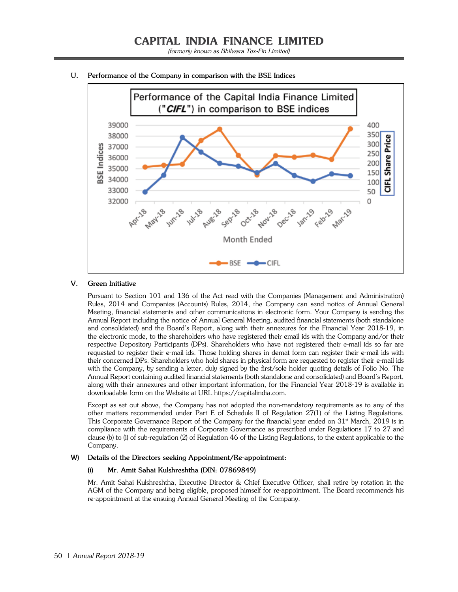

#### **U. Performance of the Company in comparison with the BSE Indices**

#### **V. Green Initiative**

 Pursuant to Section 101 and 136 of the Act read with the Companies (Management and Administration) Rules, 2014 and Companies (Accounts) Rules, 2014, the Company can send notice of Annual General Meeting, financial statements and other communications in electronic form. Your Company is sending the Annual Report including the notice of Annual General Meeting, audited financial statements (both standalone and consolidated) and the Board's Report, along with their annexures for the Financial Year 2018-19, in the electronic mode, to the shareholders who have registered their email ids with the Company and/or their respective Depository Participants (DPs). Shareholders who have not registered their e-mail ids so far are requested to register their e-mail ids. Those holding shares in demat form can register their e-mail ids with their concerned DPs. Shareholders who hold shares in physical form are requested to register their e-mail ids with the Company, by sending a letter, duly signed by the first/sole holder quoting details of Folio No. The Annual Report containing audited financial statements (both standalone and consolidated) and Board's Report, along with their annexures and other important information, for the Financial Year 2018-19 is available in downloadable form on the Website at URL https://capitalindia.com.

 Except as set out above, the Company has not adopted the non-mandatory requirements as to any of the other matters recommended under Part E of Schedule II of Regulation 27(1) of the Listing Regulations. This Corporate Governance Report of the Company for the financial year ended on  $31<sup>st</sup>$  March, 2019 is in compliance with the requirements of Corporate Governance as prescribed under Regulations 17 to 27 and clause (b) to (i) of sub-regulation (2) of Regulation 46 of the Listing Regulations, to the extent applicable to the Company.

#### **W) Details of the Directors seeking Appointment/Re-appointment:**

#### **(i) Mr. Amit Sahai Kulshreshtha (DIN: 07869849)**

 Mr. Amit Sahai Kulshreshtha, Executive Director & Chief Executive Officer, shall retire by rotation in the AGM of the Company and being eligible, proposed himself for re-appointment. The Board recommends his re-appointment at the ensuing Annual General Meeting of the Company.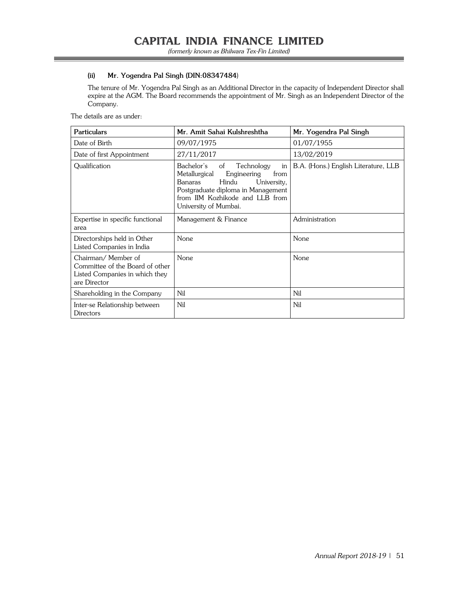## **(ii) Mr. Yogendra Pal Singh (DIN:08347484**)

 The tenure of Mr. Yogendra Pal Singh as an Additional Director in the capacity of Independent Director shall expire at the AGM. The Board recommends the appointment of Mr. Singh as an Independent Director of the Company.

The details are as under:

| <b>Particulars</b>                                                                                      | Mr. Amit Sahai Kulshreshtha                                                                                                                                                                                       | Mr. Yogendra Pal Singh               |
|---------------------------------------------------------------------------------------------------------|-------------------------------------------------------------------------------------------------------------------------------------------------------------------------------------------------------------------|--------------------------------------|
| Date of Birth                                                                                           | 09/07/1975                                                                                                                                                                                                        | 01/07/1955                           |
| Date of first Appointment                                                                               | 27/11/2017                                                                                                                                                                                                        | 13/02/2019                           |
| Qualification                                                                                           | Bachelor's<br>Technology<br>of<br>in<br>Metallurgical<br>from<br>Engineering<br>Hindu<br>Banaras<br>University,<br>Postgraduate diploma in Management<br>from IIM Kozhikode and LLB from<br>University of Mumbai. | B.A. (Hons.) English Literature, LLB |
| Expertise in specific functional<br>area                                                                | Management & Finance                                                                                                                                                                                              | Administration                       |
| Directorships held in Other<br>Listed Companies in India                                                | <b>None</b>                                                                                                                                                                                                       | None                                 |
| Chairman/Member of<br>Committee of the Board of other<br>Listed Companies in which they<br>are Director | <b>None</b>                                                                                                                                                                                                       | <b>None</b>                          |
| Shareholding in the Company                                                                             | Nil                                                                                                                                                                                                               | Nil                                  |
| Inter-se Relationship between<br><b>Directors</b>                                                       | Nil                                                                                                                                                                                                               | Nil                                  |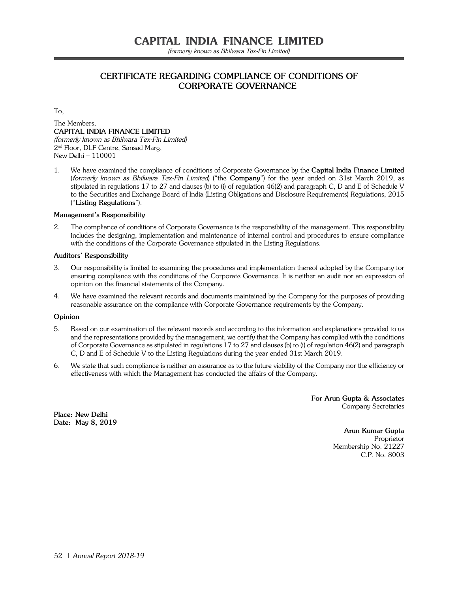(formerly known as Bhilwara Tex-Fin Limited)

# **CERTIFICATE REGARDING COMPLIANCE OF CONDITIONS OF CORPORATE GOVERNANCE**

To,

The Members, **CAPITAL INDIA FINANCE LIMITED** (formerly known as Bhilwara Tex-Fin Limited) 2nd Floor, DLF Centre, Sansad Marg, New Delhi – 110001

1. We have examined the compliance of conditions of Corporate Governance by the **Capital India Finance Limited**  (formerly known as Bhilwara Tex-Fin Limited) ("the **Company**") for the year ended on 31st March 2019, as stipulated in regulations 17 to 27 and clauses (b) to (i) of regulation 46(2) and paragraph C, D and E of Schedule V to the Securities and Exchange Board of India (Listing Obligations and Disclosure Requirements) Regulations, 2015 ("**Listing Regulations**").

#### **Management's Responsibility**

2. The compliance of conditions of Corporate Governance is the responsibility of the management. This responsibility includes the designing, implementation and maintenance of internal control and procedures to ensure compliance with the conditions of the Corporate Governance stipulated in the Listing Regulations.

#### **Auditors' Responsibility**

- 3. Our responsibility is limited to examining the procedures and implementation thereof adopted by the Company for ensuring compliance with the conditions of the Corporate Governance. It is neither an audit nor an expression of opinion on the financial statements of the Company.
- 4. We have examined the relevant records and documents maintained by the Company for the purposes of providing reasonable assurance on the compliance with Corporate Governance requirements by the Company.

#### **Opinion**

- 5. Based on our examination of the relevant records and according to the information and explanations provided to us and the representations provided by the management, we certify that the Company has complied with the conditions of Corporate Governance as stipulated in regulations 17 to 27 and clauses (b) to (i) of regulation 46(2) and paragraph C, D and E of Schedule V to the Listing Regulations during the year ended 31st March 2019.
- 6. We state that such compliance is neither an assurance as to the future viability of the Company nor the efficiency or effectiveness with which the Management has conducted the affairs of the Company.

 **For Arun Gupta & Associates** Company Secretaries

**Place: New Delhi Date: May 8, 2019**

 **Arun Kumar Gupta Proprietor Proprietor**  Membership No. 21227 C.P. No. 8003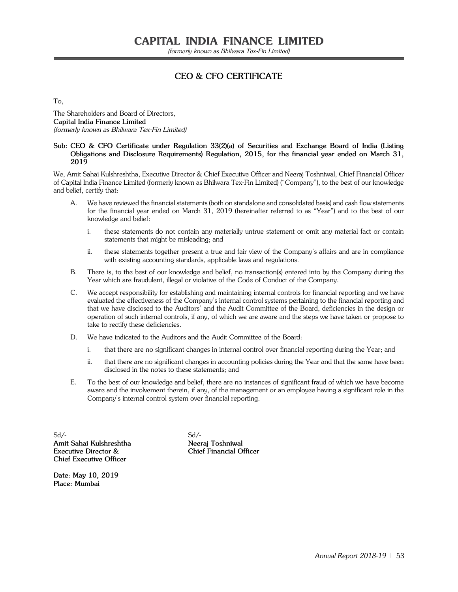# **CEO & CFO CERTIFICATE**

To,

The Shareholders and Board of Directors, **Capital India Finance Limited** (formerly known as Bhilwara Tex-Fin Limited)

#### **Sub: CEO & CFO Certificate under Regulation 33(2)(a) of Securities and Exchange Board of India (Listing Obligations and Disclosure Requirements) Regulation, 2015, for the financial year ended on March 31, 2019**

We, Amit Sahai Kulshreshtha, Executive Director & Chief Executive Officer and Neeraj Toshniwal, Chief Financial Officer of Capital India Finance Limited (formerly known as Bhilwara Tex-Fin Limited) ("Company"), to the best of our knowledge and belief, certify that:

- A. We have reviewed the financial statements (both on standalone and consolidated basis) and cash flow statements for the financial year ended on March 31, 2019 (hereinafter referred to as "Year") and to the best of our knowledge and belief:
	- i. these statements do not contain any materially untrue statement or omit any material fact or contain statements that might be misleading; and
	- ii. these statements together present a true and fair view of the Company's affairs and are in compliance with existing accounting standards, applicable laws and regulations.
- B. There is, to the best of our knowledge and belief, no transaction(s) entered into by the Company during the Year which are fraudulent, illegal or violative of the Code of Conduct of the Company.
- C. We accept responsibility for establishing and maintaining internal controls for financial reporting and we have evaluated the effectiveness of the Company's internal control systems pertaining to the financial reporting and that we have disclosed to the Auditors' and the Audit Committee of the Board, deficiencies in the design or operation of such internal controls, if any, of which we are aware and the steps we have taken or propose to take to rectify these deficiencies.
- D. We have indicated to the Auditors and the Audit Committee of the Board:
	- i. that there are no significant changes in internal control over financial reporting during the Year; and
	- ii. that there are no significant changes in accounting policies during the Year and that the same have been disclosed in the notes to these statements; and
- E. To the best of our knowledge and belief, there are no instances of significant fraud of which we have become aware and the involvement therein, if any, of the management or an employee having a significant role in the Company's internal control system over financial reporting.

 $Sd$ - $Sd$ -**Amit Sahai Kulshreshtha Neeraj Toshniwal Executive Director & Chief Financial Officer Chief Executive Officer** 

**Date: May 10, 2019 Place: Mumbai**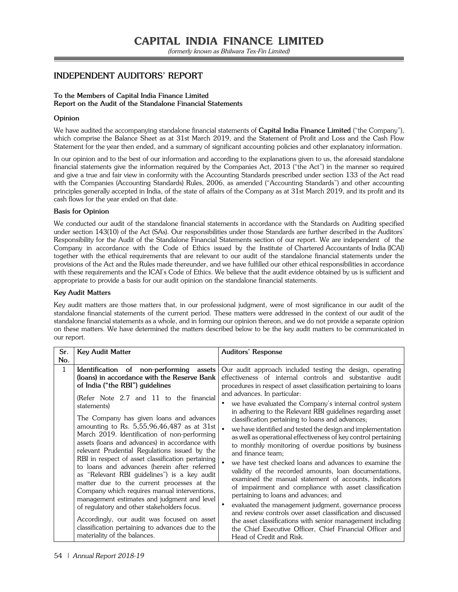# **INDEPENDENT AUDITORS' REPORT**

#### **To the Members of Capital India Finance Limited Report on the Audit of the Standalone Financial Statements**

#### **Opinion**

We have audited the accompanying standalone financial statements of **Capital India Finance Limited** ("the Company"), which comprise the Balance Sheet as at 31st March 2019, and the Statement of Profit and Loss and the Cash Flow Statement for the year then ended, and a summary of significant accounting policies and other explanatory information.

In our opinion and to the best of our information and according to the explanations given to us, the aforesaid standalone financial statements give the information required by the Companies Act, 2013 ("the Act") in the manner so required and give a true and fair view in conformity with the Accounting Standards prescribed under section 133 of the Act read with the Companies (Accounting Standards) Rules, 2006, as amended ("Accounting Standards") and other accounting principles generally accepted in India, of the state of affairs of the Company as at 31st March 2019, and its profit and its cash flows for the year ended on that date.

#### **Basis for Opinion**

We conducted our audit of the standalone financial statements in accordance with the Standards on Auditing specified under section 143(10) of the Act (SAs). Our responsibilities under those Standards are further described in the Auditors' Responsibility for the Audit of the Standalone Financial Statements section of our report. We are independent of the Company in accordance with the Code of Ethics issued by the Institute of Chartered Accountants of India (ICAI) together with the ethical requirements that are relevant to our audit of the standalone financial statements under the provisions of the Act and the Rules made thereunder, and we have fulfilled our other ethical responsibilities in accordance with these requirements and the ICAI's Code of Ethics. We believe that the audit evidence obtained by us is sufficient and appropriate to provide a basis for our audit opinion on the standalone financial statements.

#### **Key Audit Matters**

Key audit matters are those matters that, in our professional judgment, were of most significance in our audit of the standalone financial statements of the current period. These matters were addressed in the context of our audit of the standalone financial statements as a whole, and in forming our opinion thereon, and we do not provide a separate opinion on these matters. We have determined the matters described below to be the key audit matters to be communicated in our report.

| Sr.          | <b>Key Audit Matter</b>                                                                                                                                                                                                                                                                                                                                                                                                                                                                                                                                                                    | Auditors' Response                                                                                                                                                                                                                                                                                                                                                                                                                                                                                                                                                                                                                                                                                                                                                                                   |
|--------------|--------------------------------------------------------------------------------------------------------------------------------------------------------------------------------------------------------------------------------------------------------------------------------------------------------------------------------------------------------------------------------------------------------------------------------------------------------------------------------------------------------------------------------------------------------------------------------------------|------------------------------------------------------------------------------------------------------------------------------------------------------------------------------------------------------------------------------------------------------------------------------------------------------------------------------------------------------------------------------------------------------------------------------------------------------------------------------------------------------------------------------------------------------------------------------------------------------------------------------------------------------------------------------------------------------------------------------------------------------------------------------------------------------|
| No.          |                                                                                                                                                                                                                                                                                                                                                                                                                                                                                                                                                                                            |                                                                                                                                                                                                                                                                                                                                                                                                                                                                                                                                                                                                                                                                                                                                                                                                      |
| $\mathbf{1}$ | Identification of non-performing<br>assets<br>(loans) in accordance with the Reserve Bank<br>of India ("the RBI") guidelines<br>(Refer Note 2.7 and 11 to the financial<br>statements)<br>The Company has given loans and advances<br>amounting to Rs. $5,55,96,46,487$ as at 31st<br>March 2019. Identification of non-performing<br>assets (loans and advances) in accordance with<br>relevant Prudential Regulations issued by the<br>RBI in respect of asset classification pertaining<br>to loans and advances (herein after referred<br>as "Relevant RBI guidelines") is a key audit | Our audit approach included testing the design, operating<br>effectiveness of internal controls and substantive audit<br>procedures in respect of asset classification pertaining to loans<br>and advances. In particular:<br>we have evaluated the Company's internal control system<br>in adhering to the Relevant RBI guidelines regarding asset<br>classification pertaining to loans and advances;<br>we have identified and tested the design and implementation<br>as well as operational effectiveness of key control pertaining<br>to monthly monitoring of overdue positions by business<br>and finance team:<br>we have test checked loans and advances to examine the<br>validity of the recorded amounts, loan documentations,<br>examined the manual statement of accounts, indicators |
|              | matter due to the current processes at the<br>Company which requires manual interventions,<br>management estimates and judgment and level<br>of regulatory and other stakeholders focus.                                                                                                                                                                                                                                                                                                                                                                                                   | of impairment and compliance with asset classification<br>pertaining to loans and advances; and<br>evaluated the management judgment, governance process<br>and review controls over asset classification and discussed                                                                                                                                                                                                                                                                                                                                                                                                                                                                                                                                                                              |
|              | Accordingly, our audit was focused on asset<br>classification pertaining to advances due to the<br>materiality of the balances.                                                                                                                                                                                                                                                                                                                                                                                                                                                            | the asset classifications with senior management including<br>the Chief Executive Officer, Chief Financial Officer and<br>Head of Credit and Risk.                                                                                                                                                                                                                                                                                                                                                                                                                                                                                                                                                                                                                                                   |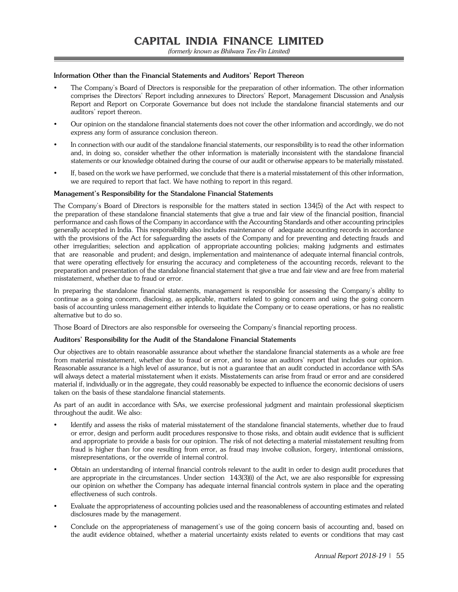#### **Information Other than the Financial Statements and Auditors' Report Thereon**

- The Company's Board of Directors is responsible for the preparation of other information. The other information comprises the Directors' Report including annexures to Directors' Report, Management Discussion and Analysis Report and Report on Corporate Governance but does not include the standalone financial statements and our auditors' report thereon.
- Our opinion on the standalone financial statements does not cover the other information and accordingly, we do not express any form of assurance conclusion thereon.
- In connection with our audit of the standalone financial statements, our responsibility is to read the other information and, in doing so, consider whether the other information is materially inconsistent with the standalone financial statements or our knowledge obtained during the course of our audit or otherwise appears to be materially misstated.
- If, based on the work we have performed, we conclude that there is a material misstatement of this other information, we are required to report that fact. We have nothing to report in this regard.

#### **Management's Responsibility for the Standalone Financial Statements**

The Company's Board of Directors is responsible for the matters stated in section 134(5) of the Act with respect to the preparation of these standalone financial statements that give a true and fair view of the financial position, financial performance and cash flows of the Company in accordance with the Accounting Standards and other accounting principles generally accepted in India. This responsibility also includes maintenance of adequate accounting records in accordance with the provisions of the Act for safeguarding the assets of the Company and for preventing and detecting frauds and other irregularities; selection and application of appropriate accounting policies; making judgments and estimates that are reasonable and prudent; and design, implementation and maintenance of adequate internal financial controls, that were operating effectively for ensuring the accuracy and completeness of the accounting records, relevant to the preparation and presentation of the standalone financial statement that give a true and fair view and are free from material misstatement, whether due to fraud or error.

In preparing the standalone financial statements, management is responsible for assessing the Company's ability to continue as a going concern, disclosing, as applicable, matters related to going concern and using the going concern basis of accounting unless management either intends to liquidate the Company or to cease operations, or has no realistic alternative but to do so.

Those Board of Directors are also responsible for overseeing the Company's financial reporting process.

#### **Auditors' Responsibility for the Audit of the Standalone Financial Statements**

Our objectives are to obtain reasonable assurance about whether the standalone financial statements as a whole are free from material misstatement, whether due to fraud or error, and to issue an auditors' report that includes our opinion. Reasonable assurance is a high level of assurance, but is not a guarantee that an audit conducted in accordance with SAs will always detect a material misstatement when it exists. Misstatements can arise from fraud or error and are considered material if, individually or in the aggregate, they could reasonably be expected to influence the economic decisions of users taken on the basis of these standalone financial statements.

As part of an audit in accordance with SAs, we exercise professional judgment and maintain professional skepticism throughout the audit. We also:

- Identify and assess the risks of material misstatement of the standalone financial statements, whether due to fraud or error, design and perform audit procedures responsive to those risks, and obtain audit evidence that is sufficient and appropriate to provide a basis for our opinion. The risk of not detecting a material misstatement resulting from fraud is higher than for one resulting from error, as fraud may involve collusion, forgery, intentional omissions, misrepresentations, or the override of internal control.
- Obtain an understanding of internal financial controls relevant to the audit in order to design audit procedures that are appropriate in the circumstances. Under section 143(3)(i) of the Act, we are also responsible for expressing our opinion on whether the Company has adequate internal financial controls system in place and the operating effectiveness of such controls.
- Evaluate the appropriateness of accounting policies used and the reasonableness of accounting estimates and related disclosures made by the management.
- Conclude on the appropriateness of management's use of the going concern basis of accounting and, based on the audit evidence obtained, whether a material uncertainty exists related to events or conditions that may cast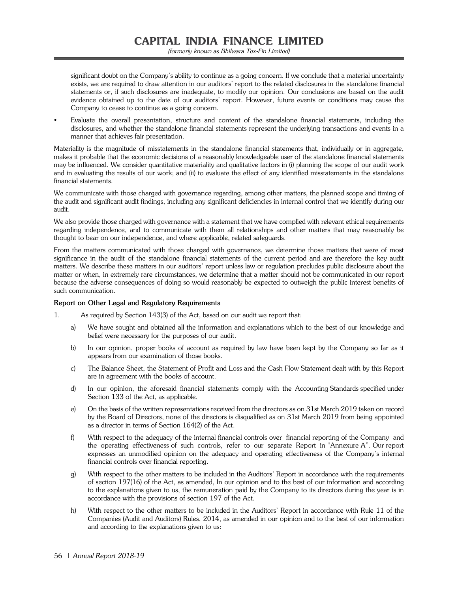(formerly known as Bhilwara Tex-Fin Limited)

significant doubt on the Company's ability to continue as a going concern. If we conclude that a material uncertainty exists, we are required to draw attention in our auditors' report to the related disclosures in the standalone financial statements or, if such disclosures are inadequate, to modify our opinion. Our conclusions are based on the audit evidence obtained up to the date of our auditors' report. However, future events or conditions may cause the Company to cease to continue as a going concern.

 Evaluate the overall presentation, structure and content of the standalone financial statements, including the disclosures, and whether the standalone financial statements represent the underlying transactions and events in a manner that achieves fair presentation.

Materiality is the magnitude of misstatements in the standalone financial statements that, individually or in aggregate, makes it probable that the economic decisions of a reasonably knowledgeable user of the standalone financial statements may be influenced. We consider quantitative materiality and qualitative factors in (i) planning the scope of our audit work and in evaluating the results of our work; and (ii) to evaluate the effect of any identified misstatements in the standalone financial statements.

We communicate with those charged with governance regarding, among other matters, the planned scope and timing of the audit and significant audit findings, including any significant deficiencies in internal control that we identify during our audit.

We also provide those charged with governance with a statement that we have complied with relevant ethical requirements regarding independence, and to communicate with them all relationships and other matters that may reasonably be thought to bear on our independence, and where applicable, related safeguards.

From the matters communicated with those charged with governance, we determine those matters that were of most significance in the audit of the standalone financial statements of the current period and are therefore the key audit matters. We describe these matters in our auditors' report unless law or regulation precludes public disclosure about the matter or when, in extremely rare circumstances, we determine that a matter should not be communicated in our report because the adverse consequences of doing so would reasonably be expected to outweigh the public interest benefits of such communication.

#### **Report on Other Legal and Regulatory Requirements**

- 1. As required by Section 143(3) of the Act, based on our audit we report that:
	- a) We have sought and obtained all the information and explanations which to the best of our knowledge and belief were necessary for the purposes of our audit.
	- b) In our opinion, proper books of account as required by law have been kept by the Company so far as it appears from our examination of those books.
	- c) The Balance Sheet, the Statement of Profit and Loss and the Cash Flow Statement dealt with by this Report are in agreement with the books of account.
	- d) In our opinion, the aforesaid financial statements comply with the Accounting Standards specified under Section 133 of the Act, as applicable.
	- e) On the basis of the written representations received from the directors as on 31st March 2019 taken on record by the Board of Directors, none of the directors is disqualified as on 31st March 2019 from being appointed as a director in terms of Section 164(2) of the Act.
	- f) With respect to the adequacy of the internal financial controls over financial reporting of the Company and the operating effectiveness of such controls, refer to our separate Report in "Annexure A". Our report expresses an unmodified opinion on the adequacy and operating effectiveness of the Company's internal financial controls over financial reporting.
	- g) With respect to the other matters to be included in the Auditors' Report in accordance with the requirements of section 197(16) of the Act, as amended, In our opinion and to the best of our information and according to the explanations given to us, the remuneration paid by the Company to its directors during the year is in accordance with the provisions of section 197 of the Act.
	- h) With respect to the other matters to be included in the Auditors' Report in accordance with Rule 11 of the Companies (Audit and Auditors) Rules, 2014, as amended in our opinion and to the best of our information and according to the explanations given to us: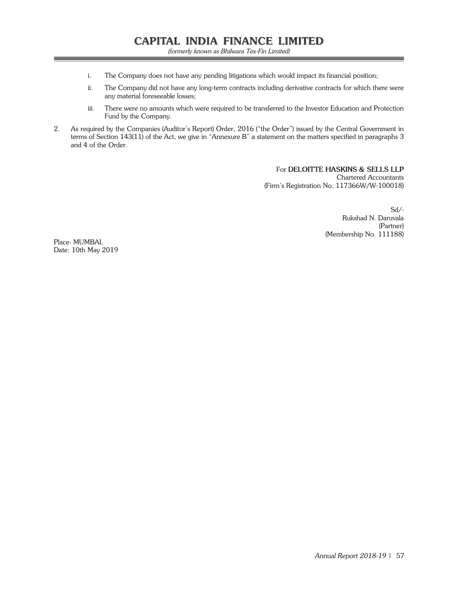- i. The Company does not have any pending litigations which would impact its financial position;
- ii. The Company did not have any long-term contracts including derivative contracts for which there were any material foreseeable losses;
- iii. There were no amounts which were required to be transferred to the Investor Education and Protection Fund by the Company.
- 2. As required by the Companies (Auditor's Report) Order, 2016 ("the Order") issued by the Central Government in terms of Section 143(11) of the Act, we give in "Annexure B" a statement on the matters specified in paragraphs 3 and 4 of the Order.

For **DELOITTE HASKINS & SELLS LLP** Chartered Accountants (Firm's Registration No. 117366W/W-100018)

> Sd/- Rukshad N. Daruvala (Partner) (Membership No. 111188)

Place: MUMBAI, Date: 10th May 2019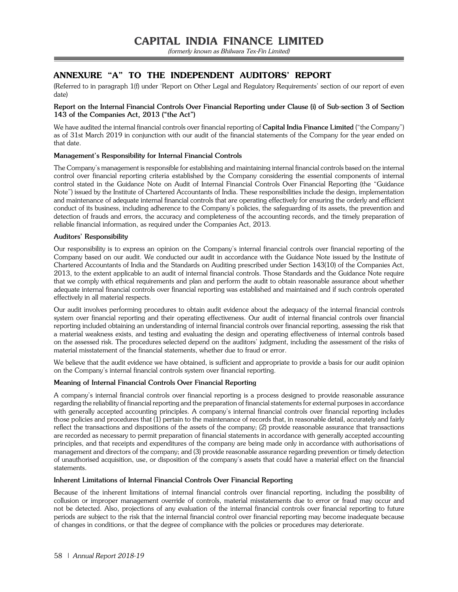# *ANNEXURE "A" TO THE INDEPENDENT AUDITORS' REPORT*

(Referred to in paragraph 1(f) under 'Report on Other Legal and Regulatory Requirements' section of our report of even date)

### **Report on the Internal Financial Controls Over Financial Reporting under Clause (i) of Sub-section 3 of Section 143 of the Companies Act, 2013 ("the Act")**

We have audited the internal financial controls over financial reporting of **Capital India Finance Limited** ("the Company") as of 31st March 2019 in conjunction with our audit of the financial statements of the Company for the year ended on that date.

## **Management's Responsibility for Internal Financial Controls**

The Company's management is responsible for establishing and maintaining internal financial controls based on the internal control over financial reporting criteria established by the Company considering the essential components of internal control stated in the Guidance Note on Audit of Internal Financial Controls Over Financial Reporting (the "Guidance Note") issued by the Institute of Chartered Accountants of India. These responsibilities include the design, implementation and maintenance of adequate internal financial controls that are operating effectively for ensuring the orderly and efficient conduct of its business, including adherence to the Company's policies, the safeguarding of its assets, the prevention and detection of frauds and errors, the accuracy and completeness of the accounting records, and the timely preparation of reliable financial information, as required under the Companies Act, 2013.

### **Auditors' Responsibility**

Our responsibility is to express an opinion on the Company's internal financial controls over financial reporting of the Company based on our audit. We conducted our audit in accordance with the Guidance Note issued by the Institute of Chartered Accountants of India and the Standards on Auditing prescribed under Section 143(10) of the Companies Act, 2013, to the extent applicable to an audit of internal financial controls. Those Standards and the Guidance Note require that we comply with ethical requirements and plan and perform the audit to obtain reasonable assurance about whether adequate internal financial controls over financial reporting was established and maintained and if such controls operated effectively in all material respects.

Our audit involves performing procedures to obtain audit evidence about the adequacy of the internal financial controls system over financial reporting and their operating effectiveness. Our audit of internal financial controls over financial reporting included obtaining an understanding of internal financial controls over financial reporting, assessing the risk that a material weakness exists, and testing and evaluating the design and operating effectiveness of internal controls based on the assessed risk. The procedures selected depend on the auditors' judgment, including the assessment of the risks of material misstatement of the financial statements, whether due to fraud or error.

We believe that the audit evidence we have obtained, is sufficient and appropriate to provide a basis for our audit opinion on the Company's internal financial controls system over financial reporting.

## **Meaning of Internal Financial Controls Over Financial Reporting**

A company's internal financial controls over financial reporting is a process designed to provide reasonable assurance regarding the reliability of financial reporting and the preparation of financial statements for external purposes in accordance with generally accepted accounting principles. A company's internal financial controls over financial reporting includes those policies and procedures that (1) pertain to the maintenance of records that, in reasonable detail, accurately and fairly reflect the transactions and dispositions of the assets of the company; (2) provide reasonable assurance that transactions are recorded as necessary to permit preparation of financial statements in accordance with generally accepted accounting principles, and that receipts and expenditures of the company are being made only in accordance with authorisations of management and directors of the company; and (3) provide reasonable assurance regarding prevention or timely detection of unauthorised acquisition, use, or disposition of the company's assets that could have a material effect on the financial statements.

#### **Inherent Limitations of Internal Financial Controls Over Financial Reporting**

Because of the inherent limitations of internal financial controls over financial reporting, including the possibility of collusion or improper management override of controls, material misstatements due to error or fraud may occur and not be detected. Also, projections of any evaluation of the internal financial controls over financial reporting to future periods are subject to the risk that the internal financial control over financial reporting may become inadequate because of changes in conditions, or that the degree of compliance with the policies or procedures may deteriorate.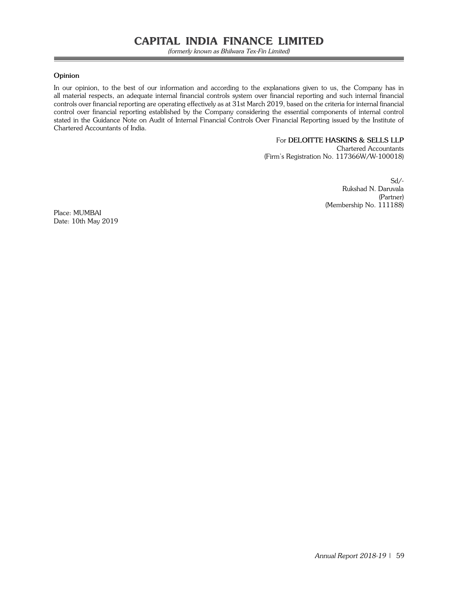(formerly known as Bhilwara Tex-Fin Limited)

#### **Opinion**

In our opinion, to the best of our information and according to the explanations given to us, the Company has in all material respects, an adequate internal financial controls system over financial reporting and such internal financial controls over financial reporting are operating effectively as at 31st March 2019, based on the criteria for internal financial control over financial reporting established by the Company considering the essential components of internal control stated in the Guidance Note on Audit of Internal Financial Controls Over Financial Reporting issued by the Institute of Chartered Accountants of India.

## For **DELOITTE HASKINS & SELLS LLP**

Chartered Accountants (Firm's Registration No. 117366W/W-100018)

> Sd/- Rukshad N. Daruvala (Partner) (Membership No. 111188)

Place: MUMBAI Date: 10th May 2019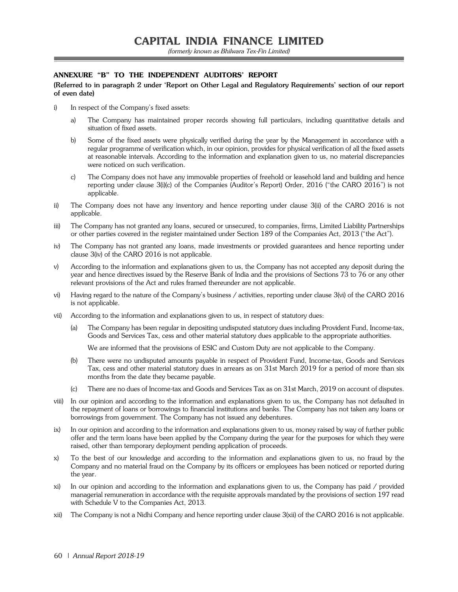## *ANNEXURE "B" TO THE INDEPENDENT AUDITORS' REPORT*

**(Referred to in paragraph 2 under 'Report on Other Legal and Regulatory Requirements' section of our report of even date)**

- i) In respect of the Company's fixed assets:
	- a) The Company has maintained proper records showing full particulars, including quantitative details and situation of fixed assets.
	- b) Some of the fixed assets were physically verified during the year by the Management in accordance with a regular programme of verification which, in our opinion, provides for physical verification of all the fixed assets at reasonable intervals. According to the information and explanation given to us, no material discrepancies were noticed on such verification.
	- c) The Company does not have any immovable properties of freehold or leasehold land and building and hence reporting under clause 3(i)(c) of the Companies (Auditor's Report) Order, 2016 ("the CARO 2016") is not applicable.
- ii) The Company does not have any inventory and hence reporting under clause 3(ii) of the CARO 2016 is not applicable.
- iii) The Company has not granted any loans, secured or unsecured, to companies, firms, Limited Liability Partnerships or other parties covered in the register maintained under Section 189 of the Companies Act, 2013 ("the Act").
- iv) The Company has not granted any loans, made investments or provided guarantees and hence reporting under clause 3(iv) of the CARO 2016 is not applicable.
- v) According to the information and explanations given to us, the Company has not accepted any deposit during the year and hence directives issued by the Reserve Bank of India and the provisions of Sections 73 to 76 or any other relevant provisions of the Act and rules framed thereunder are not applicable.
- vi) Having regard to the nature of the Company's business / activities, reporting under clause 3(vi) of the CARO 2016 is not applicable.
- vii) According to the information and explanations given to us, in respect of statutory dues:
	- (a) The Company has been regular in depositing undisputed statutory dues including Provident Fund, Income-tax, Goods and Services Tax, cess and other material statutory dues applicable to the appropriate authorities.

We are informed that the provisions of ESIC and Custom Duty are not applicable to the Company.

- (b) There were no undisputed amounts payable in respect of Provident Fund, Income-tax, Goods and Services Tax, cess and other material statutory dues in arrears as on 31st March 2019 for a period of more than six months from the date they became payable.
- (c) There are no dues of Income-tax and Goods and Services Tax as on 31st March, 2019 on account of disputes.
- viii) In our opinion and according to the information and explanations given to us, the Company has not defaulted in the repayment of loans or borrowings to financial institutions and banks. The Company has not taken any loans or borrowings from government. The Company has not issued any debentures.
- ix) In our opinion and according to the information and explanations given to us, money raised by way of further public offer and the term loans have been applied by the Company during the year for the purposes for which they were raised, other than temporary deployment pending application of proceeds.
- x) To the best of our knowledge and according to the information and explanations given to us, no fraud by the Company and no material fraud on the Company by its officers or employees has been noticed or reported during the year.
- xi) In our opinion and according to the information and explanations given to us, the Company has paid / provided managerial remuneration in accordance with the requisite approvals mandated by the provisions of section 197 read with Schedule V to the Companies Act, 2013.
- xii) The Company is not a Nidhi Company and hence reporting under clause 3(xii) of the CARO 2016 is not applicable.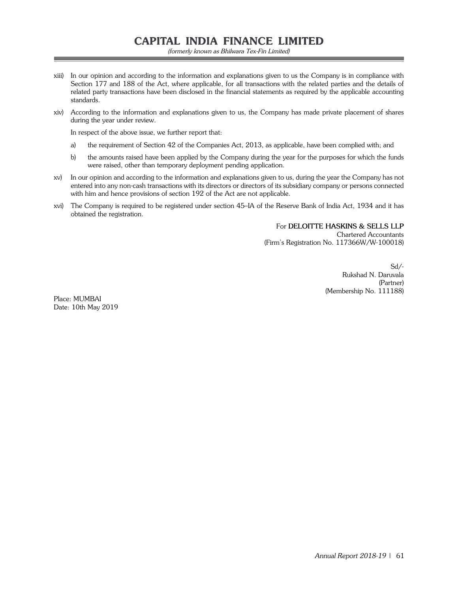(formerly known as Bhilwara Tex-Fin Limited)

- xiii) In our opinion and according to the information and explanations given to us the Company is in compliance with Section 177 and 188 of the Act, where applicable, for all transactions with the related parties and the details of related party transactions have been disclosed in the financial statements as required by the applicable accounting standards.
- xiv) According to the information and explanations given to us, the Company has made private placement of shares during the year under review.

In respect of the above issue, we further report that:

- a) the requirement of Section 42 of the Companies Act, 2013, as applicable, have been complied with; and
- b) the amounts raised have been applied by the Company during the year for the purposes for which the funds were raised, other than temporary deployment pending application.
- xv) In our opinion and according to the information and explanations given to us, during the year the Company has not entered into any non-cash transactions with its directors or directors of its subsidiary company or persons connected with him and hence provisions of section 192 of the Act are not applicable.
- xvi) The Company is required to be registered under section 45–IA of the Reserve Bank of India Act, 1934 and it has obtained the registration.

For **DELOITTE HASKINS & SELLS LLP** Chartered Accountants (Firm's Registration No. 117366W/W-100018)

> Sd/- Rukshad N. Daruvala (Partner) (Membership No. 111188)

Place: MUMBAI Date: 10th May 2019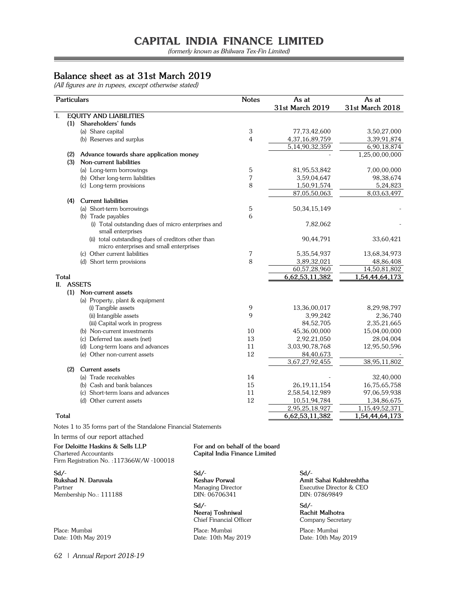(formerly known as Bhilwara Tex-Fin Limited)

# **Balance sheet as at 31st March 2019**

(All figures are in rupees, except otherwise stated)

| Particulars  |                                                                          | <b>Notes</b> | As at                          | As at           |
|--------------|--------------------------------------------------------------------------|--------------|--------------------------------|-----------------|
|              |                                                                          |              | 31st March 2019                | 31st March 2018 |
| I.           | <b>EQUITY AND LIABILITIES</b>                                            |              |                                |                 |
|              | (1) Shareholders' funds                                                  |              |                                |                 |
|              | (a) Share capital                                                        | 3            | 77,73,42,600                   | 3,50,27,000     |
|              | (b) Reserves and surplus                                                 | 4            | 4,37,16,89,759                 | 3,39,91,874     |
|              |                                                                          |              | 5,14,90,32,359                 | 6,90,18,874     |
| (2)          | Advance towards share application money                                  |              |                                | 1,25,00,00,000  |
| (3)          | Non-current liabilities                                                  |              |                                |                 |
|              | (a) Long-term borrowings                                                 | 5            | 81,95,53,842                   | 7,00,00,000     |
|              | (b) Other long-term liabilities                                          | 7            | 3,59,04,647                    | 98,38,674       |
|              | (c) Long-term provisions                                                 | 8            | 1,50,91,574                    | 5,24,823        |
|              |                                                                          |              | 87,05,50,063                   | 8,03,63,497     |
| (4)          | <b>Current liabilities</b>                                               |              |                                |                 |
|              | (a) Short-term borrowings                                                | 5            | 50, 34, 15, 149                |                 |
|              | (b) Trade payables                                                       | 6            |                                |                 |
|              | (i) Total outstanding dues of micro enterprises and                      |              | 7,82,062                       |                 |
|              | small enterprises                                                        |              |                                |                 |
|              | (ii) total outstanding dues of creditors other than                      |              | 90,44,791                      | 33,60,421       |
|              | micro enterprises and small enterprises<br>(c) Other current liabilities | 7            | 5, 35, 54, 937                 | 13,68,34,973    |
|              | (d) Short term provisions                                                | 8            | 3,89,32,021                    | 48,86,408       |
|              |                                                                          |              | 60,57,28,960                   | 14,50,81,802    |
| Total        |                                                                          |              | 6,62,53,11,382                 | 1,54,44,64,173  |
| П.           | <b>ASSETS</b>                                                            |              |                                |                 |
| (1)          | Non-current assets                                                       |              |                                |                 |
|              | (a) Property, plant & equipment                                          |              |                                |                 |
|              | (i) Tangible assets                                                      | 9            | 13,36,00,017                   | 8,29,98,797     |
|              | (ii) Intangible assets                                                   | 9            | 3,99,242                       | 2,36,740        |
|              | (iii) Capital work in progress                                           |              | 84,52,705                      | 2,35,21,665     |
|              | (b) Non-current investments                                              | 10           | 45,36,00,000                   | 15,04,00,000    |
|              | (c) Deferred tax assets (net)                                            | 13           | 2,92,21,050                    | 28,04,004       |
|              | (d) Long-term loans and advances                                         | 11           | 3,03,90,78,768                 | 12,95,50,596    |
|              | (e) Other non-current assets                                             | 12           | 84,40,673                      |                 |
|              |                                                                          |              | 3,67,27,92,455                 | 38,95,11,802    |
| (2)          | Current assets                                                           |              |                                |                 |
|              | (a) Trade receivables                                                    | 14           |                                |                 |
|              | (b) Cash and bank balances                                               | 15           |                                | 32,40,000       |
|              |                                                                          |              | 26, 19, 11, 154                | 16,75,65,758    |
|              | (c) Short-term loans and advances                                        | 11           | 2,58,54,12,989                 | 97,06,59,938    |
|              | (d) Other current assets                                                 | 12           | 10,51,94,784<br>2,95,25,18,927 | 1,34,86,675     |
|              |                                                                          |              |                                | 1,15,49,52,371  |
| <b>Total</b> |                                                                          |              | 6,62,53,11,382                 | 1,54,44,64,173  |

Notes 1 to 35 forms part of the Standalone Financial Statements

In terms of our report attached

#### **For Deloitte Haskins & Sells LLP For and on behalf of the board** Chartered Accountants **Capital India Finance Limited**

Firm Registration No. :117366W/W -100018

**Sd/- Sd/- Sd/- Rukshad N. Daruvala Keshav Porwal Amit Sahai Kulshreshtha** Partner Managing Director Executive Director & CEO Membership No.: 111188

**Neeraj Toshniwal**<br>**Chief Financial Officer** 

Place: Mumbai Place: Mumbai Place: Mumbai Date: 10th May 2019

**Sd/- Sd/-** Company Secretary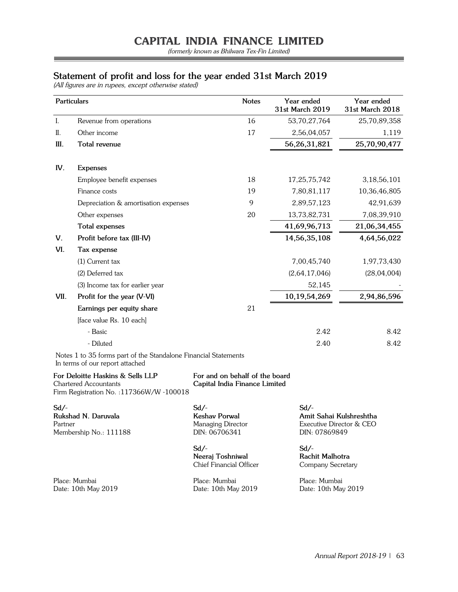(formerly known as Bhilwara Tex-Fin Limited)

# **Statement of profit and loss for the year ended 31st March 2019**

(All figures are in rupees, except otherwise stated)

|      | Particulars                                                                                                   | <b>Notes</b>                                                    | Year ended<br>31st March 2019 | Year ended<br>31st March 2018 |
|------|---------------------------------------------------------------------------------------------------------------|-----------------------------------------------------------------|-------------------------------|-------------------------------|
| I.   | Revenue from operations                                                                                       | 16                                                              | 53,70,27,764                  | 25,70,89,358                  |
| II.  | Other income                                                                                                  | 17                                                              | 2,56,04,057                   | 1,119                         |
| Ш.   | Total revenue                                                                                                 |                                                                 | 56, 26, 31, 821               | 25,70,90,477                  |
| IV.  | <b>Expenses</b>                                                                                               |                                                                 |                               |                               |
|      | Employee benefit expenses                                                                                     | 18                                                              | 17,25,75,742                  | 3,18,56,101                   |
|      | Finance costs                                                                                                 | 19                                                              | 7,80,81,117                   | 10,36,46,805                  |
|      | Depreciation & amortisation expenses                                                                          | 9                                                               | 2,89,57,123                   | 42,91,639                     |
|      | Other expenses                                                                                                | 20                                                              | 13,73,82,731                  | 7,08,39,910                   |
|      | <b>Total expenses</b>                                                                                         |                                                                 | 41,69,96,713                  | 21,06,34,455                  |
| V.   | Profit before tax (III-IV)                                                                                    |                                                                 | 14,56,35,108                  | 4,64,56,022                   |
| VI.  | Tax expense                                                                                                   |                                                                 |                               |                               |
|      | $(1)$ Current tax                                                                                             |                                                                 | 7,00,45,740                   | 1,97,73,430                   |
|      | (2) Deferred tax                                                                                              |                                                                 | (2,64,17,046)                 | (28,04,004)                   |
|      | (3) Income tax for earlier year                                                                               |                                                                 | 52,145                        |                               |
| VII. | Profit for the year (V-VI)                                                                                    |                                                                 | 10,19,54,269                  | 2,94,86,596                   |
|      | Earnings per equity share                                                                                     | 21                                                              |                               |                               |
|      | [face value Rs. 10 each]                                                                                      |                                                                 |                               |                               |
|      | - Basic                                                                                                       |                                                                 | 2.42                          | 8.42                          |
|      | - Diluted                                                                                                     |                                                                 | 2.40                          | 8.42                          |
|      | Notes 1 to 35 forms part of the Standalone Financial Statements<br>In terms of our report attached            |                                                                 |                               |                               |
|      | For Deloitte Haskins & Sells LLP<br><b>Chartered Accountants</b><br>Firm Registration No. : 117366W/W -100018 | For and on behalf of the board<br>Capital India Finance Limited |                               |                               |

| Sd/-                   | $Sd$ /-                 | $Sd$ /-                  |  |
|------------------------|-------------------------|--------------------------|--|
| Rukshad N. Daruvala    | Keshav Porwal           | Amit Sahai Kulshreshtha  |  |
| Partner                | Managing Director       | Executive Director & CEO |  |
| Membership No.: 111188 | DIN: 06706341           | DIN: 07869849            |  |
|                        | $Sd$ /-                 | $Sd$ /-                  |  |
|                        | Neeraj Toshniwal        | Rachit Malhotra          |  |
|                        | Chief Financial Officer | Company Secretary        |  |
| Place: Mumbai          | Place: Mumbai           | Place: Mumbai            |  |
| Date: 10th May 2019    | Date: 10th May 2019     | Date: 10th May 2019      |  |

<u> 1980 - Johann Barnett, fransk politiker (</u>

 $\overline{\phantom{0}}$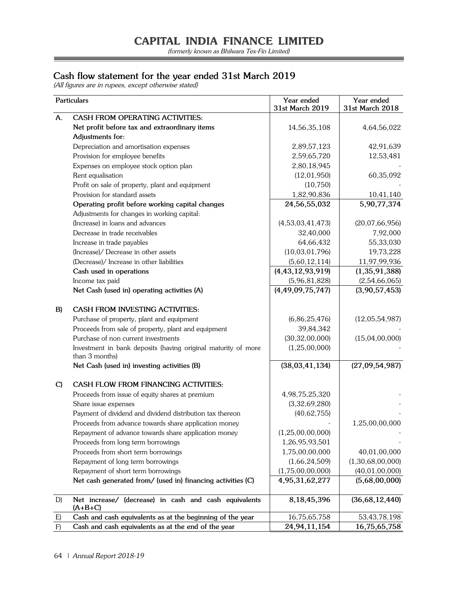(formerly known as Bhilwara Tex-Fin Limited)

=

# **Cash flow statement for the year ended 31st March 2019**

(All figures are in rupees, except otherwise stated)

|              | Particulars                                                        | Year ended<br>31st March 2019 | Year ended<br>31st March 2018 |
|--------------|--------------------------------------------------------------------|-------------------------------|-------------------------------|
| A.           | <b>CASH FROM OPERATING ACTIVITIES:</b>                             |                               |                               |
|              | Net profit before tax and extraordinary items                      | 14,56,35,108                  | 4,64,56,022                   |
|              | Adjustments for:                                                   |                               |                               |
|              | Depreciation and amortisation expenses                             | 2,89,57,123                   | 42,91,639                     |
|              | Provision for employee benefits                                    | 2,59,65,720                   | 12,53,481                     |
|              | Expenses on employee stock option plan                             | 2,80,18,945                   |                               |
|              | Rent equalisation                                                  | (12, 01, 950)                 | 60,35,092                     |
|              | Profit on sale of property, plant and equipment                    | (10, 750)                     |                               |
|              | Provision for standard assets                                      | 1,82,90,836                   | 10,41,140                     |
|              | Operating profit before working capital changes                    | 24,56,55,032                  | 5,90,77,374                   |
|              | Adjustments for changes in working capital:                        |                               |                               |
|              | (Increase) in loans and advances                                   | (4,53,03,41,473)              | (20,07,66,956)                |
|              | Decrease in trade receivables                                      | 32,40,000                     | 7,92,000                      |
|              | Increase in trade payables                                         | 64,66,432                     | 55,33,030                     |
|              | (Increase)/ Decrease in other assets                               | (10,03,01,796)                | 19,73,228                     |
|              | (Decrease)/ Increase in other liabilities                          | (5,60,12,114)                 | 11,97,99,936                  |
|              | Cash used in operations                                            | (4, 43, 12, 93, 919)          | (1,35,91,388)                 |
|              | Income tax paid                                                    | (5,96,81,828)                 | (2,54,66,065)                 |
|              | Net Cash (used in) operating activities (A)                        | (4, 49, 09, 75, 747)          | (3,90,57,453)                 |
|              |                                                                    |                               |                               |
| B)           | <b>CASH FROM INVESTING ACTIVITIES:</b>                             |                               |                               |
|              | Purchase of property, plant and equipment                          | (6, 86, 25, 476)              | (12,05,54,987)                |
|              | Proceeds from sale of property, plant and equipment                | 39,84,342                     |                               |
|              | Purchase of non current investments                                | (30, 32, 00, 000)             | (15,04,00,000)                |
|              | Investment in bank deposits (having original maturity of more      | (1,25,00,000)                 |                               |
|              | than 3 months)                                                     |                               |                               |
|              | Net Cash (used in) investing activities (B)                        | (38,03,41,134)                | (27,09,54,987)                |
| $\mathbf{C}$ | CASH FLOW FROM FINANCING ACTIVITIES:                               |                               |                               |
|              | Proceeds from issue of equity shares at premium                    | 4,98,75,25,320                |                               |
|              | Share issue expenses                                               | (3,32,69,280)                 |                               |
|              | Payment of dividend and dividend distribution tax thereon          | (40, 62, 755)                 |                               |
|              | Proceeds from advance towards share application money              |                               | 1,25,00,00,000                |
|              | Repayment of advance towards share application money               | (1, 25, 00, 00, 000)          |                               |
|              | Proceeds from long term borrowings                                 | 1,26,95,93,501                |                               |
|              | Proceeds from short term borrowings                                | 1,75,00,00,000                | 40,01,00,000                  |
|              | Repayment of long term borrowings                                  | (1,66,24,509)                 | (1,30,68,00,000)              |
|              | Repayment of short term borrowings                                 | (1,75,00,00,000)              | (40, 01, 00, 000)             |
|              | Net cash generated from/ (used in) financing activities (C)        | 4,95,31,62,277                | (5,68,00,000)                 |
|              |                                                                    |                               |                               |
| D)           | Net increase/ (decrease) in cash and cash equivalents<br>$(A+B+C)$ | 8,18,45,396                   | (36,68,12,440)                |
| E)           | Cash and cash equivalents as at the beginning of the year          | 16,75,65,758                  | 53,43,78,198                  |
| F)           | Cash and cash equivalents as at the end of the year                | 24,94,11,154                  | 16,75,65,758                  |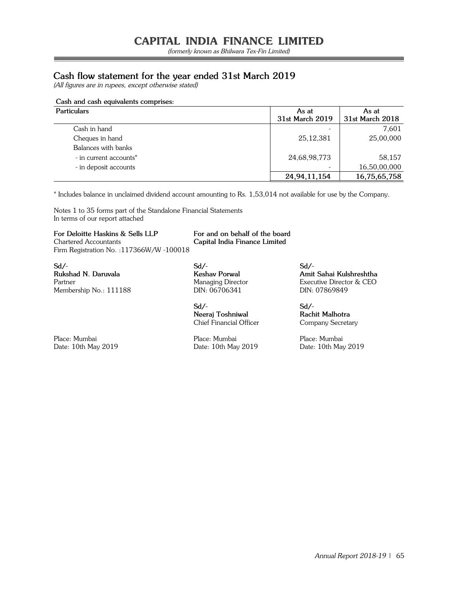(formerly known as Bhilwara Tex-Fin Limited)

# **Cash flow statement for the year ended 31st March 2019**

(All figures are in rupees, except otherwise stated)

## **Cash and cash equivalents comprises:**

| <b>Particulars</b>     | As at           | As at           |  |
|------------------------|-----------------|-----------------|--|
|                        | 31st March 2019 | 31st March 2018 |  |
| Cash in hand           |                 | 7,601           |  |
| Cheques in hand        | 25, 12, 381     | 25,00,000       |  |
| Balances with banks    |                 |                 |  |
| - in current accounts* | 24,68,98,773    | 58,157          |  |
| - in deposit accounts  |                 | 16,50,00,000    |  |
|                        | 24,94,11,154    | 16,75,65,758    |  |

\* Includes balance in unclaimed dividend account amounting to Rs. 1,53,014 not available for use by the Company.

Notes 1 to 35 forms part of the Standalone Financial Statements In terms of our report attached

**For Deloitte Haskins & Sells LLP For and on behalf of the board** Chartered Accountants **Capital India Finance Limited** Firm Registration No. :117366W/W -100018

**Sd/- Sd/- Sd/-** Membership No.: 111188 DIN: 06706341 DIN: 07869849

**Sd/- Sd/- Neeraj Toshniwal Rachit Malhotra** Chief Financial Officer Company Secretary

Date: 10th May 2019 Date: 10th May 2019 Date: 10th May 2019

Place: Mumbai Place: Mumbai Place: Mumbai

**Rukshad N. Daruvala Keshav Porwal Amit Sahai Kulshreshtha** Partner Managing Director Executive Director & CEO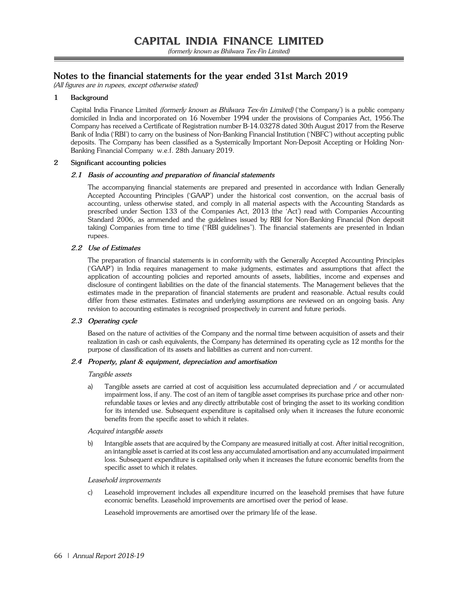# **Notes to the financial statements for the year ended 31st March 2019**

(All figures are in rupees, except otherwise stated)

## **1 Background**

Capital India Finance Limited (formerly known as Bhilwara Tex-fin Limited) ('the Company') is a public company domiciled in India and incorporated on 16 November 1994 under the provisions of Companies Act, 1956.The Company has received a Certificate of Registration number B-14.03278 dated 30th August 2017 from the Reserve Bank of India ('RBI') to carry on the business of Non-Banking Financial Institution ('NBFC') without accepting public deposits. The Company has been classified as a Systemically Important Non-Deposit Accepting or Holding Non-Banking Financial Company w.e.f. 28th January 2019.

#### **2 Significant accounting policies**

### **2.1 Basis of accounting and preparation of financial statements**

 The accompanying financial statements are prepared and presented in accordance with Indian Generally Accepted Accounting Principles ('GAAP') under the historical cost convention, on the accrual basis of accounting, unless otherwise stated, and comply in all material aspects with the Accounting Standards as prescribed under Section 133 of the Companies Act, 2013 (the 'Act') read with Companies Accounting Standard 2006, as ammended and the guidelines issued by RBI for Non-Banking Financial (Non deposit taking) Companies from time to time ("RBI guidelines"). The financial statements are presented in Indian rupees.

#### **2.2 Use of Estimates**

 The preparation of financial statements is in conformity with the Generally Accepted Accounting Principles ('GAAP') in India requires management to make judgments, estimates and assumptions that affect the application of accounting policies and reported amounts of assets, liabilities, income and expenses and disclosure of contingent liabilities on the date of the financial statements. The Management believes that the estimates made in the preparation of financial statements are prudent and reasonable. Actual results could differ from these estimates. Estimates and underlying assumptions are reviewed on an ongoing basis. Any revision to accounting estimates is recognised prospectively in current and future periods.

#### **2.3 Operating cycle**

 Based on the nature of activities of the Company and the normal time between acquisition of assets and their realization in cash or cash equivalents, the Company has determined its operating cycle as 12 months for the purpose of classification of its assets and liabilities as current and non-current.

#### **2.4 Property, plant & equipment, depreciation and amortisation**

#### Tangible assets

 a) Tangible assets are carried at cost of acquisition less accumulated depreciation and / or accumulated impairment loss, if any. The cost of an item of tangible asset comprises its purchase price and other nonrefundable taxes or levies and any directly attributable cost of bringing the asset to its working condition for its intended use. Subsequent expenditure is capitalised only when it increases the future economic benefits from the specific asset to which it relates.

#### Acquired intangible assets

b) Intangible assets that are acquired by the Company are measured initially at cost. After initial recognition, an intangible asset is carried at its cost less any accumulated amortisation and any accumulated impairment loss. Subsequent expenditure is capitalised only when it increases the future economic benefits from the specific asset to which it relates.

#### Leasehold improvements

c) Leasehold improvement includes all expenditure incurred on the leasehold premises that have future economic benefits. Leasehold improvements are amortised over the period of lease.

Leasehold improvements are amortised over the primary life of the lease.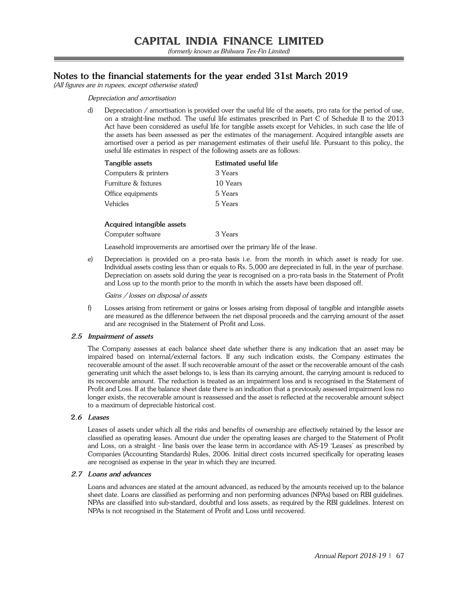# **Notes to the financial statements for the year ended 31st March 2019**

(All figures are in rupees, except otherwise stated)

#### Depreciation and amortisation

 d) Depreciation / amortisation is provided over the useful life of the assets, pro rata for the period of use, on a straight-line method. The useful life estimates prescribed in Part C of Schedule II to the 2013 Act have been considered as useful life for tangible assets except for Vehicles, in such case the life of the assets has been assessed as per the estimates of the management. Acquired intangible assets are amortised over a period as per management estimates of their useful life. Pursuant to this policy, the useful life estimates in respect of the following assets are as follows:

| Tangible assets      | Estimated useful life |
|----------------------|-----------------------|
| Computers & printers | 3 Years               |
| Furniture & fixtures | 10 Years              |
| Office equipments    | 5 Years               |
| Vehicles             | 5 Years               |
|                      |                       |

#### **Acquired intangible assets**

Computer software 3 Years

Leasehold improvements are amortised over the primary life of the lease.

 e) Depreciation is provided on a pro-rata basis i.e. from the month in which asset is ready for use. Individual assets costing less than or equals to Rs. 5,000 are depreciated in full, in the year of purchase. Depreciation on assets sold during the year is recognised on a pro-rata basis in the Statement of Profit and Loss up to the month prior to the month in which the assets have been disposed off.

Gains / losses on disposal of assets

 f) Losses arising from retirement or gains or losses arising from disposal of tangible and intangible assets are measured as the difference between the net disposal proceeds and the carrying amount of the asset and are recognised in the Statement of Profit and Loss.

#### **2.5 Impairment of assets**

 The Company assesses at each balance sheet date whether there is any indication that an asset may be impaired based on internal/external factors. If any such indication exists, the Company estimates the recoverable amount of the asset. If such recoverable amount of the asset or the recoverable amount of the cash generating unit which the asset belongs to, is less than its carrying amount, the carrying amount is reduced to its recoverable amount. The reduction is treated as an impairment loss and is recognised in the Statement of Profit and Loss. If at the balance sheet date there is an indication that a previously assessed impairment loss no longer exists, the recoverable amount is reassessed and the asset is reflected at the recoverable amount subject to a maximum of depreciable historical cost.

### **2.6 Leases**

 Leases of assets under which all the risks and benefits of ownership are effectively retained by the lessor are classified as operating leases. Amount due under the operating leases are charged to the Statement of Profit and Loss, on a straight - line basis over the lease term in accordance with AS-19 'Leases' as prescribed by Companies (Accounting Standards) Rules, 2006. Initial direct costs incurred specifically for operating leases are recognised as expense in the year in which they are incurred.

#### **2.7 Loans and advances**

 Loans and advances are stated at the amount advanced, as reduced by the amounts received up to the balance sheet date. Loans are classified as performing and non performing advances (NPAs) based on RBI guidelines. NPAs are classified into sub-standard, doubtful and loss assets, as required by the RBI guidelines. Interest on NPAs is not recognised in the Statement of Profit and Loss until recovered.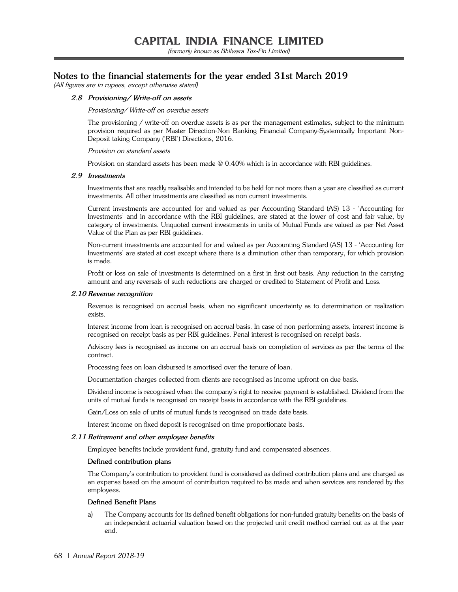(formerly known as Bhilwara Tex-Fin Limited)

# **Notes to the financial statements for the year ended 31st March 2019**

(All figures are in rupees, except otherwise stated)

#### **2.8 Provisioning/ Write-off on assets**

#### Provisioning/ Write-off on overdue assets

 The provisioning / write-off on overdue assets is as per the management estimates, subject to the minimum provision required as per Master Direction-Non Banking Financial Company-Systemically Important Non-Deposit taking Company ('RBI') Directions, 2016.

Provision on standard assets

Provision on standard assets has been made @ 0.40% which is in accordance with RBI guidelines.

#### **2.9 Investments**

 Investments that are readily realisable and intended to be held for not more than a year are classified as current investments. All other investments are classified as non current investments.

 Current investments are accounted for and valued as per Accounting Standard (AS) 13 - 'Accounting for Investments' and in accordance with the RBI guidelines, are stated at the lower of cost and fair value, by category of investments. Unquoted current investments in units of Mutual Funds are valued as per Net Asset Value of the Plan as per RBI guidelines.

 Non-current investments are accounted for and valued as per Accounting Standard (AS) 13 - 'Accounting for Investments' are stated at cost except where there is a diminution other than temporary, for which provision is made.

 Profit or loss on sale of investments is determined on a first in first out basis. Any reduction in the carrying amount and any reversals of such reductions are charged or credited to Statement of Profit and Loss.

#### **2.10 Revenue recognition**

 Revenue is recognised on accrual basis, when no significant uncertainty as to determination or realization exists.

 Interest income from loan is recognised on accrual basis. In case of non performing assets, interest income is recognised on receipt basis as per RBI guidelines. Penal interest is recognised on receipt basis.

 Advisory fees is recognised as income on an accrual basis on completion of services as per the terms of the contract.

Processing fees on loan disbursed is amortised over the tenure of loan.

Documentation charges collected from clients are recognised as income upfront on due basis.

 Dividend income is recognised when the company's right to receive payment is established. Dividend from the units of mutual funds is recognised on receipt basis in accordance with the RBI guidelines.

Gain/Loss on sale of units of mutual funds is recognised on trade date basis.

Interest income on fixed deposit is recognised on time proportionate basis.

#### **2.11 Retirement and other employee benefits**

Employee benefits include provident fund, gratuity fund and compensated absences.

#### **Defined contribution plans**

 The Company's contribution to provident fund is considered as defined contribution plans and are charged as an expense based on the amount of contribution required to be made and when services are rendered by the employees.

#### **Defined Benefit Plans**

 a) The Company accounts for its defined benefit obligations for non-funded gratuity benefits on the basis of an independent actuarial valuation based on the projected unit credit method carried out as at the year end.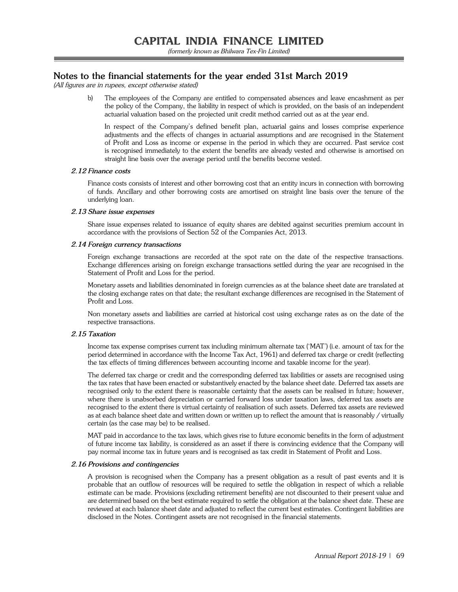# **Notes to the financial statements for the year ended 31st March 2019**

(All figures are in rupees, except otherwise stated)

 b) The employees of the Company are entitled to compensated absences and leave encashment as per the policy of the Company, the liability in respect of which is provided, on the basis of an independent actuarial valuation based on the projected unit credit method carried out as at the year end.

 In respect of the Company's defined benefit plan, actuarial gains and losses comprise experience adjustments and the effects of changes in actuarial assumptions and are recognised in the Statement of Profit and Loss as income or expense in the period in which they are occurred. Past service cost is recognised immediately to the extent the benefits are already vested and otherwise is amortised on straight line basis over the average period until the benefits become vested.

#### **2.12 Finance costs**

 Finance costs consists of interest and other borrowing cost that an entity incurs in connection with borrowing of funds. Ancillary and other borrowing costs are amortised on straight line basis over the tenure of the underlying loan.

#### **2.13 Share issue expenses**

 Share issue expenses related to issuance of equity shares are debited against securities premium account in accordance with the provisions of Section 52 of the Companies Act, 2013.

#### **2.14 Foreign currency transactions**

 Foreign exchange transactions are recorded at the spot rate on the date of the respective transactions. Exchange differences arising on foreign exchange transactions settled during the year are recognised in the Statement of Profit and Loss for the period.

 Monetary assets and liabilities denominated in foreign currencies as at the balance sheet date are translated at the closing exchange rates on that date; the resultant exchange differences are recognised in the Statement of Profit and Loss.

 Non monetary assets and liabilities are carried at historical cost using exchange rates as on the date of the respective transactions.

#### **2.15 Taxation**

 Income tax expense comprises current tax including minimum alternate tax ('MAT') (i.e. amount of tax for the period determined in accordance with the Income Tax Act, 1961) and deferred tax charge or credit (reflecting the tax effects of timing differences between accounting income and taxable income for the year).

 The deferred tax charge or credit and the corresponding deferred tax liabilities or assets are recognised using the tax rates that have been enacted or substantively enacted by the balance sheet date. Deferred tax assets are recognised only to the extent there is reasonable certainty that the assets can be realised in future; however, where there is unabsorbed depreciation or carried forward loss under taxation laws, deferred tax assets are recognised to the extent there is virtual certainty of realisation of such assets. Deferred tax assets are reviewed as at each balance sheet date and written down or written up to reflect the amount that is reasonably / virtually certain (as the case may be) to be realised.

 MAT paid in accordance to the tax laws, which gives rise to future economic benefits in the form of adjustment of future income tax liability, is considered as an asset if there is convincing evidence that the Company will pay normal income tax in future years and is recognised as tax credit in Statement of Profit and Loss.

#### **2.16 Provisions and contingencies**

 A provision is recognised when the Company has a present obligation as a result of past events and it is probable that an outflow of resources will be required to settle the obligation in respect of which a reliable estimate can be made. Provisions (excluding retirement benefits) are not discounted to their present value and are determined based on the best estimate required to settle the obligation at the balance sheet date. These are reviewed at each balance sheet date and adjusted to reflect the current best estimates. Contingent liabilities are disclosed in the Notes. Contingent assets are not recognised in the financial statements.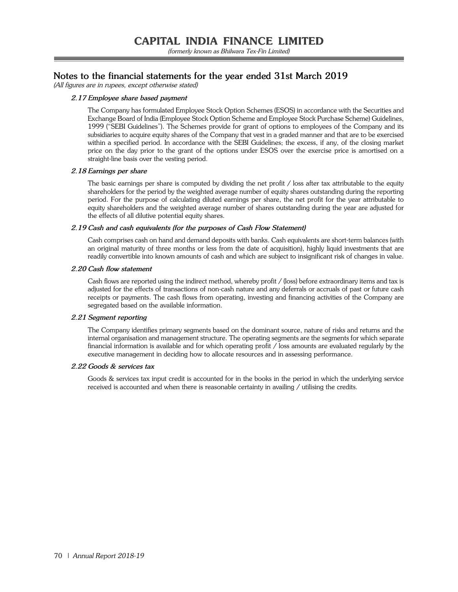# **Notes to the financial statements for the year ended 31st March 2019**

(All figures are in rupees, except otherwise stated)

## **2.17 Employee share based payment**

 The Company has formulated Employee Stock Option Schemes (ESOS) in accordance with the Securities and Exchange Board of India (Employee Stock Option Scheme and Employee Stock Purchase Scheme) Guidelines, 1999 ("SEBI Guidelines"). The Schemes provide for grant of options to employees of the Company and its subsidiaries to acquire equity shares of the Company that vest in a graded manner and that are to be exercised within a specified period. In accordance with the SEBI Guidelines; the excess, if any, of the closing market price on the day prior to the grant of the options under ESOS over the exercise price is amortised on a straight-line basis over the vesting period.

### **2.18 Earnings per share**

The basic earnings per share is computed by dividing the net profit / loss after tax attributable to the equity shareholders for the period by the weighted average number of equity shares outstanding during the reporting period. For the purpose of calculating diluted earnings per share, the net profit for the year attributable to equity shareholders and the weighted average number of shares outstanding during the year are adjusted for the effects of all dilutive potential equity shares.

### **2.19 Cash and cash equivalents (for the purposes of Cash Flow Statement)**

 Cash comprises cash on hand and demand deposits with banks. Cash equivalents are short-term balances (with an original maturity of three months or less from the date of acquisition), highly liquid investments that are readily convertible into known amounts of cash and which are subject to insignificant risk of changes in value.

### **2.20 Cash flow statement**

 Cash flows are reported using the indirect method, whereby profit / (loss) before extraordinary items and tax is adjusted for the effects of transactions of non-cash nature and any deferrals or accruals of past or future cash receipts or payments. The cash flows from operating, investing and financing activities of the Company are segregated based on the available information.

## **2.21 Segment reporting**

 The Company identifies primary segments based on the dominant source, nature of risks and returns and the internal organisation and management structure. The operating segments are the segments for which separate financial information is available and for which operating profit / loss amounts are evaluated regularly by the executive management in deciding how to allocate resources and in assessing performance.

#### **2.22 Goods & services tax**

 Goods & services tax input credit is accounted for in the books in the period in which the underlying service received is accounted and when there is reasonable certainty in availing / utilising the credits.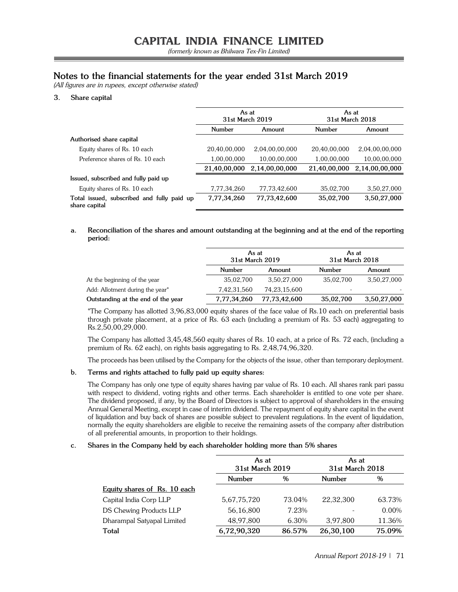# **Notes to the financial statements for the year ended 31st March 2019**

(All figures are in rupees, except otherwise stated)

## **3. Share capital**

|                                                             | As at<br>31st March 2019 |                | As at<br>31st March 2018 |                |
|-------------------------------------------------------------|--------------------------|----------------|--------------------------|----------------|
|                                                             | Number                   | Amount         | Number                   | Amount         |
| Authorised share capital                                    |                          |                |                          |                |
| Equity shares of Rs. 10 each                                | 20,40,00,000             | 2,04,00,00,000 | 20,40,00,000             | 2,04,00,00,000 |
| Preference shares of Rs. 10 each                            | 1,00,00,000              | 10,00,00,000   | 1,00,00,000              | 10,00,00,000   |
|                                                             | 21,40,00,000             | 2,14,00,00,000 | 21,40,00,000             | 2,14,00,00,000 |
| Issued, subscribed and fully paid up                        |                          |                |                          |                |
| Equity shares of Rs. 10 each                                | 7,77,34,260              | 77,73,42,600   | 35,02,700                | 3,50,27,000    |
| Total issued, subscribed and fully paid up<br>share capital | 7,77,34,260              | 77,73,42,600   | 35,02,700                | 3,50,27,000    |

### **a. Reconciliation of the shares and amount outstanding at the beginning and at the end of the reporting period:**

|                                    | As at<br>31st March 2019 |                 | As at<br>31st March 2018 |             |
|------------------------------------|--------------------------|-----------------|--------------------------|-------------|
|                                    | Number                   | Amount          | Number                   | Amount      |
| At the beginning of the year       | 35,02,700                | 3,50,27,000     | 35,02,700                | 3,50,27,000 |
| Add: Allotment during the year*    | 7,42,31,560              | 74, 23, 15, 600 | ۰                        |             |
| Outstanding at the end of the year | 7,77,34,260              | 77,73,42,600    | 35,02,700                | 3,50,27,000 |

 \*The Company has allotted 3,96,83,000 equity shares of the face value of Rs.10 each on preferential basis through private placement, at a price of Rs. 63 each (including a premium of Rs. 53 each) aggregating to Rs.2,50,00,29,000.

 The Company has allotted 3,45,48,560 equity shares of Rs. 10 each, at a price of Rs. 72 each, (including a premium of Rs. 62 each), on rights basis aggregating to Rs. 2,48,74,96,320.

The proceeds has been utilised by the Company for the objects of the issue, other than temporary deployment.

## **b. Terms and rights attached to fully paid up equity shares:**

The Company has only one type of equity shares having par value of Rs. 10 each. All shares rank pari passu with respect to dividend, voting rights and other terms. Each shareholder is entitled to one vote per share. The dividend proposed, if any, by the Board of Directors is subject to approval of shareholders in the ensuing Annual General Meeting, except in case of interim dividend. The repayment of equity share capital in the event of liquidation and buy back of shares are possible subject to prevalent regulations. In the event of liquidation, normally the equity shareholders are eligible to receive the remaining assets of the company after distribution of all preferential amounts, in proportion to their holdings.

#### **c. Shares in the Company held by each shareholder holding more than 5% shares**

|                              | As at<br>31st March 2019 |        | As at<br>31st March 2018 |          |
|------------------------------|--------------------------|--------|--------------------------|----------|
|                              | <b>Number</b>            | %      | <b>Number</b>            | %        |
| Equity shares of Rs. 10 each |                          |        |                          |          |
| Capital India Corp LLP       | 5,67,75,720              | 73.04% | 22,32,300                | 63.73%   |
| DS Chewing Products LLP      | 56,16,800                | 7.23%  |                          | $0.00\%$ |
| Dharampal Satyapal Limited   | 48,97,800                | 6.30%  | 3,97,800                 | 11.36%   |
| <b>Total</b>                 | 6,72,90,320              | 86.57% | 26,30,100                | 75.09%   |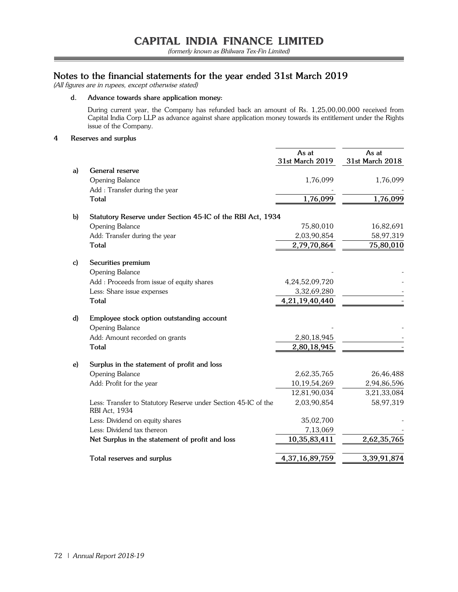# **Notes to the financial statements for the year ended 31st March 2019**

(All figures are in rupees, except otherwise stated)

**d. Advance towards share application money:**

 During current year, the Company has refunded back an amount of Rs. 1,25,00,00,000 received from Capital India Corp LLP as advance against share application money towards its entitlement under the Rights issue of the Company.

**4 Reserves and surplus**

|              |                                                                                 | As at<br>31st March 2019 | As at<br>31st March 2018 |
|--------------|---------------------------------------------------------------------------------|--------------------------|--------------------------|
| a)           | General reserve                                                                 |                          |                          |
|              | <b>Opening Balance</b>                                                          | 1,76,099                 | 1,76,099                 |
|              | Add : Transfer during the year                                                  |                          |                          |
|              | <b>Total</b>                                                                    | 1,76,099                 | 1,76,099                 |
| $\mathbf{b}$ | Statutory Reserve under Section 45-IC of the RBI Act, 1934                      |                          |                          |
|              | Opening Balance                                                                 | 75,80,010                | 16,82,691                |
|              | Add: Transfer during the year                                                   | 2,03,90,854              | 58,97,319                |
|              | <b>Total</b>                                                                    | 2,79,70,864              | 75,80,010                |
| c)           | Securities premium                                                              |                          |                          |
|              | <b>Opening Balance</b>                                                          |                          |                          |
|              | Add : Proceeds from issue of equity shares                                      | 4,24,52,09,720           |                          |
|              | Less: Share issue expenses                                                      | 3,32,69,280              |                          |
|              | <b>Total</b>                                                                    | 4,21,19,40,440           |                          |
| d)           | Employee stock option outstanding account                                       |                          |                          |
|              | Opening Balance                                                                 |                          |                          |
|              | Add: Amount recorded on grants                                                  | 2,80,18,945              |                          |
|              | <b>Total</b>                                                                    | 2,80,18,945              |                          |
| e)           | Surplus in the statement of profit and loss                                     |                          |                          |
|              | Opening Balance                                                                 | 2,62,35,765              | 26,46,488                |
|              | Add: Profit for the year                                                        | 10,19,54,269             | 2,94,86,596              |
|              |                                                                                 | 12,81,90,034             | 3,21,33,084              |
|              | Less: Transfer to Statutory Reserve under Section 45-IC of the<br>RBI Act, 1934 | 2,03,90,854              | 58,97,319                |
|              | Less: Dividend on equity shares                                                 | 35,02,700                |                          |
|              | Less: Dividend tax thereon                                                      | 7,13,069                 |                          |
|              | Net Surplus in the statement of profit and loss                                 | 10,35,83,411             | 2,62,35,765              |
|              | Total reserves and surplus                                                      | 4,37,16,89,759           | 3,39,91,874              |
|              |                                                                                 |                          |                          |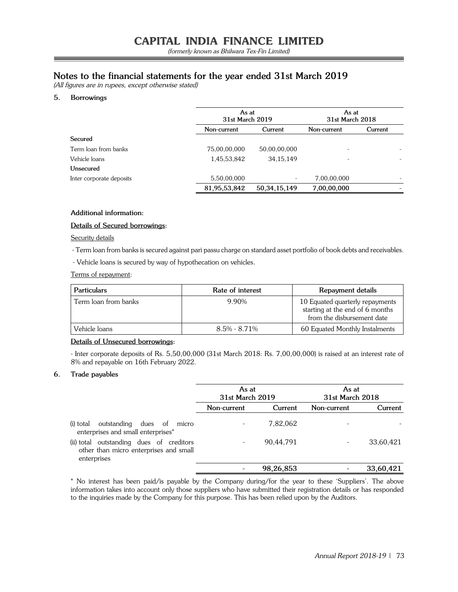# **Notes to the financial statements for the year ended 31st March 2019**

(All figures are in rupees, except otherwise stated)

## **5. Borrowings**

|                          |              | As at<br>31st March 2019 |             | As at<br>31st March 2018 |
|--------------------------|--------------|--------------------------|-------------|--------------------------|
|                          | Non-current  | Current                  | Non-current | Current                  |
| Secured                  |              |                          |             |                          |
| Term loan from banks     | 75,00,00,000 | 50,00,00,000             |             |                          |
| Vehicle loans            | 1,45,53,842  | 34, 15, 149              | ٠           |                          |
| Unsecured                |              |                          |             |                          |
| Inter corporate deposits | 5,50,00,000  | $\overline{\phantom{a}}$ | 7,00,00,000 |                          |
|                          | 81,95,53,842 | 50, 34, 15, 149          | 7,00,00,000 |                          |

#### **Additional information:**

### **Details of Secured borrowings:**

#### Security details

- Term loan from banks is secured against pari passu charge on standard asset portfolio of book debts and receivables.

- Vehicle loans is secured by way of hypothecation on vehicles.

Terms of repayment:

| <b>Particulars</b>   | Rate of interest | Repayment details                                                                                |
|----------------------|------------------|--------------------------------------------------------------------------------------------------|
| Term loan from banks | 9.90%            | 10 Equated quarterly repayments<br>starting at the end of 6 months<br>from the disbursement date |
| Vehicle loans        | $8.5\% - 8.71\%$ | 60 Equated Monthly Instalments                                                                   |

## **Details of Unsecured borrowings:**

- Inter corporate deposits of Rs. 5,50,00,000 (31st March 2018: Rs. 7,00,00,000) is raised at an interest rate of 8% and repayable on 16th February 2022.

#### **6. Trade payables**

|                                                                                                   | As at<br>31st March 2019 |           | As at<br>31st March 2018 |           |
|---------------------------------------------------------------------------------------------------|--------------------------|-----------|--------------------------|-----------|
|                                                                                                   | Non-current              | Current   | Non-current              | Current   |
| outstanding dues of micro<br>(i) total<br>enterprises and small enterprises*                      |                          | 7,82,062  |                          |           |
| (ii) total outstanding dues of creditors<br>other than micro enterprises and small<br>enterprises |                          | 90,44,791 |                          | 33,60,421 |
|                                                                                                   |                          | 98,26,853 |                          | 33,60,421 |

\* No interest has been paid/is payable by the Company during/for the year to these 'Suppliers'. The above information takes into account only those suppliers who have submitted their registration details or has responded to the inquiries made by the Company for this purpose. This has been relied upon by the Auditors.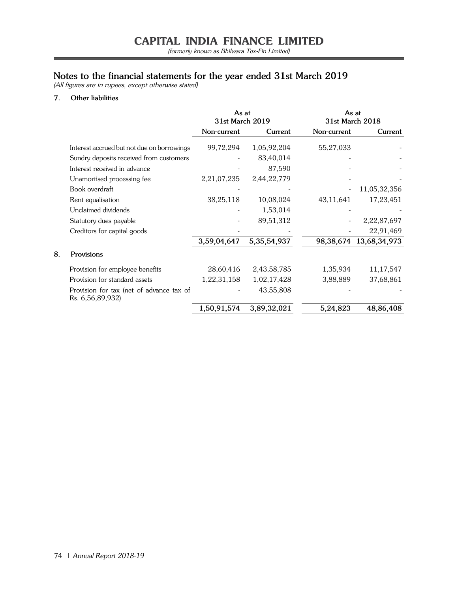(formerly known as Bhilwara Tex-Fin Limited)

=

## **Notes to the financial statements for the year ended 31st March 2019**

(All figures are in rupees, except otherwise stated)

## **7. Other liabilities**

**8. Provisions**

|                                                              | As at<br>31st March 2019 |                | As at<br>31st March 2018 |              |
|--------------------------------------------------------------|--------------------------|----------------|--------------------------|--------------|
|                                                              | Non-current              | Current        | Non-current              | Current      |
| Interest accrued but not due on borrowings                   | 99,72,294                | 1,05,92,204    | 55,27,033                |              |
| Sundry deposits received from customers                      |                          | 83,40,014      |                          |              |
| Interest received in advance                                 |                          | 87,590         |                          |              |
| Unamortised processing fee                                   | 2,21,07,235              | 2,44,22,779    |                          |              |
| Book overdraft                                               |                          |                |                          | 11,05,32,356 |
| Rent equalisation                                            | 38,25,118                | 10,08,024      | 43,11,641                | 17,23,451    |
| Unclaimed dividends                                          |                          | 1,53,014       |                          |              |
| Statutory dues payable                                       |                          | 89,51,312      |                          | 2,22,87,697  |
| Creditors for capital goods                                  |                          |                |                          | 22,91,469    |
|                                                              | 3,59,04,647              | 5, 35, 54, 937 | 98,38,674                | 13,68,34,973 |
| Provisions                                                   |                          |                |                          |              |
| Provision for employee benefits                              | 28,60,416                | 2,43,58,785    | 1,35,934                 | 11,17,547    |
| Provision for standard assets                                | 1,22,31,158              | 1,02,17,428    | 3,88,889                 | 37,68,861    |
| Provision for tax (net of advance tax of<br>Rs. 6,56,89,932) |                          | 43,55,808      |                          |              |
|                                                              | 1,50,91,574              | 3,89,32,021    | 5,24,823                 | 48,86,408    |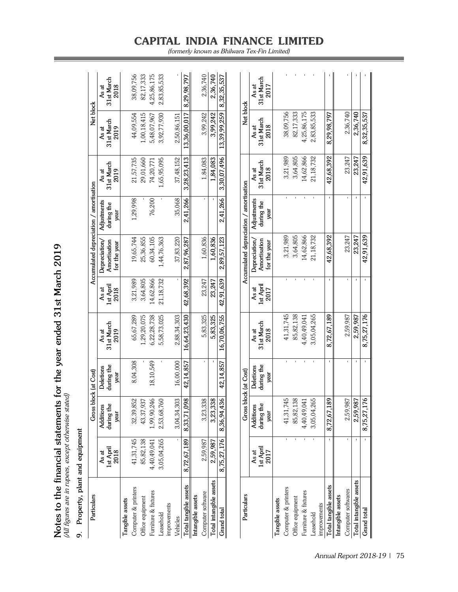| Property, plant and equipment<br>o, |                                   |                                 |                                 |                             |                            |                                               |                                   |                             |                             |                             |
|-------------------------------------|-----------------------------------|---------------------------------|---------------------------------|-----------------------------|----------------------------|-----------------------------------------------|-----------------------------------|-----------------------------|-----------------------------|-----------------------------|
| Particulars                         |                                   |                                 | Gross block (at Cost)           |                             |                            | Accumulated depreciation / amortisation       |                                   |                             | Net block                   |                             |
|                                     | <b>Ist April</b><br>2018<br>As at | during the<br>Additions<br>year | during the<br>Deletions<br>year | 31st March<br>2019<br>As at | 1st April<br>2018<br>As at | Amortisation<br>Depreciation,<br>for the year | Adjustments<br>during the<br>year | 31st March<br>2019<br>As at | 31st March<br>2019<br>As at | 31st March<br>2018<br>As at |
| Tangible assets                     |                                   |                                 |                                 |                             |                            |                                               |                                   |                             |                             |                             |
| Computer & printers                 | 41,31,745                         | 32,39,852                       | 8,04,308                        | 65,67,289                   | 3,21,989                   | 19,65,744                                     | 1,29,998                          | 21,57,735                   | 44,09,554                   | 38,09,756                   |
| Office equipment                    | 85,82,138                         | 43,37,937                       |                                 | 1,29,20,075                 | 3,64,805                   | 25,36,855                                     |                                   | 29,01,660                   | 1,00,18,415                 | 82,17,333                   |
| Furniture & fixtures                | 4,40,49,041                       | 1,99,90,246                     | 18,10,549                       | 6,22,28,738                 | 14,62,866                  | 60,34,105                                     | 76,200                            | 74,20,771                   | 5,48,07,967                 | 4,25,86,175                 |
| Leasehold                           | 3,05,04,265                       | 2,53,68,760                     |                                 | 5,58,73,025                 | 21, 18, 732                | 1,44,76,363                                   |                                   | 1,65,95,095                 | 3,92,77,930                 | 2,83,85,533                 |
| improvements                        |                                   |                                 |                                 |                             |                            |                                               |                                   |                             |                             |                             |
| Vehicles                            |                                   | 3,04,34,303                     | 16,00,000                       | 2,88,34,303                 |                            | 37,83,220                                     | 35,068                            | 37,48,152                   | 2,50,86,151                 |                             |
| Total tangible assets               | 8,72,67,189                       | 8,33,71,098                     | 42,14,857                       | 16,64,23,430                | 42,68,392                  | 2,87,96,287                                   | 2,41,266                          | 3, 28, 23, 413              | 13,36,00,017                | 8,29,98,797                 |
| Intangible assets                   |                                   |                                 |                                 |                             |                            |                                               |                                   |                             |                             |                             |
| Computer software                   | 2,59,987                          | 3,23,338                        |                                 | 5,83,325                    | 23,247                     | 1,60,836                                      |                                   | 1,84,083                    | 3,99,242                    | 2,36,740                    |
| Total intangible assets             | 2,59,987                          | 3,23,338                        |                                 | 5,83,325                    | 23,247                     | 1,60,836                                      |                                   | 1,84,083                    | 3,99,242                    | 2,36,740                    |
| <b>Grand</b> total                  | 8,75,27,176                       | 8,36,94,436                     | 42,14,857                       | 16,70,06,755                | 42,91,639                  | 2,89,57,123                                   | 2,41,266                          | 3,30,07,496                 | 13,39,99,259                | 8,32,35,537                 |
|                                     |                                   |                                 |                                 |                             |                            |                                               |                                   |                             |                             |                             |
| Particulars                         |                                   |                                 | Gross block (at Cost)           |                             |                            | Accumulated depreciation / amortisation       |                                   |                             | Net block                   |                             |
|                                     | As at                             | Additions                       | <b>Deletions</b>                | As at                       | As at                      | Depreciation/                                 | Adjustments                       | As at                       | As at                       | As at                       |
|                                     | 1st April<br>2017                 | during the<br>year              | during the<br>year              | 31st March<br>2018          | 1st April<br>2017          | Amortisation<br>for the year                  | during the<br>year                | 31st March<br>2018          | 31st March<br>2018          | 31st March<br>2017          |
| Tangible assets                     |                                   |                                 |                                 |                             |                            |                                               |                                   |                             |                             |                             |
| Computer & printers                 |                                   | 41,31,745                       |                                 | 41,31,745                   |                            | 3,21,989                                      |                                   | 3,21,989                    | 38,09,756                   |                             |
| Office equipment                    |                                   | 85,82,138                       |                                 | 85,82,138                   |                            | 3,64,805                                      |                                   | 3,64,805                    | 82,17,333                   |                             |
| Furniture & fixtures                |                                   | 4,40,49,041                     |                                 | 4,40,49,041                 |                            | 14,62,866                                     |                                   | 14,62,866                   | 4,25,86,175                 |                             |
| Leasehold                           |                                   | 3,05,04,265                     |                                 | 3,05,04,265                 |                            | 21,18,732                                     |                                   | 21,18,732                   | 2,83,85,533                 |                             |
| improvements                        |                                   |                                 |                                 |                             |                            |                                               |                                   |                             |                             |                             |
| Total tangible assets               |                                   | 8,72,67,18                      |                                 | 8,72,67,189                 |                            | 42,68,392                                     |                                   | 42,68,392                   | 8,29,98,797                 |                             |
| Intangible assets                   |                                   |                                 |                                 |                             |                            |                                               |                                   |                             |                             |                             |
| Computer softwares                  |                                   | 2.59.987                        |                                 | 2,59,987                    |                            | 23,247                                        |                                   | 23,247                      | 2,36,740                    |                             |
| Total intangible assets             |                                   | 2,59,987                        |                                 | 2.59.987                    |                            | 23,247                                        |                                   | 23,247                      | 2,36,740                    |                             |
| Grand total                         |                                   | 8,75,27,176                     |                                 | 8,75,27,176                 |                            | 42.91,639                                     |                                   | 42,91,639                   | 8,32,35,537                 |                             |

Notes to the financial statements for the year ended 31st March 2019<br>(All figures are in rupees, except otherwise stated) **Notes to the financial statements for the year ended 31st March 2019** (All figures are in rupees, except otherwise stated)

## **CAPITAL INDIA FINANCE LIMITED** (formerly known as Bhilwara Tex-Fin Limited)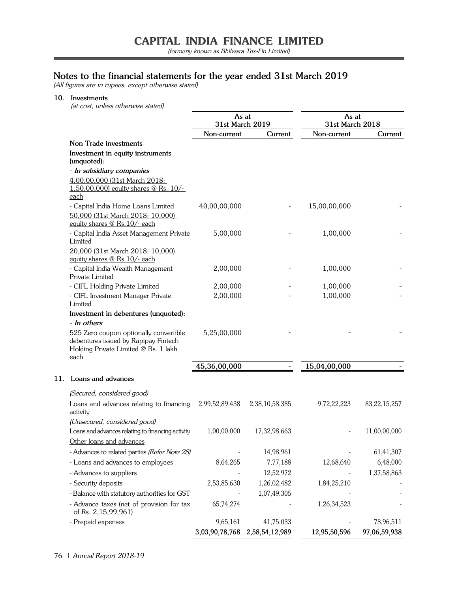(formerly known as Bhilwara Tex-Fin Limited)

۳

## **Notes to the financial statements for the year ended 31st March 2019**

(All figures are in rupees, except otherwise stated)

### **10. Investments**

(at cost, unless otherwise stated)

|                                                                                                                                | As at<br>31st March 2019 |                | As at<br>31st March 2018 |                 |
|--------------------------------------------------------------------------------------------------------------------------------|--------------------------|----------------|--------------------------|-----------------|
|                                                                                                                                | Non-current              | Current        | Non-current              | Current         |
| Non Trade investments                                                                                                          |                          |                |                          |                 |
| Investment in equity instruments<br>(unquoted):                                                                                |                          |                |                          |                 |
| - In subsidiary companies                                                                                                      |                          |                |                          |                 |
| 4,00,00,000 (31st March 2018:<br>1,50,00,000) equity shares @ Rs. $10/-$                                                       |                          |                |                          |                 |
| each                                                                                                                           |                          |                |                          |                 |
| - Capital India Home Loans Limited                                                                                             | 40,00,00,000             |                | 15,00,00,000             |                 |
| 50,000 (31st March 2018: 10,000)<br>equity shares @ Rs.10/- each                                                               |                          |                |                          |                 |
| - Capital India Asset Management Private<br>Limited                                                                            | 5,00,000                 |                | 1,00,000                 |                 |
| 20,000 (31st March 2018: 10,000)<br>equity shares @ Rs.10/- each                                                               |                          |                |                          |                 |
| - Capital India Wealth Management<br>Private Limited                                                                           | 2,00,000                 |                | 1,00,000                 |                 |
| - CIFL Holding Private Limited                                                                                                 | 2,00,000                 |                | 1,00,000                 |                 |
| - CIFL Investment Manager Private<br>Limited                                                                                   | 2,00,000                 |                | 1,00,000                 |                 |
| Investment in debentures (unquoted):                                                                                           |                          |                |                          |                 |
| - In others                                                                                                                    |                          |                |                          |                 |
| 525 Zero coupon optionally convertible<br>debentures issued by Rapipay Fintech<br>Holding Private Limited @ Rs. 1 lakh<br>each | 5,25,00,000              |                |                          |                 |
|                                                                                                                                | 45,36,00,000             |                | 15,04,00,000             |                 |
| 11. Loans and advances                                                                                                         |                          |                |                          |                 |
| (Secured, considered good)                                                                                                     |                          |                |                          |                 |
| Loans and advances relating to financing<br>activity                                                                           | 2,99,52,89,438           | 2,38,10,58,385 | 9,72,22,223              | 83, 22, 15, 257 |
| (Unsecured, considered good)                                                                                                   |                          |                |                          |                 |
| Loans and advances relating to financing activity                                                                              | 1,00,00,000              | 17,32,98,663   |                          | 11,00,00,000    |
| Other loans and advances                                                                                                       |                          |                |                          |                 |
| - Advances to related parties (Refer Note 28)                                                                                  |                          | 14,98,961      |                          | 61,41,307       |
| - Loans and advances to employees                                                                                              | 8,64,265                 | 7,77,188       | 12,68,640                | 6,48,000        |
| - Advances to suppliers                                                                                                        |                          | 12,52,972      |                          | 1,37,58,863     |
| - Security deposits                                                                                                            | 2,53,85,630              | 1,26,02,482    | 1,84,25,210              |                 |
| - Balance with statutory authorities for GST                                                                                   |                          | 1,07,49,305    |                          |                 |
| - Advance taxes (net of provision for tax<br>of Rs. 2,15,99,961)                                                               | 65,74,274                |                | 1,26,34,523              |                 |
| - Prepaid expenses                                                                                                             | 9,65,161                 | 41,75,033      |                          | 78,96,511       |
|                                                                                                                                | 3,03,90,78,768           | 2,58,54,12,989 | 12,95,50,596             | 97,06,59,938    |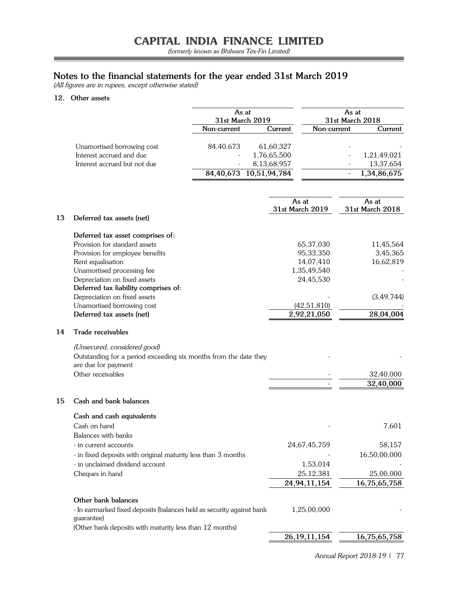(formerly known as Bhilwara Tex-Fin Limited)

## **Notes to the financial statements for the year ended 31st March 2019**

(All figures are in rupees, except otherwise stated)

## **12. Other assets**

|                              |             | As at<br>31st March 2019 | As at<br>31st March 2018 |             |
|------------------------------|-------------|--------------------------|--------------------------|-------------|
|                              | Non-current | Current                  | Non-current              | Current     |
| Unamortised borrowing cost   | 84,40,673   | 61,60,327                |                          |             |
| Interest accrued and due     |             | 1,76,65,500              |                          | 1,21,49,021 |
| Interest accrued but not due |             | 8,13,68,957              |                          | 13,37,654   |
|                              |             | 84,40,673 10,51,94,784   |                          | 1,34,86,675 |

|    |                                                                                         | As at<br>31st March 2019 | As at<br>31st March 2018 |
|----|-----------------------------------------------------------------------------------------|--------------------------|--------------------------|
| 13 | Deferred tax assets (net)                                                               |                          |                          |
|    | Deferred tax asset comprises of:                                                        |                          |                          |
|    | Provision for standard assets                                                           | 65,37,030                | 11,45,564                |
|    | Provision for employee benefits                                                         | 95,33,350                | 3,45,365                 |
|    | Rent equalisation                                                                       | 14,07,410                | 16,62,819                |
|    | Unamortised processing fee                                                              | 1,35,49,540              |                          |
|    | Depreciation on fixed assets                                                            | 24,45,530                |                          |
|    | Deferred tax liability comprises of:                                                    |                          |                          |
|    | Depreciation on fixed assets                                                            |                          | (3, 49, 744)             |
|    | Unamortised borrowing cost                                                              | (42, 51, 810)            |                          |
|    | Deferred tax assets (net)                                                               | 2,92,21,050              | 28,04,004                |
| 14 | Trade receivables                                                                       |                          |                          |
|    | (Unsecured, considered good)                                                            |                          |                          |
|    | Outstanding for a period exceeding six months from the date they<br>are due for payment |                          |                          |
|    | Other receivables                                                                       |                          | 32,40,000                |
|    |                                                                                         |                          | 32,40,000                |
| 15 | Cash and bank balances                                                                  |                          |                          |
|    | Cash and cash equivalents                                                               |                          |                          |
|    | Cash on hand                                                                            |                          | 7,601                    |
|    | Balances with banks                                                                     |                          |                          |
|    | - in current accounts                                                                   | 24,67,45,759             | 58,157                   |
|    | - in fixed deposits with original maturity less than 3 months                           |                          | 16,50,00,000             |
|    | - in unclaimed dividend account                                                         | 1,53,014                 |                          |
|    | Cheques in hand                                                                         | 25, 12, 381              | 25,00,000                |
|    |                                                                                         | 24,94,11,154             | 16,75,65,758             |
|    | Other bank balances                                                                     |                          |                          |
|    | - In earmarked fixed deposits (balances held as security against bank<br>guarantee)     | 1,25,00,000              |                          |
|    | (Other bank deposits with maturity less than 12 months)                                 |                          |                          |
|    |                                                                                         | 26, 19, 11, 154          | 16,75,65,758             |

۲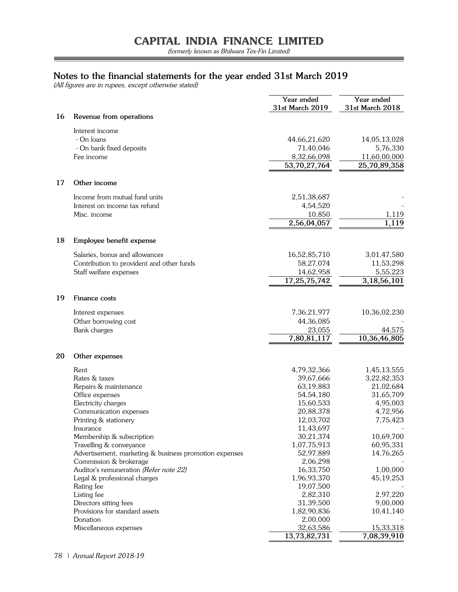۳

## **Notes to the financial statements for the year ended 31st March 2019**

(All figures are in rupees, except otherwise stated)

|    |                                                                                                                                                                                                                                                                                                                                                                                                                                                                                                               | Year ended<br>31st March 2019                                                                                                                                                                                                                                         | Year ended<br>31st March 2018                                                                                                                                                                                |
|----|---------------------------------------------------------------------------------------------------------------------------------------------------------------------------------------------------------------------------------------------------------------------------------------------------------------------------------------------------------------------------------------------------------------------------------------------------------------------------------------------------------------|-----------------------------------------------------------------------------------------------------------------------------------------------------------------------------------------------------------------------------------------------------------------------|--------------------------------------------------------------------------------------------------------------------------------------------------------------------------------------------------------------|
| 16 | Revenue from operations                                                                                                                                                                                                                                                                                                                                                                                                                                                                                       |                                                                                                                                                                                                                                                                       |                                                                                                                                                                                                              |
|    | Interest income<br>- On loans<br>- On bank fixed deposits                                                                                                                                                                                                                                                                                                                                                                                                                                                     | 44,66,21,620<br>71,40,046                                                                                                                                                                                                                                             | 14,05,13,028<br>5,76,330                                                                                                                                                                                     |
|    | Fee income                                                                                                                                                                                                                                                                                                                                                                                                                                                                                                    | 8,32,66,098<br>53,70,27,764                                                                                                                                                                                                                                           | 11,60,00,000<br>25,70,89,358                                                                                                                                                                                 |
| 17 | Other income                                                                                                                                                                                                                                                                                                                                                                                                                                                                                                  |                                                                                                                                                                                                                                                                       |                                                                                                                                                                                                              |
|    | Income from mutual fund units<br>Interest on income tax refund<br>Misc. income                                                                                                                                                                                                                                                                                                                                                                                                                                | 2,51,38,687<br>4,54,520<br>10,850                                                                                                                                                                                                                                     | 1,119                                                                                                                                                                                                        |
|    |                                                                                                                                                                                                                                                                                                                                                                                                                                                                                                               | 2,56,04,057                                                                                                                                                                                                                                                           | 1,119                                                                                                                                                                                                        |
| 18 | Employee benefit expense                                                                                                                                                                                                                                                                                                                                                                                                                                                                                      |                                                                                                                                                                                                                                                                       |                                                                                                                                                                                                              |
|    | Salaries, bonus and allowances<br>Contribution to provident and other funds<br>Staff welfare expenses                                                                                                                                                                                                                                                                                                                                                                                                         | 16,52,85,710<br>58,27,074<br>14,62,958<br>17,25,75,742                                                                                                                                                                                                                | 3,01,47,580<br>11,53,298<br>5,55,223<br>3,18,56,101                                                                                                                                                          |
| 19 | Finance costs                                                                                                                                                                                                                                                                                                                                                                                                                                                                                                 |                                                                                                                                                                                                                                                                       |                                                                                                                                                                                                              |
|    | Interest expenses<br>Other borrowing cost<br>Bank charges                                                                                                                                                                                                                                                                                                                                                                                                                                                     | 7,36,21,977<br>44,36,085<br>23,055<br>7,80,81,117                                                                                                                                                                                                                     | 10,36,02,230<br>44,575<br>10,36,46,805                                                                                                                                                                       |
| 20 | Other expenses                                                                                                                                                                                                                                                                                                                                                                                                                                                                                                |                                                                                                                                                                                                                                                                       |                                                                                                                                                                                                              |
|    | Rent<br>Rates & taxes<br>Repairs & maintenance<br>Office expenses<br>Electricity charges<br>Communication expenses<br>Printing & stationery<br>Insurance<br>Membership & subscription<br>Travelling & conveyance<br>Advertisement, marketing & business promotion expenses<br>Commission & brokerage<br>Auditor's remuneration (Refer note 22)<br>Legal & professional charges<br>Rating fee<br>Listing fee<br>Directors sitting fees<br>Provisions for standard assets<br>Donation<br>Miscellaneous expenses | 4,79,32,366<br>39,67,666<br>63,19,883<br>54,54,180<br>15,60,533<br>20,88,378<br>12,03,702<br>11,43,697<br>30,21,374<br>1,07,75,913<br>52,97,889<br>2,06,298<br>16,33,750<br>1,96,93,370<br>19,07,500<br>2,82,310<br>31,39,500<br>1,82,90,836<br>2,00,000<br>32,63,586 | 1,45,13,555<br>3,22,82,353<br>21,02,684<br>31,65,709<br>4,95,003<br>4,72,956<br>7,75,423<br>10,69,700<br>60,95,331<br>14,76,265<br>1,00,000<br>45, 19, 253<br>2,97,220<br>9,00,000<br>10,41,140<br>15,33,318 |
|    |                                                                                                                                                                                                                                                                                                                                                                                                                                                                                                               | 13,73,82,731                                                                                                                                                                                                                                                          | 7,08,39,910                                                                                                                                                                                                  |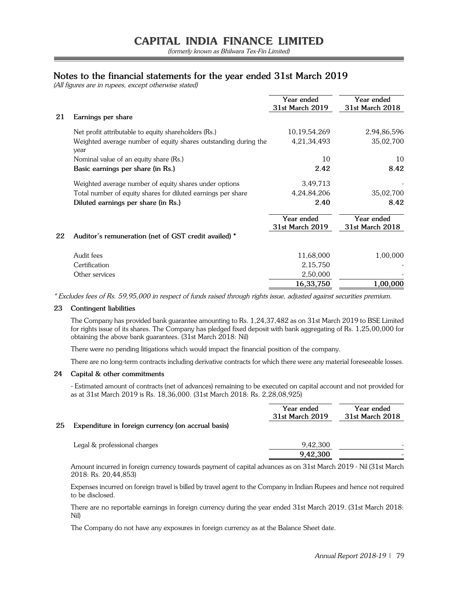## **Notes to the financial statements for the year ended 31st March 2019**

(All figures are in rupees, except otherwise stated)

|    |                                                                         | Year ended<br>31st March 2019 | Year ended<br>31st March 2018 |
|----|-------------------------------------------------------------------------|-------------------------------|-------------------------------|
| 21 | Earnings per share                                                      |                               |                               |
|    | Net profit attributable to equity shareholders (Rs.)                    | 10, 19, 54, 269               | 2,94,86,596                   |
|    | Weighted average number of equity shares outstanding during the<br>year | 4,21,34,493                   | 35,02,700                     |
|    | Nominal value of an equity share (Rs.)                                  | 10                            | 10                            |
|    | Basic earnings per share (in Rs.)                                       | 2.42                          | 8.42                          |
|    | Weighted average number of equity shares under options                  | 3,49,713                      |                               |
|    | Total number of equity shares for diluted earnings per share            | 4,24,84,206                   | 35,02,700                     |
|    | Diluted earnings per share (in Rs.)                                     | 2.40                          | 8.42                          |
|    |                                                                         | Year ended<br>31st March 2019 | Year ended<br>31st March 2018 |
| 22 | Auditor's remuneration (net of GST credit availed) *                    |                               |                               |
|    | Audit fees                                                              | 11,68,000                     | 1,00,000                      |
|    | Certification                                                           | 2,15,750                      |                               |
|    | Other services                                                          | 2,50,000                      |                               |
|    |                                                                         | 16, 33, 750                   | 1,00,000                      |
|    |                                                                         |                               |                               |

\* Excludes fees of Rs. 59,95,000 in respect of funds raised through rights issue, adjusted against securities premium.

## **23 Contingent liabilities**

The Company has provided bank guarantee amounting to Rs. 1,24,37,482 as on 31st March 2019 to BSE Limited for rights issue of its shares. The Company has pledged fixed deposit with bank aggregating of Rs. 1,25,00,000 for obtaining the above bank guarantees. (31st March 2018: Nil)

There were no pending litigations which would impact the financial position of the company.

There are no long-term contracts including derivative contracts for which there were any material foreseeable losses.

## **24 Capital & other commitments**

- Estimated amount of contracts (net of advances) remaining to be executed on capital account and not provided for as at 31st March 2019 is Rs. 18,36,000. (31st March 2018: Rs. 2,28,08,925)

|    |                                                    | Year ended<br>31st March 2019 | Year ended<br>31st March 2018 |
|----|----------------------------------------------------|-------------------------------|-------------------------------|
| 25 | Expenditure in foreign currency (on accrual basis) |                               |                               |
|    | Legal & professional charges                       | 9,42,300                      |                               |
|    |                                                    | 9,42,300                      |                               |

Amount incurred in foreign currency towards payment of capital advances as on 31st March 2019 - Nil (31st March 2018: Rs. 20,44,853)

Expenses incurred on foreign travel is billed by travel agent to the Company in Indian Rupees and hence not required to be disclosed.

There are no reportable earnings in foreign currency during the year ended 31st March 2019. (31st March 2018: Nil)

The Company do not have any exposures in foreign currency as at the Balance Sheet date.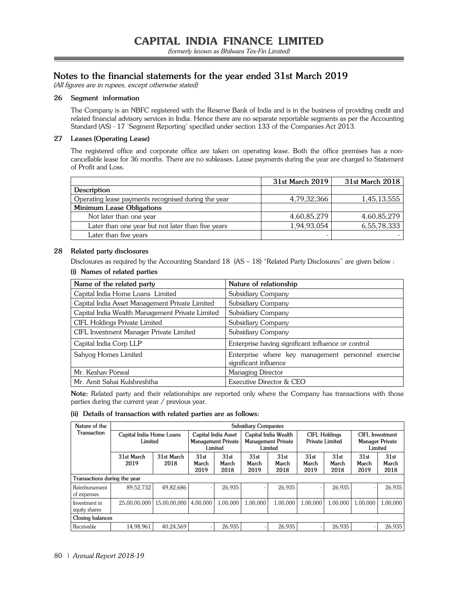## **Notes to the financial statements for the year ended 31st March 2019**

(All figures are in rupees, except otherwise stated)

## **26 Segment information**

The Company is an NBFC registered with the Reserve Bank of India and is in the business of providing credit and related financial advisory services in India. Hence there are no separate reportable segments as per the Accounting Standard (AS) - 17 'Segment Reporting' specified under section 133 of the Companies Act 2013.

## **27 Leases (Operating Lease)**

The registered office and corporate office are taken on operating lease. Both the office premises has a noncancellable lease for 36 months. There are no subleases. Lease payments during the year are charged to Statement of Profit and Loss.

|                                                     | 31st March 2019 | 31st March 2018 |
|-----------------------------------------------------|-----------------|-----------------|
| Description                                         |                 |                 |
| Operating lease payments recognised during the year | 4,79,32,366     | 1,45,13,555     |
| Minimum Lease Obligations                           |                 |                 |
| Not later than one year                             | 4,60,85,279     | 4,60,85,279     |
| Later than one year but not later than five years   | 1,94,93,054     | 6,55,78,333     |
| Later than five years                               |                 |                 |

## **28 Related party disclosures**

Disclosures as required by the Accounting Standard 18 (AS – 18) "Related Party Disclosures" are given below :

| Name of the related party                       | Nature of relationship                                                      |
|-------------------------------------------------|-----------------------------------------------------------------------------|
| Capital India Home Loans Limited                | Subsidiary Company                                                          |
| Capital India Asset Management Private Limited  | Subsidiary Company                                                          |
| Capital India Wealth Management Private Limited | Subsidiary Company                                                          |
| CIFL Holdings Private Limited                   | Subsidiary Company                                                          |
| CIFL Investment Manager Private Limited         | Subsidiary Company                                                          |
| Capital India Corp LLP                          | Enterprise having significant influence or control                          |
| Sahyog Homes Limited                            | Enterprise where key management personnel exercise<br>significant influence |
| Mr. Keshav Porwal                               | Managing Director                                                           |
| Mr. Amit Sahai Kulshreshtha                     | Executive Director & CEO                                                    |

## **(i) Names of related parties**

**Note:** Related party and their relationships are reported only where the Company has transactions with those parties during the current year / previous year.

## **(ii) Details of transaction with related parties are as follows:**

| Nature of the                  |                                     |                    |                       |                                                             | <b>Subsidiary Companies</b> |                                                              |                       |                       |                       |                                                      |
|--------------------------------|-------------------------------------|--------------------|-----------------------|-------------------------------------------------------------|-----------------------------|--------------------------------------------------------------|-----------------------|-----------------------|-----------------------|------------------------------------------------------|
| Transaction                    | Capital India Home Loans<br>Limited |                    |                       | Capital India Asset<br><b>Management Private</b><br>Limited |                             | Capital India Wealth<br><b>Management Private</b><br>Limited | Private Limited       | <b>CIFL Holdings</b>  |                       | CIFL Investment<br><b>Manager Private</b><br>Limited |
|                                | 31st March<br>2019                  | 31st March<br>2018 | 31st<br>March<br>2019 | 31st<br>March<br>2018                                       | 31st<br>March<br>2019       | 31st<br>March<br>2018                                        | 31st<br>March<br>2019 | 31st<br>March<br>2018 | 31st<br>March<br>2019 | 31st<br>March<br>2018                                |
| Transactions during the year   |                                     |                    |                       |                                                             |                             |                                                              |                       |                       |                       |                                                      |
| Reimbursement<br>of expenses   | 89.52.732                           | 49.82.686          |                       | 26.935                                                      |                             | 26,935                                                       |                       | 26.935                |                       | 26.935                                               |
| Investment in<br>equity shares | 25.00.00.000                        | 15.00.00.000       | 4.00.000              | 1.00.000                                                    | 1.00.000                    | 1.00.000                                                     | 1.00.000              | 1.00.000              | 1.00.000              | 1.00.000                                             |
| Closing balances               |                                     |                    |                       |                                                             |                             |                                                              |                       |                       |                       |                                                      |
| Receivable                     | 14.98.961                           | 40.24.569          |                       | 26.935                                                      |                             | 26,935                                                       |                       | 26.935                |                       | 26,935                                               |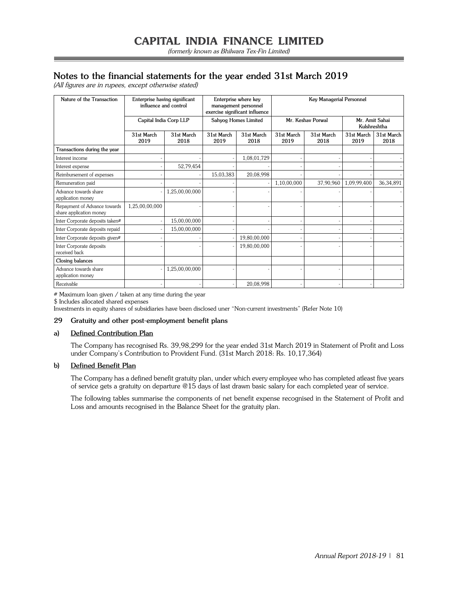## **Notes to the financial statements for the year ended 31st March 2019**

(All figures are in rupees, except otherwise stated)

| Nature of the Transaction                               | Enterprise having significant<br>influence and control |                    |                    | Enterprise where key<br>management personnel<br>exercise significant influence |                    | <b>Key Managerial Personnel</b> |                                |                    |
|---------------------------------------------------------|--------------------------------------------------------|--------------------|--------------------|--------------------------------------------------------------------------------|--------------------|---------------------------------|--------------------------------|--------------------|
|                                                         | Capital India Corp LLP                                 |                    |                    | Sahyog Homes Limited                                                           |                    | Mr. Keshav Porwal               | Mr. Amit Sahai<br>Kulshreshtha |                    |
|                                                         | 31st March<br>2019                                     | 31st March<br>2018 | 31st March<br>2019 | 31st March<br>2018                                                             | 31st March<br>2019 | 31st March<br>2018              | 31st March<br>2019             | 31st March<br>2018 |
| Transactions during the year                            |                                                        |                    |                    |                                                                                |                    |                                 |                                |                    |
| Interest income                                         |                                                        |                    |                    | 1,08,01,729                                                                    |                    |                                 |                                |                    |
| Interest expense                                        |                                                        | 52,79,454          |                    |                                                                                |                    |                                 |                                |                    |
| Reimbursement of expenses                               |                                                        |                    | 15,03,383          | 20,08,998                                                                      |                    |                                 |                                |                    |
| Remuneration paid                                       |                                                        |                    |                    |                                                                                | 1,10,00,000        | 37,90,960                       | 1,09,99,400                    | 36,34,891          |
| Advance towards share<br>application money              |                                                        | 1,25,00,00,000     |                    |                                                                                |                    |                                 |                                |                    |
| Repayment of Advance towards<br>share application money | 1,25,00,00,000                                         |                    |                    |                                                                                |                    |                                 |                                |                    |
| Inter Corporate deposits taken#                         |                                                        | 15,00,00,000       |                    |                                                                                |                    |                                 |                                |                    |
| Inter Corporate deposits repaid                         |                                                        | 15,00,00,000       |                    |                                                                                |                    |                                 |                                |                    |
| Inter Corporate deposits given#                         |                                                        |                    |                    | 19,80,00,000                                                                   |                    |                                 |                                |                    |
| Inter Corporate deposits<br>received back               |                                                        |                    |                    | 19,80,00,000                                                                   |                    |                                 |                                |                    |
| Closing balances                                        |                                                        |                    |                    |                                                                                |                    |                                 |                                |                    |
| Advance towards share<br>application money              |                                                        | 1,25,00,00,000     |                    |                                                                                |                    |                                 |                                |                    |
| Receivable                                              |                                                        |                    |                    | 20,08,998                                                                      |                    |                                 |                                |                    |

# Maximum loan given / taken at any time during the year

\$ Includes allocated shared expenses

Investments in equity shares of subsidiaries have been disclosed uner "Non-current investments" (Refer Note 10)

## **29 Gratuity and other post-employment benefit plans**

## **a) Defined Contribution Plan**

The Company has recognised Rs. 39,98,299 for the year ended 31st March 2019 in Statement of Profit and Loss under Company's Contribution to Provident Fund. (31st March 2018: Rs. 10,17,364)

## **b) Defined Benefit Plan**

The Company has a defined benefit gratuity plan, under which every employee who has completed atleast five years of service gets a gratuity on departure @15 days of last drawn basic salary for each completed year of service.

The following tables summarise the components of net benefit expense recognised in the Statement of Profit and Loss and amounts recognised in the Balance Sheet for the gratuity plan.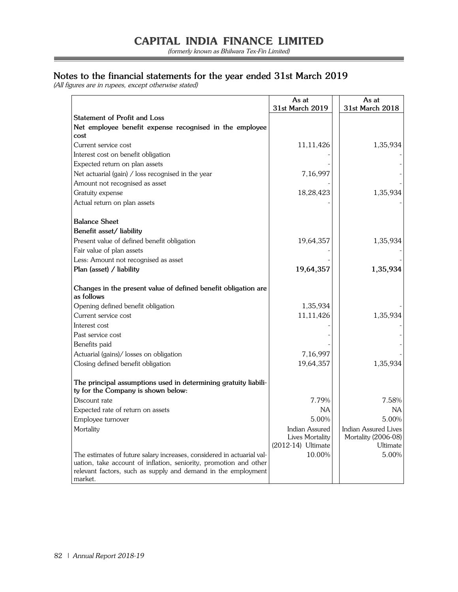(formerly known as Bhilwara Tex-Fin Limited)

=

## **Notes to the financial statements for the year ended 31st March 2019**

(All figures are in rupees, except otherwise stated)

|                                                                                                       | As at<br>31st March 2019                | As at<br>31st March 2018        |
|-------------------------------------------------------------------------------------------------------|-----------------------------------------|---------------------------------|
| <b>Statement of Profit and Loss</b>                                                                   |                                         |                                 |
| Net employee benefit expense recognised in the employee<br>cost                                       |                                         |                                 |
| Current service cost                                                                                  | 11, 11, 426                             | 1,35,934                        |
| Interest cost on benefit obligation                                                                   |                                         |                                 |
| Expected return on plan assets                                                                        |                                         |                                 |
| Net actuarial (gain) / loss recognised in the year                                                    | 7,16,997                                |                                 |
| Amount not recognised as asset                                                                        |                                         |                                 |
| Gratuity expense                                                                                      | 18,28,423                               | 1,35,934                        |
| Actual return on plan assets                                                                          |                                         |                                 |
| <b>Balance Sheet</b>                                                                                  |                                         |                                 |
| Benefit asset/ liability                                                                              |                                         |                                 |
| Present value of defined benefit obligation                                                           | 19,64,357                               | 1,35,934                        |
| Fair value of plan assets                                                                             |                                         |                                 |
| Less: Amount not recognised as asset                                                                  |                                         |                                 |
| Plan (asset) / liability                                                                              | 19,64,357                               | 1,35,934                        |
| Changes in the present value of defined benefit obligation are<br>as follows                          |                                         |                                 |
| Opening defined benefit obligation                                                                    | 1,35,934                                |                                 |
| Current service cost                                                                                  | 11,11,426                               | 1,35,934                        |
| Interest cost                                                                                         |                                         |                                 |
| Past service cost                                                                                     |                                         |                                 |
| Benefits paid                                                                                         |                                         |                                 |
| Actuarial (gains)/ losses on obligation                                                               | 7,16,997                                |                                 |
| Closing defined benefit obligation                                                                    | 19,64,357                               | 1,35,934                        |
| The principal assumptions used in determining gratuity liabili-<br>ty for the Company is shown below: |                                         |                                 |
| Discount rate                                                                                         | 7.79%                                   | 7.58%                           |
| Expected rate of return on assets                                                                     | ΝA                                      | ΝA                              |
| Employee turnover                                                                                     | 5.00%                                   | 5.00%                           |
| Mortality                                                                                             | Indian Assured                          | Indian Assured Lives            |
|                                                                                                       | Lives Mortality<br>$(2012-14)$ Ultimate | Mortality (2006-08)<br>Ultimate |
| The estimates of future salary increases, considered in actuarial val-                                | 10.00%                                  | 5.00%                           |
| uation, take account of inflation, seniority, promotion and other                                     |                                         |                                 |
| relevant factors, such as supply and demand in the employment                                         |                                         |                                 |
| market.                                                                                               |                                         |                                 |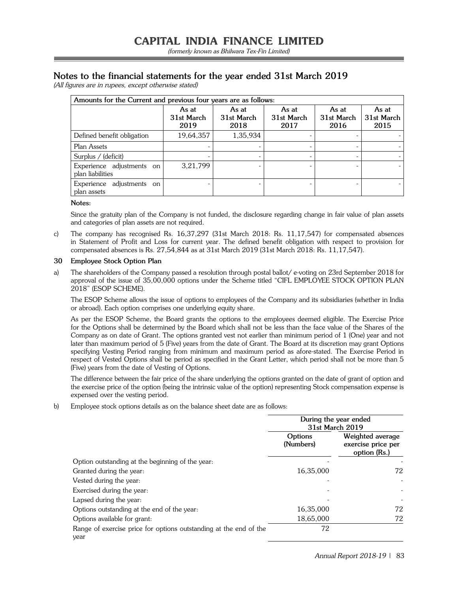## **Notes to the financial statements for the year ended 31st March 2019**

(All figures are in rupees, except otherwise stated)

| Amounts for the Current and previous four years are as follows: |                             |                             |                             |                             |                             |
|-----------------------------------------------------------------|-----------------------------|-----------------------------|-----------------------------|-----------------------------|-----------------------------|
|                                                                 | As at<br>31st March<br>2019 | As at<br>31st March<br>2018 | As at<br>31st March<br>2017 | As at<br>31st March<br>2016 | As at<br>31st March<br>2015 |
| Defined benefit obligation                                      | 19,64,357                   | 1,35,934                    |                             |                             |                             |
| Plan Assets                                                     |                             |                             |                             |                             |                             |
| Surplus / (deficit)                                             |                             |                             |                             |                             |                             |
| Experience adjustments on<br>plan liabilities                   | 3,21,799                    |                             |                             |                             |                             |
| adjustments on<br>Experience<br>plan assets                     |                             |                             |                             |                             |                             |

## **Notes:**

Since the gratuity plan of the Company is not funded, the disclosure regarding change in fair value of plan assets and categories of plan assets are not required.

c) The company has recognised Rs. 16,37,297 (31st March 2018: Rs. 11,17,547) for compensated absences in Statement of Profit and Loss for current year. The defined benefit obligation with respect to provision for compensated absences is Rs. 27,54,844 as at 31st March 2019 (31st March 2018: Rs. 11,17,547).

## **30 Employee Stock Option Plan**

a) The shareholders of the Company passed a resolution through postal ballot/ e-voting on 23rd September 2018 for approval of the issue of 35,00,000 options under the Scheme titled "CIFL EMPLOYEE STOCK OPTION PLAN 2018" (ESOP SCHEME).

The ESOP Scheme allows the issue of options to employees of the Company and its subsidiaries (whether in India or abroad). Each option comprises one underlying equity share.

As per the ESOP Scheme, the Board grants the options to the employees deemed eligible. The Exercise Price for the Options shall be determined by the Board which shall not be less than the face value of the Shares of the Company as on date of Grant. The options granted vest not earlier than minimum period of 1 (One) year and not later than maximum period of 5 (Five) years from the date of Grant. The Board at its discretion may grant Options specifying Vesting Period ranging from minimum and maximum period as afore-stated. The Exercise Period in respect of Vested Options shall be period as specified in the Grant Letter, which period shall not be more than 5 (Five) years from the date of Vesting of Options.

The difference between the fair price of the share underlying the options granted on the date of grant of option and the exercise price of the option (being the intrinsic value of the option) representing Stock compensation expense is expensed over the vesting period.

b) Employee stock options details as on the balance sheet date are as follows:

|                                                                           | During the year ended<br>31st March 2019 |                                                        |
|---------------------------------------------------------------------------|------------------------------------------|--------------------------------------------------------|
|                                                                           | Options<br>(Numbers)                     | Weighted average<br>exercise price per<br>option (Rs.) |
| Option outstanding at the beginning of the year:                          |                                          |                                                        |
| Granted during the year:                                                  | 16,35,000                                | 72                                                     |
| Vested during the year:                                                   |                                          |                                                        |
| Exercised during the year:                                                |                                          |                                                        |
| Lapsed during the year:                                                   |                                          |                                                        |
| Options outstanding at the end of the year:                               | 16,35,000                                | 72                                                     |
| Options available for grant:                                              | 18,65,000                                | 72                                                     |
| Range of exercise price for options outstanding at the end of the<br>vear | 72                                       |                                                        |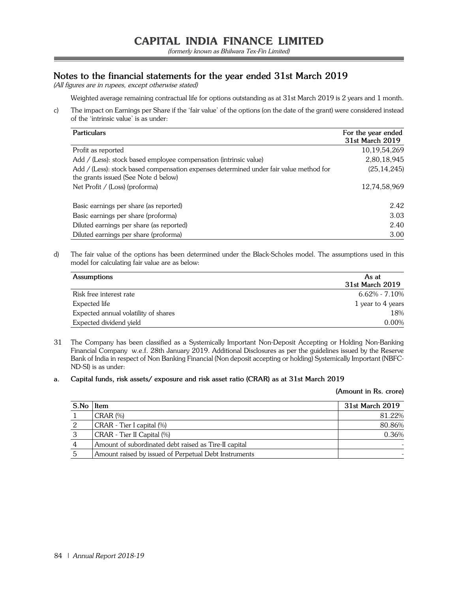(formerly known as Bhilwara Tex-Fin Limited)

## **Notes to the financial statements for the year ended 31st March 2019**

(All figures are in rupees, except otherwise stated)

Weighted average remaining contractual life for options outstanding as at 31st March 2019 is 2 years and 1 month.

c) The impact on Earnings per Share if the 'fair value' of the options (on the date of the grant) were considered instead of the 'intrinsic value' is as under:

| <b>Particulars</b>                                                                                                             | For the year ended<br>31st March 2019 |
|--------------------------------------------------------------------------------------------------------------------------------|---------------------------------------|
| Profit as reported                                                                                                             | 10, 19, 54, 269                       |
| Add / (Less): stock based employee compensation (intrinsic value)                                                              | 2,80,18,945                           |
| Add / (Less): stock based compensation expenses determined under fair value method for<br>the grants issued (See Note d below) | (25, 14, 245)                         |
| Net Profit / (Loss) (proforma)                                                                                                 | 12,74,58,969                          |
| Basic earnings per share (as reported)                                                                                         | 2.42                                  |
| Basic earnings per share (proforma)                                                                                            | 3.03                                  |
| Diluted earnings per share (as reported)                                                                                       | 2.40                                  |
| Diluted earnings per share (proforma)                                                                                          | 3.00                                  |

d) The fair value of the options has been determined under the Black-Scholes model. The assumptions used in this model for calculating fair value are as below:

| <b>Assumptions</b>                   | As at             |
|--------------------------------------|-------------------|
|                                      | 31st March 2019   |
| Risk free interest rate              | $6.62\% - 7.10\%$ |
| Expected life                        | 1 year to 4 years |
| Expected annual volatility of shares | 18%               |
| Expected dividend yield              | $0.00\%$          |
|                                      |                   |

- 31 The Company has been classified as a Systemically Important Non-Deposit Accepting or Holding Non-Banking Financial Company w.e.f. 28th January 2019. Additional Disclosures as per the guidelines issued by the Reserve Bank of India in respect of Non Banking Financial (Non deposit accepting or holding) Systemically Important (NBFC-ND-SI) is as under:
- **a. Capital funds, risk assets/ exposure and risk asset ratio (CRAR) as at 31st March 2019**

#### **(Amount in Rs. crore)**

| S.No | Item                                                  | 31st March 2019 |
|------|-------------------------------------------------------|-----------------|
|      | $CRAR$ $%$                                            | 81.22%          |
| 2    | CRAR - Tier I capital (%)                             | 80.86%          |
| 3    | CRAR - Tier II Capital (%)                            | 0.36%           |
| 4    | Amount of subordinated debt raised as Tire-II capital |                 |
|      | Amount raised by issued of Perpetual Debt Instruments |                 |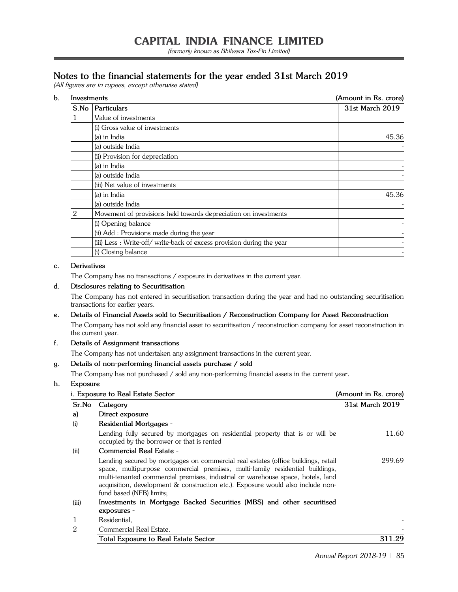(formerly known as Bhilwara Tex-Fin Limited)

## **Notes to the financial statements for the year ended 31st March 2019**

(All figures are in rupees, except otherwise stated)

| Investments |                                                                        | (Amount in Rs. crore) |  |
|-------------|------------------------------------------------------------------------|-----------------------|--|
|             | S.No   Particulars                                                     | 31st March 2019       |  |
|             | Value of investments                                                   |                       |  |
|             | (i) Gross value of investments                                         |                       |  |
|             | (a) in India                                                           | 45.36                 |  |
|             | (a) outside India                                                      |                       |  |
|             | (ii) Provision for depreciation                                        |                       |  |
|             | (a) in India                                                           |                       |  |
|             | (a) outside India                                                      |                       |  |
|             | (iii) Net value of investments                                         |                       |  |
|             | (a) in India                                                           | 45.36                 |  |
|             | (a) outside India                                                      |                       |  |
| 2           | Movement of provisions held towards depreciation on investments        |                       |  |
|             | (i) Opening balance                                                    |                       |  |
|             | (ii) Add : Provisions made during the year                             |                       |  |
|             | (iii) Less : Write-off/ write-back of excess provision during the year |                       |  |
|             | (i) Closing balance                                                    |                       |  |

## **c. Derivatives**

The Company has no transactions / exposure in derivatives in the current year.

## **d. Disclosures relating to Securitisation**

The Company has not entered in securitisation transaction during the year and had no outstanding securitisation transactions for earlier years.

## **e. Details of Financial Assets sold to Securitisation / Reconstruction Company for Asset Reconstruction** The Company has not sold any financial asset to securitisation / reconstruction company for asset reconstruction in the current year.

## **f. Details of Assignment transactions**

The Company has not undertaken any assignment transactions in the current year.

## **g. Details of non-performing financial assets purchase / sold**

The Company has not purchased / sold any non-performing financial assets in the current year.

## **h. Exposure**

| <i>i.</i> Exposure to Real Estate Sector |                                                                                                                                                                                                                                                                                                                                                                     | (Amount in Rs. crore) |
|------------------------------------------|---------------------------------------------------------------------------------------------------------------------------------------------------------------------------------------------------------------------------------------------------------------------------------------------------------------------------------------------------------------------|-----------------------|
| Sr.No                                    | Category                                                                                                                                                                                                                                                                                                                                                            | 31st March 2019       |
| a)                                       | Direct exposure                                                                                                                                                                                                                                                                                                                                                     |                       |
| (i)                                      | <b>Residential Mortgages -</b>                                                                                                                                                                                                                                                                                                                                      |                       |
|                                          | Lending fully secured by mortgages on residential property that is or will be<br>occupied by the borrower or that is rented                                                                                                                                                                                                                                         | 11.60                 |
| (ii)                                     | Commercial Real Estate -                                                                                                                                                                                                                                                                                                                                            |                       |
|                                          | Lending secured by mortgages on commercial real estates (office buildings, retail<br>space, multipurpose commercial premises, multi-family residential buildings,<br>multi-tenanted commercial premises, industrial or warehouse space, hotels, land<br>acquisition, development & construction etc.). Exposure would also include non-<br>fund based (NFB) limits; | 299.69                |
| (iii)                                    | Investments in Mortgage Backed Securities (MBS) and other securitised                                                                                                                                                                                                                                                                                               |                       |
|                                          | exposures -                                                                                                                                                                                                                                                                                                                                                         |                       |
|                                          | Residential,                                                                                                                                                                                                                                                                                                                                                        |                       |
| 2                                        | Commercial Real Estate.                                                                                                                                                                                                                                                                                                                                             |                       |
|                                          | <b>Total Exposure to Real Estate Sector</b>                                                                                                                                                                                                                                                                                                                         | 311.29                |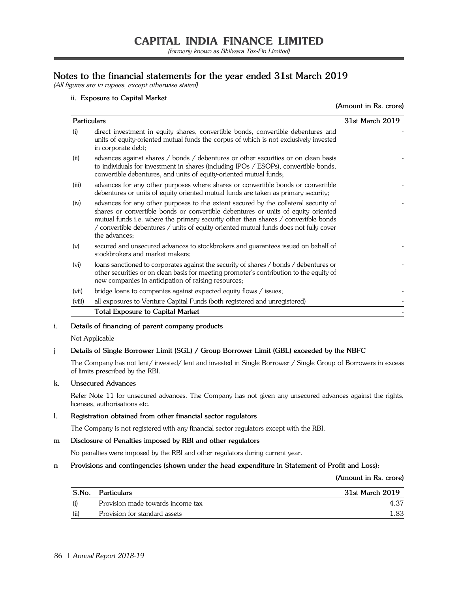(formerly known as Bhilwara Tex-Fin Limited)

## **Notes to the financial statements for the year ended 31st March 2019**

(All figures are in rupees, except otherwise stated)

## **ii. Exposure to Capital Market**

**(Amount in Rs. crore)**

| <b>Particulars</b>                                                                                                                                                                                                                                                                                                                                                               | 31st March 2019 |
|----------------------------------------------------------------------------------------------------------------------------------------------------------------------------------------------------------------------------------------------------------------------------------------------------------------------------------------------------------------------------------|-----------------|
| direct investment in equity shares, convertible bonds, convertible debentures and<br>(i)<br>units of equity-oriented mutual funds the corpus of which is not exclusively invested<br>in corporate debt;                                                                                                                                                                          |                 |
| (ii)<br>advances against shares / bonds / debentures or other securities or on clean basis<br>to individuals for investment in shares (including IPOs / ESOPs), convertible bonds,<br>convertible debentures, and units of equity-oriented mutual funds;                                                                                                                         |                 |
| (iii)<br>advances for any other purposes where shares or convertible bonds or convertible<br>debentures or units of equity oriented mutual funds are taken as primary security;                                                                                                                                                                                                  |                 |
| advances for any other purposes to the extent secured by the collateral security of<br>(iv)<br>shares or convertible bonds or convertible debentures or units of equity oriented<br>mutual funds i.e. where the primary security other than shares / convertible bonds<br>/ convertible debentures / units of equity oriented mutual funds does not fully cover<br>the advances: |                 |
| secured and unsecured advances to stockbrokers and guarantees issued on behalf of<br>(v)<br>stockbrokers and market makers;                                                                                                                                                                                                                                                      |                 |
| loans sanctioned to corporates against the security of shares / bonds / debentures or<br>(vi)<br>other securities or on clean basis for meeting promoter's contribution to the equity of<br>new companies in anticipation of raising resources;                                                                                                                                  |                 |
| (vii)<br>bridge loans to companies against expected equity flows / issues;                                                                                                                                                                                                                                                                                                       |                 |
| (viii)<br>all exposures to Venture Capital Funds (both registered and unregistered)                                                                                                                                                                                                                                                                                              |                 |
| <b>Total Exposure to Capital Market</b>                                                                                                                                                                                                                                                                                                                                          |                 |

## **i. Details of financing of parent company products**

Not Applicable

## **j Details of Single Borrower Limit (SGL) / Group Borrower Limit (GBL) exceeded by the NBFC**

The Company has not lent/ invested/ lent and invested in Single Borrower / Single Group of Borrowers in excess of limits prescribed by the RBI.

## **k. Unsecured Advances**

Refer Note 11 for unsecured advances. The Company has not given any unsecured advances against the rights, licenses, authorisations etc.

## **l. Registration obtained from other financial sector regulators**

The Company is not registered with any financial sector regulators except with the RBI.

## **m Disclosure of Penalties imposed by RBI and other regulators**

No penalties were imposed by the RBI and other regulators during current year.

## **n Provisions and contingencies (shown under the head expenditure in Statement of Profit and Loss):**

**(Amount in Rs. crore)**

| S.No. | <b>Particulars</b>                | 31st March 2019 |
|-------|-----------------------------------|-----------------|
|       | Provision made towards income tax | 4.37            |
| (i)   | Provision for standard assets     | 1.83            |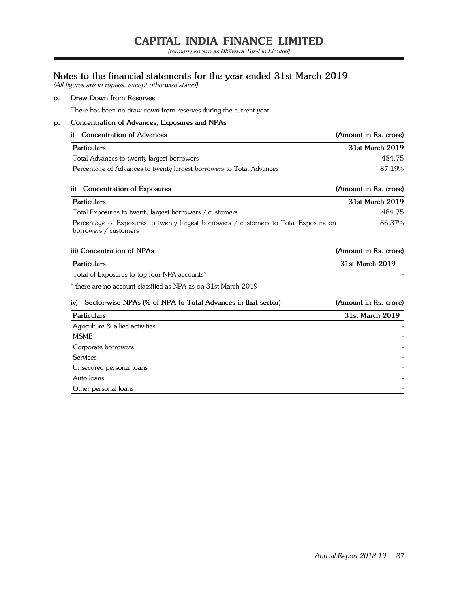(formerly known as Bhilwara Tex-Fin Limited)

## **Notes to the financial statements for the year ended 31st March 2019**

(All figures are in rupees, except otherwise stated)

## **o. Draw Down from Reserves**

There has been no draw down from reserves during the current year.

## **p. Concentration of Advances, Exposures and NPAs**

| i)  | <b>Concentration of Advances</b>                                                                              | (Amount in Rs. crore) |
|-----|---------------------------------------------------------------------------------------------------------------|-----------------------|
|     | <b>Particulars</b>                                                                                            | 31st March 2019       |
|     | Total Advances to twenty largest borrowers                                                                    | 484.75                |
|     | Percentage of Advances to twenty largest borrowers to Total Advances                                          | 87.19%                |
| ii) | Concentration of Exposures                                                                                    | (Amount in Rs. crore) |
|     | <b>Particulars</b>                                                                                            | 31st March 2019       |
|     | Total Exposures to twenty largest borrowers / customers                                                       | 484.75                |
|     | Percentage of Exposures to twenty largest borrowers / customers to Total Exposure on<br>borrowers / customers | 86.37%                |
|     | iii) Concentration of NPAs                                                                                    | (Amount in Rs. crore) |
|     | <b>Particulars</b>                                                                                            | 31st March 2019       |
|     | Total of Exposures to top four NPA accounts*                                                                  |                       |
|     | * there are no account classified as NPA as on 31st March 2019                                                |                       |
| iv) | Sector-wise NPAs (% of NPA to Total Advances in that sector)                                                  | (Amount in Rs. crore) |
|     | <b>Particulars</b>                                                                                            | 31st March 2019       |
|     | Agriculture & allied activities                                                                               |                       |
|     | <b>MSME</b>                                                                                                   |                       |
|     | Corporate borrowers                                                                                           |                       |
|     | Services                                                                                                      |                       |
|     | Unsecured personal loans                                                                                      |                       |
|     | Auto loans                                                                                                    |                       |
|     | Other personal loans                                                                                          |                       |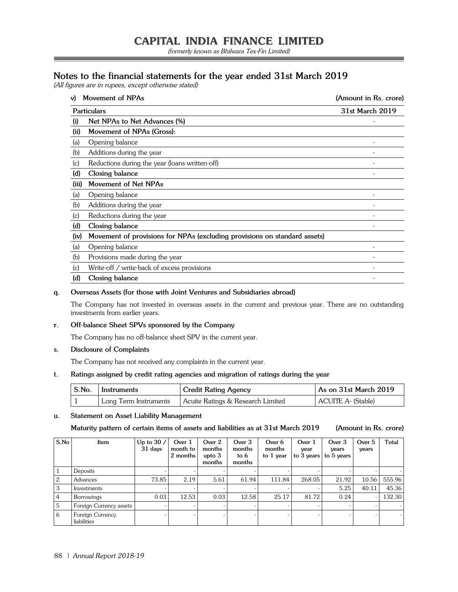(formerly known as Bhilwara Tex-Fin Limited)

## **Notes to the financial statements for the year ended 31st March 2019**

(All figures are in rupees, except otherwise stated)

| v)    | Movement of NPAs                                                          | (Amount in Rs. crore) |
|-------|---------------------------------------------------------------------------|-----------------------|
|       | Particulars                                                               | 31st March 2019       |
| (i)   | Net NPAs to Net Advances (%)                                              |                       |
| (ii)  | Movement of NPAs (Gross):                                                 |                       |
| (a)   | Opening balance                                                           |                       |
| (b)   | Additions during the year                                                 |                       |
| (c)   | Reductions during the year (loans written-off)                            |                       |
| (d)   | Closing balance                                                           |                       |
| (iii) | Movement of Net NPAs                                                      |                       |
| (a)   | Opening balance                                                           |                       |
| (b)   | Additions during the year                                                 |                       |
| (c)   | Reductions during the year                                                |                       |
| (d)   | Closing balance                                                           |                       |
| (iv)  | Movement of provisions for NPAs (excluding provisions on standard assets) |                       |
| (a)   | Opening balance                                                           |                       |
| (b)   | Provisions made during the year                                           |                       |
| (c)   | Write-off / write-back of excess provisions                               |                       |
| (d)   | Closing balance                                                           |                       |

## **q. Overseas Assets (for those with Joint Ventures and Subsidiaries abroad)**

The Company has not invested in overseas assets in the current and previous year. There are no outstanding investments from earlier years.

## **r. Off-balance Sheet SPVs sponsored by the Company**

The Company has no off-balance sheet SPV in the current year.

## **s. Disclosure of Complaints**

The Company has not received any complaints in the current year.

## **t. Ratings assigned by credit rating agencies and migration of ratings during the year**

| $\vert$ S.No. $\vert$ Instruments | Credit Rating Agency              | As on 31st March 2019 |
|-----------------------------------|-----------------------------------|-----------------------|
| Long Term Instruments             | Acuite Ratings & Research Limited | ACUITE A- (Stable)    |

#### **u. Statement on Asset Liability Management**

## **Maturity pattern of certain items of assets and liabilities as at 31st March 2019 (Amount in Rs. crore)**

| S.No            | Item                            | Up to $30/$<br>31 days | Over 1<br>month to<br>2 months | Over 2<br>months<br>upto $3$<br>months | Over 3<br>months<br>to $6$<br>months | Over 6<br>months<br>to 1 year | Over 1<br>year<br>to 3 years | Over 3<br>years<br>to 5 years | Over 5<br>years | Total  |
|-----------------|---------------------------------|------------------------|--------------------------------|----------------------------------------|--------------------------------------|-------------------------------|------------------------------|-------------------------------|-----------------|--------|
|                 | Deposits                        |                        |                                |                                        |                                      |                               |                              |                               |                 |        |
| 2               | Advances                        | 73.85                  | 2.19                           | 5.61                                   | 61.94                                | 111.84                        | 268.05                       | 21.92                         | 10.56           | 555.96 |
| 3               | Investments                     |                        |                                |                                        |                                      |                               |                              | 5.25                          | 40.11           | 45.36  |
| $\vert 4 \vert$ | Borrowings                      | 0.03                   | 12.53                          | 0.03                                   | 12.58                                | 25.17                         | 81.72                        | 0.24                          |                 | 132.30 |
| 5               | Foreign Currency assets         |                        | -                              | $\sim$                                 |                                      |                               |                              |                               |                 |        |
| <sup>6</sup>    | Foreign Currency<br>liabilities |                        | $\sim$                         | $\overline{\phantom{a}}$               |                                      |                               |                              |                               |                 |        |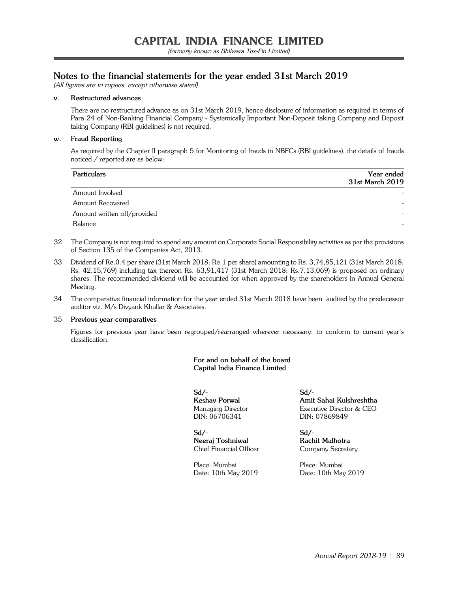## **Notes to the financial statements for the year ended 31st March 2019**

(All figures are in rupees, except otherwise stated)

## **v. Restructured advances**

There are no restructured advance as on 31st March 2019, hence disclosure of information as required in terms of Para 24 of Non-Banking Financial Company - Systemically Important Non-Deposit taking Company and Deposit taking Company (RBI guidelines) is not required.

### **w. Fraud Reporting**

As required by the Chapter II paragraph 5 for Monitoring of frauds in NBFCs (RBI guidelines), the details of frauds noticed / reported are as below:

| <b>Particulars</b>          | Year ended      |
|-----------------------------|-----------------|
|                             | 31st March 2019 |
| Amount Involved             |                 |
| <b>Amount Recovered</b>     |                 |
| Amount written off/provided |                 |
| Balance                     |                 |
|                             |                 |

- 32 The Company is not required to spend any amount on Corporate Social Responsibility activities as per the provisions of Section 135 of the Companies Act, 2013.
- 33 Dividend of Re.0.4 per share (31st March 2018: Re.1 per share) amounting to Rs. 3,74,85,121 (31st March 2018: Rs. 42,15,769) including tax thereon Rs. 63,91,417 (31st March 2018: Rs.7,13,069) is proposed on ordinary shares. The recommended dividend will be accounted for when approved by the shareholders in Annual General Meeting.
- 34 The comparative financial information for the year ended 31st March 2018 have been audited by the predecessor auditor viz. M/s Divyank Khullar & Associates.

#### 35 **Previous year comparatives**

Figures for previous year have been regrouped/rearranged wherever necessary, to conform to current year's classification.

## **For and on behalf of the board Capital India Finance Limited**

**Sd/- Sd/-** DIN: 06706341 DIN: 07869849

**Sd/- Sd/- Neeraj Toshniwal Rachit Malhotra** Chief Financial Officer Company Secretary

Place: Mumbai Place: Mumbai

**Keshav Porwal Amit Sahai Kulshreshtha** Managing Director Executive Director & CEO

Date: 10th May 2019 Date: 10th May 2019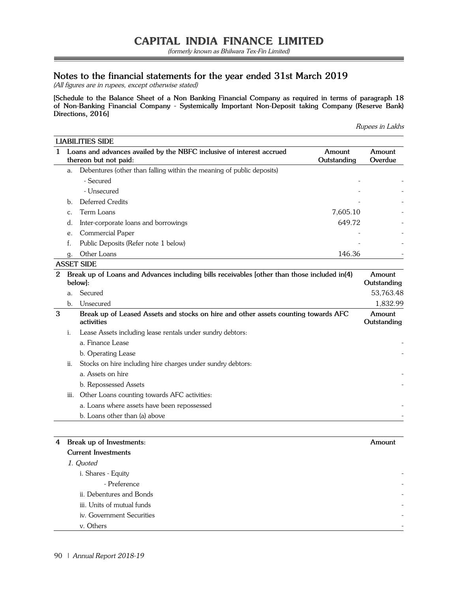(formerly known as Bhilwara Tex-Fin Limited)

## **Notes to the financial statements for the year ended 31st March 2019**

(All figures are in rupees, except otherwise stated)

**[Schedule to the Balance Sheet of a Non Banking Financial Company as required in terms of paragraph 18 of Non-Banking Financial Company - Systemically Important Non-Deposit taking Company (Reserve Bank) Directions, 2016]**

| Rupees in Lakhs |  |  |
|-----------------|--|--|
|-----------------|--|--|

| 1 |                | Loans and advances availed by the NBFC inclusive of interest accrued<br>thereon but not paid:                  | Amount<br>Outstanding | Amount<br>Overdue     |
|---|----------------|----------------------------------------------------------------------------------------------------------------|-----------------------|-----------------------|
|   | a.             | Debentures (other than falling within the meaning of public deposits)                                          |                       |                       |
|   |                | - Secured                                                                                                      |                       |                       |
|   |                | - Unsecured                                                                                                    |                       |                       |
|   | $h_{\cdot}$    | Deferred Credits                                                                                               |                       |                       |
|   | $\mathsf{C}$ . | Term Loans                                                                                                     | 7,605.10              |                       |
|   | d.             | Inter-corporate loans and borrowings                                                                           | 649.72                |                       |
|   | e.             | Commercial Paper                                                                                               |                       |                       |
|   |                | Public Deposits (Refer note 1 below)                                                                           |                       |                       |
|   | Q.             | Other Loans                                                                                                    | 146.36                |                       |
|   |                | <b>ASSET SIDE</b>                                                                                              |                       |                       |
|   |                | (1/ من المواسطة عند عليه المواطنية المواطنينية عند التيلية وسناسية عند عند المواصنية التي عند المواصني المواصل |                       | $\Lambda$ and a speak |

|   | Break up of Loans and Advances including bills receivables [other than those included in(4)<br>below <sub>l</sub> : |                                                                                                  |                       |  |
|---|---------------------------------------------------------------------------------------------------------------------|--------------------------------------------------------------------------------------------------|-----------------------|--|
|   | a.                                                                                                                  | Secured                                                                                          | 53,763.48             |  |
|   | $\mathbf b$ .                                                                                                       | Unsecured                                                                                        | 1,832.99              |  |
| 3 |                                                                                                                     | Break up of Leased Assets and stocks on hire and other assets counting towards AFC<br>activities | Amount<br>Outstanding |  |
|   | i.                                                                                                                  | Lease Assets including lease rentals under sundry debtors:                                       |                       |  |
|   |                                                                                                                     | a. Finance Lease                                                                                 |                       |  |
|   |                                                                                                                     | b. Operating Lease                                                                               |                       |  |
|   | ii.                                                                                                                 | Stocks on hire including hire charges under sundry debtors:                                      |                       |  |
|   |                                                                                                                     | a. Assets on hire                                                                                |                       |  |
|   |                                                                                                                     | b. Repossessed Assets                                                                            |                       |  |
|   | iii.                                                                                                                | Other Loans counting towards AFC activities:                                                     |                       |  |
|   |                                                                                                                     | a. Loans where assets have been repossessed                                                      |                       |  |
|   |                                                                                                                     | b. Loans other than (a) above                                                                    |                       |  |

| 4 | Break up of Investments:   | Amount                   |
|---|----------------------------|--------------------------|
|   | <b>Current Investments</b> |                          |
|   | 1. Quoted                  |                          |
|   | i. Shares - Equity         |                          |
|   | - Preference               | $\overline{\phantom{0}}$ |
|   | ii. Debentures and Bonds   |                          |
|   | iii. Units of mutual funds |                          |
|   | iv. Government Securities  |                          |
|   | v. Others                  |                          |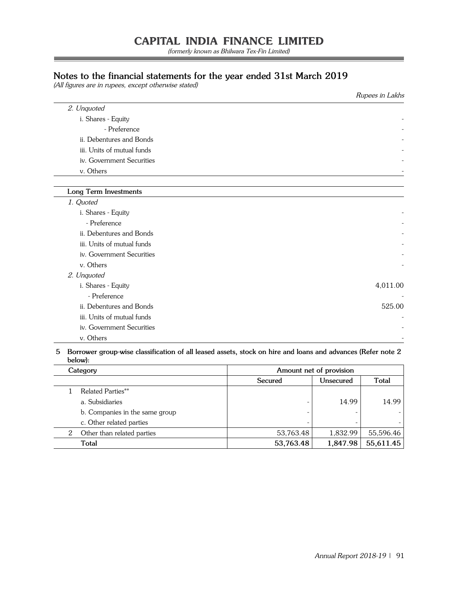(formerly known as Bhilwara Tex-Fin Limited)

## **Notes to the financial statements for the year ended 31st March 2019**

(All figures are in rupees, except otherwise stated)

|                            | Rupees in Lakhs |
|----------------------------|-----------------|
| 2. Unquoted                |                 |
| i. Shares - Equity         |                 |
| - Preference               |                 |
| ii. Debentures and Bonds   |                 |
| iii. Units of mutual funds |                 |
| iv. Government Securities  |                 |
| v. Others                  |                 |
|                            |                 |
| Long Term Investments      |                 |
| 1. Quoted                  |                 |
| i. Shares - Equity         |                 |
| - Preference               |                 |
| ii. Debentures and Bonds   |                 |
| iii. Units of mutual funds |                 |
| iv. Government Securities  |                 |
| v. Others                  |                 |
| 2. Unquoted                |                 |
| i. Shares - Equity         | 4,011.00        |
| - Preference               |                 |
| ii. Debentures and Bonds   | 525.00          |
| iii. Units of mutual funds |                 |
| iv. Government Securities  |                 |
| v. Others                  |                 |

## **5 Borrower group-wise classification of all leased assets, stock on hire and loans and advances (Refer note 2 below):**

| Category                        | Amount net of provision |           |              |
|---------------------------------|-------------------------|-----------|--------------|
|                                 | Secured                 | Unsecured | <b>Total</b> |
| <b>Related Parties**</b>        |                         |           |              |
| a. Subsidiaries                 |                         | 14.99     | 14.99        |
| b. Companies in the same group  |                         |           |              |
| c. Other related parties        |                         |           |              |
| Other than related parties<br>2 | 53,763.48               | 1.832.99  | 55,596.46    |
| Total                           | 53,763.48               | 1,847.98  | 55,611.45    |

 $\overline{\phantom{a}}$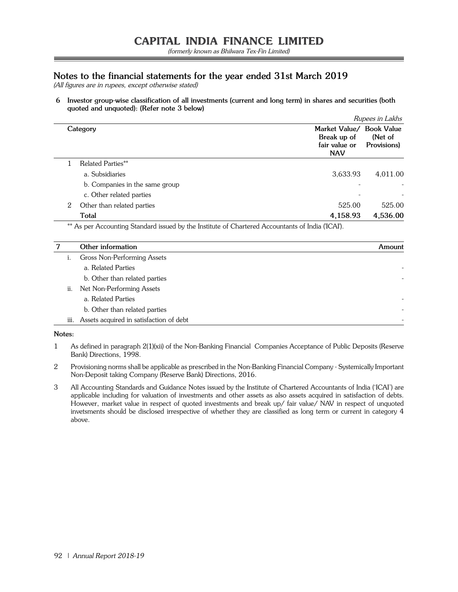## **Notes to the financial statements for the year ended 31st March 2019**

(All figures are in rupees, except otherwise stated)

**6 Investor group-wise classification of all investments (current and long term) in shares and securities (both quoted and unquoted): (Refer note 3 below)**

|                                 |                                                                        | Rupees in Lakhs        |
|---------------------------------|------------------------------------------------------------------------|------------------------|
| Category                        | Market Value/ Book Value<br>Break up of<br>fair value or<br><b>NAV</b> | (Net of<br>Provisions) |
| Related Parties**               |                                                                        |                        |
| a. Subsidiaries                 | 3,633.93                                                               | 4,011.00               |
| b. Companies in the same group  |                                                                        |                        |
| c. Other related parties        |                                                                        |                        |
| Other than related parties<br>2 | 525.00                                                                 | 525.00                 |
| Total                           | 4,158.93                                                               | 4,536.00               |
|                                 |                                                                        |                        |

\*\* As per Accounting Standard issued by the Institute of Chartered Accountants of India ('ICAI').

|      | Other information                       | Amount |
|------|-----------------------------------------|--------|
|      | Gross Non-Performing Assets             |        |
|      | a. Related Parties                      |        |
|      | b. Other than related parties           |        |
| ii.  | Net Non-Performing Assets               |        |
|      | a. Related Parties                      |        |
|      | b. Other than related parties           |        |
| iii. | Assets acquired in satisfaction of debt |        |

**Notes:**

- 1 As defined in paragraph 2(1)(xii) of the Non-Banking Financial Companies Acceptance of Public Deposits (Reserve Bank) Directions, 1998.
- 2 Provisioning norms shall be applicable as prescribed in the Non-Banking Financial Company Systemically Important Non-Deposit taking Company (Reserve Bank) Directions, 2016.
- 3 All Accounting Standards and Guidance Notes issued by the Institute of Chartered Accountants of India ('ICAI') are applicable including for valuation of investments and other assets as also assets acquired in satisfaction of debts. However, market value in respect of quoted investments and break up/ fair value/ NAV in respect of unquoted invetsments should be disclosed irrespective of whether they are classified as long term or current in category 4 above.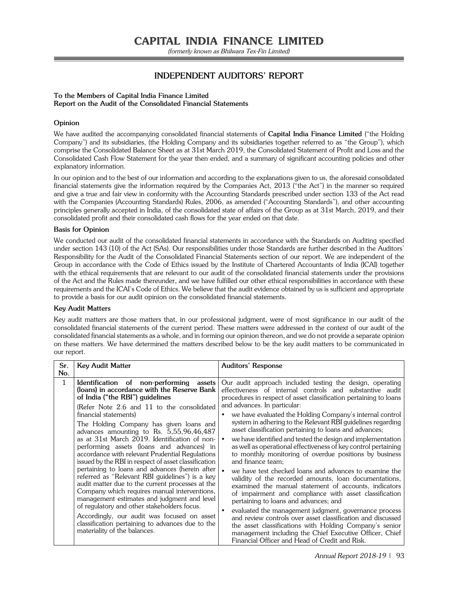(formerly known as Bhilwara Tex-Fin Limited)

## **INDEPENDENT AUDITORS' REPORT**

### **To the Members of Capital India Finance Limited Report on the Audit of the Consolidated Financial Statements**

## **Opinion**

We have audited the accompanying consolidated financial statements of **Capital India Finance Limited** ("the Holding Company") and its subsidiaries, (the Holding Company and its subsidiaries together referred to as "the Group"), which comprise the Consolidated Balance Sheet as at 31st March 2019, the Consolidated Statement of Profit and Loss and the Consolidated Cash Flow Statement for the year then ended, and a summary of significant accounting policies and other explanatory information.

In our opinion and to the best of our information and according to the explanations given to us, the aforesaid consolidated financial statements give the information required by the Companies Act, 2013 ("the Act") in the manner so required and give a true and fair view in conformity with the Accounting Standards prescribed under section 133 of the Act read with the Companies (Accounting Standards) Rules, 2006, as amended ("Accounting Standards"), and other accounting principles generally accepted in India, of the consolidated state of affairs of the Group as at 31st March, 2019, and their consolidated profit and their consolidated cash flows for the year ended on that date.

## **Basis for Opinion**

We conducted our audit of the consolidated financial statements in accordance with the Standards on Auditing specified under section 143 (10) of the Act (SAs). Our responsibilities under those Standards are further described in the Auditors' Responsibility for the Audit of the Consolidated Financial Statements section of our report. We are independent of the Group in accordance with the Code of Ethics issued by the Institute of Chartered Accountants of India (ICAI) together with the ethical requirements that are relevant to our audit of the consolidated financial statements under the provisions of the Act and the Rules made thereunder, and we have fulfilled our other ethical responsibilities in accordance with these requirements and the ICAI's Code of Ethics. We believe that the audit evidence obtained by us is sufficient and appropriate to provide a basis for our audit opinion on the consolidated financial statements.

## **Key Audit Matters**

Key audit matters are those matters that, in our professional judgment, were of most significance in our audit of the consolidated financial statements of the current period. These matters were addressed in the context of our audit of the consolidated financial statements as a whole, and in forming our opinion thereon, and we do not provide a separate opinion on these matters. We have determined the matters described below to be the key audit matters to be communicated in our report.

| Sr.<br>No.  | <b>Key Audit Matter</b>                                                                                                                                                                                                                                                                                                                                                                                                                                                                                                                                                                                                                                                                                                                                                                                       | <b>Auditors' Response</b>                                                                                                                                                                                                                                                                                                                                                                                                                                                                                                                                                                                                                                                                                                                                                                                                                                                                                                                                                                                         |
|-------------|---------------------------------------------------------------------------------------------------------------------------------------------------------------------------------------------------------------------------------------------------------------------------------------------------------------------------------------------------------------------------------------------------------------------------------------------------------------------------------------------------------------------------------------------------------------------------------------------------------------------------------------------------------------------------------------------------------------------------------------------------------------------------------------------------------------|-------------------------------------------------------------------------------------------------------------------------------------------------------------------------------------------------------------------------------------------------------------------------------------------------------------------------------------------------------------------------------------------------------------------------------------------------------------------------------------------------------------------------------------------------------------------------------------------------------------------------------------------------------------------------------------------------------------------------------------------------------------------------------------------------------------------------------------------------------------------------------------------------------------------------------------------------------------------------------------------------------------------|
| $\mathbf 1$ | Identification of non-performing<br>assets<br>(loans) in accordance with the Reserve Bank<br>of India ("the RBI") guidelines                                                                                                                                                                                                                                                                                                                                                                                                                                                                                                                                                                                                                                                                                  | Our audit approach included testing the design, operating<br>effectiveness of internal controls and substantive audit<br>procedures in respect of asset classification pertaining to loans                                                                                                                                                                                                                                                                                                                                                                                                                                                                                                                                                                                                                                                                                                                                                                                                                        |
|             | (Refer Note 2.6 and 11 to the consolidated<br>financial statements)<br>The Holding Company has given loans and<br>advances amounting to Rs. 5,55,96,46,487<br>as at 31st March 2019. Identification of non-<br>performing assets (loans and advances) in<br>accordance with relevant Prudential Regulations<br>issued by the RBI in respect of asset classification<br>pertaining to loans and advances (herein after<br>referred as "Relevant RBI guidelines") is a key<br>audit matter due to the current processes at the<br>Company which requires manual interventions,<br>management estimates and judgment and level<br>of regulatory and other stakeholders focus.<br>Accordingly, our audit was focused on asset<br>classification pertaining to advances due to the<br>materiality of the balances. | and advances. In particular:<br>we have evaluated the Holding Company's internal control<br>system in adhering to the Relevant RBI guidelines regarding<br>asset classification pertaining to loans and advances;<br>we have identified and tested the design and implementation<br>as well as operational effectiveness of key control pertaining<br>to monthly monitoring of overdue positions by business<br>and finance team:<br>we have test checked loans and advances to examine the<br>validity of the recorded amounts, loan documentations,<br>examined the manual statement of accounts, indicators<br>of impairment and compliance with asset classification<br>pertaining to loans and advances; and<br>evaluated the management judgment, governance process<br>and review controls over asset classification and discussed<br>the asset classifications with Holding Company's senior<br>management including the Chief Executive Officer, Chief<br>Financial Officer and Head of Credit and Risk. |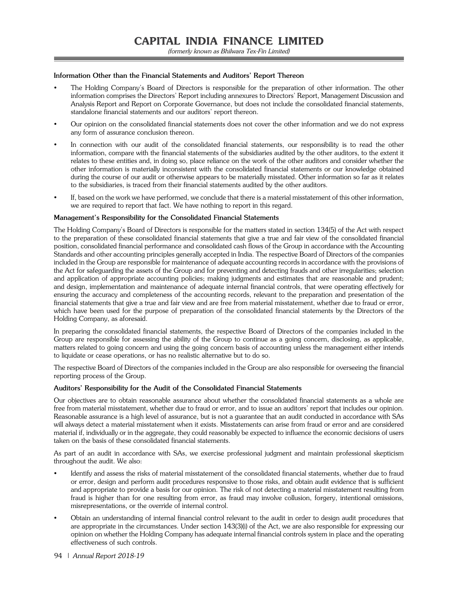### **Information Other than the Financial Statements and Auditors' Report Thereon**

- The Holding Company's Board of Directors is responsible for the preparation of other information. The other information comprises the Directors' Report including annexures to Directors' Report, Management Discussion and Analysis Report and Report on Corporate Governance, but does not include the consolidated financial statements, standalone financial statements and our auditors' report thereon.
- Our opinion on the consolidated financial statements does not cover the other information and we do not express any form of assurance conclusion thereon.
- In connection with our audit of the consolidated financial statements, our responsibility is to read the other information, compare with the financial statements of the subsidiaries audited by the other auditors, to the extent it relates to these entities and, in doing so, place reliance on the work of the other auditors and consider whether the other information is materially inconsistent with the consolidated financial statements or our knowledge obtained during the course of our audit or otherwise appears to be materially misstated. Other information so far as it relates to the subsidiaries, is traced from their financial statements audited by the other auditors.
- If, based on the work we have performed, we conclude that there is a material misstatement of this other information, we are required to report that fact. We have nothing to report in this regard.

#### **Management's Responsibility for the Consolidated Financial Statements**

The Holding Company's Board of Directors is responsible for the matters stated in section 134(5) of the Act with respect to the preparation of these consolidated financial statements that give a true and fair view of the consolidated financial position, consolidated financial performance and consolidated cash flows of the Group in accordance with the Accounting Standards and other accounting principles generally accepted in India. The respective Board of Directors of the companies included in the Group are responsible for maintenance of adequate accounting records in accordance with the provisions of the Act for safeguarding the assets of the Group and for preventing and detecting frauds and other irregularities; selection and application of appropriate accounting policies; making judgments and estimates that are reasonable and prudent; and design, implementation and maintenance of adequate internal financial controls, that were operating effectively for ensuring the accuracy and completeness of the accounting records, relevant to the preparation and presentation of the financial statements that give a true and fair view and are free from material misstatement, whether due to fraud or error, which have been used for the purpose of preparation of the consolidated financial statements by the Directors of the Holding Company, as aforesaid.

In preparing the consolidated financial statements, the respective Board of Directors of the companies included in the Group are responsible for assessing the ability of the Group to continue as a going concern, disclosing, as applicable, matters related to going concern and using the going concern basis of accounting unless the management either intends to liquidate or cease operations, or has no realistic alternative but to do so.

The respective Board of Directors of the companies included in the Group are also responsible for overseeing the financial reporting process of the Group.

#### **Auditors' Responsibility for the Audit of the Consolidated Financial Statements**

Our objectives are to obtain reasonable assurance about whether the consolidated financial statements as a whole are free from material misstatement, whether due to fraud or error, and to issue an auditors' report that includes our opinion. Reasonable assurance is a high level of assurance, but is not a guarantee that an audit conducted in accordance with SAs will always detect a material misstatement when it exists. Misstatements can arise from fraud or error and are considered material if, individually or in the aggregate, they could reasonably be expected to influence the economic decisions of users taken on the basis of these consolidated financial statements.

As part of an audit in accordance with SAs, we exercise professional judgment and maintain professional skepticism throughout the audit. We also:

- Identify and assess the risks of material misstatement of the consolidated financial statements, whether due to fraud or error, design and perform audit procedures responsive to those risks, and obtain audit evidence that is sufficient and appropriate to provide a basis for our opinion. The risk of not detecting a material misstatement resulting from fraud is higher than for one resulting from error, as fraud may involve collusion, forgery, intentional omissions, misrepresentations, or the override of internal control.
- Obtain an understanding of internal financial control relevant to the audit in order to design audit procedures that are appropriate in the circumstances. Under section 143(3)(i) of the Act, we are also responsible for expressing our opinion on whether the Holding Company has adequate internal financial controls system in place and the operating effectiveness of such controls.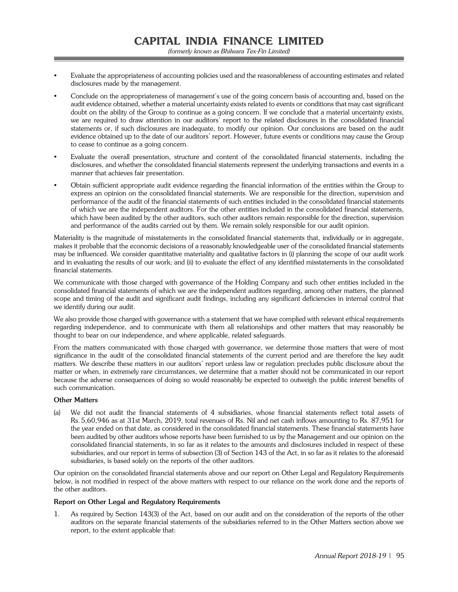- Evaluate the appropriateness of accounting policies used and the reasonableness of accounting estimates and related disclosures made by the management.
- Conclude on the appropriateness of management's use of the going concern basis of accounting and, based on the audit evidence obtained, whether a material uncertainty exists related to events or conditions that may cast significant doubt on the ability of the Group to continue as a going concern. If we conclude that a material uncertainty exists, we are required to draw attention in our auditors' report to the related disclosures in the consolidated financial statements or, if such disclosures are inadequate, to modify our opinion. Our conclusions are based on the audit evidence obtained up to the date of our auditors' report. However, future events or conditions may cause the Group to cease to continue as a going concern.
- Evaluate the overall presentation, structure and content of the consolidated financial statements, including the disclosures, and whether the consolidated financial statements represent the underlying transactions and events in a manner that achieves fair presentation.
- Obtain sufficient appropriate audit evidence regarding the financial information of the entities within the Group to express an opinion on the consolidated financial statements. We are responsible for the direction, supervision and performance of the audit of the financial statements of such entities included in the consolidated financial statements of which we are the independent auditors. For the other entities included in the consolidated financial statements, which have been audited by the other auditors, such other auditors remain responsible for the direction, supervision and performance of the audits carried out by them. We remain solely responsible for our audit opinion.

Materiality is the magnitude of misstatements in the consolidated financial statements that, individually or in aggregate, makes it probable that the economic decisions of a reasonably knowledgeable user of the consolidated financial statements may be influenced. We consider quantitative materiality and qualitative factors in (i) planning the scope of our audit work and in evaluating the results of our work; and (ii) to evaluate the effect of any identified misstatements in the consolidated financial statements.

We communicate with those charged with governance of the Holding Company and such other entities included in the consolidated financial statements of which we are the independent auditors regarding, among other matters, the planned scope and timing of the audit and significant audit findings, including any significant deficiencies in internal control that we identify during our audit.

We also provide those charged with governance with a statement that we have complied with relevant ethical requirements regarding independence, and to communicate with them all relationships and other matters that may reasonably be thought to bear on our independence, and where applicable, related safeguards.

From the matters communicated with those charged with governance, we determine those matters that were of most significance in the audit of the consolidated financial statements of the current period and are therefore the key audit matters. We describe these matters in our auditors' report unless law or regulation precludes public disclosure about the matter or when, in extremely rare circumstances, we determine that a matter should not be communicated in our report because the adverse consequences of doing so would reasonably be expected to outweigh the public interest benefits of such communication.

## **Other Matters**

(a) We did not audit the financial statements of 4 subsidiaries, whose financial statements reflect total assets of Rs. 5,60,946 as at 31st March, 2019, total revenues of Rs. Nil and net cash inflows amounting to Rs. 87,951 for the year ended on that date, as considered in the consolidated financial statements. These financial statements have been audited by other auditors whose reports have been furnished to us by the Management and our opinion on the consolidated financial statements, in so far as it relates to the amounts and disclosures included in respect of these subsidiaries, and our report in terms of subsection (3) of Section 143 of the Act, in so far as it relates to the aforesaid subsidiaries, is based solely on the reports of the other auditors.

Our opinion on the consolidated financial statements above and our report on Other Legal and Regulatory Requirements below, is not modified in respect of the above matters with respect to our reliance on the work done and the reports of the other auditors.

## **Report on Other Legal and Regulatory Requirements**

1. As required by Section 143(3) of the Act, based on our audit and on the consideration of the reports of the other auditors on the separate financial statements of the subsidiaries referred to in the Other Matters section above we report, to the extent applicable that: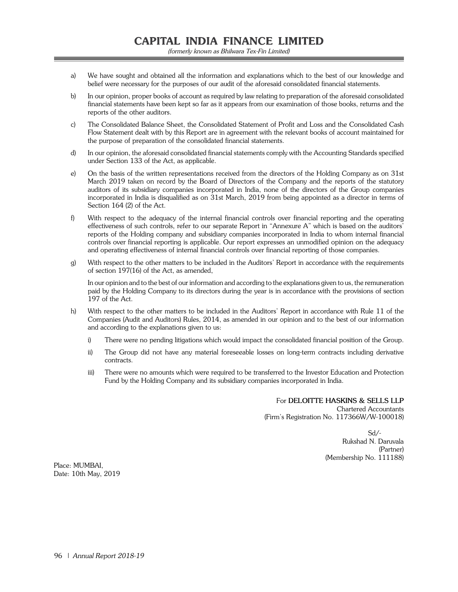- a) We have sought and obtained all the information and explanations which to the best of our knowledge and belief were necessary for the purposes of our audit of the aforesaid consolidated financial statements.
- b) In our opinion, proper books of account as required by law relating to preparation of the aforesaid consolidated financial statements have been kept so far as it appears from our examination of those books, returns and the reports of the other auditors.
- c) The Consolidated Balance Sheet, the Consolidated Statement of Profit and Loss and the Consolidated Cash Flow Statement dealt with by this Report are in agreement with the relevant books of account maintained for the purpose of preparation of the consolidated financial statements.
- d) In our opinion, the aforesaid consolidated financial statements comply with the Accounting Standards specified under Section 133 of the Act, as applicable.
- e) On the basis of the written representations received from the directors of the Holding Company as on 31st March 2019 taken on record by the Board of Directors of the Company and the reports of the statutory auditors of its subsidiary companies incorporated in India, none of the directors of the Group companies incorporated in India is disqualified as on 31st March, 2019 from being appointed as a director in terms of Section 164 (2) of the Act.
- f) With respect to the adequacy of the internal financial controls over financial reporting and the operating effectiveness of such controls, refer to our separate Report in "Annexure A" which is based on the auditors' reports of the Holding company and subsidiary companies incorporated in India to whom internal financial controls over financial reporting is applicable. Our report expresses an unmodified opinion on the adequacy and operating effectiveness of internal financial controls over financial reporting of those companies.
- g) With respect to the other matters to be included in the Auditors' Report in accordance with the requirements of section 197(16) of the Act, as amended,

 In our opinion and to the best of our information and according to the explanations given to us, the remuneration paid by the Holding Company to its directors during the year is in accordance with the provisions of section 197 of the Act.

- h) With respect to the other matters to be included in the Auditors' Report in accordance with Rule 11 of the Companies (Audit and Auditors) Rules, 2014, as amended in our opinion and to the best of our information and according to the explanations given to us:
	- i) There were no pending litigations which would impact the consolidated financial position of the Group.
	- ii) The Group did not have any material foreseeable losses on long-term contracts including derivative contracts.
	- iii) There were no amounts which were required to be transferred to the Investor Education and Protection Fund by the Holding Company and its subsidiary companies incorporated in India.

For **DELOITTE HASKINS & SELLS LLP** Chartered Accountants (Firm's Registration No. 117366W/W-100018)

 Sd/- Rukshad N. Daruvala (Partner) (Membership No. 111188)

Place: MUMBAI, Date: 10th May, 2019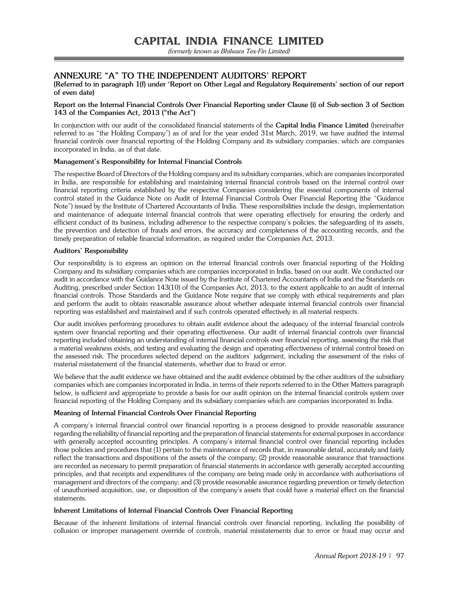(formerly known as Bhilwara Tex-Fin Limited)

## **ANNEXURE "A" TO THE INDEPENDENT AUDITORS' REPORT**

**(Referred to in paragraph 1(f) under 'Report on Other Legal and Regulatory Requirements' section of our report of even date)** 

## **Report on the Internal Financial Controls Over Financial Reporting under Clause (i) of Sub-section 3 of Section 143 of the Companies Act, 2013 ("the Act")**

In conjunction with our audit of the consolidated financial statements of the **Capital India Finance Limited** (hereinafter referred to as "the Holding Company") as of and for the year ended 31st March, 2019, we have audited the internal financial controls over financial reporting of the Holding Company and its subsidiary companies, which are companies incorporated in India, as of that date.

## **Management's Responsibility for Internal Financial Controls**

The respective Board of Directors of the Holding company and its subsidiary companies, which are companies incorporated in India, are responsible for establishing and maintaining internal financial controls based on the internal control over financial reporting criteria established by the respective Companies considering the essential components of internal control stated in the Guidance Note on Audit of Internal Financial Controls Over Financial Reporting (the "Guidance Note") issued by the Institute of Chartered Accountants of India. These responsibilities include the design, implementation and maintenance of adequate internal financial controls that were operating effectively for ensuring the orderly and efficient conduct of its business, including adherence to the respective company's policies, the safeguarding of its assets, the prevention and detection of frauds and errors, the accuracy and completeness of the accounting records, and the timely preparation of reliable financial information, as required under the Companies Act, 2013.

## **Auditors' Responsibility**

Our responsibility is to express an opinion on the internal financial controls over financial reporting of the Holding Company and its subsidiary companies which are companies incorporated in India, based on our audit. We conducted our audit in accordance with the Guidance Note issued by the Institute of Chartered Accountants of India and the Standards on Auditing, prescribed under Section 143(10) of the Companies Act, 2013, to the extent applicable to an audit of internal financial controls. Those Standards and the Guidance Note require that we comply with ethical requirements and plan and perform the audit to obtain reasonable assurance about whether adequate internal financial controls over financial reporting was established and maintained and if such controls operated effectively in all material respects.

Our audit involves performing procedures to obtain audit evidence about the adequacy of the internal financial controls system over financial reporting and their operating effectiveness. Our audit of internal financial controls over financial reporting included obtaining an understanding of internal financial controls over financial reporting, assessing the risk that a material weakness exists, and testing and evaluating the design and operating effectiveness of internal control based on the assessed risk. The procedures selected depend on the auditors' judgement, including the assessment of the risks of material misstatement of the financial statements, whether due to fraud or error.

We believe that the audit evidence we have obtained and the audit evidence obtained by the other auditors of the subsidiary companies which are companies incorporated in India, in terms of their reports referred to in the Other Matters paragraph below, is sufficient and appropriate to provide a basis for our audit opinion on the internal financial controls system over financial reporting of the Holding Company and its subsidiary companies which are companies incorporated in India.

## **Meaning of Internal Financial Controls Over Financial Reporting**

A company's internal financial control over financial reporting is a process designed to provide reasonable assurance regarding the reliability of financial reporting and the preparation of financial statements for external purposes in accordance with generally accepted accounting principles. A company's internal financial control over financial reporting includes those policies and procedures that (1) pertain to the maintenance of records that, in reasonable detail, accurately and fairly reflect the transactions and dispositions of the assets of the company; (2) provide reasonable assurance that transactions are recorded as necessary to permit preparation of financial statements in accordance with generally accepted accounting principles, and that receipts and expenditures of the company are being made only in accordance with authorisations of management and directors of the company; and (3) provide reasonable assurance regarding prevention or timely detection of unauthorised acquisition, use, or disposition of the company's assets that could have a material effect on the financial statements.

## **Inherent Limitations of Internal Financial Controls Over Financial Reporting**

Because of the inherent limitations of internal financial controls over financial reporting, including the possibility of collusion or improper management override of controls, material misstatements due to error or fraud may occur and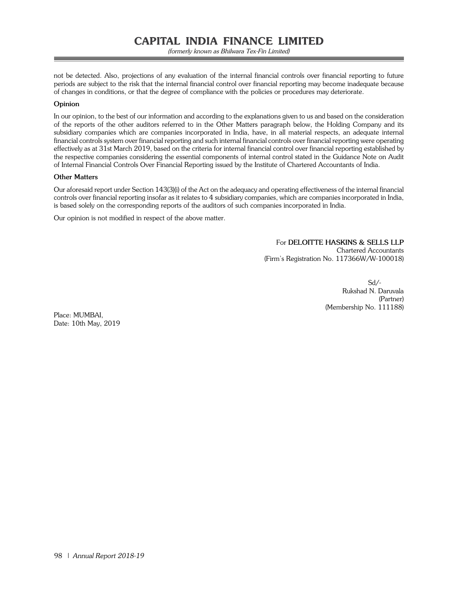not be detected. Also, projections of any evaluation of the internal financial controls over financial reporting to future periods are subject to the risk that the internal financial control over financial reporting may become inadequate because of changes in conditions, or that the degree of compliance with the policies or procedures may deteriorate.

## **Opinion**

In our opinion, to the best of our information and according to the explanations given to us and based on the consideration of the reports of the other auditors referred to in the Other Matters paragraph below, the Holding Company and its subsidiary companies which are companies incorporated in India, have, in all material respects, an adequate internal financial controls system over financial reporting and such internal financial controls over financial reporting were operating effectively as at 31st March 2019, based on the criteria for internal financial control over financial reporting established by the respective companies considering the essential components of internal control stated in the Guidance Note on Audit of Internal Financial Controls Over Financial Reporting issued by the Institute of Chartered Accountants of India.

## **Other Matters**

Our aforesaid report under Section 143(3)(i) of the Act on the adequacy and operating effectiveness of the internal financial controls over financial reporting insofar as it relates to 4 subsidiary companies, which are companies incorporated in India, is based solely on the corresponding reports of the auditors of such companies incorporated in India.

Our opinion is not modified in respect of the above matter.

For **DELOITTE HASKINS & SELLS LLP** Chartered Accountants (Firm's Registration No. 117366W/W-100018)

Sd/- and the state of the state of the state of the state of the state of the state of the state of the state of the state of the state of the state of the state of the state of the state of the state of the state of the s Rukshad N. Daruvala (Partner) (Membership No. 111188)

Place: MUMBAI, Date: 10th May, 2019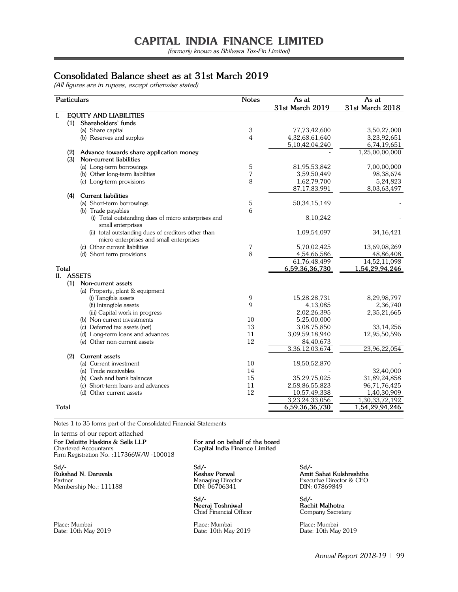(formerly known as Bhilwara Tex-Fin Limited)

## **Consolidated Balance sheet as at 31st March 2019**

(All figures are in rupees, except otherwise stated)

| <b>Particulars</b> |                                                                          | <b>Notes</b>   | As at              | As at           |
|--------------------|--------------------------------------------------------------------------|----------------|--------------------|-----------------|
|                    |                                                                          |                | 31st March 2019    | 31st March 2018 |
| I.                 | <b>EQUITY AND LIABILITIES</b>                                            |                |                    |                 |
| (1)                | Shareholders' funds                                                      |                |                    |                 |
|                    | (a) Share capital                                                        | 3              | 77,73,42,600       | 3,50,27,000     |
|                    | (b) Reserves and surplus                                                 | $\overline{4}$ | 4,32,68,61,640     | 3,23,92,651     |
|                    |                                                                          |                | 5,10,42,04,240     | 6,74,19,651     |
| (2)                | Advance towards share application money                                  |                |                    | 1,25,00,00,000  |
| (3)                | Non-current liabilities                                                  |                |                    |                 |
|                    | (a) Long-term borrowings                                                 | 5              | 81,95,53,842       | 7,00,00,000     |
|                    | (b) Other long-term liabilities                                          | 7              | 3,59,50,449        | 98,38,674       |
|                    | (c) Long-term provisions                                                 | 8              | 1,62,79,700        | 5,24,823        |
|                    |                                                                          |                | 87, 17, 83, 991    | 8,03,63,497     |
| (4)                | <b>Current liabilities</b>                                               |                |                    |                 |
|                    | (a) Short-term borrowings                                                | 5              | 50, 34, 15, 149    |                 |
|                    | (b) Trade payables                                                       | 6              |                    |                 |
|                    | (i) Total outstanding dues of micro enterprises and<br>small enterprises |                | 8,10,242           |                 |
|                    | (ii) total outstanding dues of creditors other than                      |                | 1,09,54,097        | 34, 16, 421     |
|                    | micro enterprises and small enterprises                                  |                |                    |                 |
|                    | (c) Other current liabilities                                            | 7              | 5,70,02,425        | 13,69,08,269    |
|                    | (d) Short term provisions                                                | 8              | 4,54,66,586        | 48,86,408       |
|                    |                                                                          |                | 61,76,48,499       | 14,52,11,098    |
| <b>Total</b>       |                                                                          |                | 6,59,36,36,730     | 1,54,29,94,246  |
| II. ASSETS         |                                                                          |                |                    |                 |
| (1)                | Non-current assets                                                       |                |                    |                 |
|                    | (a) Property, plant & equipment                                          |                |                    |                 |
|                    | (i) Tangible assets                                                      | 9              | 15,28,28,731       | 8,29,98,797     |
|                    | (ii) Intangible assets                                                   | 9              | 4,13,085           | 2,36,740        |
|                    | (iii) Capital work in progress                                           |                | 2,02,26,395        | 2,35,21,665     |
|                    | (b) Non-current investments                                              | 10             | 5,25,00,000        |                 |
|                    | (c) Deferred tax assets (net)                                            | 13             | 3,08,75,850        | 33,14,256       |
|                    | (d) Long-term loans and advances                                         | 11             | 3,09,59,18,940     | 12,95,50,596    |
|                    | (e) Other non-current assets                                             | 12             | 84,40,673          |                 |
|                    |                                                                          |                | 3, 36, 12, 03, 674 | 23,96,22,054    |
| (2)                | <b>Current assets</b>                                                    |                |                    |                 |
|                    | (a) Current investment                                                   | 10             | 18,50,52,870       |                 |
|                    | (a) Trade receivables                                                    | 14             |                    | 32,40,000       |
|                    | (b) Cash and bank balances                                               | 15             | 35,29,75,025       | 31,89,24,858    |
|                    | (c) Short-term loans and advances                                        | 11             | 2,58,86,55,823     | 96,71,76,425    |
|                    | (d) Other current assets                                                 | 12             | 10,57,49,338       | 1,40,30,909     |
|                    |                                                                          |                | 3,23,24,33,056     | 1,30,33,72,192  |
| Total              |                                                                          |                | 6,59,36,36,730     | 1,54,29,94,246  |

Notes 1 to 35 forms part of the Consolidated Financial Statements

In terms of our report attached

**For Deloitte Haskins & Sells LLP For and on behalf of the board** Chartered Accountants **Capital India Finance Limited** Chartered Accountants **Capital India Finance Limited** Firm Registration No. :117366W/W -100018

**Sd/- Sd/- Sd/- Rukshad N. Daruvala Keshav Porwal Amit Sahai Kulshreshtha**<br>
Partner Managing Director **Amit Sahai Kulshreshtha**<br>
Managing Director **Amit Sahai Kulshreshtha**<br>
Managing Director **Amit Sahai Kulshreshtha**<br>
DIN: 07869849 Membership No.: 111188

**Sd/- Sd/- Neeraj Toshniwal Rachit Malhotra** Chief Financial Officer Company Secretary

Place: Mumbai Place: Mumbai Place: Mumbai Date: 10th May 2019

Partner Director & CEO<br>DIN: 07869849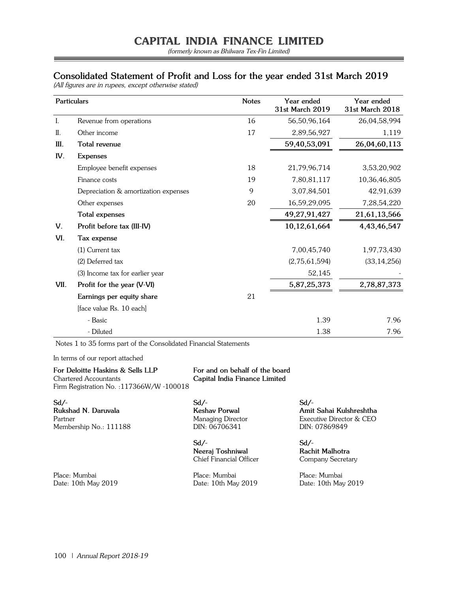(formerly known as Bhilwara Tex-Fin Limited)

## **Consolidated Statement of Profit and Loss for the year ended 31st March 2019**

(All figures are in rupees, except otherwise stated)

|      | <b>Particulars</b>                   | <b>Notes</b> | Year ended<br>31st March 2019 | Year ended<br>31st March 2018 |
|------|--------------------------------------|--------------|-------------------------------|-------------------------------|
| Ι.   | Revenue from operations              | 16           | 56,50,96,164                  | 26,04,58,994                  |
| II.  | Other income                         | 17           | 2,89,56,927                   | 1,119                         |
| III. | Total revenue                        |              | 59,40,53,091                  | 26,04,60,113                  |
| IV.  | <b>Expenses</b>                      |              |                               |                               |
|      | Employee benefit expenses            | 18           | 21,79,96,714                  | 3,53,20,902                   |
|      | Finance costs                        | 19           | 7,80,81,117                   | 10,36,46,805                  |
|      | Depreciation & amortization expenses | 9            | 3,07,84,501                   | 42,91,639                     |
|      | Other expenses                       | 20           | 16,59,29,095                  | 7,28,54,220                   |
|      | Total expenses                       |              | 49,27,91,427                  | 21,61,13,566                  |
| V.   | Profit before tax (III-IV)           |              | 10,12,61,664                  | 4,43,46,547                   |
| VI.  | Tax expense                          |              |                               |                               |
|      | $(1)$ Current tax                    |              | 7,00,45,740                   | 1,97,73,430                   |
|      | (2) Deferred tax                     |              | (2,75,61,594)                 | (33, 14, 256)                 |
|      | (3) Income tax for earlier year      |              | 52,145                        |                               |
| VII. | Profit for the year (V-VI)           |              | 5,87,25,373                   | 2,78,87,373                   |
|      | Earnings per equity share            | 21           |                               |                               |
|      | [face value Rs. 10 each]             |              |                               |                               |
|      | - Basic                              |              | 1.39                          | 7.96                          |
|      | - Diluted                            |              | 1.38                          | 7.96                          |

Notes 1 to 35 forms part of the Consolidated Financial Statements

In terms of our report attached

**For Deloitte Haskins & Sells LLP For and on behalf of the board** Chartered Accountants **Capital India Finance Limited** Firm Registration No. :117366W/W -100018

**Sd/- Sd/- Sd/-** Membership No.: 111188 DIN: 06706341 DIN: 07869849

**Sd/- Sd/- Neeraj Toshniwal Rachit Malhotra** Chief Financial Officer Company Secretary

Place: Mumbai Place: Mumbai Place: Mumbai Date: 10th May 2019 Date: 10th May 2019 Date: 10th May 2019

**Rukshad N. Daruvala Keshav Porwal Amit Sahai Kulshreshtha** Executive Director & CEO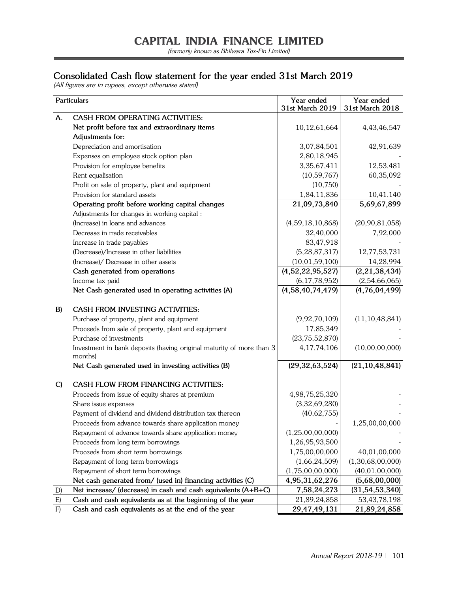(formerly known as Bhilwara Tex-Fin Limited)

## **Consolidated Cash flow statement for the year ended 31st March 2019**

(All figures are in rupees, except otherwise stated)

|              | Particulars                                                                     | Year ended<br>31st March 2019 | Year ended<br>31st March 2018 |
|--------------|---------------------------------------------------------------------------------|-------------------------------|-------------------------------|
| А.           | <b>CASH FROM OPERATING ACTIVITIES:</b>                                          |                               |                               |
|              | Net profit before tax and extraordinary items                                   | 10,12,61,664                  | 4,43,46,547                   |
|              | Adjustments for:                                                                |                               |                               |
|              | Depreciation and amortisation                                                   | 3,07,84,501                   | 42,91,639                     |
|              | Expenses on employee stock option plan                                          | 2,80,18,945                   |                               |
|              | Provision for employee benefits                                                 | 3,35,67,411                   | 12,53,481                     |
|              | Rent equalisation                                                               | (10, 59, 767)                 | 60,35,092                     |
|              | Profit on sale of property, plant and equipment                                 | (10, 750)                     |                               |
|              | Provision for standard assets                                                   | 1,84,11,836                   | 10,41,140                     |
|              | Operating profit before working capital changes                                 | 21,09,73,840                  | 5,69,67,899                   |
|              | Adjustments for changes in working capital :                                    |                               |                               |
|              | (Increase) in loans and advances                                                | (4,59,18,10,868)              | (20, 90, 81, 058)             |
|              | Decrease in trade receivables                                                   | 32,40,000                     | 7,92,000                      |
|              | Increase in trade payables                                                      | 83,47,918                     |                               |
|              | (Decrease)/Increase in other liabilities                                        | (5, 28, 87, 317)              | 12,77,53,731                  |
|              | (Increase)/ Decrease in other assets                                            | (10, 01, 59, 100)             | 14,28,994                     |
|              | Cash generated from operations                                                  | (4,52,22,95,527)              | (2, 21, 38, 434)              |
|              | Income tax paid                                                                 | (6, 17, 78, 952)              | (2,54,66,065)                 |
|              | Net Cash generated used in operating activities (A)                             | (4,58,40,74,479)              | (4,76,04,499)                 |
|              |                                                                                 |                               |                               |
| B)           | <b>CASH FROM INVESTING ACTIVITIES:</b>                                          |                               |                               |
|              | Purchase of property, plant and equipment                                       | (9,92,70,109)                 | (11, 10, 48, 841)             |
|              | Proceeds from sale of property, plant and equipment                             | 17,85,349                     |                               |
|              | Purchase of investments                                                         | (23, 75, 52, 870)             |                               |
|              | Investment in bank deposits (having original maturity of more than 3<br>months) | 4,17,74,106                   | (10,00,00,000)                |
|              | Net Cash generated used in investing activities (B)                             | (29, 32, 63, 524)             | (21, 10, 48, 841)             |
| $\mathbf{C}$ | CASH FLOW FROM FINANCING ACTIVITIES:                                            |                               |                               |
|              | Proceeds from issue of equity shares at premium                                 | 4,98,75,25,320                |                               |
|              | Share issue expenses                                                            | (3,32,69,280)                 |                               |
|              | Payment of dividend and dividend distribution tax thereon                       | (40, 62, 755)                 |                               |
|              | Proceeds from advance towards share application money                           |                               | 1,25,00,00,000                |
|              | Repayment of advance towards share application money                            | (1,25,00,00,000)              |                               |
|              | Proceeds from long term borrowings                                              | 1,26,95,93,500                |                               |
|              | Proceeds from short term borrowings                                             | 1,75,00,00,000                | 40,01,00,000                  |
|              | Repayment of long term borrowings                                               | (1,66,24,509)                 | (1,30,68,00,000)              |
|              | Repayment of short term borrowings                                              | (1,75,00,00,000)              | (40, 01, 00, 000)             |
|              | Net cash generated from/ (used in) financing activities (C)                     | 4,95,31,62,276                | (5,68,00,000)                 |
| D)           | Net increase/ (decrease) in cash and cash equivalents (A+B+C)                   | 7,58,24,273                   | (31, 54, 53, 340)             |
| E)           | Cash and cash equivalents as at the beginning of the year                       | 21,89,24,858                  | 53, 43, 78, 198               |
| F)           | Cash and cash equivalents as at the end of the year                             | 29,47,49,131                  | 21,89,24,858                  |

=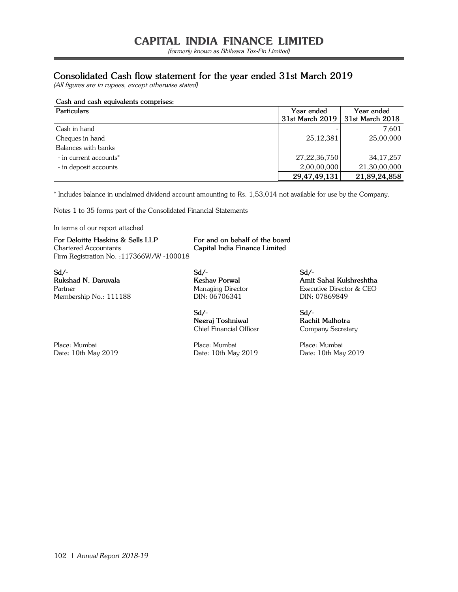(formerly known as Bhilwara Tex-Fin Limited)

## **Consolidated Cash flow statement for the year ended 31st March 2019**

(All figures are in rupees, except otherwise stated)

## **Cash and cash equivalents comprises:**

| <b>Particulars</b>     | Year ended<br>31st March 2019 | Year ended<br>31st March 2018 |
|------------------------|-------------------------------|-------------------------------|
| Cash in hand           |                               | 7.601                         |
| Cheques in hand        | 25, 12, 381                   | 25,00,000                     |
| Balances with banks    |                               |                               |
| - in current accounts* | 27, 22, 36, 750               | 34, 17, 257                   |
| - in deposit accounts  | 2,00,00,000                   | 21,30,00,000                  |
|                        | 29,47,49,131                  | 21,89,24,858                  |

\* Includes balance in unclaimed dividend account amounting to Rs. 1,53,014 not available for use by the Company.

Notes 1 to 35 forms part of the Consolidated Financial Statements

In terms of our report attached

**For Deloitte Haskins & Sells LLP For and on behalf of the board** Chartered Accountants **Capital India Finance Limited** Firm Registration No. :117366W/W -100018

**Sd/- Sd/- Sd/-** Membership No.: 111188

**Sd/- Sd/- Neeraj Toshniwal Rachit Malhotra** Chief Financial Officer Company Secretary

Place: Mumbai Place: Mumbai Place: Mumbai Date: 10th May 2019 Date: 10th May 2019 Date: 10th May 2019

**Rukshad N. Daruvala Keshav Porwal Amit Sahai Kulshreshtha** Partner Managing Director Executive Director & CEO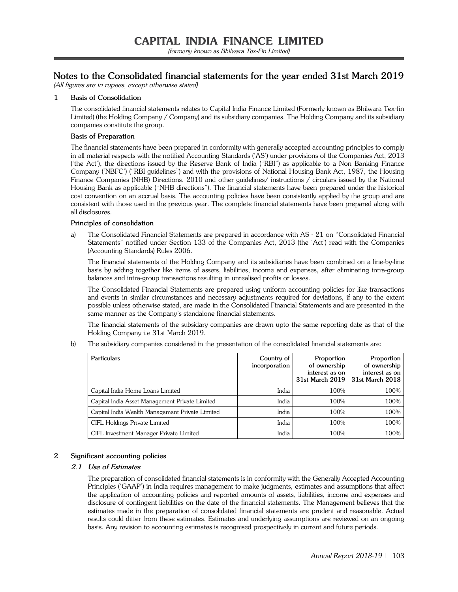## **Notes to the Consolidated financial statements for the year ended 31st March 2019**

(All figures are in rupees, except otherwise stated)

## **1 Basis of Consolidation**

The consolidated financial statements relates to Capital India Finance Limited (Formerly known as Bhilwara Tex-fin Limited) (the Holding Company / Company) and its subsidiary companies. The Holding Company and its subsidiary companies constitute the group.

## **Basis of Preparation**

The financial statements have been prepared in conformity with generally accepted accounting principles to comply in all material respects with the notified Accounting Standards ('AS') under provisions of the Companies Act, 2013 ('the Act'), the directions issued by the Reserve Bank of India ("RBI") as applicable to a Non Banking Finance Company ('NBFC') ("RBI guidelines") and with the provisions of National Housing Bank Act, 1987, the Housing Finance Companies (NHB) Directions, 2010 and other guidelines/ instructions / circulars issued by the National Housing Bank as applicable ("NHB directions"). The financial statements have been prepared under the historical cost convention on an accrual basis. The accounting policies have been consistently applied by the group and are consistent with those used in the previous year. The complete financial statements have been prepared along with all disclosures.

#### **Principles of consolidation**

a) The Consolidated Financial Statements are prepared in accordance with AS - 21 on "Consolidated Financial Statements" notified under Section 133 of the Companies Act, 2013 (the 'Act') read with the Companies (Accounting Standards) Rules 2006.

 The financial statements of the Holding Company and its subsidiaries have been combined on a line-by-line basis by adding together like items of assets, liabilities, income and expenses, after eliminating intra-group balances and intra-group transactions resulting in unrealised profits or losses.

 The Consolidated Financial Statements are prepared using uniform accounting policies for like transactions and events in similar circumstances and necessary adjustments required for deviations, if any to the extent possible unless otherwise stated, are made in the Consolidated Financial Statements and are presented in the same manner as the Company's standalone financial statements.

 The financial statements of the subsidary companies are drawn upto the same reporting date as that of the Holding Company i.e 31st March 2019.

b) The subsidiary companies considered in the presentation of the consolidated financial statements are:

| <b>Particulars</b>                              | Country of<br>incorporation | Proportion<br>of ownership<br>interest as on<br>31st March 2019 | Proportion<br>of ownership<br>interest as on<br>31st March 2018 |
|-------------------------------------------------|-----------------------------|-----------------------------------------------------------------|-----------------------------------------------------------------|
| Capital India Home Loans Limited                | India                       | 100%                                                            | 100%                                                            |
| Capital India Asset Management Private Limited  | India                       | 100%                                                            | 100%                                                            |
| Capital India Wealth Management Private Limited | India                       | 100%                                                            | 100%                                                            |
| CIFL Holdings Private Limited                   | India                       | 100%                                                            | 100%                                                            |
| CIFL Investment Manager Private Limited         | India                       | 100%                                                            | 100%                                                            |

## **2 Significant accounting policies**

## **2.1 Use of Estimates**

 The preparation of consolidated financial statements is in conformity with the Generally Accepted Accounting Principles ('GAAP') in India requires management to make judgments, estimates and assumptions that affect the application of accounting policies and reported amounts of assets, liabilities, income and expenses and disclosure of contingent liabilities on the date of the financial statements. The Management believes that the estimates made in the preparation of consolidated financial statements are prudent and reasonable. Actual results could differ from these estimates. Estimates and underlying assumptions are reviewed on an ongoing basis. Any revision to accounting estimates is recognised prospectively in current and future periods.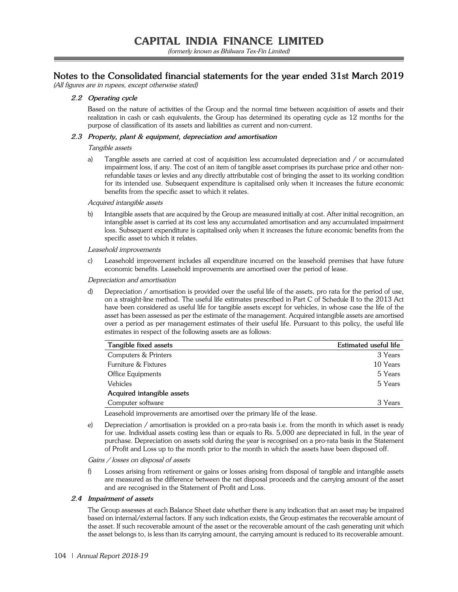## **Notes to the Consolidated financial statements for the year ended 31st March 2019**

(All figures are in rupees, except otherwise stated)

## **2.2 Operating cycle**

Based on the nature of activities of the Group and the normal time between acquisition of assets and their realization in cash or cash equivalents, the Group has determined its operating cycle as 12 months for the purpose of classification of its assets and liabilities as current and non-current.

## **2.3 Property, plant & equipment, depreciation and amortisation**

## Tangible assets

 a) Tangible assets are carried at cost of acquisition less accumulated depreciation and / or accumulated impairment loss, if any. The cost of an item of tangible asset comprises its purchase price and other nonrefundable taxes or levies and any directly attributable cost of bringing the asset to its working condition for its intended use. Subsequent expenditure is capitalised only when it increases the future economic benefits from the specific asset to which it relates.

Acquired intangible assets

 b) Intangible assets that are acquired by the Group are measured initially at cost. After initial recognition, an intangible asset is carried at its cost less any accumulated amortisation and any accumulated impairment loss. Subsequent expenditure is capitalised only when it increases the future economic benefits from the specific asset to which it relates.

#### Leasehold improvements

 c) Leasehold improvement includes all expenditure incurred on the leasehold premises that have future economic benefits. Leasehold improvements are amortised over the period of lease.

#### Depreciation and amortisation

 d) Depreciation / amortisation is provided over the useful life of the assets, pro rata for the period of use, on a straight-line method. The useful life estimates prescribed in Part C of Schedule II to the 2013 Act have been considered as useful life for tangible assets except for vehicles, in whose case the life of the asset has been assessed as per the estimate of the management. Acquired intangible assets are amortised over a period as per management estimates of their useful life. Pursuant to this policy, the useful life estimates in respect of the following assets are as follows:

| Tangible fixed assets      | Estimated useful life |
|----------------------------|-----------------------|
| Computers & Printers       | 3 Years               |
| Furniture & Fixtures       | 10 Years              |
| Office Equipments          | 5 Years               |
| Vehicles                   | 5 Years               |
| Acquired intangible assets |                       |
| Computer software          | 3 Years               |

Leasehold improvements are amortised over the primary life of the lease.

 e) Depreciation / amortisation is provided on a pro-rata basis i.e. from the month in which asset is ready for use. Individual assets costing less than or equals to Rs. 5,000 are depreciated in full, in the year of purchase. Depreciation on assets sold during the year is recognised on a pro-rata basis in the Statement of Profit and Loss up to the month prior to the month in which the assets have been disposed off.

## Gains / losses on disposal of assets

 f) Losses arising from retirement or gains or losses arising from disposal of tangible and intangible assets are measured as the difference between the net disposal proceeds and the carrying amount of the asset and are recognised in the Statement of Profit and Loss.

## **2.4 Impairment of assets**

 The Group assesses at each Balance Sheet date whether there is any indication that an asset may be impaired based on internal/external factors. If any such indication exists, the Group estimates the recoverable amount of the asset. If such recoverable amount of the asset or the recoverable amount of the cash generating unit which the asset belongs to, is less than its carrying amount, the carrying amount is reduced to its recoverable amount.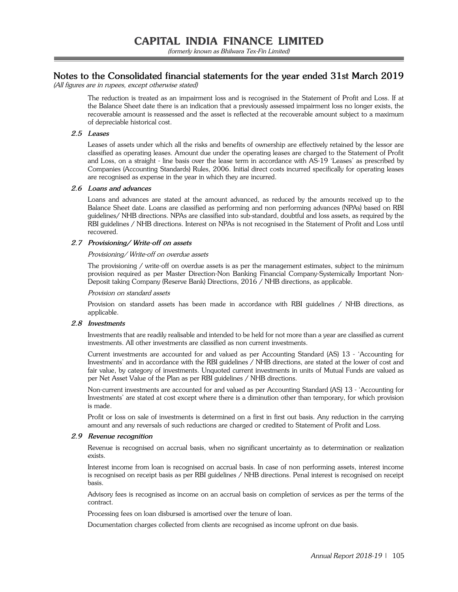## **Notes to the Consolidated financial statements for the year ended 31st March 2019**

(All figures are in rupees, except otherwise stated)

The reduction is treated as an impairment loss and is recognised in the Statement of Profit and Loss. If at the Balance Sheet date there is an indication that a previously assessed impairment loss no longer exists, the recoverable amount is reassessed and the asset is reflected at the recoverable amount subject to a maximum of depreciable historical cost.

## **2.5 Leases**

 Leases of assets under which all the risks and benefits of ownership are effectively retained by the lessor are classified as operating leases. Amount due under the operating leases are charged to the Statement of Profit and Loss, on a straight - line basis over the lease term in accordance with AS-19 'Leases' as prescribed by Companies (Accounting Standards) Rules, 2006. Initial direct costs incurred specifically for operating leases are recognised as expense in the year in which they are incurred.

## **2.6 Loans and advances**

 Loans and advances are stated at the amount advanced, as reduced by the amounts received up to the Balance Sheet date. Loans are classified as performing and non performing advances (NPAs) based on RBI guidelines/ NHB directions. NPAs are classified into sub-standard, doubtful and loss assets, as required by the RBI guidelines / NHB directions. Interest on NPAs is not recognised in the Statement of Profit and Loss until recovered.

## **2.7 Provisioning/ Write-off on assets**

## Provisioning/ Write-off on overdue assets

 The provisioning / write-off on overdue assets is as per the management estimates, subject to the minimum provision required as per Master Direction-Non Banking Financial Company-Systemically Important Non-Deposit taking Company (Reserve Bank) Directions, 2016 / NHB directions, as applicable.

## Provision on standard assets

 Provision on standard assets has been made in accordance with RBI guidelines / NHB directions, as applicable.

## **2.8 Investments**

Investments that are readily realisable and intended to be held for not more than a year are classified as current investments. All other investments are classified as non current investments.

 Current investments are accounted for and valued as per Accounting Standard (AS) 13 - 'Accounting for Investments' and in accordance with the RBI guidelines / NHB directions, are stated at the lower of cost and fair value, by category of investments. Unquoted current investments in units of Mutual Funds are valued as per Net Asset Value of the Plan as per RBI guidelines / NHB directions.

 Non-current investments are accounted for and valued as per Accounting Standard (AS) 13 - 'Accounting for Investments' are stated at cost except where there is a diminution other than temporary, for which provision is made.

 Profit or loss on sale of investments is determined on a first in first out basis. Any reduction in the carrying amount and any reversals of such reductions are charged or credited to Statement of Profit and Loss.

## **2.9 Revenue recognition**

 Revenue is recognised on accrual basis, when no significant uncertainty as to determination or realization exists.

 Interest income from loan is recognised on accrual basis. In case of non performing assets, interest income is recognised on receipt basis as per RBI guidelines / NHB directions. Penal interest is recognised on receipt basis.

 Advisory fees is recognised as income on an accrual basis on completion of services as per the terms of the contract.

Processing fees on loan disbursed is amortised over the tenure of loan.

Documentation charges collected from clients are recognised as income upfront on due basis.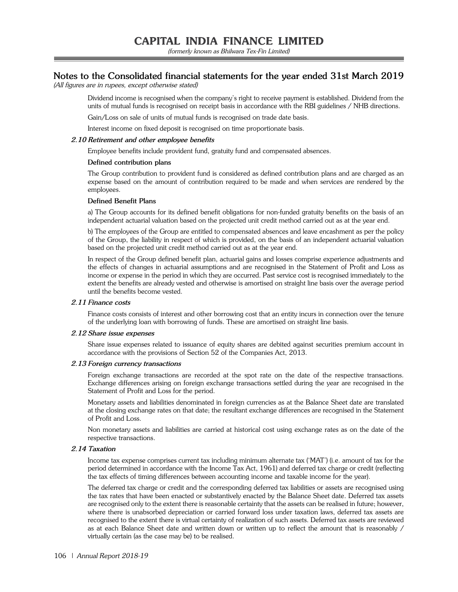(formerly known as Bhilwara Tex-Fin Limited)

## **Notes to the Consolidated financial statements for the year ended 31st March 2019**

(All figures are in rupees, except otherwise stated)

 Dividend income is recognised when the company's right to receive payment is established. Dividend from the units of mutual funds is recognised on receipt basis in accordance with the RBI guidelines / NHB directions.

Gain/Loss on sale of units of mutual funds is recognised on trade date basis.

Interest income on fixed deposit is recognised on time proportionate basis.

## **2.10 Retirement and other employee benefits**

Employee benefits include provident fund, gratuity fund and compensated absences.

#### **Defined contribution plans**

 The Group contribution to provident fund is considered as defined contribution plans and are charged as an expense based on the amount of contribution required to be made and when services are rendered by the employees.

#### **Defined Benefit Plans**

 a) The Group accounts for its defined benefit obligations for non-funded gratuity benefits on the basis of an independent actuarial valuation based on the projected unit credit method carried out as at the year end.

 b) The employees of the Group are entitled to compensated absences and leave encashment as per the policy of the Group, the liability in respect of which is provided, on the basis of an independent actuarial valuation based on the projected unit credit method carried out as at the year end.

 In respect of the Group defined benefit plan, actuarial gains and losses comprise experience adjustments and the effects of changes in actuarial assumptions and are recognised in the Statement of Profit and Loss as income or expense in the period in which they are occurred. Past service cost is recognised immediately to the extent the benefits are already vested and otherwise is amortised on straight line basis over the average period until the benefits become vested.

## **2.11 Finance costs**

Finance costs consists of interest and other borrowing cost that an entity incurs in connection over the tenure of the underlying loan with borrowing of funds. These are amortised on straight line basis.

#### **2.12 Share issue expenses**

Share issue expenses related to issuance of equity shares are debited against securities premium account in accordance with the provisions of Section 52 of the Companies Act, 2013.

#### **2.13 Foreign currency transactions**

Foreign exchange transactions are recorded at the spot rate on the date of the respective transactions. Exchange differences arising on foreign exchange transactions settled during the year are recognised in the Statement of Profit and Loss for the period.

 Monetary assets and liabilities denominated in foreign currencies as at the Balance Sheet date are translated at the closing exchange rates on that date; the resultant exchange differences are recognised in the Statement of Profit and Loss.

 Non monetary assets and liabilities are carried at historical cost using exchange rates as on the date of the respective transactions.

## **2.14 Taxation**

Income tax expense comprises current tax including minimum alternate tax ('MAT') (i.e. amount of tax for the period determined in accordance with the Income Tax Act, 1961) and deferred tax charge or credit (reflecting the tax effects of timing differences between accounting income and taxable income for the year).

 The deferred tax charge or credit and the corresponding deferred tax liabilities or assets are recognised using the tax rates that have been enacted or substantively enacted by the Balance Sheet date. Deferred tax assets are recognised only to the extent there is reasonable certainty that the assets can be realised in future; however, where there is unabsorbed depreciation or carried forward loss under taxation laws, deferred tax assets are recognised to the extent there is virtual certainty of realization of such assets. Deferred tax assets are reviewed as at each Balance Sheet date and written down or written up to reflect the amount that is reasonably / virtually certain (as the case may be) to be realised.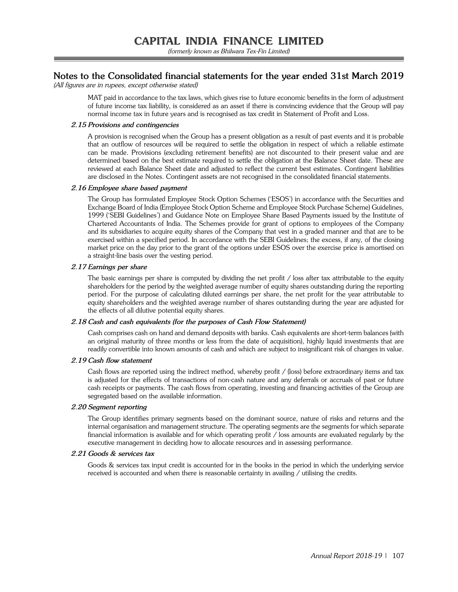## **Notes to the Consolidated financial statements for the year ended 31st March 2019**

(All figures are in rupees, except otherwise stated)

 MAT paid in accordance to the tax laws, which gives rise to future economic benefits in the form of adjustment of future income tax liability, is considered as an asset if there is convincing evidence that the Group will pay normal income tax in future years and is recognised as tax credit in Statement of Profit and Loss.

## **2.15 Provisions and contingencies**

A provision is recognised when the Group has a present obligation as a result of past events and it is probable that an outflow of resources will be required to settle the obligation in respect of which a reliable estimate can be made. Provisions (excluding retirement benefits) are not discounted to their present value and are determined based on the best estimate required to settle the obligation at the Balance Sheet date. These are reviewed at each Balance Sheet date and adjusted to reflect the current best estimates. Contingent liabilities are disclosed in the Notes. Contingent assets are not recognised in the consolidated financial statements.

#### **2.16 Employee share based payment**

The Group has formulated Employee Stock Option Schemes ('ESOS') in accordance with the Securities and Exchange Board of India (Employee Stock Option Scheme and Employee Stock Purchase Scheme) Guidelines, 1999 ('SEBI Guidelines') and Guidance Note on Employee Share Based Payments issued by the Institute of Chartered Accountants of India. The Schemes provide for grant of options to employees of the Company and its subsidiaries to acquire equity shares of the Company that vest in a graded manner and that are to be exercised within a specified period. In accordance with the SEBI Guidelines; the excess, if any, of the closing market price on the day prior to the grant of the options under ESOS over the exercise price is amortised on a straight-line basis over the vesting period.

#### **2.17 Earnings per share**

The basic earnings per share is computed by dividing the net profit / loss after tax attributable to the equity shareholders for the period by the weighted average number of equity shares outstanding during the reporting period. For the purpose of calculating diluted earnings per share, the net profit for the year attributable to equity shareholders and the weighted average number of shares outstanding during the year are adjusted for the effects of all dilutive potential equity shares.

## **2.18 Cash and cash equivalents (for the purposes of Cash Flow Statement)**

Cash comprises cash on hand and demand deposits with banks. Cash equivalents are short-term balances (with an original maturity of three months or less from the date of acquisition), highly liquid investments that are readily convertible into known amounts of cash and which are subject to insignificant risk of changes in value.

#### **2.19 Cash flow statement**

Cash flows are reported using the indirect method, whereby profit / (loss) before extraordinary items and tax is adjusted for the effects of transactions of non-cash nature and any deferrals or accruals of past or future cash receipts or payments. The cash flows from operating, investing and financing activities of the Group are segregated based on the available information.

### **2.20 Segment reporting**

The Group identifies primary segments based on the dominant source, nature of risks and returns and the internal organisation and management structure. The operating segments are the segments for which separate financial information is available and for which operating profit / loss amounts are evaluated regularly by the executive management in deciding how to allocate resources and in assessing performance.

#### **2.21 Goods & services tax**

Goods & services tax input credit is accounted for in the books in the period in which the underlying service received is accounted and when there is reasonable certainty in availing / utilising the credits.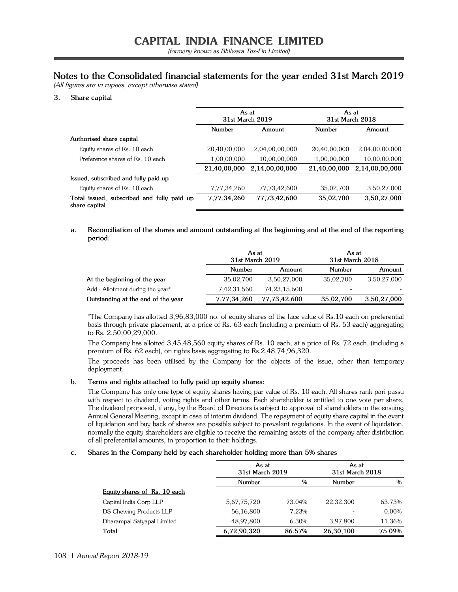## **Notes to the Consolidated financial statements for the year ended 31st March 2019**

(All figures are in rupees, except otherwise stated)

## **3. Share capital**

|                                                             | As at<br>31st March 2019 |                | As at<br>31st March 2018 |                |
|-------------------------------------------------------------|--------------------------|----------------|--------------------------|----------------|
|                                                             | Number                   | Amount         | Number                   | Amount         |
| Authorised share capital                                    |                          |                |                          |                |
| Equity shares of Rs. 10 each                                | 20,40,00,000             | 2,04,00,00,000 | 20,40,00,000             | 2,04,00,00,000 |
| Preference shares of Rs. 10 each                            | 1,00,00,000              | 10,00,00,000   | 1,00,00,000              | 10,00,00,000   |
|                                                             | 21,40,00,000             | 2,14,00,00,000 | 21,40,00,000             | 2,14,00,00,000 |
| Issued, subscribed and fully paid up                        |                          |                |                          |                |
| Equity shares of Rs. 10 each                                | 7,77,34,260              | 77,73,42,600   | 35.02.700                | 3,50,27,000    |
| Total issued, subscribed and fully paid up<br>share capital | 7,77,34,260              | 77.73,42,600   | 35,02,700                | 3,50,27,000    |

**a. Reconciliation of the shares and amount outstanding at the beginning and at the end of the reporting period:**

|                                    | As at<br>31st March 2019 |                 | As at<br>31st March 2018 |             |
|------------------------------------|--------------------------|-----------------|--------------------------|-------------|
|                                    | Number<br>Amount         |                 | Number                   | Amount      |
| At the beginning of the year       | 35,02,700                | 3,50,27,000     | 35,02,700                | 3,50,27,000 |
| Add: Allotment during the year*    | 7,42,31,560              | 74, 23, 15, 600 | -                        |             |
| Outstanding at the end of the year | 7,77,34,260              | 77,73,42,600    | 35,02,700                | 3,50,27,000 |

 \*The Company has allotted 3,96,83,000 no. of equity shares of the face value of Rs.10 each on preferential basis through private placement, at a price of Rs. 63 each (including a premium of Rs. 53 each) aggregating to Rs. 2,50,00,29,000.

 The Company has allotted 3,45,48,560 equity shares of Rs. 10 each, at a price of Rs. 72 each, (including a premium of Rs. 62 each), on rights basis aggregating to Rs.2,48,74,96,320.

 The proceeds has been utilised by the Company for the objects of the issue, other than temporary deployment.

## **b. Terms and rights attached to fully paid up equity shares:**

 The Company has only one type of equity shares having par value of Rs. 10 each. All shares rank pari passu with respect to dividend, voting rights and other terms. Each shareholder is entitled to one vote per share. The dividend proposed, if any, by the Board of Directors is subject to approval of shareholders in the ensuing Annual General Meeting, except in case of interim dividend. The repayment of equity share capital in the event of liquidation and buy back of shares are possible subject to prevalent regulations. In the event of liquidation, normally the equity shareholders are eligible to receive the remaining assets of the company after distribution of all preferential amounts, in proportion to their holdings.

## **c. Shares in the Company held by each shareholder holding more than 5% shares**

|                              | As at       | 31st March 2019 |           | 31st March 2018 |
|------------------------------|-------------|-----------------|-----------|-----------------|
|                              | Number      | %               | Number    | $\%$            |
| Equity shares of Rs. 10 each |             |                 |           |                 |
| Capital India Corp LLP       | 5,67,75,720 | 73.04%          | 22,32,300 | 63.73%          |
| DS Chewing Products LLP      | 56,16,800   | 7.23%           |           | 0.00%           |
| Dharampal Satyapal Limited   | 48,97,800   | 6.30%           | 3,97,800  | 11.36%          |
| Total                        | 6,72,90,320 | 86.57%          | 26,30,100 | 75.09%          |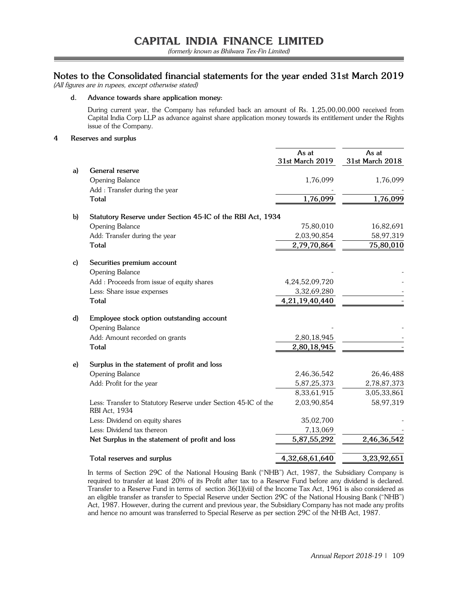## **Notes to the Consolidated financial statements for the year ended 31st March 2019**

(All figures are in rupees, except otherwise stated)

## **d. Advance towards share application money:**

 During current year, the Company has refunded back an amount of Rs. 1,25,00,00,000 received from Capital India Corp LLP as advance against share application money towards its entitlement under the Rights issue of the Company.

## **4 Reserves and surplus**

|              |                                                                                 | As at<br>31st March 2019 | As at<br>31st March 2018 |
|--------------|---------------------------------------------------------------------------------|--------------------------|--------------------------|
| a)           | General reserve                                                                 |                          |                          |
|              | <b>Opening Balance</b>                                                          | 1,76,099                 | 1,76,099                 |
|              | Add: Transfer during the year                                                   |                          |                          |
|              | <b>Total</b>                                                                    | 1,76,099                 | 1,76,099                 |
| $\mathbf{b}$ | Statutory Reserve under Section 45-IC of the RBI Act, 1934                      |                          |                          |
|              | <b>Opening Balance</b>                                                          | 75,80,010                | 16,82,691                |
|              | Add: Transfer during the year                                                   | 2,03,90,854              | 58,97,319                |
|              | <b>Total</b>                                                                    | 2,79,70,864              | 75,80,010                |
| c)           | Securities premium account                                                      |                          |                          |
|              | <b>Opening Balance</b>                                                          |                          |                          |
|              | Add: Proceeds from issue of equity shares                                       | 4,24,52,09,720           |                          |
|              | Less: Share issue expenses                                                      | 3,32,69,280              |                          |
|              | <b>Total</b>                                                                    | 4,21,19,40,440           |                          |
| d)           | Employee stock option outstanding account                                       |                          |                          |
|              | <b>Opening Balance</b>                                                          |                          |                          |
|              | Add: Amount recorded on grants                                                  | 2,80,18,945              |                          |
|              | <b>Total</b>                                                                    | 2,80,18,945              |                          |
| e)           | Surplus in the statement of profit and loss                                     |                          |                          |
|              | <b>Opening Balance</b>                                                          | 2,46,36,542              | 26,46,488                |
|              | Add: Profit for the year                                                        | 5,87,25,373              | 2,78,87,373              |
|              |                                                                                 | 8,33,61,915              | 3,05,33,861              |
|              | Less: Transfer to Statutory Reserve under Section 45-IC of the<br>RBI Act, 1934 | 2,03,90,854              | 58,97,319                |
|              | Less: Dividend on equity shares                                                 | 35,02,700                |                          |
|              | Less: Dividend tax thereon                                                      | 7,13,069                 |                          |
|              | Net Surplus in the statement of profit and loss                                 | 5,87,55,292              | 2,46,36,542              |
|              | Total reserves and surplus                                                      | 4, 32, 68, 61, 640       | 3,23,92,651              |

 In terms of Section 29C of the National Housing Bank ("NHB") Act, 1987, the Subsidiary Company is required to transfer at least 20% of its Profit after tax to a Reserve Fund before any dividend is declared. Transfer to a Reserve Fund in terms of section 36(1)(viii) of the Income Tax Act, 1961 is also considered as an eligible transfer as transfer to Special Reserve under Section 29C of the National Housing Bank ("NHB") Act, 1987. However, during the current and previous year, the Subsidiary Company has not made any profits and hence no amount was transferred to Special Reserve as per section 29C of the NHB Act, 1987.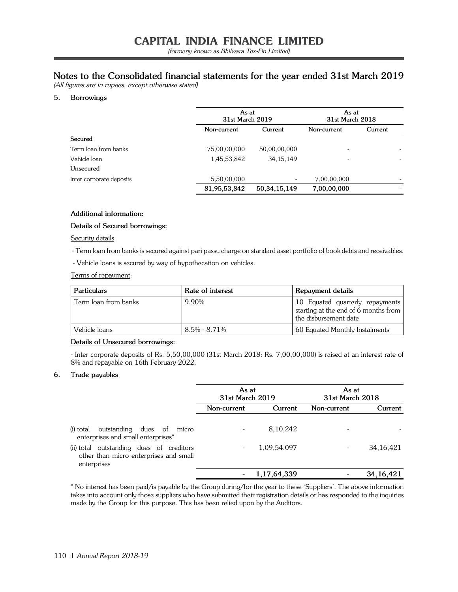### **Notes to the Consolidated financial statements for the year ended 31st March 2019**

(All figures are in rupees, except otherwise stated)

#### **5. Borrowings**

|                          |              | As at<br>31st March 2019 |             | As at<br>31st March 2018 |
|--------------------------|--------------|--------------------------|-------------|--------------------------|
|                          | Non-current  | Current                  | Non-current | Current                  |
| Secured                  |              |                          |             |                          |
| Term loan from banks     | 75,00,00,000 | 50,00,00,000             |             |                          |
| Vehicle loan             | 1,45,53,842  | 34, 15, 149              |             |                          |
| Unsecured                |              |                          |             |                          |
| Inter corporate deposits | 5,50,00,000  | $\overline{\phantom{a}}$ | 7,00,00,000 |                          |
|                          | 81,95,53,842 | 50, 34, 15, 149          | 7,00,00,000 |                          |

#### **Additional information:**

#### **Details of Secured borrowings:**

#### Security details

- Term loan from banks is secured against pari passu charge on standard asset portfolio of book debts and receivables.

- Vehicle loans is secured by way of hypothecation on vehicles.

Terms of repayment:

| <b>Particulars</b>   | Rate of interest | Repayment details                                                                                |
|----------------------|------------------|--------------------------------------------------------------------------------------------------|
| Term loan from banks | 9.90%            | 10 Equated quarterly repayments<br>starting at the end of 6 months from<br>the disbursement date |
| Vehicle loans        | $8.5\% - 8.71\%$ | 60 Equated Monthly Instalments                                                                   |

#### **Details of Unsecured borrowings:**

- Inter corporate deposits of Rs. 5,50,00,000 (31st March 2018: Rs. 7,00,00,000) is raised at an interest rate of 8% and repayable on 16th February 2022.

#### **6. Trade payables**

|                                                                                                   | As at<br>31st March 2019 |                | As at<br>31st March 2018 |             |
|---------------------------------------------------------------------------------------------------|--------------------------|----------------|--------------------------|-------------|
|                                                                                                   | Non-current              | Current        | Non-current              | Current     |
| outstanding dues of micro<br>(i) total<br>enterprises and small enterprises <sup>*</sup>          |                          | 8,10,242       |                          |             |
| (ii) total outstanding dues of creditors<br>other than micro enterprises and small<br>enterprises |                          | 1,09,54,097    |                          | 34, 16, 421 |
|                                                                                                   |                          | 1, 17, 64, 339 |                          | 34, 16, 421 |

\* No interest has been paid/is payable by the Group during/for the year to these 'Suppliers'. The above information takes into account only those suppliers who have submitted their registration details or has responded to the inquiries made by the Group for this purpose. This has been relied upon by the Auditors.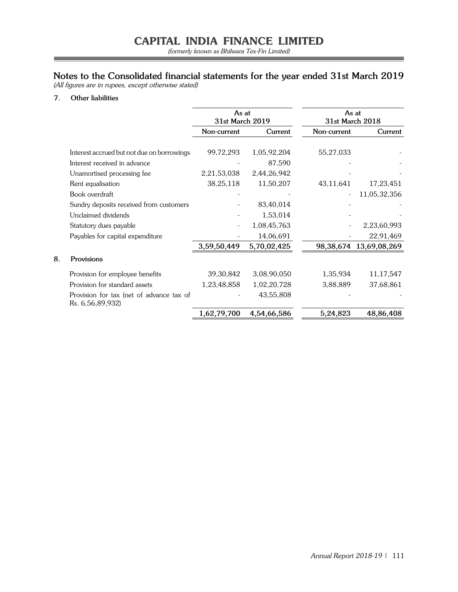(formerly known as Bhilwara Tex-Fin Limited)

### **Notes to the Consolidated financial statements for the year ended 31st March 2019**

(All figures are in rupees, except otherwise stated)

#### **7. Other liabilities**

**8. Provisions**

|                                                              |             | As at<br>As at<br>31st March 2019<br>31st March 2018 |             |              |
|--------------------------------------------------------------|-------------|------------------------------------------------------|-------------|--------------|
|                                                              | Non-current | Current                                              | Non-current | Current      |
|                                                              |             |                                                      |             |              |
| Interest accrued but not due on borrowings                   | 99,72,293   | 1,05,92,204                                          | 55,27,033   |              |
| Interest received in advance                                 |             | 87,590                                               |             |              |
| Unamortised processing fee                                   | 2,21,53,038 | 2,44,26,942                                          |             |              |
| Rent equalisation                                            | 38,25,118   | 11,50,207                                            | 43,11,641   | 17,23,451    |
| Book overdraft                                               |             |                                                      |             | 11,05,32,356 |
| Sundry deposits received from customers                      |             | 83,40,014                                            |             |              |
| Unclaimed dividends                                          |             | 1,53,014                                             |             |              |
| Statutory dues payable                                       |             | 1,08,45,763                                          |             | 2,23,60,993  |
| Payables for capital expenditure                             |             | 14,06,691                                            |             | 22,91,469    |
|                                                              | 3,59,50,449 | 5,70,02,425                                          | 98,38,674   | 13,69,08,269 |
| Provisions                                                   |             |                                                      |             |              |
| Provision for employee benefits                              | 39, 30, 842 | 3,08,90,050                                          | 1,35,934    | 11,17,547    |
| Provision for standard assets                                | 1,23,48,858 | 1,02,20,728                                          | 3,88,889    | 37,68,861    |
| Provision for tax (net of advance tax of<br>Rs. 6,56,89,932) |             | 43,55,808                                            |             |              |
|                                                              | 1,62,79,700 | 4,54,66,586                                          | 5,24,823    | 48,86,408    |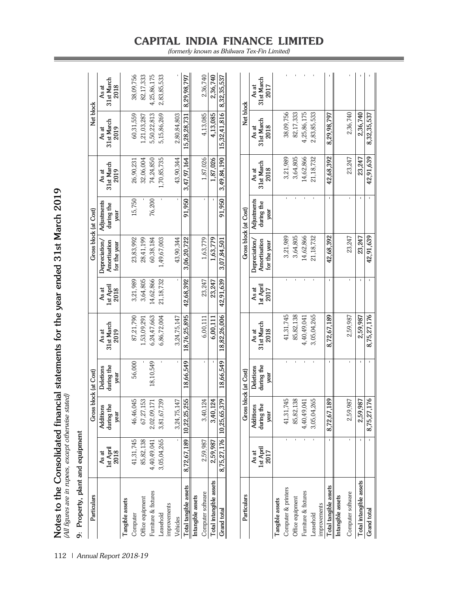| 9: Property, plant and equipment |                            |                                 |                                 |                             |                            |                                               |                                   |                             |                             |                             |
|----------------------------------|----------------------------|---------------------------------|---------------------------------|-----------------------------|----------------------------|-----------------------------------------------|-----------------------------------|-----------------------------|-----------------------------|-----------------------------|
| Particulars                      |                            |                                 | Gross block (at Cost)           |                             |                            | Gross block (at Cost)                         |                                   |                             | Net block                   |                             |
|                                  | 1st April<br>2018<br>As at | during the<br>Additions<br>year | during the<br>Deletions<br>year | 31st March<br>2019<br>As at | 1st April<br>As at<br>2018 | Amortisation<br>Depreciation/<br>for the year | Adjustments<br>during the<br>year | 31st March<br>2019<br>As at | 31st March<br>2019<br>As at | 31st March<br>As at<br>2018 |
| Tangible assets                  |                            |                                 |                                 |                             |                            |                                               |                                   |                             |                             |                             |
| Computer                         | 41,31,745                  | 46,46,045                       | 56,000                          | 87,21,790                   | 3,21,989                   | 23,83,992                                     | 15,750                            | 26,90,231                   | 60,31,559                   | 38,09,756                   |
| Office equipment                 | 85,82,138                  | 67,27,153                       |                                 | 1,53,09,291                 | 3,64,805                   | 28,41,199                                     |                                   | 32,06,004                   | 1,21,03,287                 | 82,17,333                   |
| Furniture & fixtures             | 4,40,49,041                | 2,02,09,171                     | 18,10,549                       | 6,24,47,663                 | 14,62,866                  | 60,38,184                                     | 76,200                            | 74,24,850                   | 5,50,22,813                 | 4,25,86,175                 |
| Leasehold                        | 3,05,04,265                | 3,81,67,739                     |                                 | 6,86,72,004                 | 21,18,732                  | 1,49,67,003                                   |                                   | 1,70,85,735                 | 5,15,86,269                 | 2,83,85,533                 |
| improvements                     |                            |                                 |                                 |                             |                            |                                               |                                   |                             |                             |                             |
| Vehicles                         |                            | 3,24,75,147                     |                                 | 3,24,75,147                 |                            | 43.90.344                                     |                                   | 43.90.344                   | 2,80,84,803                 |                             |
| Total tangible assets            | 8,72,67,189                | 10,22,25,255                    | 18,66,549                       | 18,76,25,895                | 42,68,392                  | 3,06,20,722                                   | 91,950                            | 3,47,97,164                 | 15,28,28,731                | 8,29,98,797                 |
| Intangible assets                |                            |                                 |                                 |                             |                            |                                               |                                   |                             |                             |                             |
| Computer software                | 2,59,987                   | 3,40,124                        |                                 | 6,00,111                    | 23,247                     | 1,63,779                                      |                                   | 1,87,026                    | 4,13,085                    | 2.36,740                    |
| Total intangible assets          | 2,59,987                   | 3,40,124                        |                                 | 6,00,111                    | 23.247                     | 1.63,779                                      |                                   | 1,87,026                    | 4,13,085                    | 2,36,740                    |
| Grand total                      | 8,75,27,176                | 10,25,65,379                    | 18,66,549                       | 18,82,26,006                | 42,91,639                  | 3,07,84,501                                   | 91,950                            | 3,49,84,190                 | ,816<br>15,32,41            | 8,32,35,537                 |
|                                  |                            |                                 |                                 |                             |                            |                                               |                                   |                             |                             |                             |
| Particulars                      |                            |                                 | Gross block (at Cost)           |                             |                            |                                               | Gross block (at Cost)             |                             | Net block                   |                             |
|                                  | As at                      | Additions                       | Deletions                       | As at                       | As at                      | Depreciation/                                 | Adjustments                       | As at                       | As at                       | As at                       |
|                                  | 1st April<br>2017          | during the<br>year              | during the<br>year              | 31st March<br>2018          | 1st April<br>2017          | Amortisation<br>for the year                  | during the<br>year                | 31st March<br>2018          | 31st March<br>2018          | 31st March<br>2017          |
| Tangible assets                  |                            |                                 |                                 |                             |                            |                                               |                                   |                             |                             |                             |
| Computer & printers              |                            | 41,31,745                       |                                 | 41,31,745                   |                            | 3,21,989                                      |                                   | 3,21,989                    | 38,09,756                   |                             |
| Office equipment                 |                            | 85,82,138                       |                                 | 85,82,138                   |                            | 3,64,805                                      |                                   | 3,64,805                    | 82,17,333                   |                             |
| Furniture & fixtures             |                            | 4,40,49,041                     |                                 | 4,40,49,041                 |                            | 14,62,866                                     |                                   | 14,62,866                   | 4,25,86,175                 |                             |
| Leasehold                        |                            | 3,05,04,265                     |                                 | 3,05,04,265                 |                            | 21,18,732                                     |                                   | 21,18,732                   | 2,83,85,533                 |                             |
| improvements                     |                            |                                 |                                 |                             |                            |                                               |                                   |                             |                             |                             |
| Total tangible assets            |                            | 8,72,67,189                     | $\mathbf{I}$                    | 8,72,67,189                 |                            | 42,68,392                                     |                                   | 42,68,392                   | 8,29,98,797                 |                             |
| Intangible assets                |                            |                                 |                                 |                             |                            |                                               |                                   |                             |                             |                             |
| Computer software                |                            | 2,59,987                        |                                 | 2,59,987                    |                            | 23,247                                        |                                   | 23,247                      | 2,36,740                    |                             |
| Total intangible assets          |                            | 2,59,987                        | $\mathbf{I}$                    | 2,59,987                    |                            | 23,247                                        |                                   | 23,247                      | 2,36,740                    |                             |
| <b>Grand</b> total               |                            | 8,75,27,176                     |                                 | 8,75,27,176                 |                            | 42,91,639                                     |                                   | 42,91,639                   | 8,32,35,537                 |                             |

Notes to the Consolidated financial statements for the year ended 31st March 2019<br>(All figures are in rupees, except otherwise stated) **Notes to the Consolidated financial statements for the year ended 31st March 2019** (All figures are in rupees, except otherwise stated)

112 | Annual Report 2018-19

# **CAPITAL INDIA FINANCE LIMITED**

(formerly known as Bhilwara Tex-Fin Limited)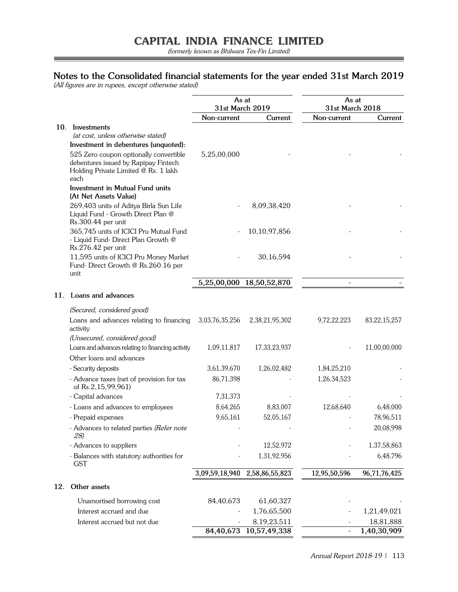(formerly known as Bhilwara Tex-Fin Limited)

### **Notes to the Consolidated financial statements for the year ended 31st March 2019**

(All figures are in rupees, except otherwise stated)

|     |                                                                                                                                | As at<br>31st March 2019 |                               | As at<br>31st March 2018 |                 |
|-----|--------------------------------------------------------------------------------------------------------------------------------|--------------------------|-------------------------------|--------------------------|-----------------|
|     |                                                                                                                                | Non-current              | Current                       | Non-current              | Current         |
|     | 10. Investments                                                                                                                |                          |                               |                          |                 |
|     | (at cost, unless otherwise stated)                                                                                             |                          |                               |                          |                 |
|     | Investment in debentures (unquoted):                                                                                           |                          |                               |                          |                 |
|     | 525 Zero coupon optionally convertible<br>debentures issued by Rapipay Fintech<br>Holding Private Limited @ Rs. 1 lakh<br>each | 5,25,00,000              |                               |                          |                 |
|     | <b>Investment in Mutual Fund units</b><br>(At Net Assets Value)                                                                |                          |                               |                          |                 |
|     | 269,403 units of Aditya Birla Sun Life<br>Liquid Fund - Growth Direct Plan @<br>Rs.300.44 per unit                             |                          | 8,09,38,420                   |                          |                 |
|     | 365,745 units of ICICI Pru Mutual Fund<br>- Liquid Fund- Direct Plan Growth @<br>Rs.276.42 per unit                            |                          | 10,10,97,856                  |                          |                 |
|     | 11,595 units of ICICI Pru Money Market<br>Fund-Direct Growth @ Rs.260.16 per<br>unit                                           |                          | 30,16,594                     |                          |                 |
|     |                                                                                                                                | 5,25,00,000              | 18,50,52,870                  |                          |                 |
| 11. | Loans and advances                                                                                                             |                          |                               |                          |                 |
|     | (Secured, considered good)                                                                                                     |                          |                               |                          |                 |
|     | Loans and advances relating to financing<br>activity                                                                           | 3,03,76,35,256           | 2,38,21,95,302                | 9,72,22,223              | 83, 22, 15, 257 |
|     | (Unsecured, considered good)                                                                                                   |                          |                               |                          |                 |
|     | Loans and advances relating to financing activity                                                                              | 1,09,11,817              | 17,33,23,937                  |                          | 11,00,00,000    |
|     | Other loans and advances                                                                                                       |                          |                               |                          |                 |
|     | - Security deposits                                                                                                            | 3,61,39,670              | 1,26,02,482                   | 1,84,25,210              |                 |
|     | - Advance taxes (net of provision for tax<br>of Rs.2,15,99,961)                                                                | 86,71,398                |                               | 1,26,34,523              |                 |
|     | - Capital advances                                                                                                             | 7,31,373                 |                               |                          |                 |
|     | - Loans and advances to employees                                                                                              | 8,64,265                 | 8,83,007                      | 12,68,640                | 6,48,000        |
|     | - Prepaid expenses                                                                                                             | 9,65,161                 | 52,05,167                     |                          | 78,96,511       |
|     | - Advances to related parties (Refer note<br>28)                                                                               |                          |                               |                          | 20,08,998       |
|     | - Advances to suppliers                                                                                                        |                          | 12,52,972                     |                          | 1,37,58,863     |
|     | - Balances with statutory authorities for<br><b>GST</b>                                                                        |                          | 1,31,92,956                   |                          | 6,48,796        |
|     |                                                                                                                                |                          | 3,09,59,18,940 2,58,86,55,823 | 12,95,50,596             | 96,71,76,425    |
| 12. | Other assets                                                                                                                   |                          |                               |                          |                 |
|     | Unamortised borrowing cost                                                                                                     | 84,40,673                | 61,60,327                     |                          |                 |
|     | Interest accrued and due                                                                                                       |                          | 1,76,65,500                   |                          | 1,21,49,021     |
|     | Interest accrued but not due                                                                                                   |                          | 8,19,23,511                   |                          | 18,81,888       |
|     |                                                                                                                                |                          | 84,40,673 10,57,49,338        |                          | 1,40,30,909     |

Annual Report 2018-19 | 113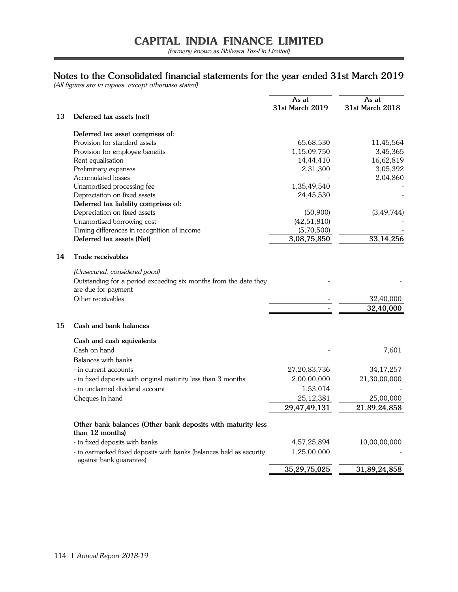(formerly known as Bhilwara Tex-Fin Limited)

Ξ

### **Notes to the Consolidated financial statements for the year ended 31st March 2019**

(All figures are in rupees, except otherwise stated)

| 13<br>Deferred tax assets (net)<br>Deferred tax asset comprises of:<br>Provision for standard assets<br>65,68,530<br>11,45,564<br>Provision for employee benefits<br>1,15,09,750<br>3,45,365<br>14,44,410<br>16,62,819<br>Rent equalisation<br>3,05,392<br>Preliminary expenses<br>2,31,300<br><b>Accumulated losses</b><br>2,04,860<br>Unamortised processing fee<br>1,35,49,540<br>Depreciation on fixed assets<br>24,45,530<br>Deferred tax liability comprises of:<br>(3, 49, 744)<br>Depreciation on fixed assets<br>(50,900)<br>(42, 51, 810)<br>Unamortised borrowing cost<br>Timing differences in recognition of income<br>(5,70,500)<br>33, 14, 256<br>3,08,75,850<br>Deferred tax assets (Net)<br>14<br>Trade receivables<br>(Unsecured, considered good)<br>Outstanding for a period exceeding six months from the date they<br>are due for payment<br>Other receivables<br>32,40,000<br>32,40,000<br>15<br>Cash and bank balances<br>Cash and cash equivalents<br>Cash on hand<br>7,601<br>Balances with banks<br>27,20,83,736<br>- in current accounts<br>34, 17, 257<br>2,00,00,000<br>21,30,00,000<br>- in fixed deposits with original maturity less than 3 months<br>- in unclaimed dividend account<br>1,53,014<br>25, 12, 381<br>Cheques in hand<br>25,00,000<br>29,47,49,131<br>21,89,24,858<br>Other bank balances (Other bank deposits with maturity less<br>than 12 months)<br>4,57,25,894<br>- in fixed deposits with banks<br>10,00,00,000<br>1,25,00,000<br>- in earmarked fixed deposits with banks (balances held as security<br>against bank guarantee)<br>35,29,75,025<br>31,89,24,858 |  | As at<br>31st March 2019 | As at<br>31st March 2018 |
|-----------------------------------------------------------------------------------------------------------------------------------------------------------------------------------------------------------------------------------------------------------------------------------------------------------------------------------------------------------------------------------------------------------------------------------------------------------------------------------------------------------------------------------------------------------------------------------------------------------------------------------------------------------------------------------------------------------------------------------------------------------------------------------------------------------------------------------------------------------------------------------------------------------------------------------------------------------------------------------------------------------------------------------------------------------------------------------------------------------------------------------------------------------------------------------------------------------------------------------------------------------------------------------------------------------------------------------------------------------------------------------------------------------------------------------------------------------------------------------------------------------------------------------------------------------------------------------------------------------------------|--|--------------------------|--------------------------|
|                                                                                                                                                                                                                                                                                                                                                                                                                                                                                                                                                                                                                                                                                                                                                                                                                                                                                                                                                                                                                                                                                                                                                                                                                                                                                                                                                                                                                                                                                                                                                                                                                       |  |                          |                          |
|                                                                                                                                                                                                                                                                                                                                                                                                                                                                                                                                                                                                                                                                                                                                                                                                                                                                                                                                                                                                                                                                                                                                                                                                                                                                                                                                                                                                                                                                                                                                                                                                                       |  |                          |                          |
|                                                                                                                                                                                                                                                                                                                                                                                                                                                                                                                                                                                                                                                                                                                                                                                                                                                                                                                                                                                                                                                                                                                                                                                                                                                                                                                                                                                                                                                                                                                                                                                                                       |  |                          |                          |
|                                                                                                                                                                                                                                                                                                                                                                                                                                                                                                                                                                                                                                                                                                                                                                                                                                                                                                                                                                                                                                                                                                                                                                                                                                                                                                                                                                                                                                                                                                                                                                                                                       |  |                          |                          |
|                                                                                                                                                                                                                                                                                                                                                                                                                                                                                                                                                                                                                                                                                                                                                                                                                                                                                                                                                                                                                                                                                                                                                                                                                                                                                                                                                                                                                                                                                                                                                                                                                       |  |                          |                          |
|                                                                                                                                                                                                                                                                                                                                                                                                                                                                                                                                                                                                                                                                                                                                                                                                                                                                                                                                                                                                                                                                                                                                                                                                                                                                                                                                                                                                                                                                                                                                                                                                                       |  |                          |                          |
|                                                                                                                                                                                                                                                                                                                                                                                                                                                                                                                                                                                                                                                                                                                                                                                                                                                                                                                                                                                                                                                                                                                                                                                                                                                                                                                                                                                                                                                                                                                                                                                                                       |  |                          |                          |
|                                                                                                                                                                                                                                                                                                                                                                                                                                                                                                                                                                                                                                                                                                                                                                                                                                                                                                                                                                                                                                                                                                                                                                                                                                                                                                                                                                                                                                                                                                                                                                                                                       |  |                          |                          |
|                                                                                                                                                                                                                                                                                                                                                                                                                                                                                                                                                                                                                                                                                                                                                                                                                                                                                                                                                                                                                                                                                                                                                                                                                                                                                                                                                                                                                                                                                                                                                                                                                       |  |                          |                          |
|                                                                                                                                                                                                                                                                                                                                                                                                                                                                                                                                                                                                                                                                                                                                                                                                                                                                                                                                                                                                                                                                                                                                                                                                                                                                                                                                                                                                                                                                                                                                                                                                                       |  |                          |                          |
|                                                                                                                                                                                                                                                                                                                                                                                                                                                                                                                                                                                                                                                                                                                                                                                                                                                                                                                                                                                                                                                                                                                                                                                                                                                                                                                                                                                                                                                                                                                                                                                                                       |  |                          |                          |
|                                                                                                                                                                                                                                                                                                                                                                                                                                                                                                                                                                                                                                                                                                                                                                                                                                                                                                                                                                                                                                                                                                                                                                                                                                                                                                                                                                                                                                                                                                                                                                                                                       |  |                          |                          |
|                                                                                                                                                                                                                                                                                                                                                                                                                                                                                                                                                                                                                                                                                                                                                                                                                                                                                                                                                                                                                                                                                                                                                                                                                                                                                                                                                                                                                                                                                                                                                                                                                       |  |                          |                          |
|                                                                                                                                                                                                                                                                                                                                                                                                                                                                                                                                                                                                                                                                                                                                                                                                                                                                                                                                                                                                                                                                                                                                                                                                                                                                                                                                                                                                                                                                                                                                                                                                                       |  |                          |                          |
|                                                                                                                                                                                                                                                                                                                                                                                                                                                                                                                                                                                                                                                                                                                                                                                                                                                                                                                                                                                                                                                                                                                                                                                                                                                                                                                                                                                                                                                                                                                                                                                                                       |  |                          |                          |
|                                                                                                                                                                                                                                                                                                                                                                                                                                                                                                                                                                                                                                                                                                                                                                                                                                                                                                                                                                                                                                                                                                                                                                                                                                                                                                                                                                                                                                                                                                                                                                                                                       |  |                          |                          |
|                                                                                                                                                                                                                                                                                                                                                                                                                                                                                                                                                                                                                                                                                                                                                                                                                                                                                                                                                                                                                                                                                                                                                                                                                                                                                                                                                                                                                                                                                                                                                                                                                       |  |                          |                          |
|                                                                                                                                                                                                                                                                                                                                                                                                                                                                                                                                                                                                                                                                                                                                                                                                                                                                                                                                                                                                                                                                                                                                                                                                                                                                                                                                                                                                                                                                                                                                                                                                                       |  |                          |                          |
|                                                                                                                                                                                                                                                                                                                                                                                                                                                                                                                                                                                                                                                                                                                                                                                                                                                                                                                                                                                                                                                                                                                                                                                                                                                                                                                                                                                                                                                                                                                                                                                                                       |  |                          |                          |
|                                                                                                                                                                                                                                                                                                                                                                                                                                                                                                                                                                                                                                                                                                                                                                                                                                                                                                                                                                                                                                                                                                                                                                                                                                                                                                                                                                                                                                                                                                                                                                                                                       |  |                          |                          |
|                                                                                                                                                                                                                                                                                                                                                                                                                                                                                                                                                                                                                                                                                                                                                                                                                                                                                                                                                                                                                                                                                                                                                                                                                                                                                                                                                                                                                                                                                                                                                                                                                       |  |                          |                          |
|                                                                                                                                                                                                                                                                                                                                                                                                                                                                                                                                                                                                                                                                                                                                                                                                                                                                                                                                                                                                                                                                                                                                                                                                                                                                                                                                                                                                                                                                                                                                                                                                                       |  |                          |                          |
|                                                                                                                                                                                                                                                                                                                                                                                                                                                                                                                                                                                                                                                                                                                                                                                                                                                                                                                                                                                                                                                                                                                                                                                                                                                                                                                                                                                                                                                                                                                                                                                                                       |  |                          |                          |
|                                                                                                                                                                                                                                                                                                                                                                                                                                                                                                                                                                                                                                                                                                                                                                                                                                                                                                                                                                                                                                                                                                                                                                                                                                                                                                                                                                                                                                                                                                                                                                                                                       |  |                          |                          |
|                                                                                                                                                                                                                                                                                                                                                                                                                                                                                                                                                                                                                                                                                                                                                                                                                                                                                                                                                                                                                                                                                                                                                                                                                                                                                                                                                                                                                                                                                                                                                                                                                       |  |                          |                          |
|                                                                                                                                                                                                                                                                                                                                                                                                                                                                                                                                                                                                                                                                                                                                                                                                                                                                                                                                                                                                                                                                                                                                                                                                                                                                                                                                                                                                                                                                                                                                                                                                                       |  |                          |                          |
|                                                                                                                                                                                                                                                                                                                                                                                                                                                                                                                                                                                                                                                                                                                                                                                                                                                                                                                                                                                                                                                                                                                                                                                                                                                                                                                                                                                                                                                                                                                                                                                                                       |  |                          |                          |
|                                                                                                                                                                                                                                                                                                                                                                                                                                                                                                                                                                                                                                                                                                                                                                                                                                                                                                                                                                                                                                                                                                                                                                                                                                                                                                                                                                                                                                                                                                                                                                                                                       |  |                          |                          |
|                                                                                                                                                                                                                                                                                                                                                                                                                                                                                                                                                                                                                                                                                                                                                                                                                                                                                                                                                                                                                                                                                                                                                                                                                                                                                                                                                                                                                                                                                                                                                                                                                       |  |                          |                          |
|                                                                                                                                                                                                                                                                                                                                                                                                                                                                                                                                                                                                                                                                                                                                                                                                                                                                                                                                                                                                                                                                                                                                                                                                                                                                                                                                                                                                                                                                                                                                                                                                                       |  |                          |                          |
|                                                                                                                                                                                                                                                                                                                                                                                                                                                                                                                                                                                                                                                                                                                                                                                                                                                                                                                                                                                                                                                                                                                                                                                                                                                                                                                                                                                                                                                                                                                                                                                                                       |  |                          |                          |
|                                                                                                                                                                                                                                                                                                                                                                                                                                                                                                                                                                                                                                                                                                                                                                                                                                                                                                                                                                                                                                                                                                                                                                                                                                                                                                                                                                                                                                                                                                                                                                                                                       |  |                          |                          |
|                                                                                                                                                                                                                                                                                                                                                                                                                                                                                                                                                                                                                                                                                                                                                                                                                                                                                                                                                                                                                                                                                                                                                                                                                                                                                                                                                                                                                                                                                                                                                                                                                       |  |                          |                          |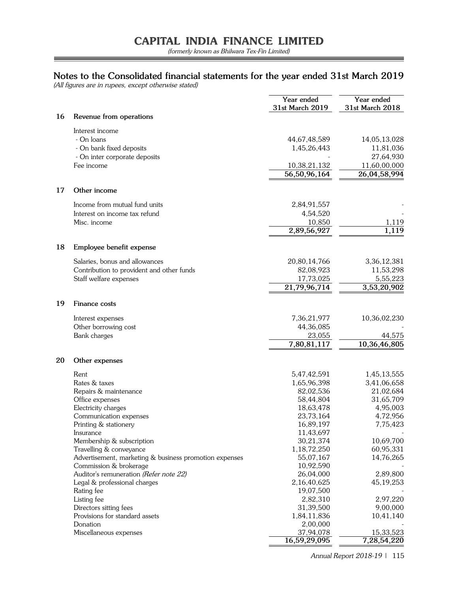### **Notes to the Consolidated financial statements for the year ended 31st March 2019**

(All figures are in rupees, except otherwise stated)

|    |                                                        | Year ended<br>31st March 2019 | Year ended<br>31st March 2018 |
|----|--------------------------------------------------------|-------------------------------|-------------------------------|
| 16 | Revenue from operations                                |                               |                               |
|    | Interest income                                        |                               |                               |
|    | - On loans                                             | 44,67,48,589                  | 14,05,13,028                  |
|    | - On bank fixed deposits                               | 1,45,26,443                   | 11,81,036                     |
|    | - On inter corporate deposits                          |                               | 27,64,930                     |
|    | Fee income                                             | 10,38,21,132                  | 11,60,00,000                  |
|    |                                                        | 56,50,96,164                  | 26,04,58,994                  |
| 17 | Other income                                           |                               |                               |
|    | Income from mutual fund units                          | 2,84,91,557                   |                               |
|    | Interest on income tax refund                          | 4,54,520                      |                               |
|    | Misc. income                                           | 10,850                        | 1,119                         |
|    |                                                        | 2,89,56,927                   | 1,119                         |
| 18 | Employee benefit expense                               |                               |                               |
|    | Salaries, bonus and allowances                         | 20,80,14,766                  | 3,36,12,381                   |
|    | Contribution to provident and other funds              | 82,08,923                     | 11,53,298                     |
|    | Staff welfare expenses                                 | 17,73,025                     | 5,55,223                      |
|    |                                                        | 21,79,96,714                  | 3,53,20,902                   |
| 19 | Finance costs                                          |                               |                               |
|    | Interest expenses                                      | 7,36,21,977                   | 10,36,02,230                  |
|    | Other borrowing cost                                   | 44,36,085                     |                               |
|    | Bank charges                                           | 23,055                        | 44,575                        |
|    |                                                        | 7,80,81,117                   | 10,36,46,805                  |
| 20 | Other expenses                                         |                               |                               |
|    | Rent                                                   | 5,47,42,591                   | 1,45,13,555                   |
|    | Rates & taxes                                          | 1,65,96,398                   | 3,41,06,658                   |
|    | Repairs & maintenance                                  | 82,02,536                     | 21,02,684                     |
|    | Office expenses                                        | 58,44,804                     | 31,65,709                     |
|    | Electricity charges                                    | 18,63,478                     | 4,95,003                      |
|    | Communication expenses                                 | 23,73,164                     | 4,72,956                      |
|    | Printing & stationery                                  | 16,89,197                     | 7,75,423                      |
|    | Insurance                                              | 11,43,697                     |                               |
|    | Membership & subscription                              | 30,21,374                     | 10,69,700                     |
|    | Travelling & conveyance                                | 1,18,72,250                   | 60,95,331                     |
|    | Advertisement, marketing & business promotion expenses | 55,07,167                     | 14,76,265                     |
|    | Commission & brokerage                                 | 10,92,590                     |                               |
|    | Auditor's remuneration (Refer note 22)                 | 26,04,000                     | 2,89,800                      |
|    | Legal & professional charges<br>Rating fee             | 2,16,40,625<br>19,07,500      | 45, 19, 253                   |
|    | Listing fee                                            | 2,82,310                      | 2,97,220                      |
|    | Directors sitting fees                                 | 31,39,500                     | 9,00,000                      |
|    | Provisions for standard assets                         | 1,84,11,836                   | 10,41,140                     |
|    | Donation                                               | 2,00,000                      |                               |
|    | Miscellaneous expenses                                 | 37,94,078                     | 15,33,523                     |
|    |                                                        | 16,59,29,095                  | 7,28,54,220                   |

Annual Report 2018-19 | 115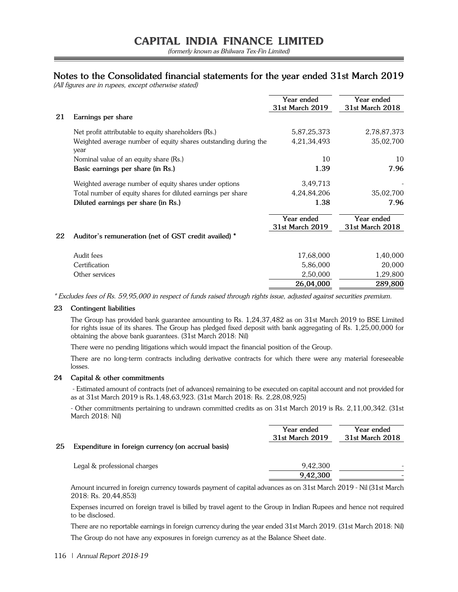### **Notes to the Consolidated financial statements for the year ended 31st March 2019**

(All figures are in rupees, except otherwise stated)

|    |                                                                         | Year ended<br>31st March 2019 | Year ended<br>31st March 2018 |
|----|-------------------------------------------------------------------------|-------------------------------|-------------------------------|
| 21 | Earnings per share                                                      |                               |                               |
|    | Net profit attributable to equity shareholders (Rs.)                    | 5,87,25,373                   | 2,78,87,373                   |
|    | Weighted average number of equity shares outstanding during the<br>year | 4,21,34,493                   | 35,02,700                     |
|    | Nominal value of an equity share (Rs.)                                  | 10                            | 10                            |
|    | Basic earnings per share (in Rs.)                                       | 1.39                          | 7.96                          |
|    | Weighted average number of equity shares under options                  | 3,49,713                      |                               |
|    | Total number of equity shares for diluted earnings per share            | 4,24,84,206                   | 35,02,700                     |
|    | Diluted earnings per share (in Rs.)                                     | 1.38                          | 7.96                          |
|    |                                                                         | Year ended<br>31st March 2019 | Year ended<br>31st March 2018 |
| 22 | Auditor's remuneration (net of GST credit availed) *                    |                               |                               |
|    | Audit fees                                                              | 17,68,000                     | 1,40,000                      |
|    | Certification                                                           | 5,86,000                      | 20,000                        |
|    | Other services                                                          | 2,50,000                      | 1,29,800                      |
|    |                                                                         | 26,04,000                     | 289,800                       |

\* Excludes fees of Rs. 59,95,000 in respect of funds raised through rights issue, adjusted against securities premium.

#### **23 Contingent liabilities**

The Group has provided bank guarantee amounting to Rs. 1,24,37,482 as on 31st March 2019 to BSE Limited for rights issue of its shares. The Group has pledged fixed deposit with bank aggregating of Rs. 1,25,00,000 for obtaining the above bank guarantees. (31st March 2018: Nil)

There were no pending litigations which would impact the financial position of the Group.

There are no long-term contracts including derivative contracts for which there were any material foreseeable losses.

#### **24 Capital & other commitments**

 - Estimated amount of contracts (net of advances) remaining to be executed on capital account and not provided for as at 31st March 2019 is Rs.1,48,63,923. (31st March 2018: Rs. 2,28,08,925)

- Other commitments pertaining to undrawn committed credits as on 31st March 2019 is Rs. 2,11,00,342. (31st March 2018: Nil)

|    |                                                    | Year ended<br>31st March 2019 | Year ended<br>31st March 2018 |
|----|----------------------------------------------------|-------------------------------|-------------------------------|
| 25 | Expenditure in foreign currency (on accrual basis) |                               |                               |
|    | Legal & professional charges                       | 9,42,300                      |                               |
|    |                                                    | 9,42,300                      |                               |

Amount incurred in foreign currency towards payment of capital advances as on 31st March 2019 - Nil (31st March 2018: Rs. 20,44,853)

Expenses incurred on foreign travel is billed by travel agent to the Group in Indian Rupees and hence not required to be disclosed.

There are no reportable earnings in foreign currency during the year ended 31st March 2019. (31st March 2018: Nil) The Group do not have any exposures in foreign currency as at the Balance Sheet date.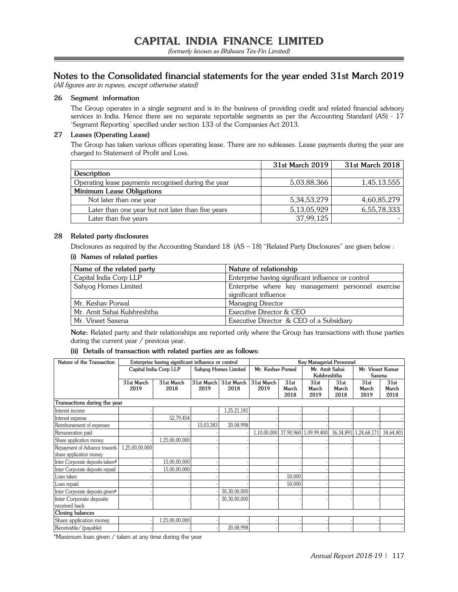### **Notes to the Consolidated financial statements for the year ended 31st March 2019**

(All figures are in rupees, except otherwise stated)

#### **26 Segment information**

The Group operates in a single segment and is in the business of providing credit and related financial advisory services in India. Hence there are no separate reportable segments as per the Accounting Standard (AS) - 17 'Segment Reporting' specified under section 133 of the Companies Act 2013.

#### **27 Leases (Operating Lease)**

The Group has taken various offices operating lease. There are no subleases. Lease payments during the year are charged to Statement of Profit and Loss.

|                                                     | 31st March 2019 | 31st March 2018 |
|-----------------------------------------------------|-----------------|-----------------|
| Description                                         |                 |                 |
| Operating lease payments recognised during the year | 5,03,88,366     | 1,45,13,555     |
| Minimum Lease Obligations                           |                 |                 |
| Not later than one year                             | 5, 34, 53, 279  | 4,60,85,279     |
| Later than one year but not later than five years   | 5,13,05,929     | 6,55,78,333     |
| Later than five years                               | 37,99,125       |                 |
|                                                     |                 |                 |

#### **28 Related party disclosures**

Disclosures as required by the Accounting Standard 18 (AS – 18) "Related Party Disclosures" are given below : **(i) Names of related parties**

| Name of the related party   | Nature of relationship                                                      |
|-----------------------------|-----------------------------------------------------------------------------|
| Capital India Corp LLP      | Enterprise having significant influence or control                          |
| Sahyog Homes Limited        | Enterprise where key management personnel exercise<br>significant influence |
| Mr. Keshav Porwal           | Managing Director                                                           |
| Mr. Amit Sahai Kulshreshtha | Executive Director & CEO                                                    |
| Mr. Vineet Saxena           | Executive Director & CEO of a Subsidiary                                    |

**Note:** Related party and their relationships are reported only where the Group has transactions with those parties during the current year / previous year.

#### **(ii) Details of transaction with related parties are as follows:**

| Nature of the Transaction       | Enterprise having significant influence or control |                        |            | <b>Key Managerial Personnel</b> |                   |               |                                   |               |                              |               |
|---------------------------------|----------------------------------------------------|------------------------|------------|---------------------------------|-------------------|---------------|-----------------------------------|---------------|------------------------------|---------------|
|                                 |                                                    | Capital India Corp LLP |            | Sahyog Homes Limited            | Mr. Keshav Porwal |               | Mr. Amit Sahai                    |               | Mr. Vineet Kumar             |               |
|                                 |                                                    |                        |            |                                 |                   |               | Kulshreshtha                      |               | Saxena                       |               |
|                                 | 31st March                                         | 31st March             | 31st March | 31st March                      | 31st March        | 31st          | 31st                              | 31st          | 31st                         | 31st          |
|                                 | 2019                                               | 2018                   | 2019       | 2018                            | 2019              | March<br>2018 | March<br>2019                     | March<br>2018 | March<br>2019                | March<br>2018 |
| Transactions during the year    |                                                    |                        |            |                                 |                   |               |                                   |               |                              |               |
| Interest income                 |                                                    |                        |            | 1,25,21,181                     |                   |               |                                   |               |                              |               |
| Interest expense                |                                                    | 52,79,454              |            |                                 |                   |               |                                   |               |                              |               |
| Reimbursement of expenses       |                                                    |                        | 15,03,383  | 20,08,998                       |                   |               |                                   |               |                              |               |
| Remuneration paid               |                                                    |                        |            |                                 |                   |               | 1,10,00,000 37,90,960 1,09,99,400 |               | 36, 34, 891   1, 24, 68, 171 | 34,64,801     |
| Share application money         |                                                    | 1,25,00,00,000         |            |                                 |                   |               |                                   |               |                              |               |
| Repayment of Advance towards    | 1,25,00,00,000                                     |                        |            |                                 |                   |               |                                   |               |                              |               |
| share application money         |                                                    |                        |            |                                 |                   |               |                                   |               |                              |               |
| Inter Corporate deposits taken# |                                                    | 15,00,00,000           |            |                                 |                   |               |                                   |               |                              |               |
| Inter Corporate deposits repaid |                                                    | 15,00,00,000           |            |                                 |                   |               |                                   |               |                              |               |
| Loan taken                      |                                                    |                        |            |                                 |                   | 50,000        |                                   |               |                              |               |
| Loan repaid                     |                                                    |                        |            |                                 |                   | 50,000        |                                   |               |                              |               |
| Inter Corporate deposits given# |                                                    |                        |            | 30,30,00,000                    |                   |               |                                   |               |                              |               |
| Inter Corporate deposits        |                                                    |                        |            | 30,30,00,000                    |                   |               |                                   |               |                              |               |
| received back                   |                                                    |                        |            |                                 |                   |               |                                   |               |                              |               |
| Closing balances                |                                                    |                        |            |                                 |                   |               |                                   |               |                              |               |
| Share application money         |                                                    | 1,25,00,00,000         |            |                                 |                   |               |                                   |               |                              |               |
| Receivable/ (payable)           |                                                    |                        |            | 20,08,998                       |                   |               |                                   |               |                              |               |

#Maximum loan given / taken at any time during the year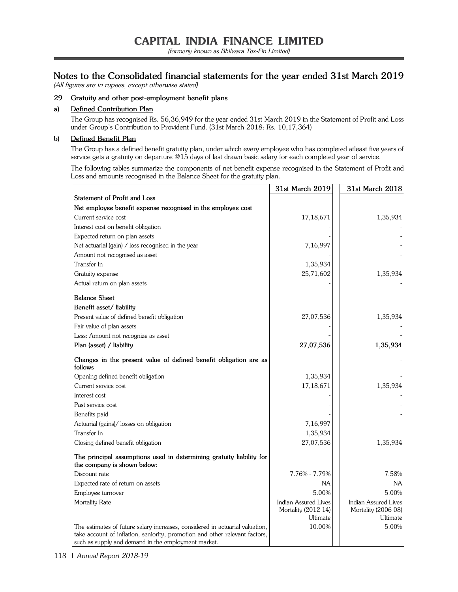(formerly known as Bhilwara Tex-Fin Limited)

### **Notes to the Consolidated financial statements for the year ended 31st March 2019**

(All figures are in rupees, except otherwise stated)

#### **29 Gratuity and other post-employment benefit plans**

#### **a) Defined Contribution Plan**

The Group has recognised Rs. 56,36,949 for the year ended 31st March 2019 in the Statement of Profit and Loss under Group's Contribution to Provident Fund. (31st March 2018: Rs. 10,17,364)

#### **b) Defined Benefit Plan**

The Group has a defined benefit gratuity plan, under which every employee who has completed atleast five years of service gets a gratuity on departure @15 days of last drawn basic salary for each completed year of service.

The following tables summarize the components of net benefit expense recognised in the Statement of Profit and Loss and amounts recognised in the Balance Sheet for the gratuity plan.

|                                                                                                     | 31st March 2019                                         | 31st March 2018                                         |
|-----------------------------------------------------------------------------------------------------|---------------------------------------------------------|---------------------------------------------------------|
| Statement of Profit and Loss                                                                        |                                                         |                                                         |
| Net employee benefit expense recognised in the employee cost                                        |                                                         |                                                         |
| Current service cost                                                                                | 17,18,671                                               | 1,35,934                                                |
| Interest cost on benefit obligation                                                                 |                                                         |                                                         |
| Expected return on plan assets                                                                      |                                                         |                                                         |
| Net actuarial (gain) / loss recognised in the year                                                  | 7,16,997                                                |                                                         |
| Amount not recognised as asset                                                                      |                                                         |                                                         |
| Transfer In                                                                                         | 1,35,934                                                |                                                         |
| Gratuity expense                                                                                    | 25,71,602                                               | 1,35,934                                                |
| Actual return on plan assets                                                                        |                                                         |                                                         |
| <b>Balance Sheet</b>                                                                                |                                                         |                                                         |
| Benefit asset/liability                                                                             |                                                         |                                                         |
| Present value of defined benefit obligation                                                         | 27,07,536                                               | 1,35,934                                                |
| Fair value of plan assets                                                                           |                                                         |                                                         |
| Less: Amount not recognize as asset                                                                 |                                                         |                                                         |
| Plan (asset) / liability                                                                            | 27,07,536                                               | 1,35,934                                                |
| Changes in the present value of defined benefit obligation are as<br>follows                        |                                                         |                                                         |
| Opening defined benefit obligation                                                                  | 1,35,934                                                |                                                         |
| Current service cost                                                                                | 17,18,671                                               | 1,35,934                                                |
| Interest cost                                                                                       |                                                         |                                                         |
| Past service cost                                                                                   |                                                         |                                                         |
| Benefits paid                                                                                       |                                                         |                                                         |
| Actuarial (gains)/ losses on obligation                                                             | 7,16,997                                                |                                                         |
| Transfer In                                                                                         | 1,35,934                                                |                                                         |
| Closing defined benefit obligation                                                                  | 27,07,536                                               | 1,35,934                                                |
| The principal assumptions used in determining gratuity liability for<br>the company is shown below: |                                                         |                                                         |
| Discount rate                                                                                       | 7.76% - 7.79%                                           | 7.58%                                                   |
| Expected rate of return on assets                                                                   | NA                                                      | <b>NA</b>                                               |
| Employee turnover                                                                                   | 5.00%                                                   | 5.00%                                                   |
| Mortality Rate                                                                                      | Indian Assured Lives<br>Mortality (2012-14)<br>Ultimate | Indian Assured Lives<br>Mortality (2006-08)<br>Ultimate |
| The estimates of future salary increases, considered in actuarial valuation,                        | 10.00%                                                  | 5.00%                                                   |
| take account of inflation, seniority, promotion and other relevant factors,                         |                                                         |                                                         |
| such as supply and demand in the employment market.                                                 |                                                         |                                                         |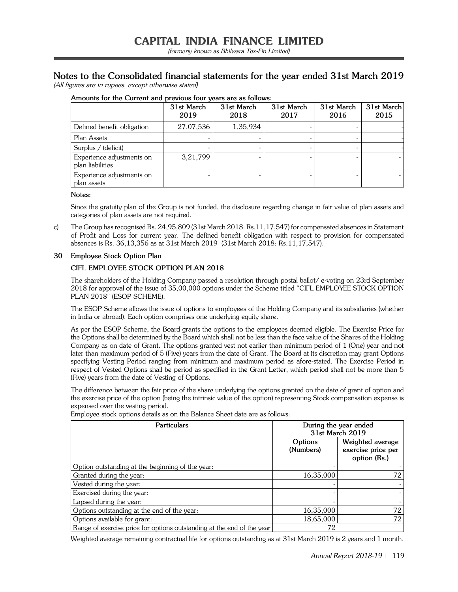# **Notes to the Consolidated financial statements for the year ended 31st March 2019**

(All figures are in rupees, except otherwise stated)

|                                               | 31st March<br>2019 | 31st March<br>2018 | 31st March<br>2017 | 31st March<br>2016 | 31st March<br>2015 |
|-----------------------------------------------|--------------------|--------------------|--------------------|--------------------|--------------------|
| Defined benefit obligation                    | 27,07,536          | 1,35,934           |                    |                    |                    |
| Plan Assets                                   |                    |                    |                    |                    |                    |
| Surplus / (deficit)                           |                    |                    |                    |                    |                    |
| Experience adjustments on<br>plan liabilities | 3,21,799           |                    |                    |                    |                    |
| Experience adjustments on<br>plan assets      |                    |                    |                    |                    |                    |

#### **Amounts for the Current and previous four years are as follows:**

#### **Notes:**

Since the gratuity plan of the Group is not funded, the disclosure regarding change in fair value of plan assets and categories of plan assets are not required.

c) The Group has recognised Rs. 24,95,809 (31st March 2018: Rs.11,17,547) for compensated absences in Statement of Profit and Loss for current year. The defined benefit obligation with respect to provision for compensated absences is Rs. 36,13,356 as at 31st March 2019 (31st March 2018: Rs.11,17,547).

#### **30 Employee Stock Option Plan**

#### **CIFL EMPLOYEE STOCK OPTION PLAN 2018**

The shareholders of the Holding Company passed a resolution through postal ballot/ e-voting on 23rd September 2018 for approval of the issue of 35,00,000 options under the Scheme titled "CIFL EMPLOYEE STOCK OPTION PLAN 2018" (ESOP SCHEME).

The ESOP Scheme allows the issue of options to employees of the Holding Company and its subsidiaries (whether in India or abroad). Each option comprises one underlying equity share.

As per the ESOP Scheme, the Board grants the options to the employees deemed eligible. The Exercise Price for the Options shall be determined by the Board which shall not be less than the face value of the Shares of the Holding Company as on date of Grant. The options granted vest not earlier than minimum period of 1 (One) year and not later than maximum period of 5 (Five) years from the date of Grant. The Board at its discretion may grant Options specifying Vesting Period ranging from minimum and maximum period as afore-stated. The Exercise Period in respect of Vested Options shall be period as specified in the Grant Letter, which period shall not be more than 5 (Five) years from the date of Vesting of Options.

The difference between the fair price of the share underlying the options granted on the date of grant of option and the exercise price of the option (being the intrinsic value of the option) representing Stock compensation expense is expensed over the vesting period.

| <b>Particulars</b>                                                     | During the year ended<br>31st March 2019 |                                                        |  |
|------------------------------------------------------------------------|------------------------------------------|--------------------------------------------------------|--|
|                                                                        | Options<br>(Numbers)                     | Weighted average<br>exercise price per<br>option (Rs.) |  |
| Option outstanding at the beginning of the year:                       |                                          |                                                        |  |
| Granted during the year:                                               | 16,35,000                                | 72                                                     |  |
| Vested during the year:                                                |                                          |                                                        |  |
| Exercised during the year:                                             |                                          |                                                        |  |
| Lapsed during the year:                                                |                                          |                                                        |  |
| Options outstanding at the end of the year:                            | 16,35,000                                | 72                                                     |  |
| Options available for grant:                                           | 18,65,000                                | 72                                                     |  |
| Range of exercise price for options outstanding at the end of the year | 72                                       |                                                        |  |

Employee stock options details as on the Balance Sheet date are as follows:

Weighted average remaining contractual life for options outstanding as at 31st March 2019 is 2 years and 1 month.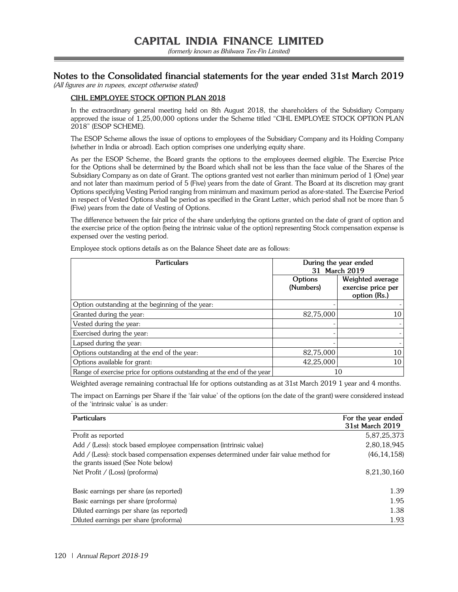### **Notes to the Consolidated financial statements for the year ended 31st March 2019**

(All figures are in rupees, except otherwise stated)

### **CIHL EMPLOYEE STOCK OPTION PLAN 2018**

In the extraordinary general meeting held on 8th August 2018, the shareholders of the Subsidiary Company approved the issue of 1,25,00,000 options under the Scheme titled "CIHL EMPLOYEE STOCK OPTION PLAN 2018" (ESOP SCHEME).

The ESOP Scheme allows the issue of options to employees of the Subsidiary Company and its Holding Company (whether in India or abroad). Each option comprises one underlying equity share.

As per the ESOP Scheme, the Board grants the options to the employees deemed eligible. The Exercise Price for the Options shall be determined by the Board which shall not be less than the face value of the Shares of the Subsidiary Company as on date of Grant. The options granted vest not earlier than minimum period of 1 (One) year and not later than maximum period of 5 (Five) years from the date of Grant. The Board at its discretion may grant Options specifying Vesting Period ranging from minimum and maximum period as afore-stated. The Exercise Period in respect of Vested Options shall be period as specified in the Grant Letter, which period shall not be more than 5 (Five) years from the date of Vesting of Options.

The difference between the fair price of the share underlying the options granted on the date of grant of option and the exercise price of the option (being the intrinsic value of the option) representing Stock compensation expense is expensed over the vesting period.

Employee stock options details as on the Balance Sheet date are as follows:

| <b>Particulars</b>                                                     | During the year ended<br>31 March 2019 |                                                        |  |
|------------------------------------------------------------------------|----------------------------------------|--------------------------------------------------------|--|
|                                                                        | Options<br>(Numbers)                   | Weighted average<br>exercise price per<br>option (Rs.) |  |
| Option outstanding at the beginning of the year:                       |                                        |                                                        |  |
| Granted during the year:                                               | 82,75,000                              | 10                                                     |  |
| Vested during the year:                                                |                                        |                                                        |  |
| Exercised during the year:                                             |                                        |                                                        |  |
| Lapsed during the year:                                                |                                        |                                                        |  |
| Options outstanding at the end of the year:                            | 82,75,000                              | 10                                                     |  |
| Options available for grant:                                           | 42,25,000                              | 10                                                     |  |
| Range of exercise price for options outstanding at the end of the year |                                        | 10                                                     |  |

Weighted average remaining contractual life for options outstanding as at 31st March 2019 1 year and 4 months.

The impact on Earnings per Share if the 'fair value' of the options (on the date of the grant) were considered instead of the 'intrinsic value' is as under:

| For the year ended<br>31st March 2019 |
|---------------------------------------|
| 5,87,25,373                           |
| 2,80,18,945                           |
| (46, 14, 158)                         |
| 8,21,30,160                           |
| 1.39                                  |
| 1.95                                  |
| 1.38                                  |
| 1.93                                  |
|                                       |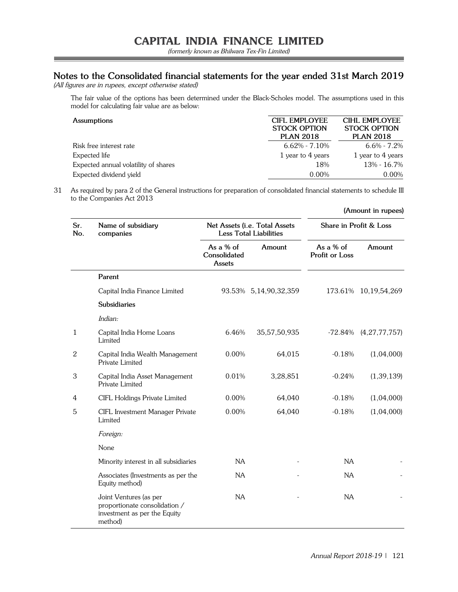(formerly known as Bhilwara Tex-Fin Limited)

## **Notes to the Consolidated financial statements for the year ended 31st March 2019**

(All figures are in rupees, except otherwise stated)

The fair value of the options has been determined under the Black-Scholes model. The assumptions used in this model for calculating fair value are as below:

| <b>Assumptions</b>                   | CIFI EMPLOYEE<br><b>STOCK OPTION</b><br><b>PLAN 2018</b> | CIHI EMPI OYEE<br><b>STOCK OPTION</b><br><b>PLAN 2018</b> |
|--------------------------------------|----------------------------------------------------------|-----------------------------------------------------------|
| Risk free interest rate              | $6.62\% - 7.10\%$                                        | $6.6\% - 7.2\%$                                           |
| Expected life                        | 1 year to 4 years                                        | 1 year to 4 years                                         |
| Expected annual volatility of shares | 18%                                                      | 13% - 16.7%                                               |
| Expected dividend yield              | 0.00%                                                    | 0.00%                                                     |

31 As required by para 2 of the General instructions for preparation of consolidated financial statements to schedule III to the Companies Act 2013

| Sr.<br>No.     | Name of subsidiary<br>companies                                                                    |                                     | Net Assets (i.e. Total Assets<br><b>Less Total Liabilities</b> | Share in Profit & Loss      |                      |  |
|----------------|----------------------------------------------------------------------------------------------------|-------------------------------------|----------------------------------------------------------------|-----------------------------|----------------------|--|
|                |                                                                                                    | As a % of<br>Consolidated<br>Assets | Amount                                                         | As a % of<br>Profit or Loss | Amount               |  |
|                | Parent                                                                                             |                                     |                                                                |                             |                      |  |
|                | Capital India Finance Limited                                                                      |                                     | 93.53% 5,14,90,32,359                                          |                             | 173.61% 10,19,54,269 |  |
|                | <b>Subsidiaries</b>                                                                                |                                     |                                                                |                             |                      |  |
|                | Indian:                                                                                            |                                     |                                                                |                             |                      |  |
| $\mathbf{1}$   | Capital India Home Loans<br>Limited                                                                | 6.46%                               | 35,57,50,935                                                   | $-72.84\%$                  | (4, 27, 77, 757)     |  |
| $\overline{2}$ | Capital India Wealth Management<br>Private Limited                                                 | 0.00%                               | 64,015                                                         | $-0.18%$                    | (1,04,000)           |  |
| 3              | Capital India Asset Management<br>Private Limited                                                  | 0.01%                               | 3,28,851                                                       | $-0.24%$                    | (1, 39, 139)         |  |
| 4              | CIFL Holdings Private Limited                                                                      | 0.00%                               | 64,040                                                         | $-0.18%$                    | (1,04,000)           |  |
| 5              | CIFL Investment Manager Private<br>Limited                                                         | 0.00%                               | 64,040                                                         | $-0.18%$                    | (1,04,000)           |  |
|                | Foreign:                                                                                           |                                     |                                                                |                             |                      |  |
|                | None                                                                                               |                                     |                                                                |                             |                      |  |
|                | Minority interest in all subsidiaries                                                              | NA                                  |                                                                | <b>NA</b>                   |                      |  |
|                | Associates (Investments as per the<br>Equity method)                                               | <b>NA</b>                           |                                                                | <b>NA</b>                   |                      |  |
|                | Joint Ventures (as per<br>proportionate consolidation /<br>investment as per the Equity<br>method) | NA                                  |                                                                | NA                          |                      |  |

**(Amount in rupees)**